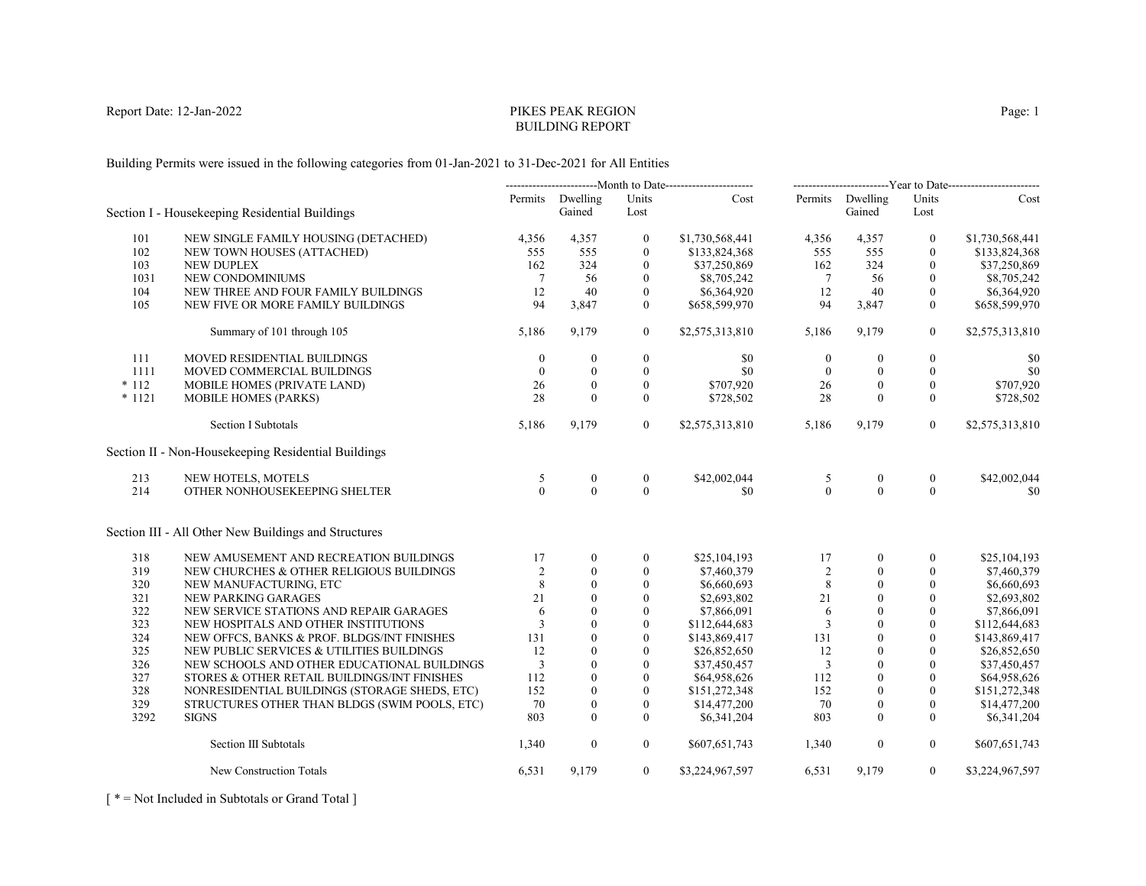# PIKES PEAK REGIONBUILDING REPORT

Building Permits were issued in the following categories from 01-Jan-2021 to 31-Dec-2021 for All Entities

|          |                                                      | --------------------------Month to Date----------------------- |                            | --------------------------Year to Date------------------------- |                 |                  |                            |                  |                 |
|----------|------------------------------------------------------|----------------------------------------------------------------|----------------------------|-----------------------------------------------------------------|-----------------|------------------|----------------------------|------------------|-----------------|
|          | Section I - Housekeeping Residential Buildings       |                                                                | Permits Dwelling<br>Gained | Units<br>Lost                                                   | Cost            |                  | Permits Dwelling<br>Gained | Units<br>Lost    | Cost            |
| 101      | NEW SINGLE FAMILY HOUSING (DETACHED)                 | 4,356                                                          | 4,357                      | $\boldsymbol{0}$                                                | \$1,730,568,441 | 4,356            | 4,357                      | $\mathbf{0}$     | \$1,730,568,441 |
| 102      | NEW TOWN HOUSES (ATTACHED)                           | 555                                                            | 555                        | $\mathbf{0}$                                                    | \$133,824,368   | 555              | 555                        | $\mathbf{0}$     | \$133,824,368   |
| 103      | <b>NEW DUPLEX</b>                                    | 162                                                            | 324                        | $\mathbf{0}$                                                    | \$37,250,869    | 162              | 324                        | $\mathbf{0}$     | \$37,250,869    |
| 1031     | NEW CONDOMINIUMS                                     | 7                                                              | 56                         | $\boldsymbol{0}$                                                | \$8,705,242     | 7                | 56                         | $\mathbf{0}$     | \$8,705,242     |
| 104      | NEW THREE AND FOUR FAMILY BUILDINGS                  | 12                                                             | 40                         | $\mathbf{0}$                                                    | \$6,364,920     | 12               | 40                         | $\boldsymbol{0}$ | \$6,364,920     |
| 105      | NEW FIVE OR MORE FAMILY BUILDINGS                    | 94                                                             | 3,847                      | $\Omega$                                                        | \$658,599,970   | 94               | 3,847                      | $\theta$         | \$658,599,970   |
|          | Summary of 101 through 105                           | 5,186                                                          | 9,179                      | $\mathbf{0}$                                                    | \$2,575,313,810 | 5,186            | 9,179                      | $\boldsymbol{0}$ | \$2,575,313,810 |
| 111      | MOVED RESIDENTIAL BUILDINGS                          | $\mathbf{0}$                                                   | $\mathbf{0}$               | $\boldsymbol{0}$                                                | \$0             | $\boldsymbol{0}$ | $\mathbf{0}$               | $\boldsymbol{0}$ | \$0             |
| 1111     | MOVED COMMERCIAL BUILDINGS                           | $\theta$                                                       | $\mathbf{0}$               | $\mathbf{0}$                                                    | \$0             | $\overline{0}$   | $\mathbf{0}$               | $\mathbf{0}$     | \$0             |
| $*112$   | MOBILE HOMES (PRIVATE LAND)                          | 26                                                             | $\mathbf{0}$               | $\mathbf{0}$                                                    | \$707,920       | 26               | $\theta$                   | $\Omega$         | \$707,920       |
| $* 1121$ | <b>MOBILE HOMES (PARKS)</b>                          | 28                                                             | $\theta$                   | $\mathbf{0}$                                                    | \$728,502       | 28               | $\theta$                   | $\mathbf{0}$     | \$728,502       |
|          | <b>Section I Subtotals</b>                           | 5,186                                                          | 9,179                      | $\overline{0}$                                                  | \$2,575,313,810 | 5,186            | 9,179                      | $\overline{0}$   | \$2,575,313,810 |
|          | Section II - Non-Housekeeping Residential Buildings  |                                                                |                            |                                                                 |                 |                  |                            |                  |                 |
| 213      | NEW HOTELS, MOTELS                                   | 5                                                              | $\boldsymbol{0}$           | $\boldsymbol{0}$                                                | \$42,002,044    | 5                | $\overline{0}$             | $\overline{0}$   | \$42,002,044    |
| 214      | OTHER NONHOUSEKEEPING SHELTER                        | $\Omega$                                                       | $\theta$                   | $\theta$                                                        | \$0             | $\theta$         | $\theta$                   | $\theta$         | \$0             |
|          | Section III - All Other New Buildings and Structures |                                                                |                            |                                                                 |                 |                  |                            |                  |                 |
| 318      | NEW AMUSEMENT AND RECREATION BUILDINGS               | 17                                                             | $\overline{0}$             | $\mathbf{0}$                                                    | \$25,104,193    | 17               | $\mathbf{0}$               | $\mathbf{0}$     | \$25,104,193    |
| 319      | NEW CHURCHES & OTHER RELIGIOUS BUILDINGS             | 2                                                              | $\theta$                   | $\mathbf{0}$                                                    | \$7,460,379     | 2                | $\mathbf{0}$               | $\mathbf{0}$     | \$7,460,379     |
| 320      | NEW MANUFACTURING, ETC                               | 8                                                              | $\theta$                   | $\boldsymbol{0}$                                                | \$6,660,693     | 8                | $\mathbf{0}$               | $\mathbf{0}$     | \$6,660,693     |
| 321      | NEW PARKING GARAGES                                  | 21                                                             | $\theta$                   | $\mathbf{0}$                                                    | \$2,693,802     | 21               | $\mathbf{0}$               | $\Omega$         | \$2,693,802     |
| 322      | NEW SERVICE STATIONS AND REPAIR GARAGES              | 6                                                              | $\theta$                   | $\theta$                                                        | \$7,866,091     | 6                | $\theta$                   | $\mathbf{0}$     | \$7,866,091     |
| 323      | NEW HOSPITALS AND OTHER INSTITUTIONS                 | $\overline{3}$                                                 | $\theta$                   | $\mathbf{0}$                                                    | \$112,644,683   | 3                | $\theta$                   | $\mathbf{0}$     | \$112,644,683   |
| 324      | NEW OFFCS, BANKS & PROF. BLDGS/INT FINISHES          | 131                                                            | $\theta$                   | $\theta$                                                        | \$143,869,417   | 131              | $\mathbf{0}$               | $\Omega$         | \$143,869,417   |
| 325      | NEW PUBLIC SERVICES & UTILITIES BUILDINGS            | 12                                                             | $\theta$                   | $\theta$                                                        | \$26,852,650    | 12               | $\theta$                   | $\theta$         | \$26,852,650    |
| 326      | NEW SCHOOLS AND OTHER EDUCATIONAL BUILDINGS          | $\overline{3}$                                                 | $\theta$                   | $\mathbf{0}$                                                    | \$37,450,457    | 3                | $\mathbf{0}$               | $\theta$         | \$37,450,457    |
| 327      | STORES & OTHER RETAIL BUILDINGS/INT FINISHES         | 112                                                            | $\mathbf{0}$               | $\theta$                                                        | \$64,958,626    | 112              | $\theta$                   | $\mathbf{0}$     | \$64,958,626    |
| 328      | NONRESIDENTIAL BUILDINGS (STORAGE SHEDS, ETC)        | 152                                                            | $\theta$                   | $\theta$                                                        | \$151,272,348   | 152              | $\Omega$                   | $\theta$         | \$151,272,348   |
| 329      | STRUCTURES OTHER THAN BLDGS (SWIM POOLS, ETC)        | 70                                                             | $\overline{0}$             | $\mathbf{0}$                                                    | \$14,477,200    | 70               | $\mathbf{0}$               | $\mathbf{0}$     | \$14,477,200    |
| 3292     | <b>SIGNS</b>                                         | 803                                                            | $\mathbf{0}$               | $\mathbf{0}$                                                    | \$6,341,204     | 803              | $\mathbf{0}$               | $\mathbf{0}$     | \$6,341,204     |
|          | Section III Subtotals                                | 1,340                                                          | $\mathbf{0}$               | $\overline{0}$                                                  | \$607,651,743   | 1,340            | $\boldsymbol{0}$           | $\overline{0}$   | \$607,651,743   |
|          | New Construction Totals                              | 6,531                                                          | 9,179                      | $\overline{0}$                                                  | \$3,224,967,597 | 6,531            | 9,179                      | $\overline{0}$   | \$3,224,967,597 |

[ \* = Not Included in Subtotals or Grand Total ]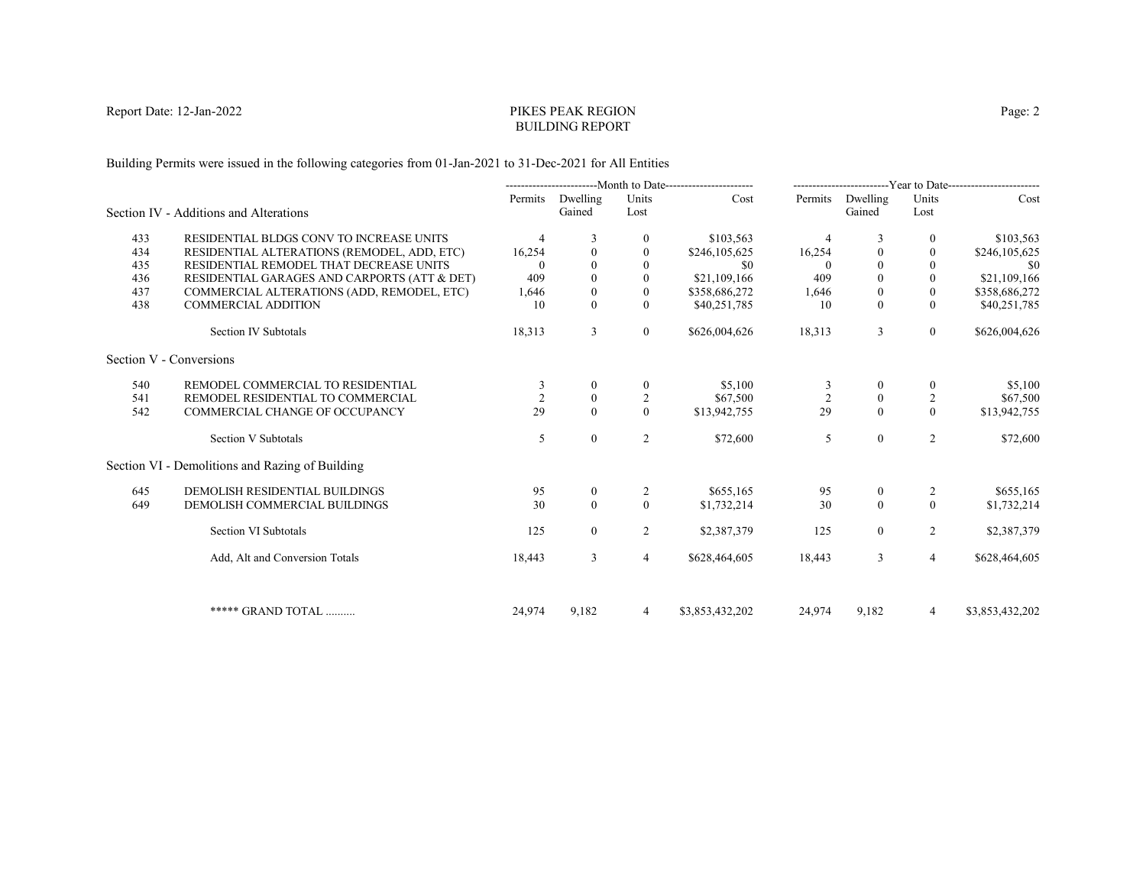# PIKES PEAK REGIONBUILDING REPORT

Building Permits were issued in the following categories from 01-Jan-2021 to 31-Dec-2021 for All Entities

|     |                                                 | ---------------------------Month to Date----------------------- |                  |                | ------------------------Year to Date------------------------ |                |              |                  |                 |
|-----|-------------------------------------------------|-----------------------------------------------------------------|------------------|----------------|--------------------------------------------------------------|----------------|--------------|------------------|-----------------|
|     |                                                 | Permits                                                         | Dwelling         | Units          | Cost                                                         | Permits        | Dwelling     | Units            | Cost            |
|     | Section IV - Additions and Alterations          |                                                                 | Gained           | Lost           |                                                              |                | Gained       | Lost             |                 |
| 433 | RESIDENTIAL BLDGS CONV TO INCREASE UNITS        | $\overline{4}$                                                  | 3                | 0              | \$103,563                                                    |                | 3            | $\theta$         | \$103,563       |
| 434 | RESIDENTIAL ALTERATIONS (REMODEL, ADD, ETC)     | 16,254                                                          | $\mathbf{0}$     | $\mathbf{0}$   | \$246,105,625                                                | 16,254         |              | $\theta$         | \$246,105,625   |
| 435 | RESIDENTIAL REMODEL THAT DECREASE UNITS         | $\Omega$                                                        | $\theta$         | $\Omega$       | \$0                                                          | $\Omega$       |              |                  | - \$0           |
| 436 | RESIDENTIAL GARAGES AND CARPORTS (ATT & DET)    | 409                                                             | $\theta$         | $\Omega$       | \$21,109,166                                                 | 409            |              | $\theta$         | \$21,109,166    |
| 437 | COMMERCIAL ALTERATIONS (ADD, REMODEL, ETC)      | 1,646                                                           | $\boldsymbol{0}$ | $\mathbf{0}$   | \$358,686,272                                                | 1,646          | $\theta$     | $\mathbf{0}$     | \$358,686,272   |
| 438 | <b>COMMERCIAL ADDITION</b>                      | 10                                                              | $\Omega$         | $\Omega$       | \$40,251,785                                                 | 10             | $\theta$     | $\theta$         | \$40,251,785    |
|     | Section IV Subtotals                            | 18,313                                                          | 3                | $\overline{0}$ | \$626,004,626                                                | 18,313         | 3            | $\boldsymbol{0}$ | \$626,004,626   |
|     | Section V - Conversions                         |                                                                 |                  |                |                                                              |                |              |                  |                 |
| 540 | REMODEL COMMERCIAL TO RESIDENTIAL               | 3                                                               | $\theta$         | $\theta$       | \$5,100                                                      | 3              | $\theta$     | $\theta$         | \$5,100         |
| 541 | REMODEL RESIDENTIAL TO COMMERCIAL               |                                                                 | $\mathbf{0}$     | 2              | \$67,500                                                     | $\overline{2}$ | $\mathbf{0}$ | $\overline{2}$   | \$67,500        |
| 542 | COMMERCIAL CHANGE OF OCCUPANCY                  | 29                                                              | $\theta$         | $\Omega$       | \$13,942,755                                                 | 29             | $\Omega$     | $\Omega$         | \$13,942,755    |
|     | Section V Subtotals                             | 5                                                               | $\mathbf{0}$     | 2              | \$72,600                                                     | 5              | $\mathbf{0}$ | 2                | \$72,600        |
|     | Section VI - Demolitions and Razing of Building |                                                                 |                  |                |                                                              |                |              |                  |                 |
| 645 | DEMOLISH RESIDENTIAL BUILDINGS                  | 95                                                              | $\bf{0}$         | 2              | \$655,165                                                    | 95             | $\bf{0}$     | 2                | \$655,165       |
| 649 | DEMOLISH COMMERCIAL BUILDINGS                   | 30                                                              | $\theta$         | $\theta$       | \$1,732,214                                                  | 30             | $\theta$     | $\theta$         | \$1,732,214     |
|     | Section VI Subtotals                            | 125                                                             | $\overline{0}$   | 2              | \$2,387,379                                                  | 125            | $\mathbf{0}$ | 2                | \$2,387,379     |
|     | Add, Alt and Conversion Totals                  | 18,443                                                          | 3                | $\overline{4}$ | \$628,464,605                                                | 18,443         | 3            | $\overline{4}$   | \$628,464,605   |
|     |                                                 |                                                                 |                  |                |                                                              |                |              |                  |                 |
|     | ***** GRAND TOTAL                               | 24,974                                                          | 9,182            | 4              | \$3,853,432,202                                              | 24,974         | 9,182        | $\overline{4}$   | \$3,853,432,202 |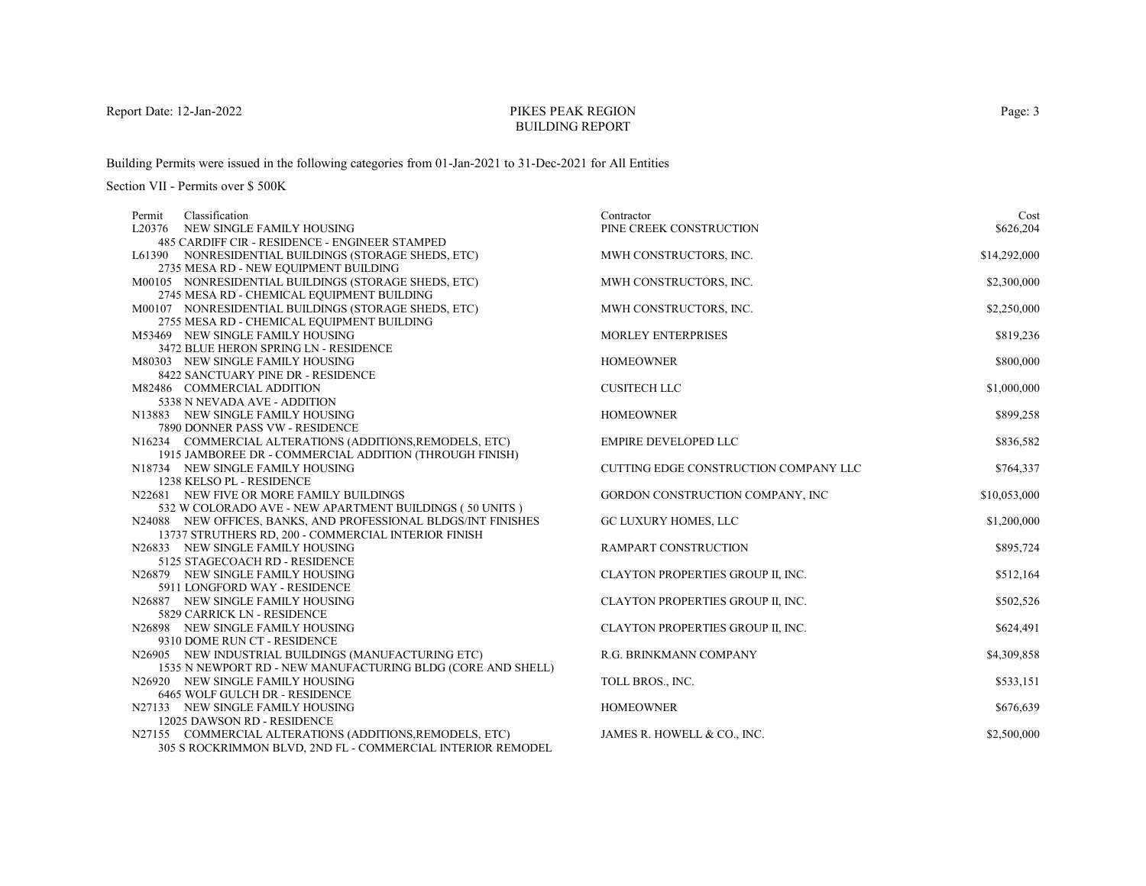# PIKES PEAK REGIONBUILDING REPORT

Building Permits were issued in the following categories from 01-Jan-2021 to 31-Dec-2021 for All Entities

| Classification<br>Permit                                         | Contractor                            | Cost         |
|------------------------------------------------------------------|---------------------------------------|--------------|
| L20376 NEW SINGLE FAMILY HOUSING                                 | PINE CREEK CONSTRUCTION               | \$626,204    |
| 485 CARDIFF CIR - RESIDENCE - ENGINEER STAMPED                   |                                       |              |
| L61390 NONRESIDENTIAL BUILDINGS (STORAGE SHEDS, ETC)             | MWH CONSTRUCTORS, INC.                | \$14,292,000 |
| 2735 MESA RD - NEW EQUIPMENT BUILDING                            |                                       |              |
| M00105 NONRESIDENTIAL BUILDINGS (STORAGE SHEDS, ETC)             | MWH CONSTRUCTORS, INC.                | \$2,300,000  |
| 2745 MESA RD - CHEMICAL EQUIPMENT BUILDING                       |                                       |              |
| M00107 NONRESIDENTIAL BUILDINGS (STORAGE SHEDS, ETC)             | MWH CONSTRUCTORS, INC.                | \$2,250,000  |
| 2755 MESA RD - CHEMICAL EQUIPMENT BUILDING                       |                                       |              |
| M53469 NEW SINGLE FAMILY HOUSING                                 | <b>MORLEY ENTERPRISES</b>             | \$819,236    |
| 3472 BLUE HERON SPRING LN - RESIDENCE                            |                                       |              |
| M80303 NEW SINGLE FAMILY HOUSING                                 | <b>HOMEOWNER</b>                      | \$800,000    |
| 8422 SANCTUARY PINE DR - RESIDENCE<br>M82486 COMMERCIAL ADDITION | <b>CUSITECH LLC</b>                   | \$1,000,000  |
| 5338 N NEVADA AVE - ADDITION                                     |                                       |              |
| N13883 NEW SINGLE FAMILY HOUSING                                 | <b>HOMEOWNER</b>                      | \$899,258    |
| 7890 DONNER PASS VW - RESIDENCE                                  |                                       |              |
| N16234 COMMERCIAL ALTERATIONS (ADDITIONS, REMODELS, ETC)         | <b>EMPIRE DEVELOPED LLC</b>           | \$836,582    |
| 1915 JAMBOREE DR - COMMERCIAL ADDITION (THROUGH FINISH)          |                                       |              |
| N18734 NEW SINGLE FAMILY HOUSING                                 | CUTTING EDGE CONSTRUCTION COMPANY LLC | \$764,337    |
| 1238 KELSO PL - RESIDENCE                                        |                                       |              |
| N22681 NEW FIVE OR MORE FAMILY BUILDINGS                         | GORDON CONSTRUCTION COMPANY, INC      | \$10,053,000 |
| 532 W COLORADO AVE - NEW APARTMENT BUILDINGS (50 UNITS)          |                                       |              |
| N24088 NEW OFFICES, BANKS, AND PROFESSIONAL BLDGS/INT FINISHES   | GC LUXURY HOMES, LLC                  | \$1,200,000  |
| 13737 STRUTHERS RD, 200 - COMMERCIAL INTERIOR FINISH             |                                       |              |
| N26833 NEW SINGLE FAMILY HOUSING                                 | <b>RAMPART CONSTRUCTION</b>           | \$895,724    |
| 5125 STAGECOACH RD - RESIDENCE                                   |                                       |              |
| N26879 NEW SINGLE FAMILY HOUSING                                 | CLAYTON PROPERTIES GROUP II, INC.     | \$512,164    |
| 5911 LONGFORD WAY - RESIDENCE                                    |                                       |              |
| N26887 NEW SINGLE FAMILY HOUSING                                 | CLAYTON PROPERTIES GROUP II, INC.     | \$502,526    |
| 5829 CARRICK LN - RESIDENCE                                      |                                       |              |
| N26898 NEW SINGLE FAMILY HOUSING                                 | CLAYTON PROPERTIES GROUP II, INC.     | \$624,491    |
| 9310 DOME RUN CT - RESIDENCE                                     |                                       |              |
| N26905 NEW INDUSTRIAL BUILDINGS (MANUFACTURING ETC)              | R.G. BRINKMANN COMPANY                | \$4,309,858  |
| 1535 N NEWPORT RD - NEW MANUFACTURING BLDG (CORE AND SHELL)      |                                       |              |
| N26920 NEW SINGLE FAMILY HOUSING                                 | TOLL BROS., INC.                      | \$533,151    |
| 6465 WOLF GULCH DR - RESIDENCE                                   |                                       | \$676,639    |
| N27133 NEW SINGLE FAMILY HOUSING<br>12025 DAWSON RD - RESIDENCE  | <b>HOMEOWNER</b>                      |              |
| N27155 COMMERCIAL ALTERATIONS (ADDITIONS, REMODELS, ETC)         | JAMES R. HOWELL & CO., INC.           | \$2,500,000  |
| 305 S ROCKRIMMON BLVD, 2ND FL - COMMERCIAL INTERIOR REMODEL      |                                       |              |
|                                                                  |                                       |              |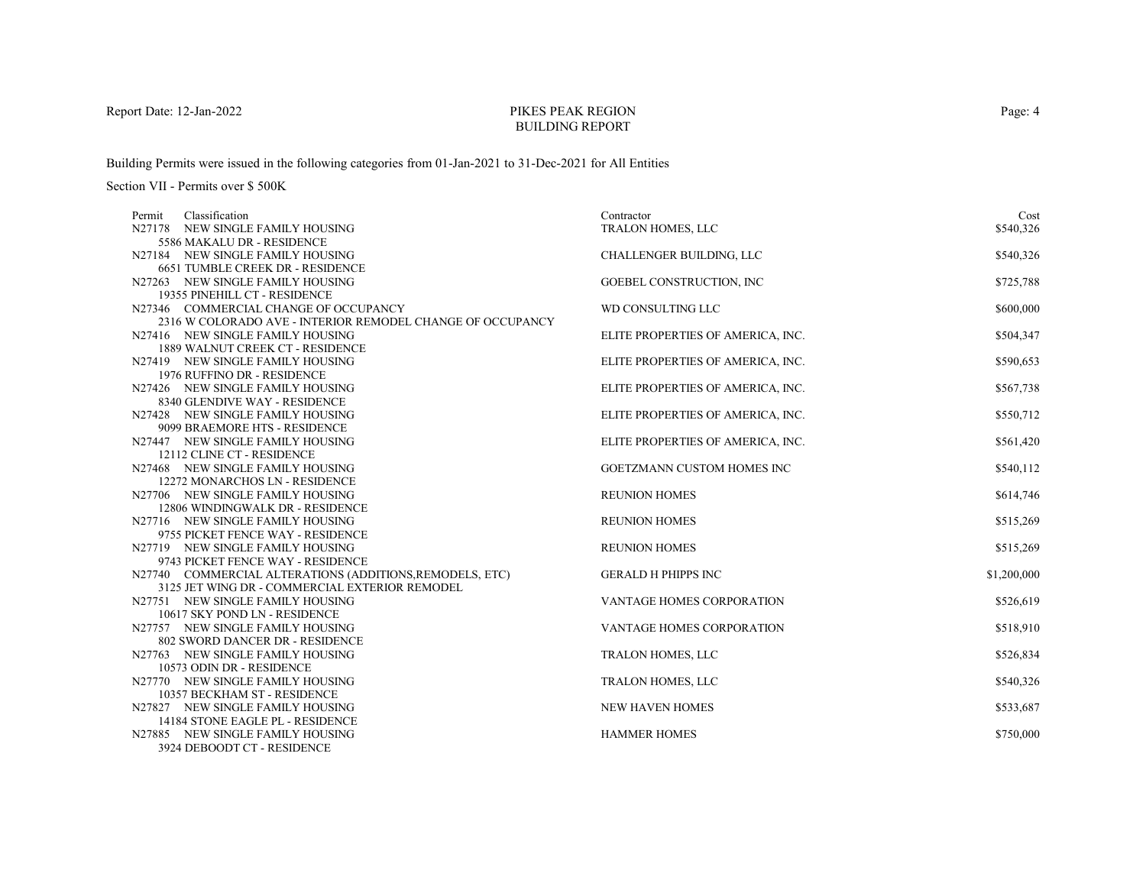# PIKES PEAK REGIONBUILDING REPORT

Building Permits were issued in the following categories from 01-Jan-2021 to 31-Dec-2021 for All Entities

| Classification<br>Permit                                             | Contractor                        | Cost        |
|----------------------------------------------------------------------|-----------------------------------|-------------|
| N27178 NEW SINGLE FAMILY HOUSING                                     | TRALON HOMES, LLC                 | \$540,326   |
| 5586 MAKALU DR - RESIDENCE                                           |                                   |             |
| N27184 NEW SINGLE FAMILY HOUSING                                     | CHALLENGER BUILDING, LLC          | \$540,326   |
| 6651 TUMBLE CREEK DR - RESIDENCE                                     |                                   |             |
| N27263 NEW SINGLE FAMILY HOUSING                                     | GOEBEL CONSTRUCTION, INC          | \$725,788   |
| 19355 PINEHILL CT - RESIDENCE                                        |                                   |             |
| N27346 COMMERCIAL CHANGE OF OCCUPANCY                                | WD CONSULTING LLC                 | \$600,000   |
| 2316 W COLORADO AVE - INTERIOR REMODEL CHANGE OF OCCUPANCY           |                                   |             |
| N27416 NEW SINGLE FAMILY HOUSING                                     | ELITE PROPERTIES OF AMERICA, INC. | \$504,347   |
| 1889 WALNUT CREEK CT - RESIDENCE                                     |                                   |             |
| N27419 NEW SINGLE FAMILY HOUSING                                     | ELITE PROPERTIES OF AMERICA, INC. | \$590,653   |
| 1976 RUFFINO DR - RESIDENCE                                          |                                   |             |
| N27426 NEW SINGLE FAMILY HOUSING                                     | ELITE PROPERTIES OF AMERICA, INC. | \$567,738   |
| 8340 GLENDIVE WAY - RESIDENCE                                        |                                   |             |
| N27428 NEW SINGLE FAMILY HOUSING                                     | ELITE PROPERTIES OF AMERICA, INC. | \$550,712   |
| 9099 BRAEMORE HTS - RESIDENCE                                        |                                   |             |
| N27447 NEW SINGLE FAMILY HOUSING                                     | ELITE PROPERTIES OF AMERICA, INC. | \$561,420   |
| 12112 CLINE CT - RESIDENCE                                           |                                   |             |
| N27468 NEW SINGLE FAMILY HOUSING                                     | GOETZMANN CUSTOM HOMES INC        | \$540,112   |
| 12272 MONARCHOS LN - RESIDENCE                                       |                                   |             |
| N27706 NEW SINGLE FAMILY HOUSING<br>12806 WINDINGWALK DR - RESIDENCE | <b>REUNION HOMES</b>              | \$614,746   |
| N27716 NEW SINGLE FAMILY HOUSING                                     | <b>REUNION HOMES</b>              |             |
| 9755 PICKET FENCE WAY - RESIDENCE                                    |                                   | \$515,269   |
| N27719 NEW SINGLE FAMILY HOUSING                                     | <b>REUNION HOMES</b>              | \$515,269   |
| 9743 PICKET FENCE WAY - RESIDENCE                                    |                                   |             |
| N27740 COMMERCIAL ALTERATIONS (ADDITIONS, REMODELS, ETC)             | <b>GERALD H PHIPPS INC</b>        | \$1,200,000 |
| 3125 JET WING DR - COMMERCIAL EXTERIOR REMODEL                       |                                   |             |
| N27751 NEW SINGLE FAMILY HOUSING                                     | VANTAGE HOMES CORPORATION         | \$526,619   |
| 10617 SKY POND LN - RESIDENCE                                        |                                   |             |
| N27757 NEW SINGLE FAMILY HOUSING                                     | <b>VANTAGE HOMES CORPORATION</b>  | \$518,910   |
| 802 SWORD DANCER DR - RESIDENCE                                      |                                   |             |
| N27763 NEW SINGLE FAMILY HOUSING                                     | <b>TRALON HOMES, LLC</b>          | \$526,834   |
| 10573 ODIN DR - RESIDENCE                                            |                                   |             |
| N27770 NEW SINGLE FAMILY HOUSING                                     | <b>TRALON HOMES, LLC</b>          | \$540,326   |
| 10357 BECKHAM ST - RESIDENCE                                         |                                   |             |
| N27827 NEW SINGLE FAMILY HOUSING                                     | <b>NEW HAVEN HOMES</b>            | \$533,687   |
| 14184 STONE EAGLE PL - RESIDENCE                                     |                                   |             |
| N27885 NEW SINGLE FAMILY HOUSING                                     | <b>HAMMER HOMES</b>               | \$750,000   |
| 3924 DEBOODT CT - RESIDENCE                                          |                                   |             |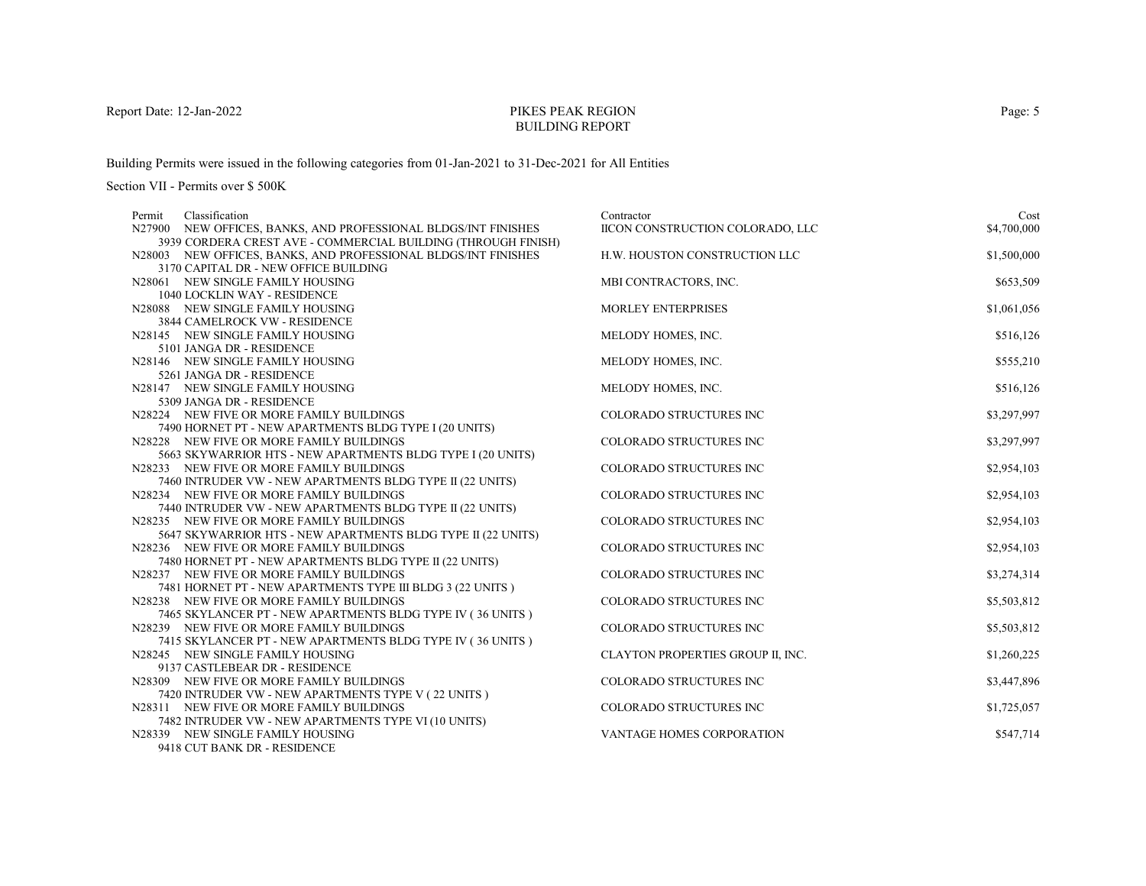# PIKES PEAK REGIONBUILDING REPORT

Building Permits were issued in the following categories from 01-Jan-2021 to 31-Dec-2021 for All Entities

Section VII - Permits over \$ 500K

| Classification<br>Permit                                                                        | Contractor                        | Cost        |
|-------------------------------------------------------------------------------------------------|-----------------------------------|-------------|
| N27900 NEW OFFICES, BANKS, AND PROFESSIONAL BLDGS/INT FINISHES                                  | IICON CONSTRUCTION COLORADO, LLC  | \$4,700,000 |
| 3939 CORDERA CREST AVE - COMMERCIAL BUILDING (THROUGH FINISH)                                   |                                   |             |
| N28003 NEW OFFICES, BANKS, AND PROFESSIONAL BLDGS/INT FINISHES                                  | H.W. HOUSTON CONSTRUCTION LLC     | \$1,500,000 |
| 3170 CAPITAL DR - NEW OFFICE BUILDING                                                           |                                   |             |
| N28061 NEW SINGLE FAMILY HOUSING                                                                | MBI CONTRACTORS, INC.             | \$653,509   |
| 1040 LOCKLIN WAY - RESIDENCE                                                                    |                                   |             |
| N28088 NEW SINGLE FAMILY HOUSING                                                                | <b>MORLEY ENTERPRISES</b>         | \$1,061,056 |
| <b>3844 CAMELROCK VW - RESIDENCE</b>                                                            |                                   |             |
| N28145 NEW SINGLE FAMILY HOUSING                                                                | MELODY HOMES, INC.                | \$516,126   |
| 5101 JANGA DR - RESIDENCE                                                                       |                                   |             |
| N28146 NEW SINGLE FAMILY HOUSING                                                                | MELODY HOMES, INC.                | \$555,210   |
| 5261 JANGA DR - RESIDENCE                                                                       |                                   |             |
| N28147 NEW SINGLE FAMILY HOUSING                                                                | MELODY HOMES, INC.                | \$516,126   |
| 5309 JANGA DR - RESIDENCE                                                                       |                                   |             |
| N28224 NEW FIVE OR MORE FAMILY BUILDINGS                                                        | COLORADO STRUCTURES INC           | \$3,297,997 |
| 7490 HORNET PT - NEW APARTMENTS BLDG TYPE I (20 UNITS)                                          |                                   |             |
| N28228 NEW FIVE OR MORE FAMILY BUILDINGS                                                        | <b>COLORADO STRUCTURES INC</b>    | \$3,297,997 |
| 5663 SKYWARRIOR HTS - NEW APARTMENTS BLDG TYPE I (20 UNITS)                                     |                                   |             |
| N28233 NEW FIVE OR MORE FAMILY BUILDINGS                                                        | COLORADO STRUCTURES INC           | \$2,954,103 |
| 7460 INTRUDER VW - NEW APARTMENTS BLDG TYPE II (22 UNITS)                                       |                                   |             |
| N28234 NEW FIVE OR MORE FAMILY BUILDINGS                                                        | COLORADO STRUCTURES INC           | \$2,954,103 |
| 7440 INTRUDER VW - NEW APARTMENTS BLDG TYPE II (22 UNITS)                                       |                                   |             |
| N28235 NEW FIVE OR MORE FAMILY BUILDINGS                                                        | <b>COLORADO STRUCTURES INC</b>    | \$2,954,103 |
| 5647 SKYWARRIOR HTS - NEW APARTMENTS BLDG TYPE II (22 UNITS)                                    |                                   |             |
| N28236 NEW FIVE OR MORE FAMILY BUILDINGS                                                        | COLORADO STRUCTURES INC           | \$2,954,103 |
| 7480 HORNET PT - NEW APARTMENTS BLDG TYPE II (22 UNITS)                                         |                                   |             |
| N28237 NEW FIVE OR MORE FAMILY BUILDINGS                                                        | COLORADO STRUCTURES INC           | \$3,274,314 |
| 7481 HORNET PT - NEW APARTMENTS TYPE III BLDG 3 (22 UNITS)                                      |                                   |             |
| N28238 NEW FIVE OR MORE FAMILY BUILDINGS                                                        | COLORADO STRUCTURES INC           | \$5,503,812 |
| 7465 SKYLANCER PT - NEW APARTMENTS BLDG TYPE IV (36 UNITS)                                      |                                   |             |
| N28239 NEW FIVE OR MORE FAMILY BUILDINGS                                                        | <b>COLORADO STRUCTURES INC</b>    | \$5,503,812 |
| 7415 SKYLANCER PT - NEW APARTMENTS BLDG TYPE IV (36 UNITS)                                      |                                   |             |
| N28245 NEW SINGLE FAMILY HOUSING<br>9137 CASTLEBEAR DR - RESIDENCE                              | CLAYTON PROPERTIES GROUP II, INC. | \$1,260,225 |
|                                                                                                 | COLORADO STRUCTURES INC           |             |
| N28309 NEW FIVE OR MORE FAMILY BUILDINGS<br>7420 INTRUDER VW - NEW APARTMENTS TYPE V (22 UNITS) |                                   | \$3,447,896 |
| N28311 NEW FIVE OR MORE FAMILY BUILDINGS                                                        | COLORADO STRUCTURES INC           | \$1,725,057 |
|                                                                                                 |                                   |             |
| 7482 INTRUDER VW - NEW APARTMENTS TYPE VI (10 UNITS)<br>N28339 NEW SINGLE FAMILY HOUSING        | VANTAGE HOMES CORPORATION         | \$547,714   |
| $0.410 \text{ CI}$ IT DAME DD. DECIDEMEN                                                        |                                   |             |

9418 CUT BANK DR - RESIDENCE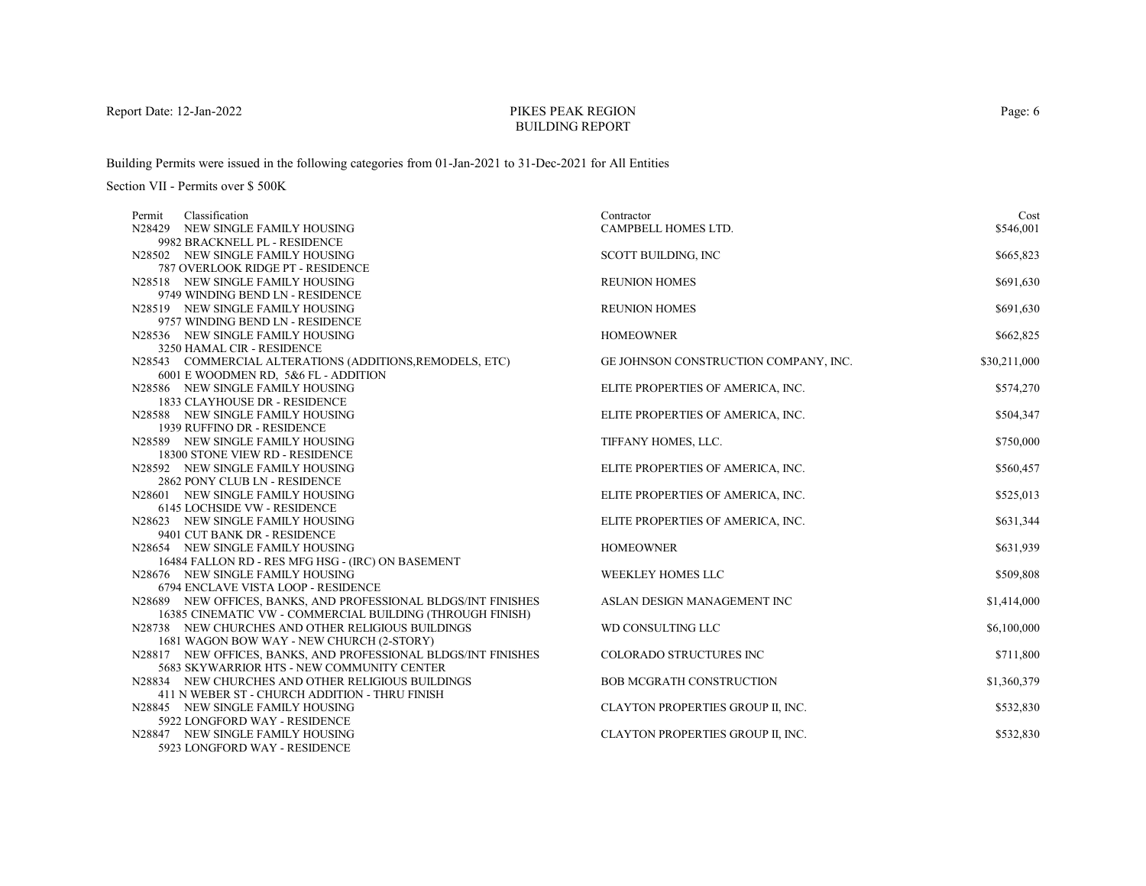# PIKES PEAK REGIONBUILDING REPORT

Building Permits were issued in the following categories from 01-Jan-2021 to 31-Dec-2021 for All Entities

| Classification<br>Permit                                       | Contractor                            | Cost         |
|----------------------------------------------------------------|---------------------------------------|--------------|
| N28429 NEW SINGLE FAMILY HOUSING                               | CAMPBELL HOMES LTD.                   | \$546,001    |
| 9982 BRACKNELL PL - RESIDENCE                                  |                                       |              |
| N28502 NEW SINGLE FAMILY HOUSING                               | SCOTT BUILDING, INC                   | \$665,823    |
| 787 OVERLOOK RIDGE PT - RESIDENCE                              |                                       |              |
| N28518 NEW SINGLE FAMILY HOUSING                               | <b>REUNION HOMES</b>                  | \$691,630    |
| 9749 WINDING BEND LN - RESIDENCE                               |                                       |              |
| N28519 NEW SINGLE FAMILY HOUSING                               | <b>REUNION HOMES</b>                  | \$691,630    |
| 9757 WINDING BEND LN - RESIDENCE                               |                                       |              |
| N28536 NEW SINGLE FAMILY HOUSING                               | <b>HOMEOWNER</b>                      | \$662,825    |
| 3250 HAMAL CIR - RESIDENCE                                     |                                       |              |
| N28543 COMMERCIAL ALTERATIONS (ADDITIONS, REMODELS, ETC)       | GE JOHNSON CONSTRUCTION COMPANY, INC. | \$30,211,000 |
| 6001 E WOODMEN RD, 5&6 FL - ADDITION                           |                                       |              |
| N28586 NEW SINGLE FAMILY HOUSING                               | ELITE PROPERTIES OF AMERICA, INC.     | \$574,270    |
| 1833 CLAYHOUSE DR - RESIDENCE                                  |                                       |              |
| N28588 NEW SINGLE FAMILY HOUSING                               | ELITE PROPERTIES OF AMERICA, INC.     | \$504,347    |
| 1939 RUFFINO DR - RESIDENCE                                    |                                       |              |
| N28589 NEW SINGLE FAMILY HOUSING                               | TIFFANY HOMES, LLC.                   | \$750,000    |
| 18300 STONE VIEW RD - RESIDENCE                                |                                       |              |
| N28592 NEW SINGLE FAMILY HOUSING                               | ELITE PROPERTIES OF AMERICA, INC.     | \$560,457    |
| 2862 PONY CLUB LN - RESIDENCE                                  |                                       |              |
| N28601 NEW SINGLE FAMILY HOUSING                               | ELITE PROPERTIES OF AMERICA, INC.     | \$525,013    |
| <b>6145 LOCHSIDE VW - RESIDENCE</b>                            |                                       |              |
| N28623 NEW SINGLE FAMILY HOUSING                               | ELITE PROPERTIES OF AMERICA, INC.     | \$631,344    |
| 9401 CUT BANK DR - RESIDENCE                                   |                                       |              |
| N28654 NEW SINGLE FAMILY HOUSING                               | <b>HOMEOWNER</b>                      | \$631,939    |
| 16484 FALLON RD - RES MFG HSG - (IRC) ON BASEMENT              |                                       |              |
| N28676 NEW SINGLE FAMILY HOUSING                               | WEEKLEY HOMES LLC                     | \$509,808    |
| 6794 ENCLAVE VISTA LOOP - RESIDENCE                            |                                       |              |
| N28689 NEW OFFICES, BANKS, AND PROFESSIONAL BLDGS/INT FINISHES | ASLAN DESIGN MANAGEMENT INC           | \$1,414,000  |
| 16385 CINEMATIC VW - COMMERCIAL BUILDING (THROUGH FINISH)      |                                       |              |
| N28738 NEW CHURCHES AND OTHER RELIGIOUS BUILDINGS              | WD CONSULTING LLC                     | \$6,100,000  |
| 1681 WAGON BOW WAY - NEW CHURCH (2-STORY)                      |                                       |              |
| N28817 NEW OFFICES, BANKS, AND PROFESSIONAL BLDGS/INT FINISHES | <b>COLORADO STRUCTURES INC</b>        | \$711,800    |
| 5683 SKYWARRIOR HTS - NEW COMMUNITY CENTER                     |                                       |              |
| N28834 NEW CHURCHES AND OTHER RELIGIOUS BUILDINGS              | <b>BOB MCGRATH CONSTRUCTION</b>       | \$1,360,379  |
| 411 N WEBER ST - CHURCH ADDITION - THRU FINISH                 |                                       |              |
| N28845 NEW SINGLE FAMILY HOUSING                               | CLAYTON PROPERTIES GROUP II, INC.     | \$532,830    |
| 5922 LONGFORD WAY - RESIDENCE                                  |                                       |              |
| N28847 NEW SINGLE FAMILY HOUSING                               | CLAYTON PROPERTIES GROUP II, INC.     | \$532,830    |
| 5923 LONGFORD WAY - RESIDENCE                                  |                                       |              |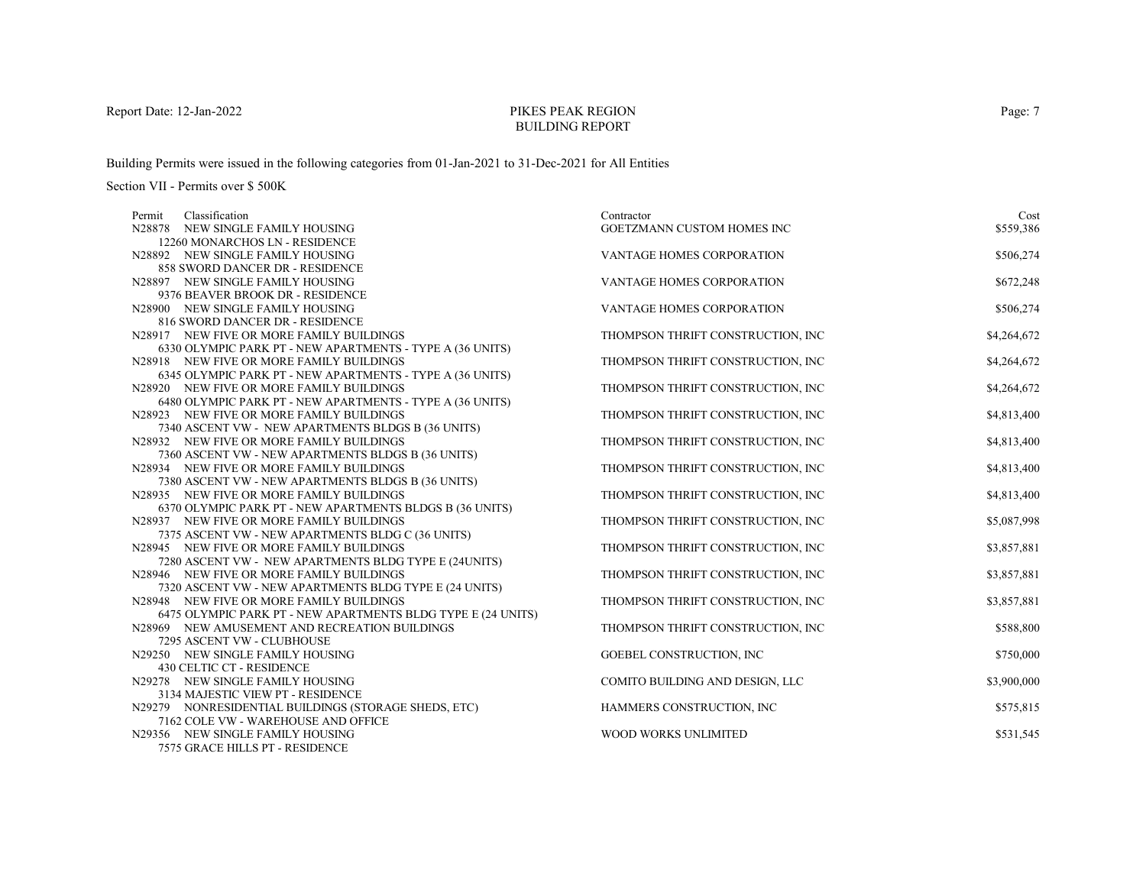# PIKES PEAK REGIONBUILDING REPORT

Building Permits were issued in the following categories from 01-Jan-2021 to 31-Dec-2021 for All Entities

Section VII - Permits over \$ 500K

| Classification<br>Permit                                                          | Contractor                        | Cost        |
|-----------------------------------------------------------------------------------|-----------------------------------|-------------|
| N28878 NEW SINGLE FAMILY HOUSING                                                  | GOETZMANN CUSTOM HOMES INC        | \$559,386   |
| 12260 MONARCHOS LN - RESIDENCE                                                    |                                   |             |
| N28892 NEW SINGLE FAMILY HOUSING                                                  | VANTAGE HOMES CORPORATION         | \$506,274   |
| 858 SWORD DANCER DR - RESIDENCE                                                   |                                   |             |
| N28897 NEW SINGLE FAMILY HOUSING                                                  | VANTAGE HOMES CORPORATION         | \$672,248   |
| 9376 BEAVER BROOK DR - RESIDENCE                                                  |                                   |             |
| N28900 NEW SINGLE FAMILY HOUSING                                                  | VANTAGE HOMES CORPORATION         | \$506,274   |
| 816 SWORD DANCER DR - RESIDENCE                                                   |                                   |             |
| N28917 NEW FIVE OR MORE FAMILY BUILDINGS                                          | THOMPSON THRIFT CONSTRUCTION, INC | \$4,264,672 |
| 6330 OLYMPIC PARK PT - NEW APARTMENTS - TYPE A (36 UNITS)                         |                                   |             |
| N28918 NEW FIVE OR MORE FAMILY BUILDINGS                                          | THOMPSON THRIFT CONSTRUCTION, INC | \$4,264,672 |
| 6345 OLYMPIC PARK PT - NEW APARTMENTS - TYPE A (36 UNITS)                         |                                   |             |
| N28920 NEW FIVE OR MORE FAMILY BUILDINGS                                          | THOMPSON THRIFT CONSTRUCTION, INC | \$4,264,672 |
| 6480 OLYMPIC PARK PT - NEW APARTMENTS - TYPE A (36 UNITS)                         |                                   |             |
| N28923 NEW FIVE OR MORE FAMILY BUILDINGS                                          | THOMPSON THRIFT CONSTRUCTION, INC | \$4,813,400 |
| 7340 ASCENT VW - NEW APARTMENTS BLDGS B (36 UNITS)                                |                                   |             |
| N28932 NEW FIVE OR MORE FAMILY BUILDINGS                                          | THOMPSON THRIFT CONSTRUCTION, INC | \$4,813,400 |
| 7360 ASCENT VW - NEW APARTMENTS BLDGS B (36 UNITS)                                |                                   |             |
| N28934 NEW FIVE OR MORE FAMILY BUILDINGS                                          | THOMPSON THRIFT CONSTRUCTION, INC | \$4,813,400 |
| 7380 ASCENT VW - NEW APARTMENTS BLDGS B (36 UNITS)                                |                                   |             |
| N28935 NEW FIVE OR MORE FAMILY BUILDINGS                                          | THOMPSON THRIFT CONSTRUCTION, INC | \$4,813,400 |
| 6370 OLYMPIC PARK PT - NEW APARTMENTS BLDGS B (36 UNITS)                          |                                   |             |
| N28937 NEW FIVE OR MORE FAMILY BUILDINGS                                          | THOMPSON THRIFT CONSTRUCTION, INC | \$5,087,998 |
| 7375 ASCENT VW - NEW APARTMENTS BLDG C (36 UNITS)                                 |                                   |             |
| N28945 NEW FIVE OR MORE FAMILY BUILDINGS                                          | THOMPSON THRIFT CONSTRUCTION, INC | \$3,857,881 |
| 7280 ASCENT VW - NEW APARTMENTS BLDG TYPE E (24UNITS)                             |                                   |             |
| N28946 NEW FIVE OR MORE FAMILY BUILDINGS                                          | THOMPSON THRIFT CONSTRUCTION, INC | \$3,857,881 |
| 7320 ASCENT VW - NEW APARTMENTS BLDG TYPE E (24 UNITS)                            |                                   |             |
| N28948 NEW FIVE OR MORE FAMILY BUILDINGS                                          | THOMPSON THRIFT CONSTRUCTION, INC | \$3,857,881 |
| 6475 OLYMPIC PARK PT - NEW APARTMENTS BLDG TYPE E (24 UNITS)                      |                                   |             |
| N28969 NEW AMUSEMENT AND RECREATION BUILDINGS                                     | THOMPSON THRIFT CONSTRUCTION, INC | \$588,800   |
| 7295 ASCENT VW - CLUBHOUSE                                                        |                                   |             |
| N29250 NEW SINGLE FAMILY HOUSING                                                  | GOEBEL CONSTRUCTION, INC          | \$750,000   |
| 430 CELTIC CT - RESIDENCE                                                         |                                   |             |
| N29278 NEW SINGLE FAMILY HOUSING                                                  | COMITO BUILDING AND DESIGN, LLC   | \$3,900,000 |
| 3134 MAJESTIC VIEW PT - RESIDENCE                                                 |                                   |             |
| N29279 NONRESIDENTIAL BUILDINGS (STORAGE SHEDS, ETC)                              | HAMMERS CONSTRUCTION, INC         | \$575,815   |
| 7162 COLE VW - WAREHOUSE AND OFFICE                                               |                                   |             |
| N29356 NEW SINGLE FAMILY HOUSING<br><b><i>JEJE CDACE UILLE DT. DECIDEMENT</i></b> | WOOD WORKS UNLIMITED              | \$531,545   |

7575 GRACE HILLS PT - RESIDENCE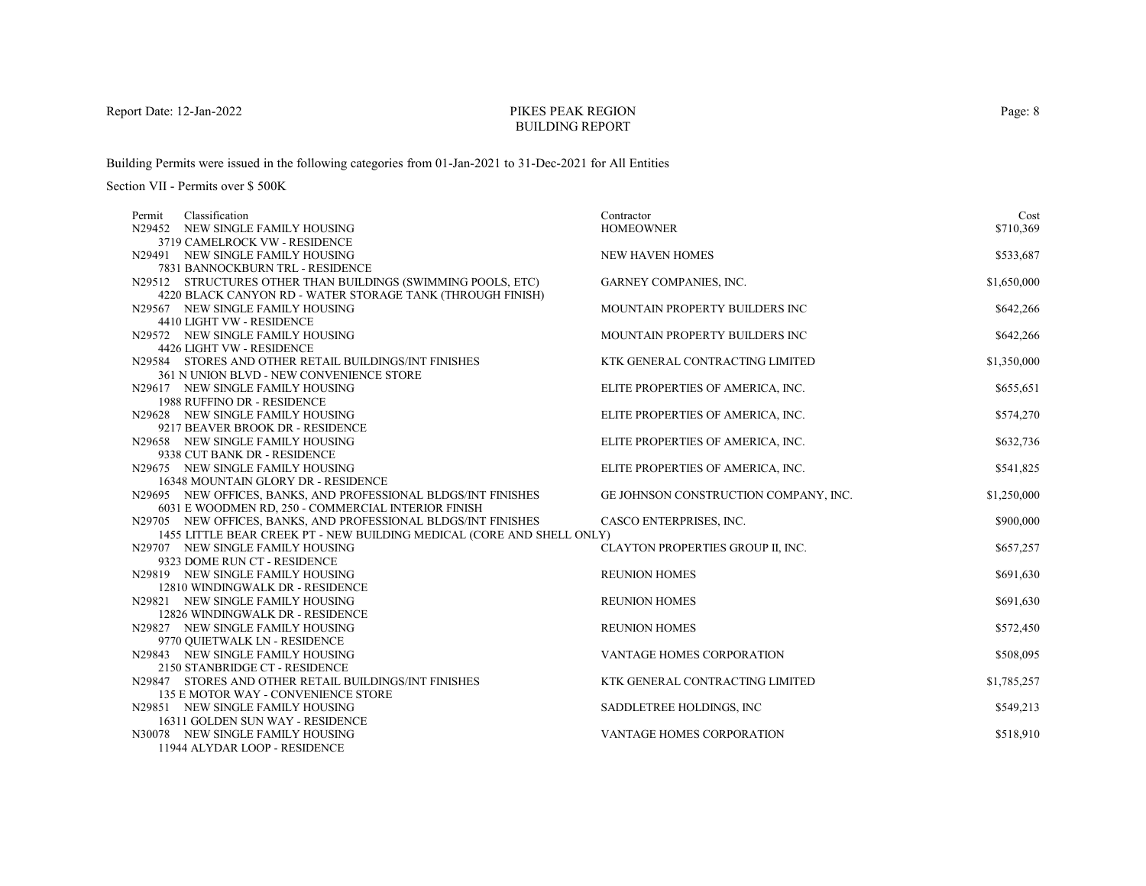# PIKES PEAK REGIONBUILDING REPORT

Building Permits were issued in the following categories from 01-Jan-2021 to 31-Dec-2021 for All Entities

| Classification<br>Permit                                                                                              | Contractor                            | Cost        |
|-----------------------------------------------------------------------------------------------------------------------|---------------------------------------|-------------|
| N29452 NEW SINGLE FAMILY HOUSING                                                                                      | <b>HOMEOWNER</b>                      | \$710,369   |
| 3719 CAMELROCK VW - RESIDENCE                                                                                         |                                       |             |
| N29491 NEW SINGLE FAMILY HOUSING                                                                                      | <b>NEW HAVEN HOMES</b>                | \$533,687   |
| 7831 BANNOCKBURN TRL - RESIDENCE                                                                                      |                                       |             |
| N29512 STRUCTURES OTHER THAN BUILDINGS (SWIMMING POOLS, ETC)                                                          | GARNEY COMPANIES, INC.                | \$1,650,000 |
| 4220 BLACK CANYON RD - WATER STORAGE TANK (THROUGH FINISH)                                                            |                                       |             |
| N29567 NEW SINGLE FAMILY HOUSING                                                                                      | MOUNTAIN PROPERTY BUILDERS INC        | \$642,266   |
| 4410 LIGHT VW - RESIDENCE                                                                                             |                                       |             |
| N29572 NEW SINGLE FAMILY HOUSING                                                                                      | MOUNTAIN PROPERTY BUILDERS INC        | \$642,266   |
| 4426 LIGHT VW - RESIDENCE                                                                                             |                                       |             |
| N29584 STORES AND OTHER RETAIL BUILDINGS/INT FINISHES                                                                 | KTK GENERAL CONTRACTING LIMITED       | \$1,350,000 |
| 361 N UNION BLVD - NEW CONVENIENCE STORE                                                                              |                                       |             |
| N29617 NEW SINGLE FAMILY HOUSING                                                                                      | ELITE PROPERTIES OF AMERICA, INC.     | \$655,651   |
| 1988 RUFFINO DR - RESIDENCE                                                                                           |                                       |             |
| N29628 NEW SINGLE FAMILY HOUSING                                                                                      | ELITE PROPERTIES OF AMERICA, INC.     | \$574,270   |
| 9217 BEAVER BROOK DR - RESIDENCE                                                                                      |                                       |             |
| N29658 NEW SINGLE FAMILY HOUSING                                                                                      | ELITE PROPERTIES OF AMERICA, INC.     | \$632,736   |
| 9338 CUT BANK DR - RESIDENCE                                                                                          |                                       |             |
| N29675 NEW SINGLE FAMILY HOUSING                                                                                      | ELITE PROPERTIES OF AMERICA, INC.     | \$541,825   |
| 16348 MOUNTAIN GLORY DR - RESIDENCE                                                                                   |                                       |             |
| N29695 NEW OFFICES, BANKS, AND PROFESSIONAL BLDGS/INT FINISHES<br>6031 E WOODMEN RD, 250 - COMMERCIAL INTERIOR FINISH | GE JOHNSON CONSTRUCTION COMPANY, INC. | \$1,250,000 |
| N29705 NEW OFFICES, BANKS, AND PROFESSIONAL BLDGS/INT FINISHES                                                        | CASCO ENTERPRISES, INC.               | \$900,000   |
| 1455 LITTLE BEAR CREEK PT - NEW BUILDING MEDICAL (CORE AND SHELL ONLY)                                                |                                       |             |
| N29707 NEW SINGLE FAMILY HOUSING                                                                                      | CLAYTON PROPERTIES GROUP II, INC.     | \$657,257   |
| 9323 DOME RUN CT - RESIDENCE                                                                                          |                                       |             |
| N29819 NEW SINGLE FAMILY HOUSING                                                                                      | <b>REUNION HOMES</b>                  | \$691,630   |
| 12810 WINDINGWALK DR - RESIDENCE                                                                                      |                                       |             |
| N29821 NEW SINGLE FAMILY HOUSING                                                                                      | <b>REUNION HOMES</b>                  | \$691,630   |
| 12826 WINDINGWALK DR - RESIDENCE                                                                                      |                                       |             |
| N29827 NEW SINGLE FAMILY HOUSING                                                                                      | <b>REUNION HOMES</b>                  | \$572,450   |
| 9770 QUIETWALK LN - RESIDENCE                                                                                         |                                       |             |
| N29843 NEW SINGLE FAMILY HOUSING                                                                                      | <b>VANTAGE HOMES CORPORATION</b>      | \$508,095   |
| 2150 STANBRIDGE CT - RESIDENCE                                                                                        |                                       |             |
| N29847 STORES AND OTHER RETAIL BUILDINGS/INT FINISHES                                                                 | KTK GENERAL CONTRACTING LIMITED       | \$1,785,257 |
| 135 E MOTOR WAY - CONVENIENCE STORE                                                                                   |                                       |             |
| N29851 NEW SINGLE FAMILY HOUSING                                                                                      | SADDLETREE HOLDINGS, INC.             | \$549,213   |
| 16311 GOLDEN SUN WAY - RESIDENCE                                                                                      |                                       |             |
| N30078 NEW SINGLE FAMILY HOUSING                                                                                      | VANTAGE HOMES CORPORATION             | \$518,910   |
| 11944 ALYDAR LOOP - RESIDENCE                                                                                         |                                       |             |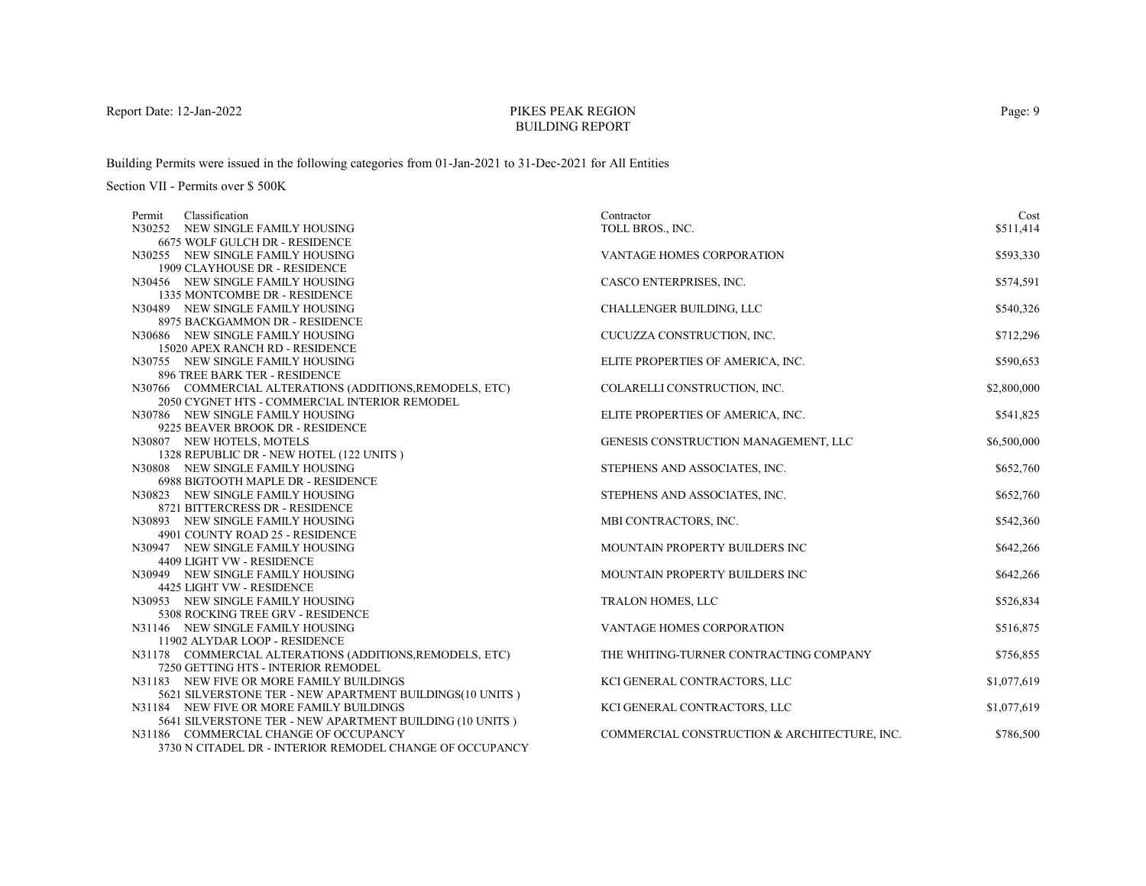# PIKES PEAK REGIONBUILDING REPORT

Building Permits were issued in the following categories from 01-Jan-2021 to 31-Dec-2021 for All Entities

| Classification<br>Permit                                      | Contractor                                   | Cost        |
|---------------------------------------------------------------|----------------------------------------------|-------------|
| N30252 NEW SINGLE FAMILY HOUSING                              | TOLL BROS., INC.                             | \$511.414   |
| 6675 WOLF GULCH DR - RESIDENCE                                |                                              |             |
| N30255 NEW SINGLE FAMILY HOUSING                              | VANTAGE HOMES CORPORATION                    | \$593,330   |
| 1909 CLAYHOUSE DR - RESIDENCE                                 |                                              |             |
| N30456 NEW SINGLE FAMILY HOUSING                              | CASCO ENTERPRISES, INC.                      | \$574,591   |
| 1335 MONTCOMBE DR - RESIDENCE                                 |                                              |             |
| N30489 NEW SINGLE FAMILY HOUSING                              | CHALLENGER BUILDING, LLC                     | \$540,326   |
| 8975 BACKGAMMON DR - RESIDENCE                                |                                              |             |
| N30686 NEW SINGLE FAMILY HOUSING                              | CUCUZZA CONSTRUCTION, INC.                   | \$712,296   |
| 15020 APEX RANCH RD - RESIDENCE                               |                                              |             |
| N30755 NEW SINGLE FAMILY HOUSING                              | ELITE PROPERTIES OF AMERICA, INC.            | \$590,653   |
| 896 TREE BARK TER - RESIDENCE                                 |                                              |             |
| N30766 COMMERCIAL ALTERATIONS (ADDITIONS, REMODELS, ETC)      | COLARELLI CONSTRUCTION, INC.                 | \$2,800,000 |
| 2050 CYGNET HTS - COMMERCIAL INTERIOR REMODEL                 |                                              |             |
| N30786 NEW SINGLE FAMILY HOUSING                              | ELITE PROPERTIES OF AMERICA, INC.            | \$541,825   |
| 9225 BEAVER BROOK DR - RESIDENCE                              |                                              |             |
| N30807 NEW HOTELS, MOTELS                                     | GENESIS CONSTRUCTION MANAGEMENT, LLC         | \$6,500,000 |
| 1328 REPUBLIC DR - NEW HOTEL (122 UNITS)                      |                                              |             |
| N30808 NEW SINGLE FAMILY HOUSING                              | STEPHENS AND ASSOCIATES, INC.                | \$652,760   |
| 6988 BIGTOOTH MAPLE DR - RESIDENCE                            |                                              |             |
| N30823 NEW SINGLE FAMILY HOUSING                              | STEPHENS AND ASSOCIATES, INC.                | \$652,760   |
| 8721 BITTERCRESS DR - RESIDENCE                               |                                              |             |
| N30893 NEW SINGLE FAMILY HOUSING                              | MBI CONTRACTORS, INC.                        | \$542,360   |
| 4901 COUNTY ROAD 25 - RESIDENCE                               |                                              |             |
| N30947 NEW SINGLE FAMILY HOUSING                              | MOUNTAIN PROPERTY BUILDERS INC               | \$642,266   |
| 4409 LIGHT VW - RESIDENCE<br>N30949 NEW SINGLE FAMILY HOUSING | MOUNTAIN PROPERTY BUILDERS INC               |             |
| 4425 LIGHT VW - RESIDENCE                                     |                                              | \$642,266   |
| N30953 NEW SINGLE FAMILY HOUSING                              | <b>TRALON HOMES, LLC</b>                     | \$526,834   |
| 5308 ROCKING TREE GRV - RESIDENCE                             |                                              |             |
| N31146 NEW SINGLE FAMILY HOUSING                              | VANTAGE HOMES CORPORATION                    | \$516,875   |
| 11902 ALYDAR LOOP - RESIDENCE                                 |                                              |             |
| N31178 COMMERCIAL ALTERATIONS (ADDITIONS, REMODELS, ETC)      | THE WHITING-TURNER CONTRACTING COMPANY       | \$756,855   |
| 7250 GETTING HTS - INTERIOR REMODEL                           |                                              |             |
| N31183 NEW FIVE OR MORE FAMILY BUILDINGS                      | KCI GENERAL CONTRACTORS, LLC                 | \$1,077,619 |
| 5621 SILVERSTONE TER - NEW APARTMENT BUILDINGS(10 UNITS)      |                                              |             |
| N31184 NEW FIVE OR MORE FAMILY BUILDINGS                      | KCI GENERAL CONTRACTORS, LLC                 | \$1,077,619 |
| 5641 SILVERSTONE TER - NEW APARTMENT BUILDING (10 UNITS)      |                                              |             |
| N31186 COMMERCIAL CHANGE OF OCCUPANCY                         | COMMERCIAL CONSTRUCTION & ARCHITECTURE, INC. | \$786,500   |
| 3730 N CITADEL DR - INTERIOR REMODEL CHANGE OF OCCUPANCY      |                                              |             |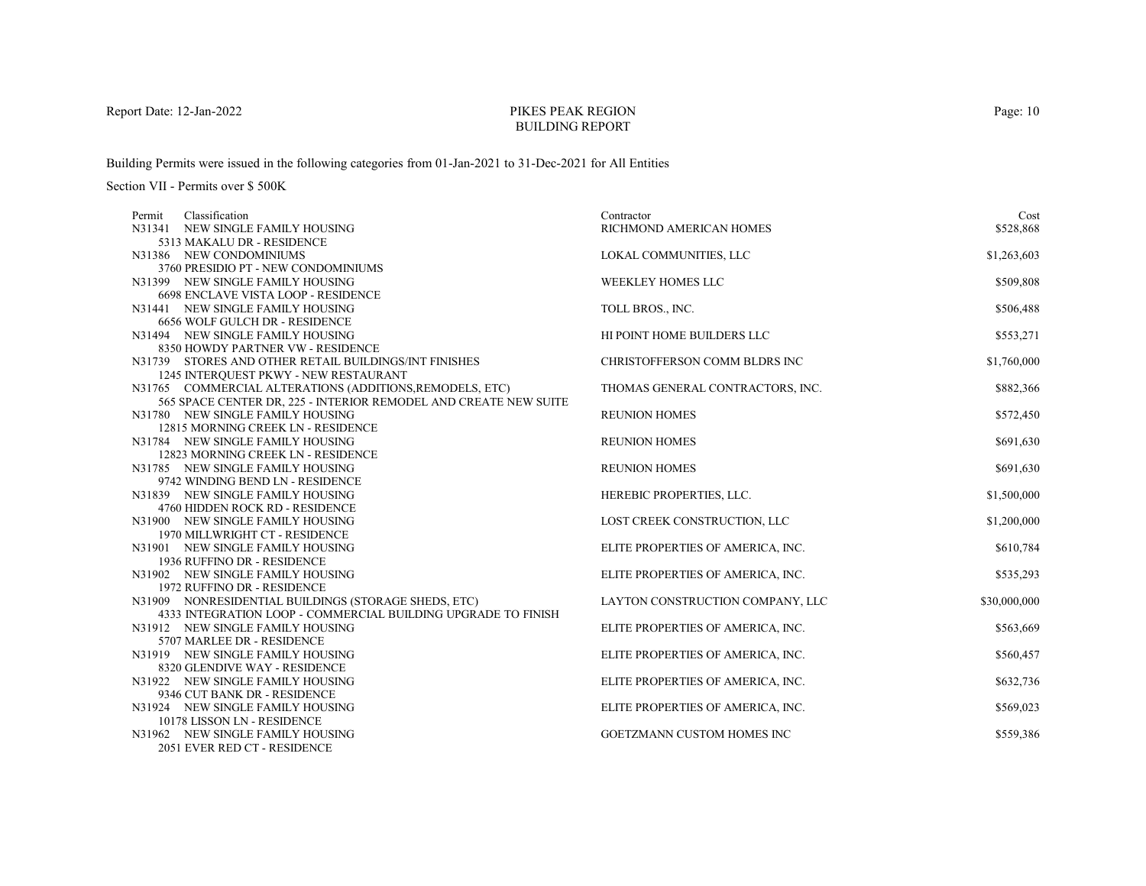# PIKES PEAK REGIONBUILDING REPORT

Building Permits were issued in the following categories from 01-Jan-2021 to 31-Dec-2021 for All Entities

| Permit | Classification                                                                                       | Contractor                        | Cost         |
|--------|------------------------------------------------------------------------------------------------------|-----------------------------------|--------------|
|        | N31341 NEW SINGLE FAMILY HOUSING                                                                     | RICHMOND AMERICAN HOMES           | \$528,868    |
|        | 5313 MAKALU DR - RESIDENCE                                                                           |                                   |              |
|        | N31386 NEW CONDOMINIUMS                                                                              | LOKAL COMMUNITIES, LLC            | \$1,263,603  |
|        | 3760 PRESIDIO PT - NEW CONDOMINIUMS                                                                  |                                   |              |
|        | N31399 NEW SINGLE FAMILY HOUSING                                                                     | <b>WEEKLEY HOMES LLC</b>          | \$509,808    |
|        | 6698 ENCLAVE VISTA LOOP - RESIDENCE                                                                  |                                   |              |
|        | N31441 NEW SINGLE FAMILY HOUSING                                                                     | TOLL BROS., INC.                  | \$506,488    |
|        | 6656 WOLF GULCH DR - RESIDENCE                                                                       |                                   |              |
|        | N31494 NEW SINGLE FAMILY HOUSING                                                                     | HI POINT HOME BUILDERS LLC        | \$553,271    |
|        | 8350 HOWDY PARTNER VW - RESIDENCE                                                                    |                                   |              |
|        | N31739 STORES AND OTHER RETAIL BUILDINGS/INT FINISHES                                                | CHRISTOFFERSON COMM BLDRS INC     | \$1,760,000  |
|        | 1245 INTERQUEST PKWY - NEW RESTAURANT                                                                |                                   |              |
|        | N31765 COMMERCIAL ALTERATIONS (ADDITIONS, REMODELS, ETC)                                             | THOMAS GENERAL CONTRACTORS, INC.  | \$882,366    |
|        | 565 SPACE CENTER DR, 225 - INTERIOR REMODEL AND CREATE NEW SUITE<br>N31780 NEW SINGLE FAMILY HOUSING | <b>REUNION HOMES</b>              | \$572,450    |
|        | 12815 MORNING CREEK LN - RESIDENCE                                                                   |                                   |              |
|        | N31784 NEW SINGLE FAMILY HOUSING                                                                     | <b>REUNION HOMES</b>              | \$691,630    |
|        | 12823 MORNING CREEK LN - RESIDENCE                                                                   |                                   |              |
|        | N31785 NEW SINGLE FAMILY HOUSING                                                                     | <b>REUNION HOMES</b>              | \$691,630    |
|        | 9742 WINDING BEND LN - RESIDENCE                                                                     |                                   |              |
|        | N31839 NEW SINGLE FAMILY HOUSING                                                                     | HEREBIC PROPERTIES, LLC.          | \$1,500,000  |
|        | 4760 HIDDEN ROCK RD - RESIDENCE                                                                      |                                   |              |
|        | N31900 NEW SINGLE FAMILY HOUSING                                                                     | LOST CREEK CONSTRUCTION, LLC      | \$1,200,000  |
|        | 1970 MILLWRIGHT CT - RESIDENCE                                                                       |                                   |              |
|        | N31901 NEW SINGLE FAMILY HOUSING                                                                     | ELITE PROPERTIES OF AMERICA, INC. | \$610,784    |
|        | 1936 RUFFINO DR - RESIDENCE                                                                          |                                   |              |
|        | N31902 NEW SINGLE FAMILY HOUSING                                                                     | ELITE PROPERTIES OF AMERICA, INC. | \$535,293    |
|        | 1972 RUFFINO DR - RESIDENCE                                                                          |                                   |              |
|        | N31909 NONRESIDENTIAL BUILDINGS (STORAGE SHEDS, ETC)                                                 | LAYTON CONSTRUCTION COMPANY, LLC  | \$30,000,000 |
|        | 4333 INTEGRATION LOOP - COMMERCIAL BUILDING UPGRADE TO FINISH                                        |                                   |              |
|        | N31912 NEW SINGLE FAMILY HOUSING                                                                     | ELITE PROPERTIES OF AMERICA, INC. | \$563,669    |
|        | 5707 MARLEE DR - RESIDENCE                                                                           |                                   |              |
|        | N31919 NEW SINGLE FAMILY HOUSING                                                                     | ELITE PROPERTIES OF AMERICA, INC. | \$560,457    |
|        | 8320 GLENDIVE WAY - RESIDENCE                                                                        |                                   |              |
|        | N31922 NEW SINGLE FAMILY HOUSING                                                                     | ELITE PROPERTIES OF AMERICA, INC. | \$632,736    |
|        | 9346 CUT BANK DR - RESIDENCE                                                                         |                                   |              |
|        | N31924 NEW SINGLE FAMILY HOUSING                                                                     | ELITE PROPERTIES OF AMERICA, INC. | \$569,023    |
|        | 10178 LISSON LN - RESIDENCE                                                                          |                                   |              |
|        | N31962 NEW SINGLE FAMILY HOUSING                                                                     | <b>GOETZMANN CUSTOM HOMES INC</b> | \$559,386    |
|        | 2051 EVER RED CT - RESIDENCE                                                                         |                                   |              |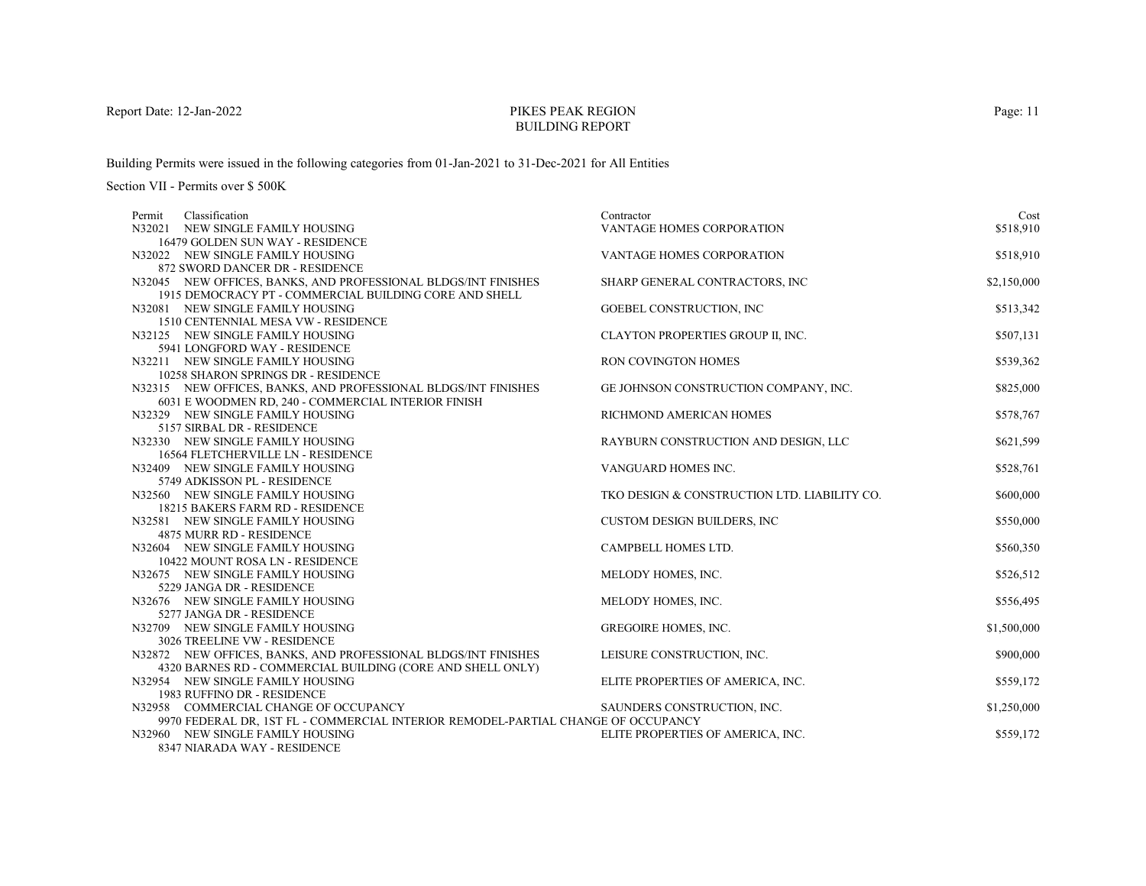# PIKES PEAK REGIONBUILDING REPORT

Building Permits were issued in the following categories from 01-Jan-2021 to 31-Dec-2021 for All Entities

Section VII - Permits over \$ 500K

| Classification<br>Permit                                                          | Contractor                                   | Cost        |
|-----------------------------------------------------------------------------------|----------------------------------------------|-------------|
| N32021 NEW SINGLE FAMILY HOUSING                                                  | <b>VANTAGE HOMES CORPORATION</b>             | \$518,910   |
| 16479 GOLDEN SUN WAY - RESIDENCE                                                  |                                              |             |
| N32022 NEW SINGLE FAMILY HOUSING                                                  | VANTAGE HOMES CORPORATION                    | \$518,910   |
| 872 SWORD DANCER DR - RESIDENCE                                                   |                                              |             |
| N32045 NEW OFFICES, BANKS, AND PROFESSIONAL BLDGS/INT FINISHES                    | SHARP GENERAL CONTRACTORS, INC               | \$2,150,000 |
| 1915 DEMOCRACY PT - COMMERCIAL BUILDING CORE AND SHELL                            |                                              |             |
| N32081 NEW SINGLE FAMILY HOUSING                                                  | GOEBEL CONSTRUCTION, INC                     | \$513,342   |
| 1510 CENTENNIAL MESA VW - RESIDENCE                                               |                                              |             |
| N32125 NEW SINGLE FAMILY HOUSING                                                  | CLAYTON PROPERTIES GROUP II, INC.            | \$507,131   |
| 5941 LONGFORD WAY - RESIDENCE                                                     |                                              |             |
| N32211 NEW SINGLE FAMILY HOUSING                                                  | <b>RON COVINGTON HOMES</b>                   | \$539,362   |
| 10258 SHARON SPRINGS DR - RESIDENCE                                               |                                              |             |
| N32315 NEW OFFICES, BANKS, AND PROFESSIONAL BLDGS/INT FINISHES                    | GE JOHNSON CONSTRUCTION COMPANY, INC.        | \$825,000   |
| 6031 E WOODMEN RD, 240 - COMMERCIAL INTERIOR FINISH                               |                                              |             |
| N32329 NEW SINGLE FAMILY HOUSING                                                  | RICHMOND AMERICAN HOMES                      | \$578,767   |
| 5157 SIRBAL DR - RESIDENCE                                                        |                                              |             |
| N32330 NEW SINGLE FAMILY HOUSING                                                  | RAYBURN CONSTRUCTION AND DESIGN, LLC         | \$621,599   |
| 16564 FLETCHERVILLE LN - RESIDENCE                                                |                                              |             |
| N32409 NEW SINGLE FAMILY HOUSING                                                  | VANGUARD HOMES INC.                          | \$528,761   |
| 5749 ADKISSON PL - RESIDENCE                                                      |                                              |             |
| N32560 NEW SINGLE FAMILY HOUSING                                                  | TKO DESIGN & CONSTRUCTION LTD. LIABILITY CO. | \$600,000   |
| 18215 BAKERS FARM RD - RESIDENCE                                                  |                                              |             |
| N32581 NEW SINGLE FAMILY HOUSING                                                  | <b>CUSTOM DESIGN BUILDERS, INC.</b>          | \$550,000   |
| 4875 MURR RD - RESIDENCE                                                          |                                              |             |
| N32604 NEW SINGLE FAMILY HOUSING                                                  | CAMPBELL HOMES LTD.                          | \$560,350   |
| 10422 MOUNT ROSA LN - RESIDENCE                                                   |                                              |             |
| N32675 NEW SINGLE FAMILY HOUSING                                                  | MELODY HOMES, INC.                           | \$526,512   |
| 5229 JANGA DR - RESIDENCE                                                         |                                              |             |
| N32676 NEW SINGLE FAMILY HOUSING                                                  | MELODY HOMES, INC.                           | \$556,495   |
| 5277 JANGA DR - RESIDENCE                                                         |                                              |             |
| N32709 NEW SINGLE FAMILY HOUSING                                                  | <b>GREGOIRE HOMES, INC.</b>                  | \$1,500,000 |
| 3026 TREELINE VW - RESIDENCE                                                      |                                              |             |
| N32872 NEW OFFICES, BANKS, AND PROFESSIONAL BLDGS/INT FINISHES                    | LEISURE CONSTRUCTION, INC.                   | \$900,000   |
| 4320 BARNES RD - COMMERCIAL BUILDING (CORE AND SHELL ONLY)                        |                                              |             |
| N32954 NEW SINGLE FAMILY HOUSING                                                  | ELITE PROPERTIES OF AMERICA, INC.            | \$559,172   |
| 1983 RUFFINO DR - RESIDENCE                                                       |                                              |             |
| N32958 COMMERCIAL CHANGE OF OCCUPANCY                                             | SAUNDERS CONSTRUCTION, INC.                  | \$1,250,000 |
| 9970 FEDERAL DR, 1ST FL - COMMERCIAL INTERIOR REMODEL-PARTIAL CHANGE OF OCCUPANCY |                                              |             |
| N32960 NEW SINGLE FAMILY HOUSING                                                  | ELITE PROPERTIES OF AMERICA, INC.            | \$559,172   |
| <b>0247 MIAD ADA WAY DECIDEMON</b>                                                |                                              |             |

8347 NIARADA WAY - RESIDENCE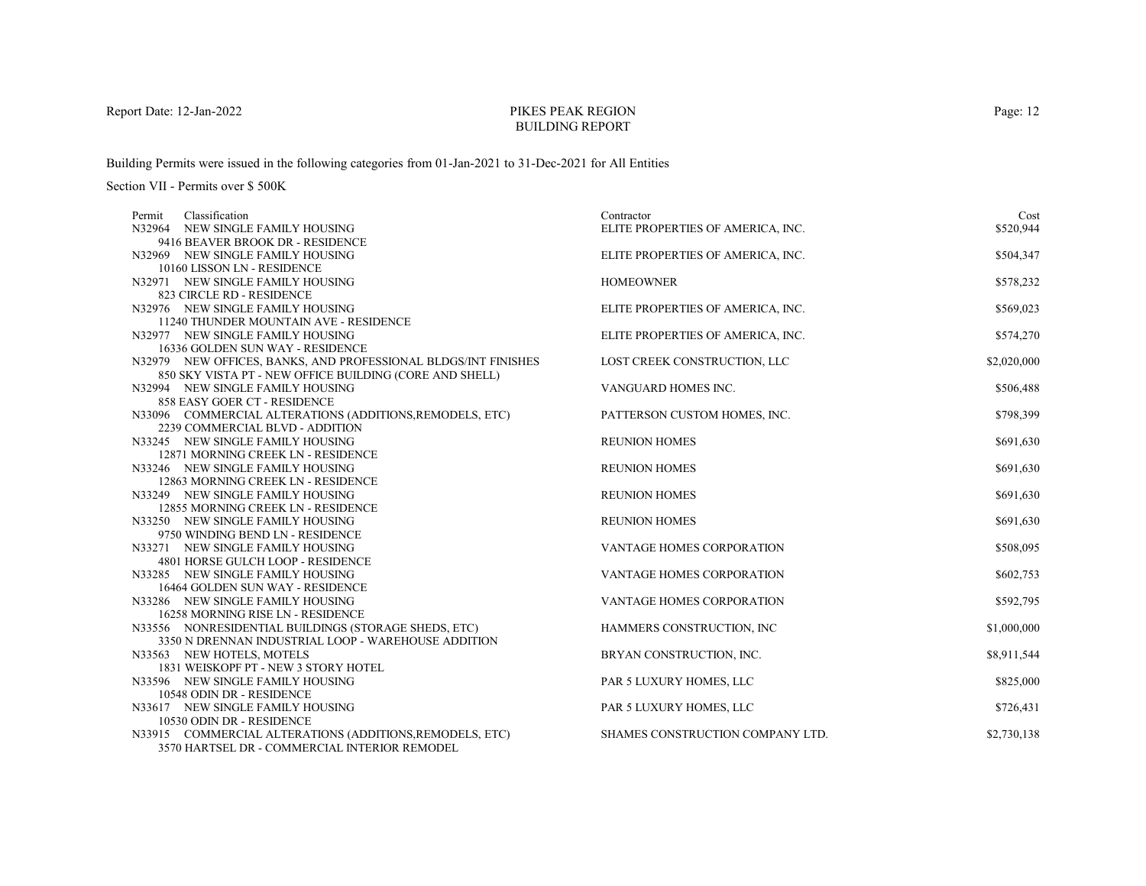# PIKES PEAK REGIONBUILDING REPORT

Building Permits were issued in the following categories from 01-Jan-2021 to 31-Dec-2021 for All Entities

| Classification<br>Permit                                               | Contractor                        | Cost        |
|------------------------------------------------------------------------|-----------------------------------|-------------|
| N32964 NEW SINGLE FAMILY HOUSING                                       | ELITE PROPERTIES OF AMERICA, INC. | \$520,944   |
| 9416 BEAVER BROOK DR - RESIDENCE                                       |                                   |             |
| N32969 NEW SINGLE FAMILY HOUSING                                       | ELITE PROPERTIES OF AMERICA, INC. | \$504,347   |
| 10160 LISSON LN - RESIDENCE                                            |                                   |             |
| N32971 NEW SINGLE FAMILY HOUSING                                       | <b>HOMEOWNER</b>                  | \$578,232   |
| 823 CIRCLE RD - RESIDENCE                                              |                                   |             |
| N32976 NEW SINGLE FAMILY HOUSING                                       | ELITE PROPERTIES OF AMERICA, INC. | \$569,023   |
| 11240 THUNDER MOUNTAIN AVE - RESIDENCE                                 |                                   |             |
| N32977 NEW SINGLE FAMILY HOUSING                                       | ELITE PROPERTIES OF AMERICA, INC. | \$574,270   |
| 16336 GOLDEN SUN WAY - RESIDENCE                                       |                                   |             |
| N32979 NEW OFFICES, BANKS, AND PROFESSIONAL BLDGS/INT FINISHES         | LOST CREEK CONSTRUCTION, LLC      | \$2,020,000 |
| 850 SKY VISTA PT - NEW OFFICE BUILDING (CORE AND SHELL)                |                                   |             |
| N32994 NEW SINGLE FAMILY HOUSING                                       | VANGUARD HOMES INC.               | \$506,488   |
| 858 EASY GOER CT - RESIDENCE                                           |                                   |             |
| N33096 COMMERCIAL ALTERATIONS (ADDITIONS, REMODELS, ETC)               | PATTERSON CUSTOM HOMES, INC.      | \$798,399   |
| 2239 COMMERCIAL BLVD - ADDITION                                        |                                   |             |
| N33245 NEW SINGLE FAMILY HOUSING                                       | <b>REUNION HOMES</b>              | \$691,630   |
| 12871 MORNING CREEK LN - RESIDENCE                                     |                                   |             |
| N33246 NEW SINGLE FAMILY HOUSING                                       | <b>REUNION HOMES</b>              | \$691,630   |
| 12863 MORNING CREEK LN - RESIDENCE                                     |                                   |             |
| N33249 NEW SINGLE FAMILY HOUSING<br>12855 MORNING CREEK LN - RESIDENCE | <b>REUNION HOMES</b>              | \$691,630   |
| N33250 NEW SINGLE FAMILY HOUSING                                       | <b>REUNION HOMES</b>              | \$691,630   |
| 9750 WINDING BEND LN - RESIDENCE                                       |                                   |             |
| N33271 NEW SINGLE FAMILY HOUSING                                       | <b>VANTAGE HOMES CORPORATION</b>  | \$508,095   |
| 4801 HORSE GULCH LOOP - RESIDENCE                                      |                                   |             |
| N33285 NEW SINGLE FAMILY HOUSING                                       | <b>VANTAGE HOMES CORPORATION</b>  | \$602,753   |
| 16464 GOLDEN SUN WAY - RESIDENCE                                       |                                   |             |
| N33286 NEW SINGLE FAMILY HOUSING                                       | <b>VANTAGE HOMES CORPORATION</b>  | \$592,795   |
| 16258 MORNING RISE LN - RESIDENCE                                      |                                   |             |
| N33556 NONRESIDENTIAL BUILDINGS (STORAGE SHEDS, ETC)                   | HAMMERS CONSTRUCTION, INC         | \$1,000,000 |
| 3350 N DRENNAN INDUSTRIAL LOOP - WAREHOUSE ADDITION                    |                                   |             |
| N33563 NEW HOTELS, MOTELS                                              | BRYAN CONSTRUCTION, INC.          | \$8,911,544 |
| 1831 WEISKOPF PT - NEW 3 STORY HOTEL                                   |                                   |             |
| N33596 NEW SINGLE FAMILY HOUSING                                       | PAR 5 LUXURY HOMES, LLC           | \$825,000   |
| 10548 ODIN DR - RESIDENCE                                              |                                   |             |
| N33617 NEW SINGLE FAMILY HOUSING                                       | PAR 5 LUXURY HOMES, LLC           | \$726,431   |
| 10530 ODIN DR - RESIDENCE                                              |                                   |             |
| N33915 COMMERCIAL ALTERATIONS (ADDITIONS, REMODELS, ETC)               | SHAMES CONSTRUCTION COMPANY LTD.  | \$2,730,138 |
| 3570 HARTSEL DR - COMMERCIAL INTERIOR REMODEL                          |                                   |             |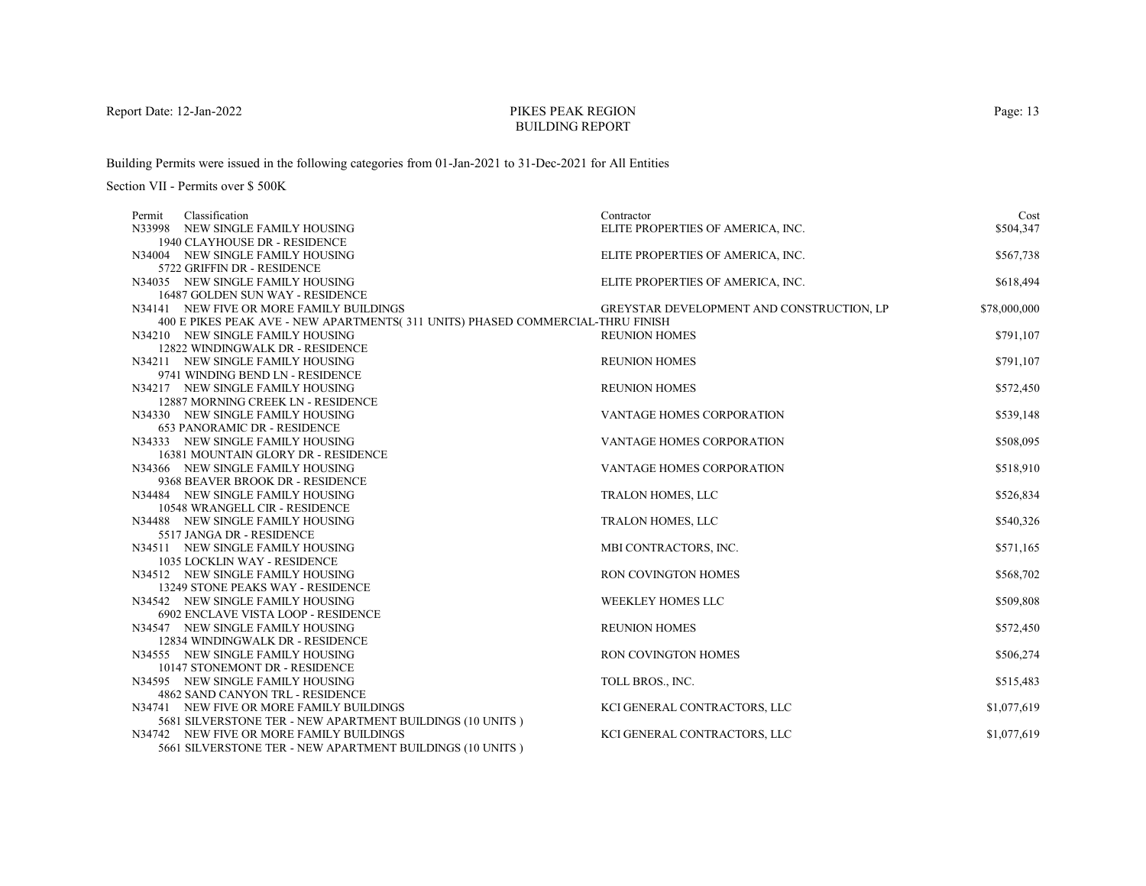# PIKES PEAK REGIONBUILDING REPORT

Building Permits were issued in the following categories from 01-Jan-2021 to 31-Dec-2021 for All Entities

Section VII - Permits over \$ 500K

| Classification<br>Permit                                                       | Contractor                                | Cost         |
|--------------------------------------------------------------------------------|-------------------------------------------|--------------|
| N33998 NEW SINGLE FAMILY HOUSING                                               | ELITE PROPERTIES OF AMERICA, INC.         | \$504,347    |
| 1940 CLAYHOUSE DR - RESIDENCE                                                  |                                           |              |
| N34004 NEW SINGLE FAMILY HOUSING                                               | ELITE PROPERTIES OF AMERICA, INC.         | \$567,738    |
| 5722 GRIFFIN DR - RESIDENCE                                                    |                                           |              |
| N34035 NEW SINGLE FAMILY HOUSING                                               | ELITE PROPERTIES OF AMERICA, INC.         | \$618,494    |
| 16487 GOLDEN SUN WAY - RESIDENCE                                               |                                           |              |
| N34141 NEW FIVE OR MORE FAMILY BUILDINGS                                       | GREYSTAR DEVELOPMENT AND CONSTRUCTION, LP | \$78,000,000 |
| 400 E PIKES PEAK AVE - NEW APARTMENTS(311 UNITS) PHASED COMMERCIAL-THRU FINISH |                                           |              |
| N34210 NEW SINGLE FAMILY HOUSING                                               | <b>REUNION HOMES</b>                      | \$791,107    |
| 12822 WINDINGWALK DR - RESIDENCE                                               |                                           |              |
| N34211 NEW SINGLE FAMILY HOUSING                                               | <b>REUNION HOMES</b>                      | \$791,107    |
| 9741 WINDING BEND LN - RESIDENCE                                               |                                           |              |
| N34217 NEW SINGLE FAMILY HOUSING                                               | <b>REUNION HOMES</b>                      | \$572,450    |
| 12887 MORNING CREEK LN - RESIDENCE                                             |                                           |              |
| N34330 NEW SINGLE FAMILY HOUSING                                               | <b>VANTAGE HOMES CORPORATION</b>          | \$539,148    |
| <b>653 PANORAMIC DR - RESIDENCE</b>                                            |                                           |              |
| N34333 NEW SINGLE FAMILY HOUSING                                               | VANTAGE HOMES CORPORATION                 | \$508,095    |
| 16381 MOUNTAIN GLORY DR - RESIDENCE                                            |                                           |              |
| N34366 NEW SINGLE FAMILY HOUSING                                               | VANTAGE HOMES CORPORATION                 | \$518,910    |
| 9368 BEAVER BROOK DR - RESIDENCE                                               |                                           |              |
| N34484 NEW SINGLE FAMILY HOUSING                                               | TRALON HOMES, LLC                         | \$526,834    |
| 10548 WRANGELL CIR - RESIDENCE                                                 |                                           |              |
| N34488 NEW SINGLE FAMILY HOUSING<br>5517 JANGA DR - RESIDENCE                  | <b>TRALON HOMES, LLC</b>                  | \$540,326    |
| N34511 NEW SINGLE FAMILY HOUSING                                               | MBI CONTRACTORS, INC.                     |              |
| <b>1035 LOCKLIN WAY - RESIDENCE</b>                                            |                                           | \$571,165    |
| N34512 NEW SINGLE FAMILY HOUSING                                               | RON COVINGTON HOMES                       | \$568,702    |
| 13249 STONE PEAKS WAY - RESIDENCE                                              |                                           |              |
| N34542 NEW SINGLE FAMILY HOUSING                                               | <b>WEEKLEY HOMES LLC</b>                  | \$509,808    |
| 6902 ENCLAVE VISTA LOOP - RESIDENCE                                            |                                           |              |
| N34547 NEW SINGLE FAMILY HOUSING                                               | <b>REUNION HOMES</b>                      | \$572,450    |
| 12834 WINDINGWALK DR - RESIDENCE                                               |                                           |              |
| N34555 NEW SINGLE FAMILY HOUSING                                               | <b>RON COVINGTON HOMES</b>                | \$506,274    |
| 10147 STONEMONT DR - RESIDENCE                                                 |                                           |              |
| N34595 NEW SINGLE FAMILY HOUSING                                               | TOLL BROS., INC.                          | \$515,483    |
| 4862 SAND CANYON TRL - RESIDENCE                                               |                                           |              |
| N34741 NEW FIVE OR MORE FAMILY BUILDINGS                                       | KCI GENERAL CONTRACTORS, LLC              | \$1,077,619  |
| 5681 SILVERSTONE TER - NEW APARTMENT BUILDINGS (10 UNITS)                      |                                           |              |
| N34742 NEW FIVE OR MORE FAMILY BUILDINGS                                       | KCI GENERAL CONTRACTORS, LLC              | \$1,077,619  |
| 5661 SILVERSTONE TER - NEW APARTMENT BUILDINGS (10 UNITS)                      |                                           |              |

Page: 13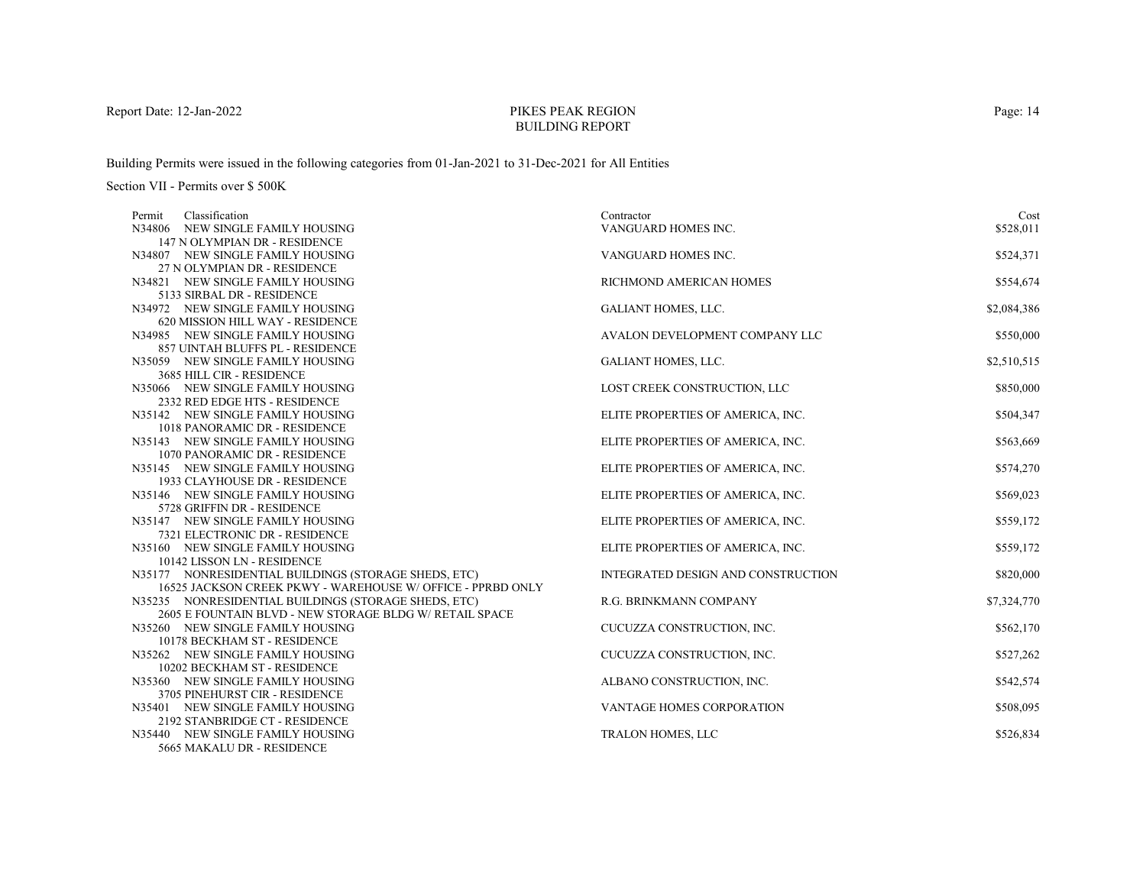# PIKES PEAK REGIONBUILDING REPORT

Building Permits were issued in the following categories from 01-Jan-2021 to 31-Dec-2021 for All Entities

| Classification<br>Permit                                           | Contractor                         | Cost        |
|--------------------------------------------------------------------|------------------------------------|-------------|
| N34806 NEW SINGLE FAMILY HOUSING                                   | VANGUARD HOMES INC.                | \$528,011   |
| 147 N OLYMPIAN DR - RESIDENCE                                      |                                    |             |
| N34807 NEW SINGLE FAMILY HOUSING                                   | VANGUARD HOMES INC.                | \$524,371   |
| 27 N OLYMPIAN DR - RESIDENCE                                       |                                    |             |
| N34821 NEW SINGLE FAMILY HOUSING                                   | RICHMOND AMERICAN HOMES            | \$554,674   |
| 5133 SIRBAL DR - RESIDENCE                                         |                                    |             |
| N34972 NEW SINGLE FAMILY HOUSING                                   | GALIANT HOMES, LLC.                | \$2,084,386 |
| 620 MISSION HILL WAY - RESIDENCE                                   |                                    |             |
| N34985 NEW SINGLE FAMILY HOUSING                                   | AVALON DEVELOPMENT COMPANY LLC     | \$550,000   |
| 857 UINTAH BLUFFS PL - RESIDENCE                                   |                                    |             |
| N35059 NEW SINGLE FAMILY HOUSING                                   | GALIANT HOMES, LLC.                | \$2,510,515 |
| 3685 HILL CIR - RESIDENCE                                          |                                    |             |
| N35066 NEW SINGLE FAMILY HOUSING                                   | LOST CREEK CONSTRUCTION, LLC       | \$850,000   |
| 2332 RED EDGE HTS - RESIDENCE                                      |                                    |             |
| N35142 NEW SINGLE FAMILY HOUSING                                   | ELITE PROPERTIES OF AMERICA, INC.  | \$504,347   |
| 1018 PANORAMIC DR - RESIDENCE                                      |                                    |             |
| N35143 NEW SINGLE FAMILY HOUSING                                   | ELITE PROPERTIES OF AMERICA, INC.  | \$563,669   |
| <b>1070 PANORAMIC DR - RESIDENCE</b>                               |                                    |             |
| N35145 NEW SINGLE FAMILY HOUSING                                   | ELITE PROPERTIES OF AMERICA, INC.  | \$574,270   |
| 1933 CLAYHOUSE DR - RESIDENCE                                      |                                    |             |
| N35146 NEW SINGLE FAMILY HOUSING<br>5728 GRIFFIN DR - RESIDENCE    | ELITE PROPERTIES OF AMERICA, INC.  | \$569,023   |
|                                                                    |                                    |             |
| N35147 NEW SINGLE FAMILY HOUSING<br>7321 ELECTRONIC DR - RESIDENCE | ELITE PROPERTIES OF AMERICA, INC.  | \$559,172   |
| N35160 NEW SINGLE FAMILY HOUSING                                   | ELITE PROPERTIES OF AMERICA, INC.  | \$559,172   |
| 10142 LISSON LN - RESIDENCE                                        |                                    |             |
| N35177 NONRESIDENTIAL BUILDINGS (STORAGE SHEDS, ETC)               | INTEGRATED DESIGN AND CONSTRUCTION | \$820,000   |
| 16525 JACKSON CREEK PKWY - WAREHOUSE W/ OFFICE - PPRBD ONLY        |                                    |             |
| N35235 NONRESIDENTIAL BUILDINGS (STORAGE SHEDS, ETC)               | R.G. BRINKMANN COMPANY             | \$7,324,770 |
| 2605 E FOUNTAIN BLVD - NEW STORAGE BLDG W/ RETAIL SPACE            |                                    |             |
| N35260 NEW SINGLE FAMILY HOUSING                                   | CUCUZZA CONSTRUCTION, INC.         | \$562,170   |
| 10178 BECKHAM ST - RESIDENCE                                       |                                    |             |
| N35262 NEW SINGLE FAMILY HOUSING                                   | CUCUZZA CONSTRUCTION, INC.         | \$527,262   |
| 10202 BECKHAM ST - RESIDENCE                                       |                                    |             |
| N35360 NEW SINGLE FAMILY HOUSING                                   | ALBANO CONSTRUCTION, INC.          | \$542,574   |
| 3705 PINEHURST CIR - RESIDENCE                                     |                                    |             |
| N35401 NEW SINGLE FAMILY HOUSING                                   | VANTAGE HOMES CORPORATION          | \$508,095   |
| 2192 STANBRIDGE CT - RESIDENCE                                     |                                    |             |
| N35440 NEW SINGLE FAMILY HOUSING                                   | <b>TRALON HOMES, LLC</b>           | \$526,834   |
| 5665 MAKALU DR - RESIDENCE                                         |                                    |             |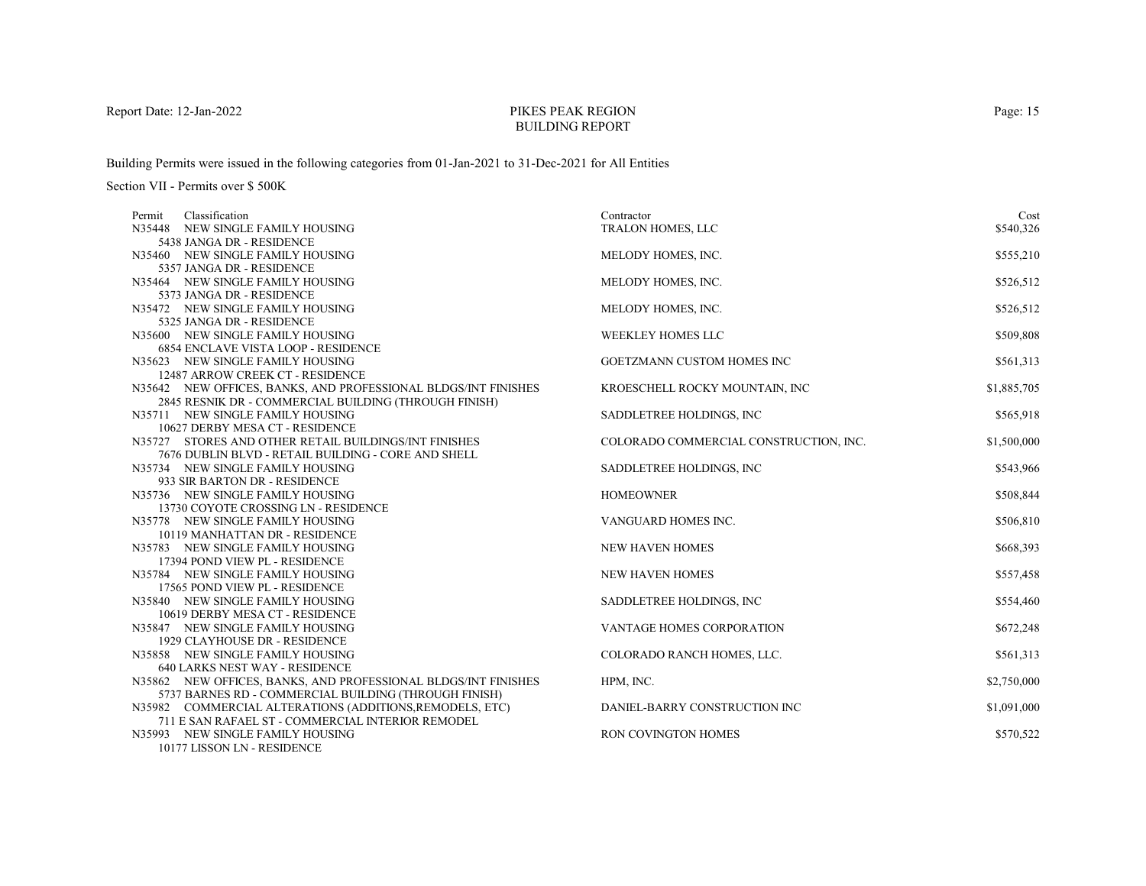# PIKES PEAK REGIONBUILDING REPORT

Building Permits were issued in the following categories from 01-Jan-2021 to 31-Dec-2021 for All Entities

Section VII - Permits over \$ 500K

| Classification<br>Permit                                       | Contractor                             | Cost        |
|----------------------------------------------------------------|----------------------------------------|-------------|
| N35448<br>NEW SINGLE FAMILY HOUSING                            | TRALON HOMES, LLC                      | \$540,326   |
| 5438 JANGA DR - RESIDENCE                                      |                                        |             |
| N35460 NEW SINGLE FAMILY HOUSING                               | MELODY HOMES, INC.                     | \$555,210   |
| 5357 JANGA DR - RESIDENCE                                      |                                        |             |
| N35464 NEW SINGLE FAMILY HOUSING                               | MELODY HOMES, INC.                     | \$526,512   |
| 5373 JANGA DR - RESIDENCE                                      |                                        |             |
| N35472 NEW SINGLE FAMILY HOUSING                               | MELODY HOMES, INC.                     | \$526,512   |
| 5325 JANGA DR - RESIDENCE                                      |                                        |             |
| N35600 NEW SINGLE FAMILY HOUSING                               | <b>WEEKLEY HOMES LLC</b>               | \$509,808   |
| <b>6854 ENCLAVE VISTA LOOP - RESIDENCE</b>                     |                                        |             |
| N35623 NEW SINGLE FAMILY HOUSING                               | GOETZMANN CUSTOM HOMES INC             | \$561,313   |
| 12487 ARROW CREEK CT - RESIDENCE                               |                                        |             |
| N35642 NEW OFFICES, BANKS, AND PROFESSIONAL BLDGS/INT FINISHES | KROESCHELL ROCKY MOUNTAIN, INC         | \$1,885,705 |
| 2845 RESNIK DR - COMMERCIAL BUILDING (THROUGH FINISH)          |                                        |             |
| N35711 NEW SINGLE FAMILY HOUSING                               | SADDLETREE HOLDINGS, INC.              | \$565,918   |
| 10627 DERBY MESA CT - RESIDENCE                                |                                        |             |
| N35727 STORES AND OTHER RETAIL BUILDINGS/INT FINISHES          | COLORADO COMMERCIAL CONSTRUCTION, INC. | \$1,500,000 |
| 7676 DUBLIN BLVD - RETAIL BUILDING - CORE AND SHELL            |                                        |             |
| N35734 NEW SINGLE FAMILY HOUSING                               | SADDLETREE HOLDINGS, INC.              | \$543,966   |
| 933 SIR BARTON DR - RESIDENCE                                  |                                        |             |
| N35736 NEW SINGLE FAMILY HOUSING                               | <b>HOMEOWNER</b>                       | \$508,844   |
| 13730 COYOTE CROSSING LN - RESIDENCE                           |                                        |             |
| N35778 NEW SINGLE FAMILY HOUSING                               | VANGUARD HOMES INC.                    | \$506,810   |
| 10119 MANHATTAN DR - RESIDENCE                                 |                                        |             |
| N35783 NEW SINGLE FAMILY HOUSING                               | <b>NEW HAVEN HOMES</b>                 | \$668,393   |
| 17394 POND VIEW PL - RESIDENCE                                 |                                        |             |
| N35784 NEW SINGLE FAMILY HOUSING                               | <b>NEW HAVEN HOMES</b>                 | \$557,458   |
| 17565 POND VIEW PL - RESIDENCE                                 |                                        |             |
| N35840 NEW SINGLE FAMILY HOUSING                               | SADDLETREE HOLDINGS, INC.              | \$554,460   |
| 10619 DERBY MESA CT - RESIDENCE                                |                                        |             |
| N35847 NEW SINGLE FAMILY HOUSING                               | <b>VANTAGE HOMES CORPORATION</b>       | \$672,248   |
| 1929 CLAYHOUSE DR - RESIDENCE                                  |                                        |             |
| N35858 NEW SINGLE FAMILY HOUSING                               | COLORADO RANCH HOMES, LLC.             | \$561,313   |
| 640 LARKS NEST WAY - RESIDENCE                                 |                                        |             |
| N35862 NEW OFFICES, BANKS, AND PROFESSIONAL BLDGS/INT FINISHES | HPM, INC.                              | \$2,750,000 |
| 5737 BARNES RD - COMMERCIAL BUILDING (THROUGH FINISH)          |                                        |             |
| N35982 COMMERCIAL ALTERATIONS (ADDITIONS, REMODELS, ETC)       | DANIEL-BARRY CONSTRUCTION INC          | \$1,091,000 |
| 711 E SAN RAFAEL ST - COMMERCIAL INTERIOR REMODEL              |                                        |             |
| N35993 NEW SINGLE FAMILY HOUSING<br>10177 LIGGON LAL DEGIDENCE | <b>RON COVINGTON HOMES</b>             | \$570,522   |
|                                                                |                                        |             |

10177 LISSON LN - RESIDENCE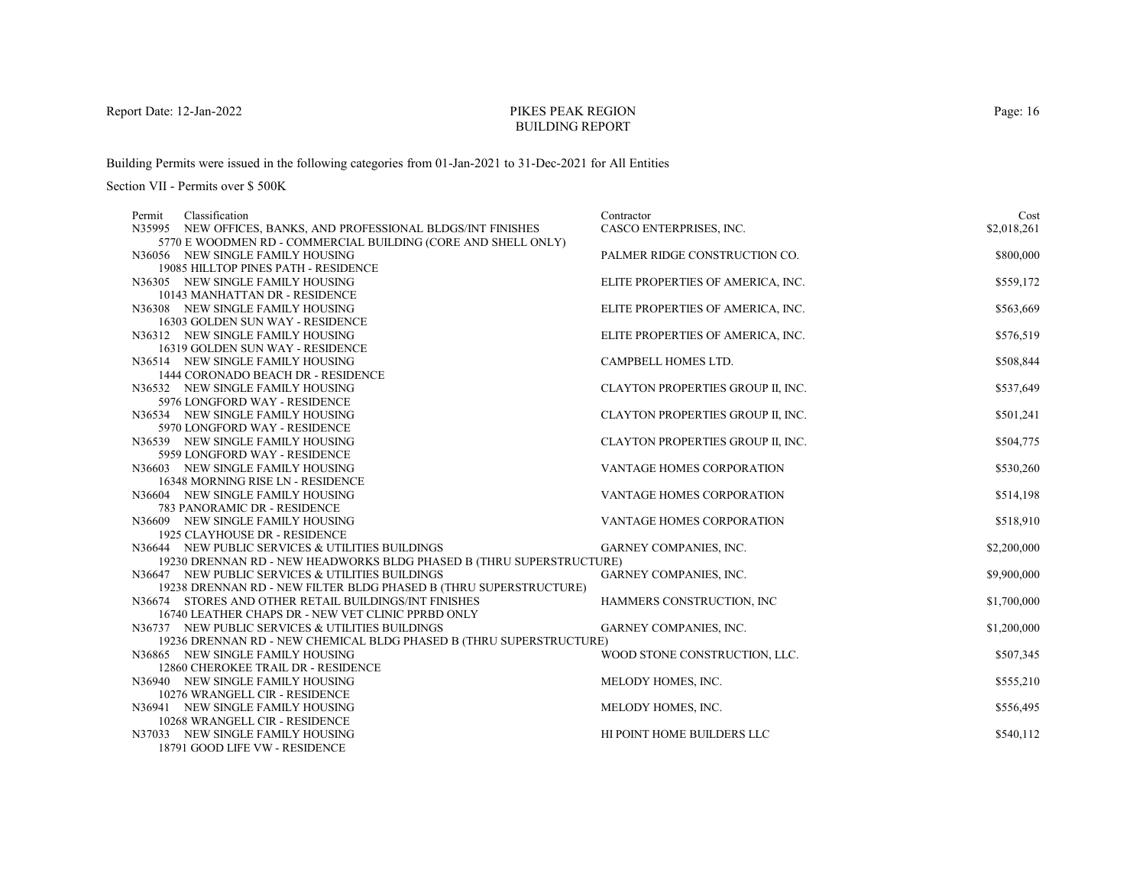# PIKES PEAK REGIONBUILDING REPORT

Building Permits were issued in the following categories from 01-Jan-2021 to 31-Dec-2021 for All Entities

| Contractor                        | Cost                                                                                                                                                                                                                                                                                                                                                                                                                                                                                                                                                                                                                                                                           |
|-----------------------------------|--------------------------------------------------------------------------------------------------------------------------------------------------------------------------------------------------------------------------------------------------------------------------------------------------------------------------------------------------------------------------------------------------------------------------------------------------------------------------------------------------------------------------------------------------------------------------------------------------------------------------------------------------------------------------------|
| CASCO ENTERPRISES, INC.           | \$2,018,261                                                                                                                                                                                                                                                                                                                                                                                                                                                                                                                                                                                                                                                                    |
|                                   | \$800,000                                                                                                                                                                                                                                                                                                                                                                                                                                                                                                                                                                                                                                                                      |
|                                   |                                                                                                                                                                                                                                                                                                                                                                                                                                                                                                                                                                                                                                                                                |
|                                   | \$559,172                                                                                                                                                                                                                                                                                                                                                                                                                                                                                                                                                                                                                                                                      |
|                                   |                                                                                                                                                                                                                                                                                                                                                                                                                                                                                                                                                                                                                                                                                |
|                                   | \$563,669                                                                                                                                                                                                                                                                                                                                                                                                                                                                                                                                                                                                                                                                      |
|                                   |                                                                                                                                                                                                                                                                                                                                                                                                                                                                                                                                                                                                                                                                                |
|                                   | \$576,519                                                                                                                                                                                                                                                                                                                                                                                                                                                                                                                                                                                                                                                                      |
|                                   |                                                                                                                                                                                                                                                                                                                                                                                                                                                                                                                                                                                                                                                                                |
|                                   | \$508,844                                                                                                                                                                                                                                                                                                                                                                                                                                                                                                                                                                                                                                                                      |
|                                   |                                                                                                                                                                                                                                                                                                                                                                                                                                                                                                                                                                                                                                                                                |
| CLAYTON PROPERTIES GROUP II, INC. | \$537,649                                                                                                                                                                                                                                                                                                                                                                                                                                                                                                                                                                                                                                                                      |
|                                   |                                                                                                                                                                                                                                                                                                                                                                                                                                                                                                                                                                                                                                                                                |
| CLAYTON PROPERTIES GROUP II, INC. | \$501,241                                                                                                                                                                                                                                                                                                                                                                                                                                                                                                                                                                                                                                                                      |
|                                   |                                                                                                                                                                                                                                                                                                                                                                                                                                                                                                                                                                                                                                                                                |
| CLAYTON PROPERTIES GROUP II, INC. | \$504,775                                                                                                                                                                                                                                                                                                                                                                                                                                                                                                                                                                                                                                                                      |
|                                   |                                                                                                                                                                                                                                                                                                                                                                                                                                                                                                                                                                                                                                                                                |
| VANTAGE HOMES CORPORATION         | \$530,260                                                                                                                                                                                                                                                                                                                                                                                                                                                                                                                                                                                                                                                                      |
|                                   |                                                                                                                                                                                                                                                                                                                                                                                                                                                                                                                                                                                                                                                                                |
|                                   | \$514,198                                                                                                                                                                                                                                                                                                                                                                                                                                                                                                                                                                                                                                                                      |
|                                   |                                                                                                                                                                                                                                                                                                                                                                                                                                                                                                                                                                                                                                                                                |
|                                   | \$518,910                                                                                                                                                                                                                                                                                                                                                                                                                                                                                                                                                                                                                                                                      |
|                                   |                                                                                                                                                                                                                                                                                                                                                                                                                                                                                                                                                                                                                                                                                |
|                                   | \$2,200,000                                                                                                                                                                                                                                                                                                                                                                                                                                                                                                                                                                                                                                                                    |
|                                   |                                                                                                                                                                                                                                                                                                                                                                                                                                                                                                                                                                                                                                                                                |
|                                   | \$9,900,000                                                                                                                                                                                                                                                                                                                                                                                                                                                                                                                                                                                                                                                                    |
|                                   |                                                                                                                                                                                                                                                                                                                                                                                                                                                                                                                                                                                                                                                                                |
|                                   | \$1,700,000                                                                                                                                                                                                                                                                                                                                                                                                                                                                                                                                                                                                                                                                    |
|                                   |                                                                                                                                                                                                                                                                                                                                                                                                                                                                                                                                                                                                                                                                                |
|                                   | \$1,200,000                                                                                                                                                                                                                                                                                                                                                                                                                                                                                                                                                                                                                                                                    |
|                                   |                                                                                                                                                                                                                                                                                                                                                                                                                                                                                                                                                                                                                                                                                |
|                                   | \$507,345                                                                                                                                                                                                                                                                                                                                                                                                                                                                                                                                                                                                                                                                      |
|                                   | \$555,210                                                                                                                                                                                                                                                                                                                                                                                                                                                                                                                                                                                                                                                                      |
|                                   |                                                                                                                                                                                                                                                                                                                                                                                                                                                                                                                                                                                                                                                                                |
|                                   | \$556,495                                                                                                                                                                                                                                                                                                                                                                                                                                                                                                                                                                                                                                                                      |
|                                   |                                                                                                                                                                                                                                                                                                                                                                                                                                                                                                                                                                                                                                                                                |
|                                   | \$540,112                                                                                                                                                                                                                                                                                                                                                                                                                                                                                                                                                                                                                                                                      |
|                                   |                                                                                                                                                                                                                                                                                                                                                                                                                                                                                                                                                                                                                                                                                |
|                                   | PALMER RIDGE CONSTRUCTION CO.<br>ELITE PROPERTIES OF AMERICA, INC.<br>ELITE PROPERTIES OF AMERICA, INC.<br>ELITE PROPERTIES OF AMERICA, INC.<br>CAMPBELL HOMES LTD.<br>VANTAGE HOMES CORPORATION<br>VANTAGE HOMES CORPORATION<br>GARNEY COMPANIES, INC.<br>19230 DRENNAN RD - NEW HEADWORKS BLDG PHASED B (THRU SUPERSTRUCTURE)<br><b>GARNEY COMPANIES, INC.</b><br>19238 DRENNAN RD - NEW FILTER BLDG PHASED B (THRU SUPERSTRUCTURE)<br>HAMMERS CONSTRUCTION, INC<br>GARNEY COMPANIES, INC.<br>19236 DRENNAN RD - NEW CHEMICAL BLDG PHASED B (THRU SUPERSTRUCTURE)<br>WOOD STONE CONSTRUCTION, LLC.<br>MELODY HOMES, INC.<br>MELODY HOMES, INC.<br>HI POINT HOME BUILDERS LLC |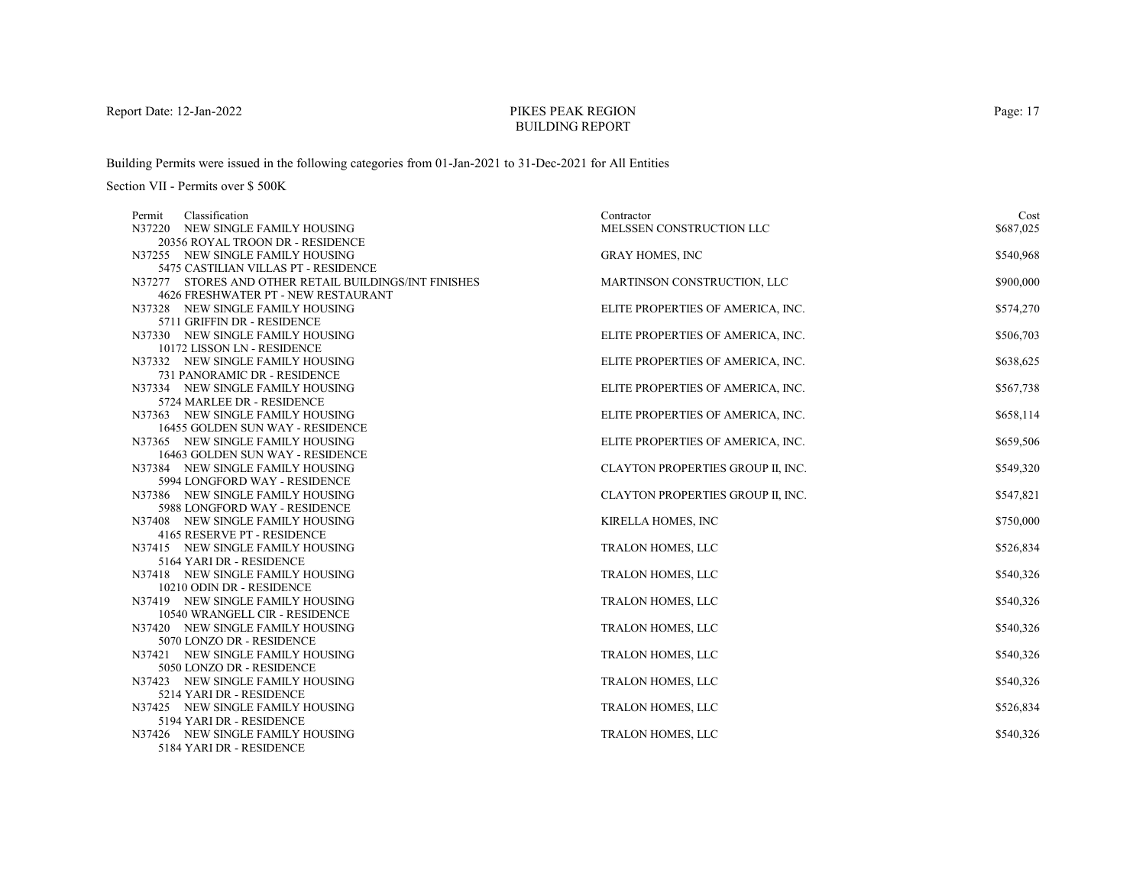# PIKES PEAK REGIONBUILDING REPORT

Building Permits were issued in the following categories from 01-Jan-2021 to 31-Dec-2021 for All Entities

| Classification<br>Permit                                             | Contractor                        | Cost      |
|----------------------------------------------------------------------|-----------------------------------|-----------|
| N37220<br>NEW SINGLE FAMILY HOUSING                                  | MELSSEN CONSTRUCTION LLC          | \$687,025 |
| 20356 ROYAL TROON DR - RESIDENCE                                     |                                   |           |
| N37255 NEW SINGLE FAMILY HOUSING                                     | <b>GRAY HOMES, INC</b>            | \$540,968 |
| 5475 CASTILIAN VILLAS PT - RESIDENCE                                 |                                   |           |
| N37277 STORES AND OTHER RETAIL BUILDINGS/INT FINISHES                | MARTINSON CONSTRUCTION, LLC       | \$900,000 |
| <b>4626 FRESHWATER PT - NEW RESTAURANT</b>                           |                                   |           |
| N37328 NEW SINGLE FAMILY HOUSING                                     | ELITE PROPERTIES OF AMERICA, INC. | \$574,270 |
| 5711 GRIFFIN DR - RESIDENCE                                          |                                   |           |
| N37330 NEW SINGLE FAMILY HOUSING                                     | ELITE PROPERTIES OF AMERICA, INC. | \$506,703 |
| 10172 LISSON LN - RESIDENCE                                          |                                   |           |
| N37332 NEW SINGLE FAMILY HOUSING                                     | ELITE PROPERTIES OF AMERICA, INC. | \$638,625 |
| 731 PANORAMIC DR - RESIDENCE                                         |                                   |           |
| N37334 NEW SINGLE FAMILY HOUSING                                     | ELITE PROPERTIES OF AMERICA, INC. | \$567,738 |
| 5724 MARLEE DR - RESIDENCE                                           |                                   |           |
| N37363 NEW SINGLE FAMILY HOUSING                                     | ELITE PROPERTIES OF AMERICA, INC. | \$658,114 |
| 16455 GOLDEN SUN WAY - RESIDENCE                                     |                                   |           |
| N37365 NEW SINGLE FAMILY HOUSING                                     | ELITE PROPERTIES OF AMERICA, INC. | \$659,506 |
| 16463 GOLDEN SUN WAY - RESIDENCE<br>N37384 NEW SINGLE FAMILY HOUSING | CLAYTON PROPERTIES GROUP II, INC. | \$549,320 |
| 5994 LONGFORD WAY - RESIDENCE                                        |                                   |           |
| N37386 NEW SINGLE FAMILY HOUSING                                     | CLAYTON PROPERTIES GROUP II, INC. | \$547,821 |
| 5988 LONGFORD WAY - RESIDENCE                                        |                                   |           |
| N37408 NEW SINGLE FAMILY HOUSING                                     | KIRELLA HOMES, INC                | \$750,000 |
| 4165 RESERVE PT - RESIDENCE                                          |                                   |           |
| N37415 NEW SINGLE FAMILY HOUSING                                     | TRALON HOMES, LLC                 | \$526,834 |
| 5164 YARI DR - RESIDENCE                                             |                                   |           |
| N37418 NEW SINGLE FAMILY HOUSING                                     | TRALON HOMES, LLC                 | \$540,326 |
| 10210 ODIN DR - RESIDENCE                                            |                                   |           |
| N37419 NEW SINGLE FAMILY HOUSING                                     | <b>TRALON HOMES, LLC</b>          | \$540,326 |
| 10540 WRANGELL CIR - RESIDENCE                                       |                                   |           |
| N37420 NEW SINGLE FAMILY HOUSING                                     | TRALON HOMES, LLC                 | \$540,326 |
| 5070 LONZO DR - RESIDENCE                                            |                                   |           |
| N37421 NEW SINGLE FAMILY HOUSING                                     | TRALON HOMES, LLC                 | \$540,326 |
| 5050 LONZO DR - RESIDENCE                                            |                                   |           |
| N37423 NEW SINGLE FAMILY HOUSING                                     | <b>TRALON HOMES, LLC</b>          | \$540,326 |
| 5214 YARI DR - RESIDENCE                                             |                                   |           |
| N37425 NEW SINGLE FAMILY HOUSING                                     | <b>TRALON HOMES, LLC</b>          | \$526,834 |
| 5194 YARI DR - RESIDENCE                                             |                                   |           |
| N37426 NEW SINGLE FAMILY HOUSING                                     | TRALON HOMES, LLC                 | \$540,326 |
| 5184 YARI DR - RESIDENCE                                             |                                   |           |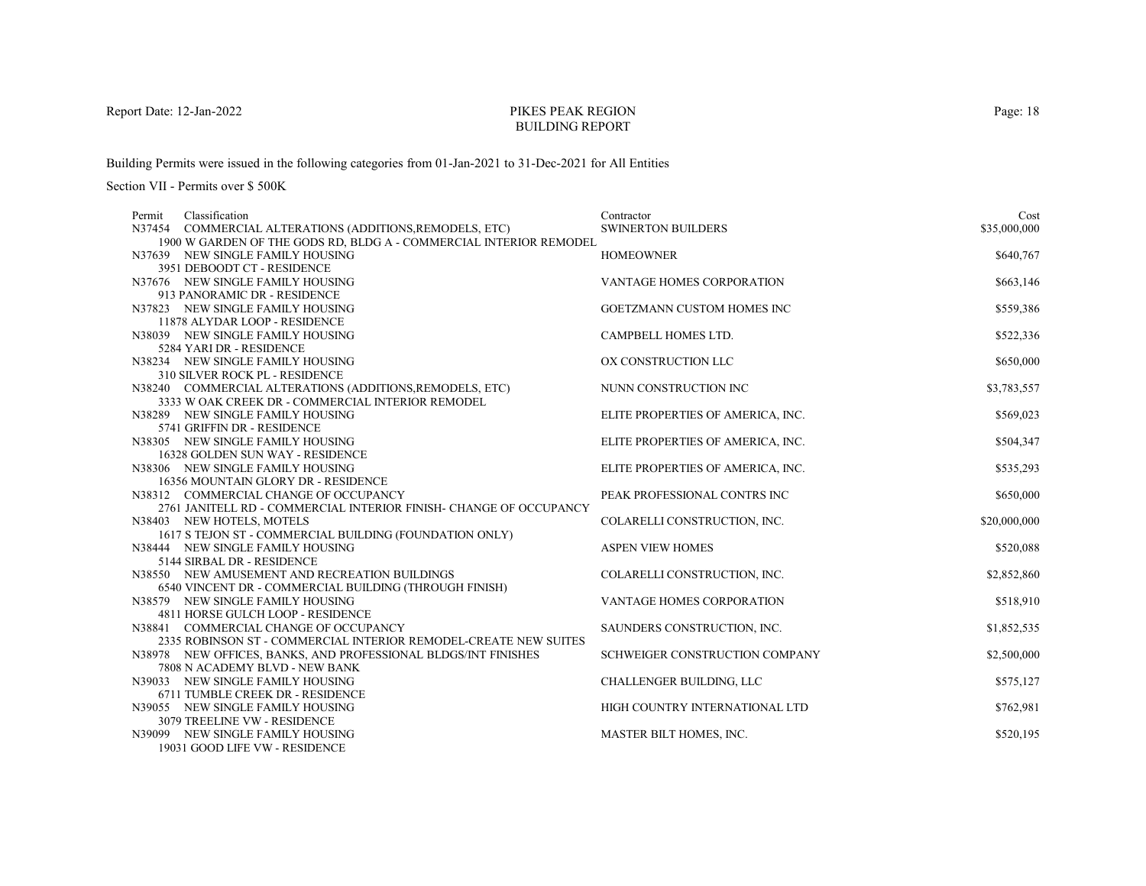# PIKES PEAK REGIONBUILDING REPORT

Building Permits were issued in the following categories from 01-Jan-2021 to 31-Dec-2021 for All Entities

| Cost         |
|--------------|
| \$35,000,000 |
|              |
| \$640,767    |
|              |
| \$663,146    |
|              |
| \$559,386    |
|              |
| \$522,336    |
|              |
| \$650,000    |
|              |
| \$3,783,557  |
|              |
| \$569,023    |
|              |
| \$504,347    |
|              |
| \$535,293    |
|              |
| \$650,000    |
|              |
| \$20,000,000 |
|              |
| \$520,088    |
|              |
| \$2,852,860  |
| \$518,910    |
|              |
| \$1,852,535  |
|              |
| \$2,500,000  |
|              |
| \$575,127    |
|              |
| \$762,981    |
|              |
| \$520,195    |
|              |
|              |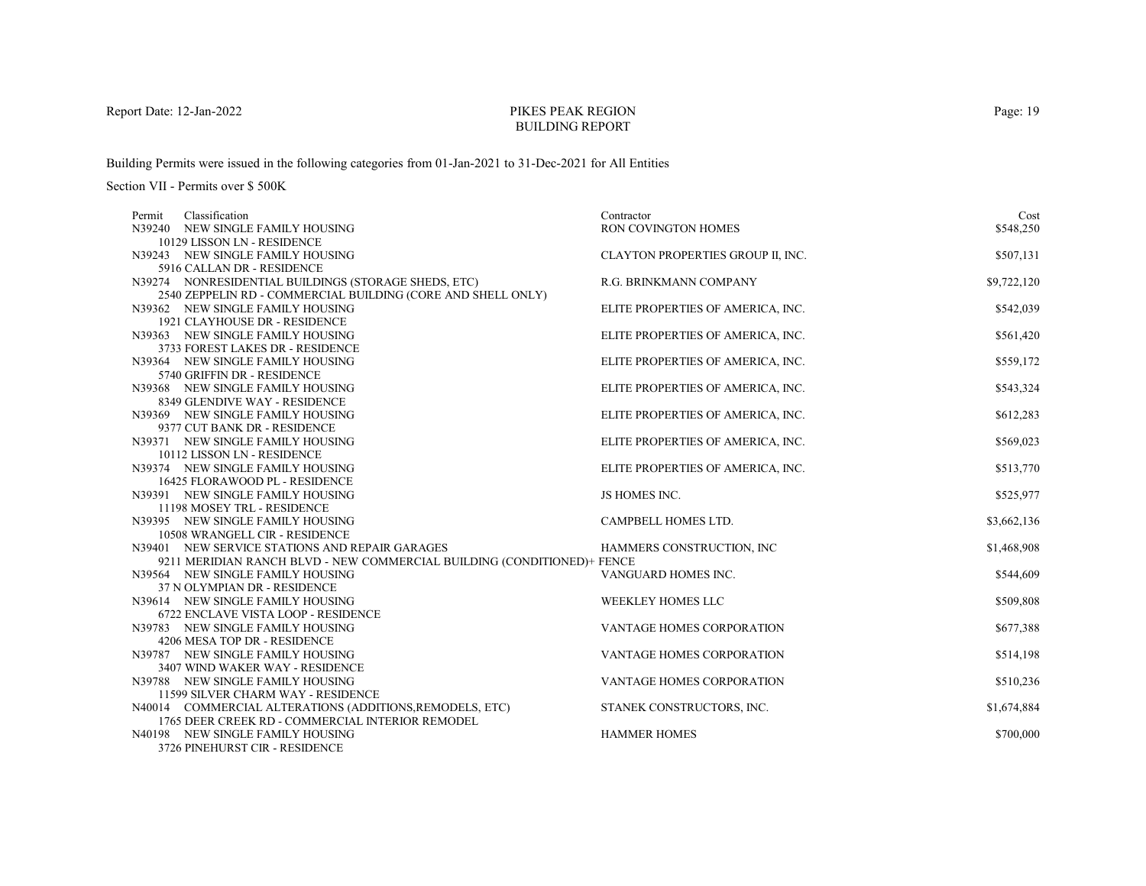# PIKES PEAK REGIONBUILDING REPORT

Building Permits were issued in the following categories from 01-Jan-2021 to 31-Dec-2021 for All Entities

| Classification<br>Permit                                                | Contractor                        | Cost        |
|-------------------------------------------------------------------------|-----------------------------------|-------------|
| N39240 NEW SINGLE FAMILY HOUSING                                        | RON COVINGTON HOMES               | \$548,250   |
| 10129 LISSON LN - RESIDENCE                                             |                                   |             |
| N39243 NEW SINGLE FAMILY HOUSING                                        | CLAYTON PROPERTIES GROUP II, INC. | \$507,131   |
| 5916 CALLAN DR - RESIDENCE                                              |                                   |             |
| N39274 NONRESIDENTIAL BUILDINGS (STORAGE SHEDS, ETC)                    | R.G. BRINKMANN COMPANY            | \$9,722,120 |
| 2540 ZEPPELIN RD - COMMERCIAL BUILDING (CORE AND SHELL ONLY)            |                                   |             |
| N39362 NEW SINGLE FAMILY HOUSING                                        | ELITE PROPERTIES OF AMERICA, INC. | \$542,039   |
| 1921 CLAYHOUSE DR - RESIDENCE                                           |                                   |             |
| N39363 NEW SINGLE FAMILY HOUSING                                        | ELITE PROPERTIES OF AMERICA, INC. | \$561,420   |
| 3733 FOREST LAKES DR - RESIDENCE                                        |                                   |             |
| N39364 NEW SINGLE FAMILY HOUSING                                        | ELITE PROPERTIES OF AMERICA, INC. | \$559,172   |
| 5740 GRIFFIN DR - RESIDENCE                                             |                                   |             |
| N39368 NEW SINGLE FAMILY HOUSING                                        | ELITE PROPERTIES OF AMERICA, INC. | \$543,324   |
| 8349 GLENDIVE WAY - RESIDENCE                                           |                                   |             |
| N39369 NEW SINGLE FAMILY HOUSING                                        | ELITE PROPERTIES OF AMERICA, INC. | \$612,283   |
| 9377 CUT BANK DR - RESIDENCE                                            |                                   |             |
| N39371 NEW SINGLE FAMILY HOUSING<br>10112 LISSON LN - RESIDENCE         | ELITE PROPERTIES OF AMERICA, INC. | \$569,023   |
| N39374 NEW SINGLE FAMILY HOUSING                                        | ELITE PROPERTIES OF AMERICA, INC. | \$513,770   |
| 16425 FLORAWOOD PL - RESIDENCE                                          |                                   |             |
| N39391 NEW SINGLE FAMILY HOUSING                                        | JS HOMES INC.                     | \$525,977   |
| 11198 MOSEY TRL - RESIDENCE                                             |                                   |             |
| N39395 NEW SINGLE FAMILY HOUSING                                        | CAMPBELL HOMES LTD.               | \$3,662,136 |
| 10508 WRANGELL CIR - RESIDENCE                                          |                                   |             |
| N39401 NEW SERVICE STATIONS AND REPAIR GARAGES                          | HAMMERS CONSTRUCTION, INC.        | \$1,468,908 |
| 9211 MERIDIAN RANCH BLVD - NEW COMMERCIAL BUILDING (CONDITIONED)+ FENCE |                                   |             |
| N39564 NEW SINGLE FAMILY HOUSING                                        | VANGUARD HOMES INC.               | \$544,609   |
| 37 N OLYMPIAN DR - RESIDENCE                                            |                                   |             |
| N39614 NEW SINGLE FAMILY HOUSING                                        | <b>WEEKLEY HOMES LLC</b>          | \$509,808   |
| 6722 ENCLAVE VISTA LOOP - RESIDENCE                                     |                                   |             |
| N39783 NEW SINGLE FAMILY HOUSING                                        | VANTAGE HOMES CORPORATION         | \$677,388   |
| 4206 MESA TOP DR - RESIDENCE                                            |                                   |             |
| N39787 NEW SINGLE FAMILY HOUSING                                        | <b>VANTAGE HOMES CORPORATION</b>  | \$514,198   |
| 3407 WIND WAKER WAY - RESIDENCE                                         |                                   |             |
| N39788 NEW SINGLE FAMILY HOUSING                                        | VANTAGE HOMES CORPORATION         | \$510,236   |
| 11599 SILVER CHARM WAY - RESIDENCE                                      |                                   |             |
| N40014 COMMERCIAL ALTERATIONS (ADDITIONS, REMODELS, ETC)                | STANEK CONSTRUCTORS, INC.         | \$1,674,884 |
| 1765 DEER CREEK RD - COMMERCIAL INTERIOR REMODEL                        |                                   |             |
| N40198 NEW SINGLE FAMILY HOUSING                                        | <b>HAMMER HOMES</b>               | \$700,000   |
| 3726 PINEHURST CIR - RESIDENCE                                          |                                   |             |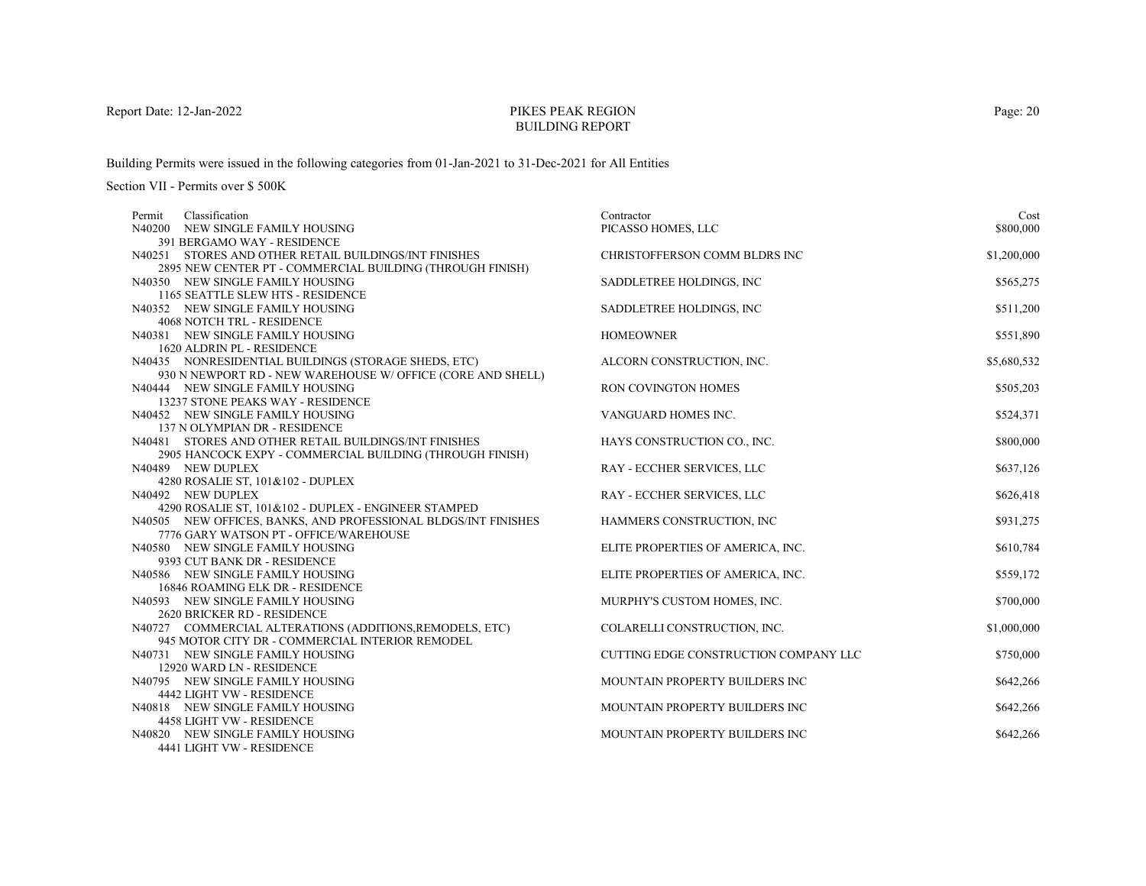# PIKES PEAK REGIONBUILDING REPORT

Building Permits were issued in the following categories from 01-Jan-2021 to 31-Dec-2021 for All Entities

| Classification<br>Permit                                       | Contractor                            | Cost        |
|----------------------------------------------------------------|---------------------------------------|-------------|
| N40200 NEW SINGLE FAMILY HOUSING                               | PICASSO HOMES, LLC                    | \$800,000   |
| 391 BERGAMO WAY - RESIDENCE                                    |                                       |             |
| N40251 STORES AND OTHER RETAIL BUILDINGS/INT FINISHES          | CHRISTOFFERSON COMM BLDRS INC         | \$1,200,000 |
| 2895 NEW CENTER PT - COMMERCIAL BUILDING (THROUGH FINISH)      |                                       |             |
| N40350 NEW SINGLE FAMILY HOUSING                               | SADDLETREE HOLDINGS, INC.             | \$565,275   |
| 1165 SEATTLE SLEW HTS - RESIDENCE                              |                                       |             |
| N40352 NEW SINGLE FAMILY HOUSING                               | SADDLETREE HOLDINGS, INC.             | \$511,200   |
| <b>4068 NOTCH TRL - RESIDENCE</b>                              |                                       |             |
| N40381 NEW SINGLE FAMILY HOUSING                               | <b>HOMEOWNER</b>                      | \$551,890   |
| 1620 ALDRIN PL - RESIDENCE                                     |                                       |             |
| N40435 NONRESIDENTIAL BUILDINGS (STORAGE SHEDS, ETC)           | ALCORN CONSTRUCTION, INC.             | \$5,680,532 |
| 930 N NEWPORT RD - NEW WAREHOUSE W/ OFFICE (CORE AND SHELL)    |                                       |             |
| N40444 NEW SINGLE FAMILY HOUSING                               | RON COVINGTON HOMES                   | \$505,203   |
| 13237 STONE PEAKS WAY - RESIDENCE                              |                                       |             |
| N40452 NEW SINGLE FAMILY HOUSING                               | VANGUARD HOMES INC.                   | \$524,371   |
| 137 N OLYMPIAN DR - RESIDENCE                                  |                                       |             |
| N40481 STORES AND OTHER RETAIL BUILDINGS/INT FINISHES          | HAYS CONSTRUCTION CO., INC.           | \$800,000   |
| 2905 HANCOCK EXPY - COMMERCIAL BUILDING (THROUGH FINISH)       |                                       |             |
| N40489 NEW DUPLEX                                              | RAY - ECCHER SERVICES, LLC            | \$637,126   |
| 4280 ROSALIE ST, 101&102 - DUPLEX                              |                                       |             |
| N40492 NEW DUPLEX                                              | RAY - ECCHER SERVICES, LLC            | \$626,418   |
| 4290 ROSALIE ST, 101&102 - DUPLEX - ENGINEER STAMPED           |                                       |             |
| N40505 NEW OFFICES, BANKS, AND PROFESSIONAL BLDGS/INT FINISHES | HAMMERS CONSTRUCTION, INC             | \$931,275   |
| 7776 GARY WATSON PT - OFFICE/WAREHOUSE                         |                                       |             |
| N40580 NEW SINGLE FAMILY HOUSING                               | ELITE PROPERTIES OF AMERICA, INC.     | \$610,784   |
| 9393 CUT BANK DR - RESIDENCE                                   |                                       |             |
| N40586 NEW SINGLE FAMILY HOUSING                               | ELITE PROPERTIES OF AMERICA, INC.     | \$559,172   |
| 16846 ROAMING ELK DR - RESIDENCE                               |                                       |             |
| N40593 NEW SINGLE FAMILY HOUSING                               | MURPHY'S CUSTOM HOMES, INC.           | \$700,000   |
| <b>2620 BRICKER RD - RESIDENCE</b>                             |                                       |             |
| N40727 COMMERCIAL ALTERATIONS (ADDITIONS, REMODELS, ETC)       | COLARELLI CONSTRUCTION, INC.          | \$1,000,000 |
| 945 MOTOR CITY DR - COMMERCIAL INTERIOR REMODEL                |                                       |             |
| N40731 NEW SINGLE FAMILY HOUSING                               | CUTTING EDGE CONSTRUCTION COMPANY LLC | \$750,000   |
| 12920 WARD LN - RESIDENCE<br>N40795 NEW SINGLE FAMILY HOUSING  | MOUNTAIN PROPERTY BUILDERS INC        | \$642,266   |
| 4442 LIGHT VW - RESIDENCE                                      |                                       |             |
|                                                                | MOUNTAIN PROPERTY BUILDERS INC        |             |
| N40818 NEW SINGLE FAMILY HOUSING<br>4458 LIGHT VW - RESIDENCE  |                                       | \$642,266   |
| N40820 NEW SINGLE FAMILY HOUSING                               | MOUNTAIN PROPERTY BUILDERS INC        | \$642,266   |
| 4441 LIGHT VW - RESIDENCE                                      |                                       |             |
|                                                                |                                       |             |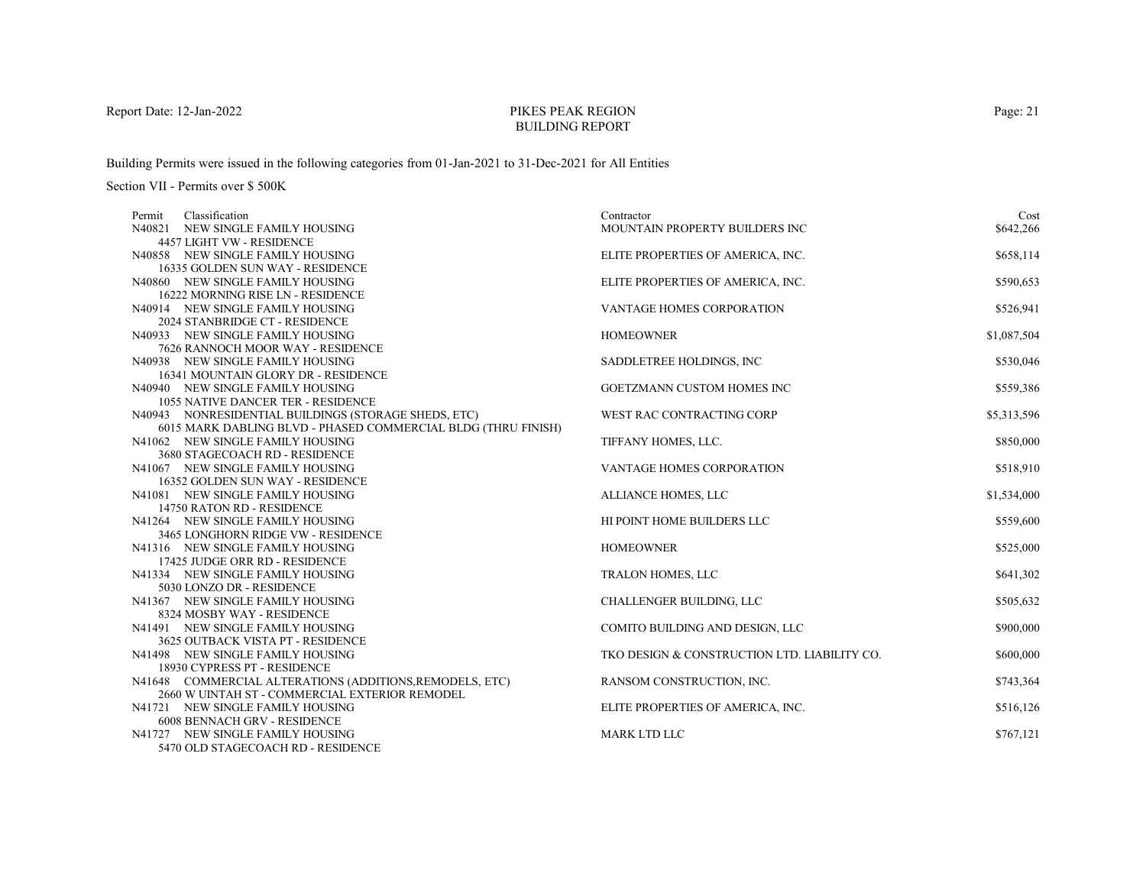# PIKES PEAK REGIONBUILDING REPORT

Building Permits were issued in the following categories from 01-Jan-2021 to 31-Dec-2021 for All Entities

| Classification<br>Permit                                               | Contractor                                   | Cost        |
|------------------------------------------------------------------------|----------------------------------------------|-------------|
| N40821 NEW SINGLE FAMILY HOUSING                                       | MOUNTAIN PROPERTY BUILDERS INC               | \$642,266   |
| 4457 LIGHT VW - RESIDENCE                                              |                                              |             |
| N40858 NEW SINGLE FAMILY HOUSING                                       | ELITE PROPERTIES OF AMERICA, INC.            | \$658,114   |
| 16335 GOLDEN SUN WAY - RESIDENCE                                       |                                              |             |
| N40860 NEW SINGLE FAMILY HOUSING                                       | ELITE PROPERTIES OF AMERICA, INC.            | \$590,653   |
| 16222 MORNING RISE LN - RESIDENCE                                      |                                              |             |
| N40914 NEW SINGLE FAMILY HOUSING                                       | VANTAGE HOMES CORPORATION                    | \$526,941   |
| 2024 STANBRIDGE CT - RESIDENCE                                         |                                              |             |
| N40933 NEW SINGLE FAMILY HOUSING                                       | <b>HOMEOWNER</b>                             | \$1,087,504 |
| 7626 RANNOCH MOOR WAY - RESIDENCE                                      |                                              |             |
| N40938 NEW SINGLE FAMILY HOUSING                                       | SADDLETREE HOLDINGS, INC.                    | \$530,046   |
| 16341 MOUNTAIN GLORY DR - RESIDENCE                                    |                                              |             |
| N40940 NEW SINGLE FAMILY HOUSING                                       | GOETZMANN CUSTOM HOMES INC                   | \$559,386   |
| <b>1055 NATIVE DANCER TER - RESIDENCE</b>                              |                                              |             |
| N40943 NONRESIDENTIAL BUILDINGS (STORAGE SHEDS, ETC)                   | WEST RAC CONTRACTING CORP                    | \$5,313,596 |
| 6015 MARK DABLING BLVD - PHASED COMMERCIAL BLDG (THRU FINISH)          |                                              |             |
| N41062 NEW SINGLE FAMILY HOUSING                                       | TIFFANY HOMES, LLC.                          | \$850,000   |
| 3680 STAGECOACH RD - RESIDENCE                                         |                                              |             |
| N41067 NEW SINGLE FAMILY HOUSING                                       | <b>VANTAGE HOMES CORPORATION</b>             | \$518,910   |
| 16352 GOLDEN SUN WAY - RESIDENCE                                       |                                              |             |
| N41081 NEW SINGLE FAMILY HOUSING                                       | ALLIANCE HOMES, LLC                          | \$1,534,000 |
| 14750 RATON RD - RESIDENCE                                             |                                              |             |
| N41264 NEW SINGLE FAMILY HOUSING<br>3465 LONGHORN RIDGE VW - RESIDENCE | HI POINT HOME BUILDERS LLC                   | \$559,600   |
| N41316 NEW SINGLE FAMILY HOUSING                                       | <b>HOMEOWNER</b>                             | \$525,000   |
| 17425 JUDGE ORR RD - RESIDENCE                                         |                                              |             |
| N41334 NEW SINGLE FAMILY HOUSING                                       | TRALON HOMES, LLC                            | \$641,302   |
| 5030 LONZO DR - RESIDENCE                                              |                                              |             |
| N41367 NEW SINGLE FAMILY HOUSING                                       | CHALLENGER BUILDING, LLC                     | \$505,632   |
| 8324 MOSBY WAY - RESIDENCE                                             |                                              |             |
| N41491 NEW SINGLE FAMILY HOUSING                                       | COMITO BUILDING AND DESIGN, LLC              | \$900,000   |
| 3625 OUTBACK VISTA PT - RESIDENCE                                      |                                              |             |
| N41498 NEW SINGLE FAMILY HOUSING                                       | TKO DESIGN & CONSTRUCTION LTD. LIABILITY CO. | \$600,000   |
| 18930 CYPRESS PT - RESIDENCE                                           |                                              |             |
| N41648 COMMERCIAL ALTERATIONS (ADDITIONS, REMODELS, ETC)               | RANSOM CONSTRUCTION, INC.                    | \$743,364   |
| 2660 W UINTAH ST - COMMERCIAL EXTERIOR REMODEL                         |                                              |             |
| N41721 NEW SINGLE FAMILY HOUSING                                       | ELITE PROPERTIES OF AMERICA, INC.            | \$516,126   |
| <b>6008 BENNACH GRV - RESIDENCE</b>                                    |                                              |             |
| N41727 NEW SINGLE FAMILY HOUSING                                       | MARK LTD LLC                                 | \$767,121   |
| 5470 OLD STAGECOACH RD - RESIDENCE                                     |                                              |             |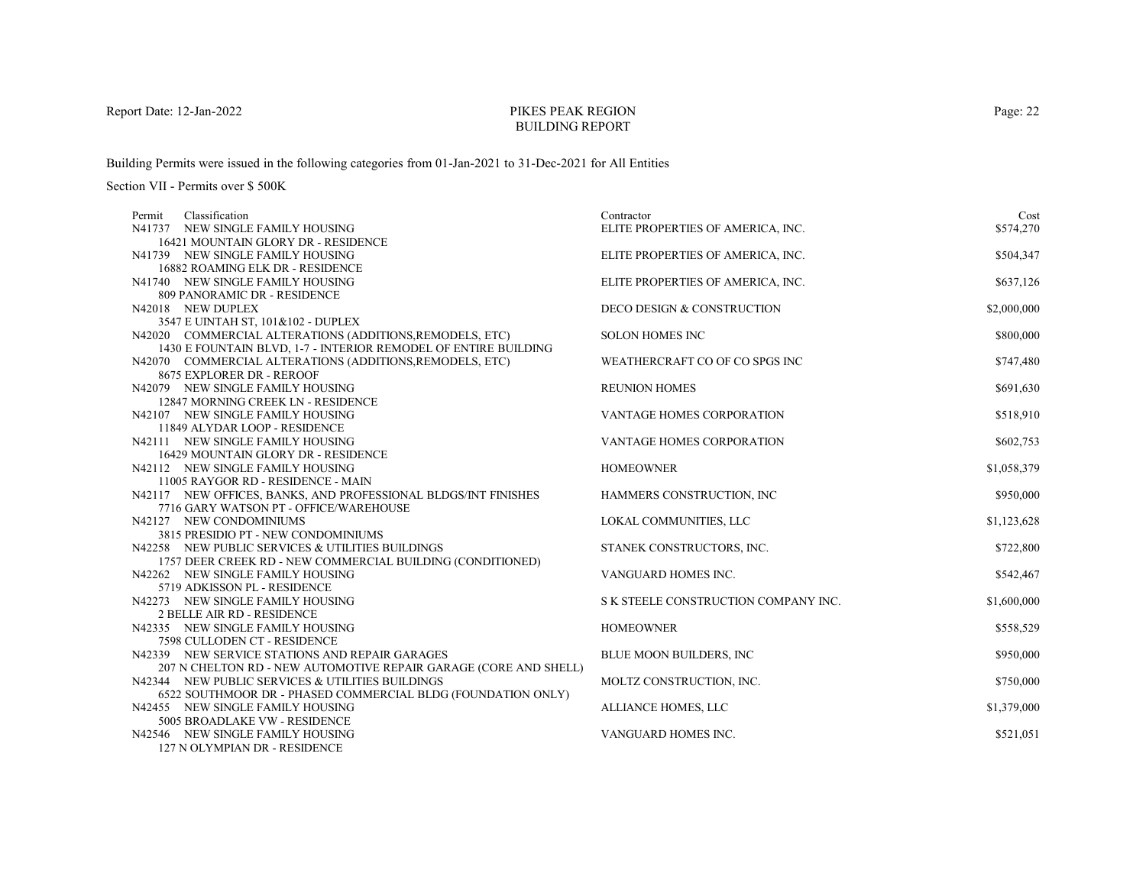# PIKES PEAK REGIONBUILDING REPORT

Building Permits were issued in the following categories from 01-Jan-2021 to 31-Dec-2021 for All Entities

Section VII - Permits over \$ 500K

| Classification<br>Permit                                                | Contractor                           | Cost        |
|-------------------------------------------------------------------------|--------------------------------------|-------------|
| N41737 NEW SINGLE FAMILY HOUSING                                        | ELITE PROPERTIES OF AMERICA, INC.    | \$574,270   |
| 16421 MOUNTAIN GLORY DR - RESIDENCE                                     |                                      |             |
| N41739 NEW SINGLE FAMILY HOUSING                                        | ELITE PROPERTIES OF AMERICA, INC.    | \$504,347   |
| 16882 ROAMING ELK DR - RESIDENCE                                        |                                      |             |
| N41740 NEW SINGLE FAMILY HOUSING                                        | ELITE PROPERTIES OF AMERICA, INC.    | \$637,126   |
| 809 PANORAMIC DR - RESIDENCE                                            |                                      |             |
| N42018 NEW DUPLEX                                                       | DECO DESIGN & CONSTRUCTION           | \$2,000,000 |
| 3547 E UINTAH ST, 101&102 - DUPLEX                                      |                                      |             |
| N42020 COMMERCIAL ALTERATIONS (ADDITIONS, REMODELS, ETC)                | <b>SOLON HOMES INC</b>               | \$800,000   |
| 1430 E FOUNTAIN BLVD, 1-7 - INTERIOR REMODEL OF ENTIRE BUILDING         |                                      |             |
| N42070 COMMERCIAL ALTERATIONS (ADDITIONS, REMODELS, ETC)                | WEATHERCRAFT CO OF CO SPGS INC       | \$747,480   |
| 8675 EXPLORER DR - REROOF                                               |                                      |             |
| N42079 NEW SINGLE FAMILY HOUSING                                        | <b>REUNION HOMES</b>                 | \$691,630   |
| 12847 MORNING CREEK LN - RESIDENCE                                      |                                      |             |
| N42107 NEW SINGLE FAMILY HOUSING                                        | VANTAGE HOMES CORPORATION            | \$518,910   |
| 11849 ALYDAR LOOP - RESIDENCE                                           |                                      |             |
| N42111 NEW SINGLE FAMILY HOUSING<br>16429 MOUNTAIN GLORY DR - RESIDENCE | <b>VANTAGE HOMES CORPORATION</b>     | \$602,753   |
| N42112 NEW SINGLE FAMILY HOUSING                                        | <b>HOMEOWNER</b>                     | \$1,058,379 |
| 11005 RAYGOR RD - RESIDENCE - MAIN                                      |                                      |             |
| N42117 NEW OFFICES, BANKS, AND PROFESSIONAL BLDGS/INT FINISHES          | HAMMERS CONSTRUCTION, INC            | \$950,000   |
| 7716 GARY WATSON PT - OFFICE/WAREHOUSE                                  |                                      |             |
| N42127 NEW CONDOMINIUMS                                                 | LOKAL COMMUNITIES, LLC               | \$1,123,628 |
| 3815 PRESIDIO PT - NEW CONDOMINIUMS                                     |                                      |             |
| N42258 NEW PUBLIC SERVICES & UTILITIES BUILDINGS                        | STANEK CONSTRUCTORS, INC.            | \$722,800   |
| 1757 DEER CREEK RD - NEW COMMERCIAL BUILDING (CONDITIONED)              |                                      |             |
| N42262 NEW SINGLE FAMILY HOUSING                                        | VANGUARD HOMES INC.                  | \$542,467   |
| 5719 ADKISSON PL - RESIDENCE                                            |                                      |             |
| N42273 NEW SINGLE FAMILY HOUSING                                        | S K STEELE CONSTRUCTION COMPANY INC. | \$1,600,000 |
| <b>2 BELLE AIR RD - RESIDENCE</b>                                       |                                      |             |
| N42335 NEW SINGLE FAMILY HOUSING                                        | <b>HOMEOWNER</b>                     | \$558,529   |
| 7598 CULLODEN CT - RESIDENCE                                            |                                      |             |
| N42339 NEW SERVICE STATIONS AND REPAIR GARAGES                          | <b>BLUE MOON BUILDERS, INC</b>       | \$950,000   |
| 207 N CHELTON RD - NEW AUTOMOTIVE REPAIR GARAGE (CORE AND SHELL)        |                                      |             |
| N42344 NEW PUBLIC SERVICES & UTILITIES BUILDINGS                        | MOLTZ CONSTRUCTION, INC.             | \$750,000   |
| 6522 SOUTHMOOR DR - PHASED COMMERCIAL BLDG (FOUNDATION ONLY)            |                                      |             |
| N42455 NEW SINGLE FAMILY HOUSING                                        | ALLIANCE HOMES, LLC                  | \$1,379,000 |
| 5005 BROADLAKE VW - RESIDENCE                                           |                                      |             |
| N42546 NEW SINGLE FAMILY HOUSING                                        | VANGUARD HOMES INC.                  | \$521,051   |
| 127 N OLYMPIAN DR - RESIDENCE                                           |                                      |             |

Page: 22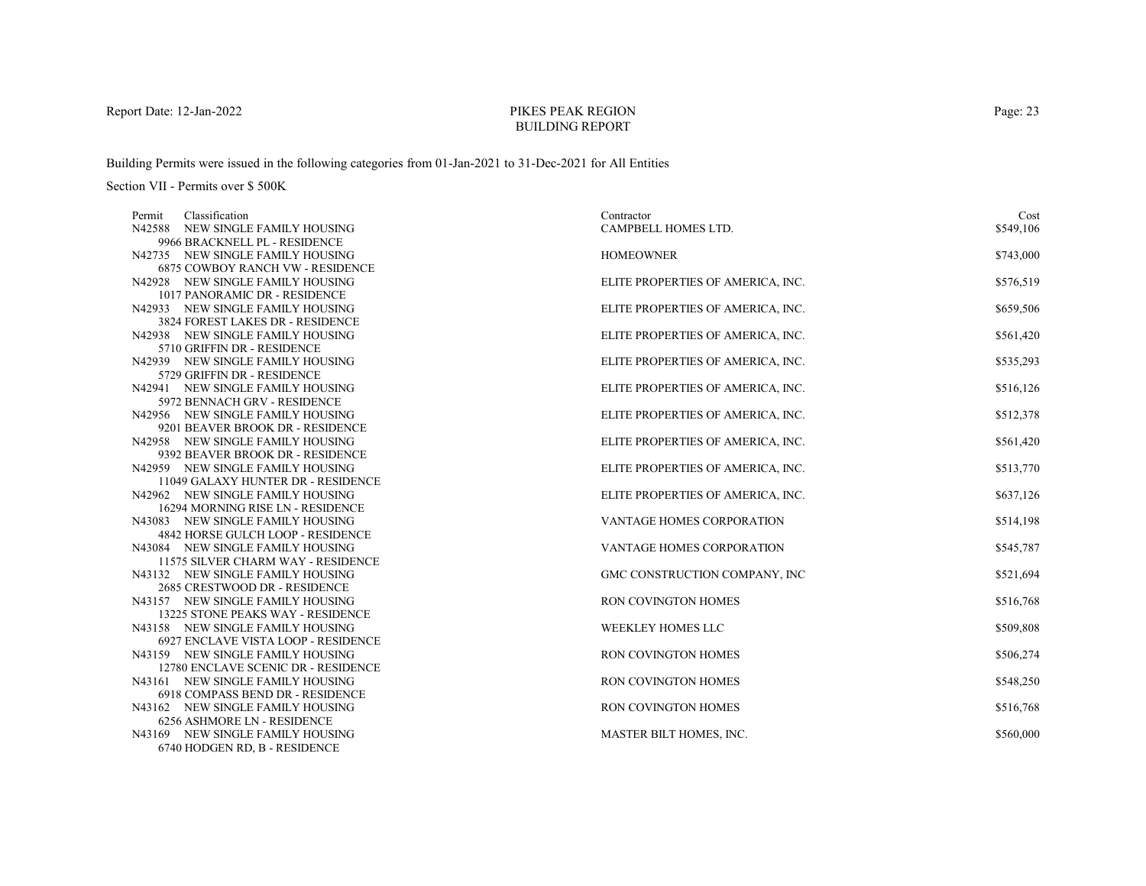# PIKES PEAK REGIONBUILDING REPORT

Building Permits were issued in the following categories from 01-Jan-2021 to 31-Dec-2021 for All Entities

| Classification<br>Permit                                                | Contractor                        | Cost      |
|-------------------------------------------------------------------------|-----------------------------------|-----------|
| N42588 NEW SINGLE FAMILY HOUSING                                        | CAMPBELL HOMES LTD.               | \$549,106 |
| 9966 BRACKNELL PL - RESIDENCE                                           |                                   |           |
| N42735 NEW SINGLE FAMILY HOUSING                                        | <b>HOMEOWNER</b>                  | \$743,000 |
| <b>6875 COWBOY RANCH VW - RESIDENCE</b>                                 |                                   |           |
| N42928 NEW SINGLE FAMILY HOUSING                                        | ELITE PROPERTIES OF AMERICA, INC. | \$576,519 |
| 1017 PANORAMIC DR - RESIDENCE                                           |                                   |           |
| N42933 NEW SINGLE FAMILY HOUSING<br>3824 FOREST LAKES DR - RESIDENCE    | ELITE PROPERTIES OF AMERICA, INC. | \$659,506 |
| N42938 NEW SINGLE FAMILY HOUSING                                        | ELITE PROPERTIES OF AMERICA, INC. | \$561,420 |
| 5710 GRIFFIN DR - RESIDENCE                                             |                                   |           |
| N42939 NEW SINGLE FAMILY HOUSING                                        | ELITE PROPERTIES OF AMERICA, INC. | \$535,293 |
| 5729 GRIFFIN DR - RESIDENCE                                             |                                   |           |
| N42941 NEW SINGLE FAMILY HOUSING                                        | ELITE PROPERTIES OF AMERICA, INC. | \$516,126 |
| 5972 BENNACH GRV - RESIDENCE                                            |                                   |           |
| N42956 NEW SINGLE FAMILY HOUSING                                        | ELITE PROPERTIES OF AMERICA, INC. | \$512,378 |
| 9201 BEAVER BROOK DR - RESIDENCE                                        |                                   |           |
| N42958 NEW SINGLE FAMILY HOUSING                                        | ELITE PROPERTIES OF AMERICA, INC. | \$561,420 |
| 9392 BEAVER BROOK DR - RESIDENCE                                        |                                   |           |
| N42959 NEW SINGLE FAMILY HOUSING                                        | ELITE PROPERTIES OF AMERICA, INC. | \$513,770 |
| 11049 GALAXY HUNTER DR - RESIDENCE                                      |                                   |           |
| N42962 NEW SINGLE FAMILY HOUSING                                        | ELITE PROPERTIES OF AMERICA, INC. | \$637,126 |
| 16294 MORNING RISE LN - RESIDENCE                                       |                                   |           |
| N43083 NEW SINGLE FAMILY HOUSING                                        | <b>VANTAGE HOMES CORPORATION</b>  | \$514,198 |
| 4842 HORSE GULCH LOOP - RESIDENCE                                       |                                   |           |
| N43084 NEW SINGLE FAMILY HOUSING                                        | VANTAGE HOMES CORPORATION         | \$545,787 |
| 11575 SILVER CHARM WAY - RESIDENCE                                      |                                   |           |
| N43132 NEW SINGLE FAMILY HOUSING                                        | GMC CONSTRUCTION COMPANY, INC     | \$521,694 |
| 2685 CRESTWOOD DR - RESIDENCE                                           |                                   |           |
| N43157 NEW SINGLE FAMILY HOUSING                                        | RON COVINGTON HOMES               | \$516,768 |
| 13225 STONE PEAKS WAY - RESIDENCE                                       |                                   |           |
| N43158 NEW SINGLE FAMILY HOUSING<br>6927 ENCLAVE VISTA LOOP - RESIDENCE | WEEKLEY HOMES LLC                 | \$509,808 |
| N43159 NEW SINGLE FAMILY HOUSING                                        | RON COVINGTON HOMES               | \$506,274 |
| 12780 ENCLAVE SCENIC DR - RESIDENCE                                     |                                   |           |
| N43161 NEW SINGLE FAMILY HOUSING                                        | <b>RON COVINGTON HOMES</b>        | \$548,250 |
| 6918 COMPASS BEND DR - RESIDENCE                                        |                                   |           |
| N43162 NEW SINGLE FAMILY HOUSING                                        | RON COVINGTON HOMES               | \$516,768 |
| 6256 ASHMORE LN - RESIDENCE                                             |                                   |           |
| N43169 NEW SINGLE FAMILY HOUSING                                        | MASTER BILT HOMES, INC.           | \$560,000 |
| 6740 HODGEN RD. B - RESIDENCE                                           |                                   |           |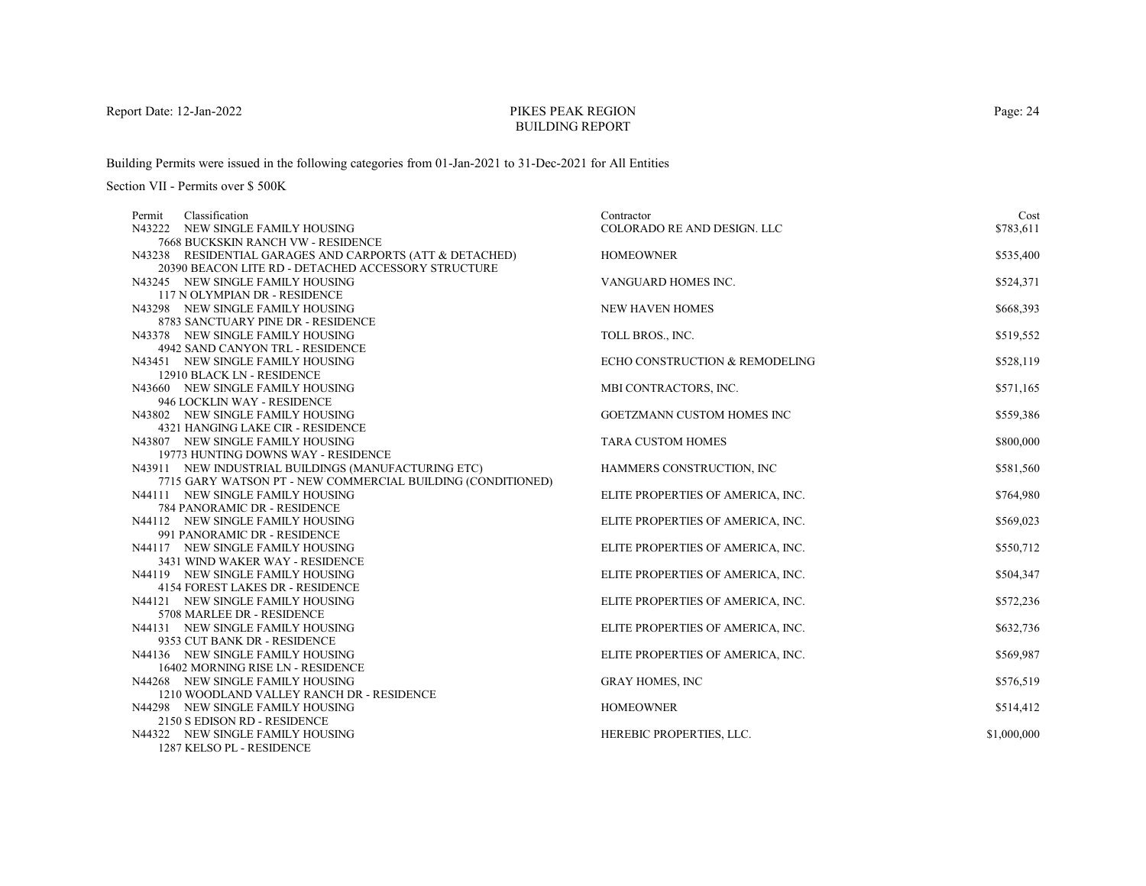# PIKES PEAK REGIONBUILDING REPORT

Building Permits were issued in the following categories from 01-Jan-2021 to 31-Dec-2021 for All Entities

| Classification<br>Permit                                             | Contractor                        | Cost        |
|----------------------------------------------------------------------|-----------------------------------|-------------|
| N43222 NEW SINGLE FAMILY HOUSING                                     | COLORADO RE AND DESIGN. LLC       | \$783,611   |
| 7668 BUCKSKIN RANCH VW - RESIDENCE                                   |                                   |             |
| N43238 RESIDENTIAL GARAGES AND CARPORTS (ATT & DETACHED)             | <b>HOMEOWNER</b>                  | \$535,400   |
| 20390 BEACON LITE RD - DETACHED ACCESSORY STRUCTURE                  |                                   |             |
| N43245 NEW SINGLE FAMILY HOUSING                                     | VANGUARD HOMES INC.               | \$524,371   |
| 117 N OLYMPIAN DR - RESIDENCE                                        |                                   |             |
| N43298 NEW SINGLE FAMILY HOUSING                                     | <b>NEW HAVEN HOMES</b>            | \$668,393   |
| 8783 SANCTUARY PINE DR - RESIDENCE                                   |                                   |             |
| N43378 NEW SINGLE FAMILY HOUSING                                     | TOLL BROS., INC.                  | \$519,552   |
| 4942 SAND CANYON TRL - RESIDENCE                                     |                                   |             |
| N43451 NEW SINGLE FAMILY HOUSING                                     | ECHO CONSTRUCTION & REMODELING    | \$528,119   |
| 12910 BLACK LN - RESIDENCE                                           |                                   |             |
| N43660 NEW SINGLE FAMILY HOUSING                                     | MBI CONTRACTORS, INC.             | \$571,165   |
| 946 LOCKLIN WAY - RESIDENCE                                          |                                   |             |
| N43802 NEW SINGLE FAMILY HOUSING                                     | <b>GOETZMANN CUSTOM HOMES INC</b> | \$559,386   |
| 4321 HANGING LAKE CIR - RESIDENCE                                    |                                   |             |
| N43807 NEW SINGLE FAMILY HOUSING                                     | <b>TARA CUSTOM HOMES</b>          | \$800,000   |
| 19773 HUNTING DOWNS WAY - RESIDENCE                                  |                                   |             |
| N43911 NEW INDUSTRIAL BUILDINGS (MANUFACTURING ETC)                  | HAMMERS CONSTRUCTION, INC         | \$581,560   |
| 7715 GARY WATSON PT - NEW COMMERCIAL BUILDING (CONDITIONED)          |                                   |             |
| N44111 NEW SINGLE FAMILY HOUSING                                     | ELITE PROPERTIES OF AMERICA, INC. | \$764,980   |
| 784 PANORAMIC DR - RESIDENCE                                         |                                   |             |
| N44112 NEW SINGLE FAMILY HOUSING                                     | ELITE PROPERTIES OF AMERICA, INC. | \$569,023   |
| 991 PANORAMIC DR - RESIDENCE                                         |                                   |             |
| N44117 NEW SINGLE FAMILY HOUSING                                     | ELITE PROPERTIES OF AMERICA, INC. | \$550,712   |
| 3431 WIND WAKER WAY - RESIDENCE                                      |                                   |             |
| N44119 NEW SINGLE FAMILY HOUSING                                     | ELITE PROPERTIES OF AMERICA, INC. | \$504,347   |
| 4154 FOREST LAKES DR - RESIDENCE<br>N44121 NEW SINGLE FAMILY HOUSING |                                   |             |
| 5708 MARLEE DR - RESIDENCE                                           | ELITE PROPERTIES OF AMERICA, INC. | \$572,236   |
| N44131 NEW SINGLE FAMILY HOUSING                                     | ELITE PROPERTIES OF AMERICA, INC. | \$632,736   |
| 9353 CUT BANK DR - RESIDENCE                                         |                                   |             |
| N44136 NEW SINGLE FAMILY HOUSING                                     | ELITE PROPERTIES OF AMERICA, INC. | \$569,987   |
| 16402 MORNING RISE LN - RESIDENCE                                    |                                   |             |
| N44268 NEW SINGLE FAMILY HOUSING                                     | <b>GRAY HOMES, INC</b>            | \$576,519   |
| 1210 WOODLAND VALLEY RANCH DR - RESIDENCE                            |                                   |             |
| N44298 NEW SINGLE FAMILY HOUSING                                     | <b>HOMEOWNER</b>                  | \$514,412   |
| 2150 S EDISON RD - RESIDENCE                                         |                                   |             |
| N44322 NEW SINGLE FAMILY HOUSING                                     | HEREBIC PROPERTIES, LLC.          | \$1,000,000 |
| 1287 KELSO PL - RESIDENCE                                            |                                   |             |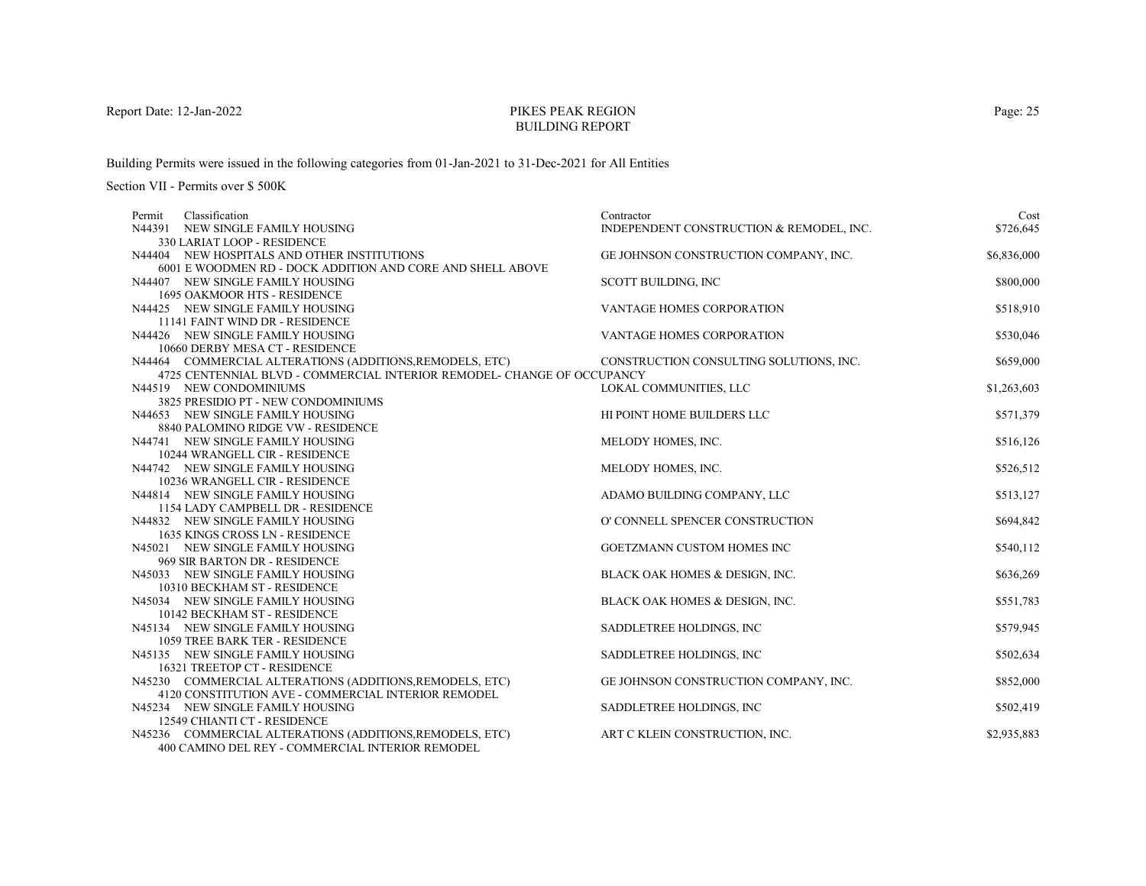# PIKES PEAK REGIONBUILDING REPORT

Building Permits were issued in the following categories from 01-Jan-2021 to 31-Dec-2021 for All Entities

Section VII - Permits over \$ 500K

| Classification<br>Permit                                                | Contractor                               | Cost        |
|-------------------------------------------------------------------------|------------------------------------------|-------------|
| N44391 NEW SINGLE FAMILY HOUSING                                        | INDEPENDENT CONSTRUCTION & REMODEL, INC. | \$726,645   |
| 330 LARIAT LOOP - RESIDENCE                                             |                                          |             |
| N44404 NEW HOSPITALS AND OTHER INSTITUTIONS                             | GE JOHNSON CONSTRUCTION COMPANY, INC.    | \$6,836,000 |
| 6001 E WOODMEN RD - DOCK ADDITION AND CORE AND SHELL ABOVE              |                                          |             |
| N44407 NEW SINGLE FAMILY HOUSING                                        | SCOTT BUILDING, INC                      | \$800,000   |
| <b>1695 OAKMOOR HTS - RESIDENCE</b>                                     |                                          |             |
| N44425 NEW SINGLE FAMILY HOUSING                                        | <b>VANTAGE HOMES CORPORATION</b>         | \$518,910   |
| 11141 FAINT WIND DR - RESIDENCE                                         |                                          |             |
| N44426 NEW SINGLE FAMILY HOUSING                                        | VANTAGE HOMES CORPORATION                | \$530,046   |
| 10660 DERBY MESA CT - RESIDENCE                                         |                                          |             |
| N44464 COMMERCIAL ALTERATIONS (ADDITIONS, REMODELS, ETC)                | CONSTRUCTION CONSULTING SOLUTIONS, INC.  | \$659,000   |
| 4725 CENTENNIAL BLVD - COMMERCIAL INTERIOR REMODEL- CHANGE OF OCCUPANCY |                                          |             |
| N44519 NEW CONDOMINIUMS                                                 | LOKAL COMMUNITIES, LLC                   | \$1,263,603 |
| 3825 PRESIDIO PT - NEW CONDOMINIUMS                                     |                                          |             |
| N44653 NEW SINGLE FAMILY HOUSING                                        | HI POINT HOME BUILDERS LLC               | \$571,379   |
| 8840 PALOMINO RIDGE VW - RESIDENCE                                      |                                          |             |
| N44741 NEW SINGLE FAMILY HOUSING                                        | MELODY HOMES, INC.                       | \$516,126   |
| 10244 WRANGELL CIR - RESIDENCE                                          |                                          |             |
| N44742 NEW SINGLE FAMILY HOUSING                                        | MELODY HOMES, INC.                       | \$526,512   |
| 10236 WRANGELL CIR - RESIDENCE                                          |                                          |             |
| N44814 NEW SINGLE FAMILY HOUSING                                        | ADAMO BUILDING COMPANY, LLC              | \$513,127   |
| 1154 LADY CAMPBELL DR - RESIDENCE                                       |                                          |             |
| N44832 NEW SINGLE FAMILY HOUSING                                        | O' CONNELL SPENCER CONSTRUCTION          | \$694,842   |
| 1635 KINGS CROSS LN - RESIDENCE                                         |                                          |             |
| N45021 NEW SINGLE FAMILY HOUSING                                        | GOETZMANN CUSTOM HOMES INC               | \$540,112   |
| 969 SIR BARTON DR - RESIDENCE                                           |                                          |             |
| N45033 NEW SINGLE FAMILY HOUSING                                        | BLACK OAK HOMES & DESIGN, INC.           | \$636,269   |
| 10310 BECKHAM ST - RESIDENCE                                            |                                          |             |
| N45034 NEW SINGLE FAMILY HOUSING<br>10142 BECKHAM ST - RESIDENCE        | BLACK OAK HOMES & DESIGN, INC.           | \$551,783   |
| N45134 NEW SINGLE FAMILY HOUSING                                        | SADDLETREE HOLDINGS, INC                 | \$579,945   |
| 1059 TREE BARK TER - RESIDENCE                                          |                                          |             |
| N45135 NEW SINGLE FAMILY HOUSING                                        | SADDLETREE HOLDINGS, INC                 | \$502,634   |
| 16321 TREETOP CT - RESIDENCE                                            |                                          |             |
| N45230 COMMERCIAL ALTERATIONS (ADDITIONS, REMODELS, ETC)                | GE JOHNSON CONSTRUCTION COMPANY, INC.    | \$852,000   |
| 4120 CONSTITUTION AVE - COMMERCIAL INTERIOR REMODEL                     |                                          |             |
| N45234 NEW SINGLE FAMILY HOUSING                                        | SADDLETREE HOLDINGS, INC                 | \$502,419   |
| 12549 CHIANTI CT - RESIDENCE                                            |                                          |             |
| N45236 COMMERCIAL ALTERATIONS (ADDITIONS, REMODELS, ETC)                | ART C KLEIN CONSTRUCTION, INC.           | \$2,935,883 |
| 400 CAMINO DEL REY - COMMERCIAL INTERIOR REMODEL                        |                                          |             |

Page: 25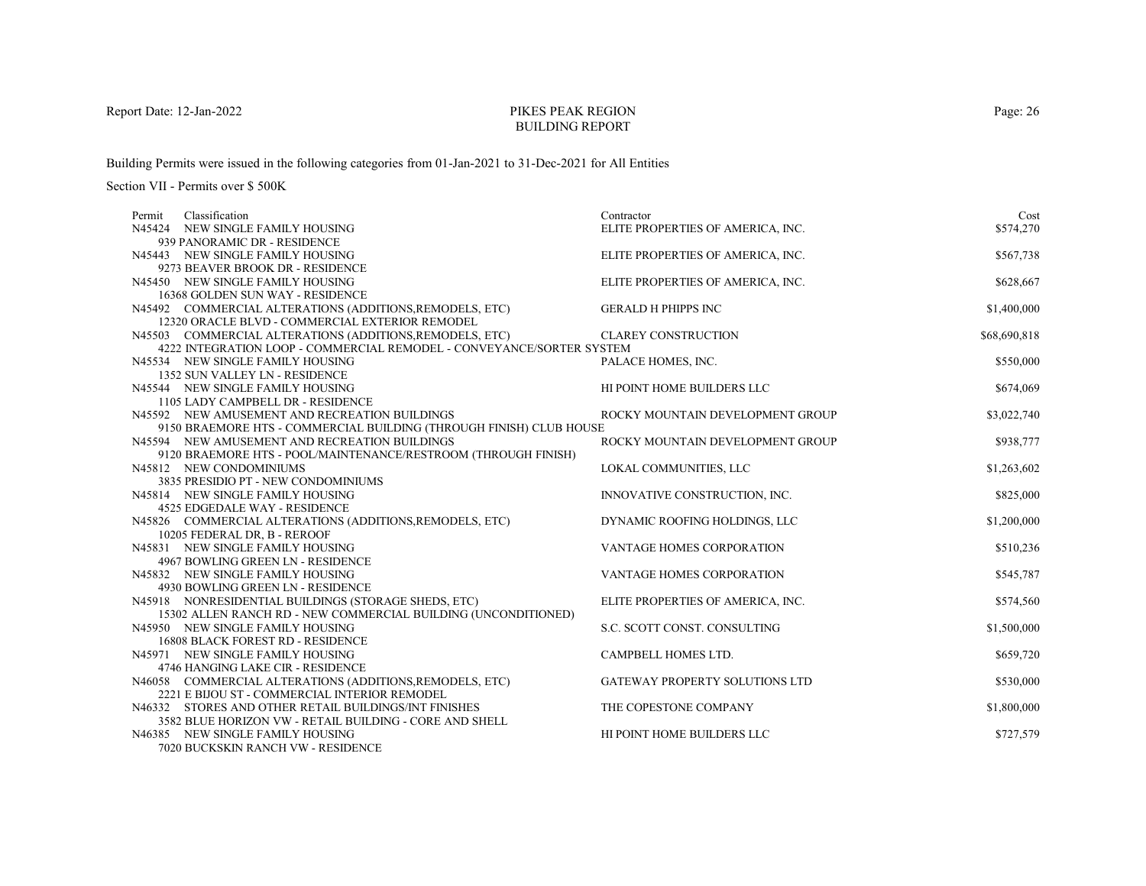# PIKES PEAK REGIONBUILDING REPORT

Building Permits were issued in the following categories from 01-Jan-2021 to 31-Dec-2021 for All Entities

Section VII - Permits over \$ 500K

| Classification<br>Permit                                                                  | Contractor                        | Cost         |
|-------------------------------------------------------------------------------------------|-----------------------------------|--------------|
| N45424 NEW SINGLE FAMILY HOUSING                                                          | ELITE PROPERTIES OF AMERICA, INC. | \$574,270    |
| 939 PANORAMIC DR - RESIDENCE                                                              |                                   |              |
| N45443 NEW SINGLE FAMILY HOUSING                                                          | ELITE PROPERTIES OF AMERICA, INC. | \$567,738    |
| 9273 BEAVER BROOK DR - RESIDENCE                                                          |                                   |              |
| N45450 NEW SINGLE FAMILY HOUSING                                                          | ELITE PROPERTIES OF AMERICA, INC. | \$628,667    |
| 16368 GOLDEN SUN WAY - RESIDENCE                                                          |                                   |              |
| N45492 COMMERCIAL ALTERATIONS (ADDITIONS, REMODELS, ETC)                                  | <b>GERALD H PHIPPS INC</b>        | \$1,400,000  |
| 12320 ORACLE BLVD - COMMERCIAL EXTERIOR REMODEL                                           |                                   |              |
| N45503 COMMERCIAL ALTERATIONS (ADDITIONS, REMODELS, ETC)                                  | <b>CLAREY CONSTRUCTION</b>        | \$68,690,818 |
| 4222 INTEGRATION LOOP - COMMERCIAL REMODEL - CONVEYANCE/SORTER SYSTEM                     |                                   |              |
| N45534 NEW SINGLE FAMILY HOUSING                                                          | PALACE HOMES, INC.                | \$550,000    |
| 1352 SUN VALLEY LN - RESIDENCE                                                            |                                   |              |
| N45544 NEW SINGLE FAMILY HOUSING                                                          | HI POINT HOME BUILDERS LLC        | \$674,069    |
| 1105 LADY CAMPBELL DR - RESIDENCE                                                         |                                   |              |
| N45592 NEW AMUSEMENT AND RECREATION BUILDINGS                                             | ROCKY MOUNTAIN DEVELOPMENT GROUP  | \$3,022,740  |
| 9150 BRAEMORE HTS - COMMERCIAL BUILDING (THROUGH FINISH) CLUB HOUSE                       |                                   |              |
| N45594 NEW AMUSEMENT AND RECREATION BUILDINGS                                             | ROCKY MOUNTAIN DEVELOPMENT GROUP  | \$938,777    |
| 9120 BRAEMORE HTS - POOL/MAINTENANCE/RESTROOM (THROUGH FINISH)                            |                                   |              |
| N45812 NEW CONDOMINIUMS                                                                   | LOKAL COMMUNITIES, LLC            | \$1,263,602  |
| 3835 PRESIDIO PT - NEW CONDOMINIUMS                                                       |                                   |              |
| N45814 NEW SINGLE FAMILY HOUSING                                                          | INNOVATIVE CONSTRUCTION, INC.     | \$825,000    |
| 4525 EDGEDALE WAY - RESIDENCE                                                             |                                   |              |
| N45826 COMMERCIAL ALTERATIONS (ADDITIONS, REMODELS, ETC)                                  | DYNAMIC ROOFING HOLDINGS, LLC     | \$1,200,000  |
| 10205 FEDERAL DR, B - REROOF                                                              |                                   |              |
| N45831 NEW SINGLE FAMILY HOUSING                                                          | VANTAGE HOMES CORPORATION         | \$510,236    |
| 4967 BOWLING GREEN LN - RESIDENCE                                                         |                                   |              |
| N45832 NEW SINGLE FAMILY HOUSING                                                          | VANTAGE HOMES CORPORATION         | \$545,787    |
| 4930 BOWLING GREEN LN - RESIDENCE<br>N45918 NONRESIDENTIAL BUILDINGS (STORAGE SHEDS, ETC) | ELITE PROPERTIES OF AMERICA, INC. | \$574,560    |
| 15302 ALLEN RANCH RD - NEW COMMERCIAL BUILDING (UNCONDITIONED)                            |                                   |              |
| N45950 NEW SINGLE FAMILY HOUSING                                                          | S.C. SCOTT CONST. CONSULTING      | \$1,500,000  |
| <b>16808 BLACK FOREST RD - RESIDENCE</b>                                                  |                                   |              |
| N45971 NEW SINGLE FAMILY HOUSING                                                          | CAMPBELL HOMES LTD.               | \$659,720    |
| 4746 HANGING LAKE CIR - RESIDENCE                                                         |                                   |              |
| N46058 COMMERCIAL ALTERATIONS (ADDITIONS, REMODELS, ETC)                                  | GATEWAY PROPERTY SOLUTIONS LTD    | \$530,000    |
| 2221 E BIJOU ST - COMMERCIAL INTERIOR REMODEL                                             |                                   |              |
| N46332 STORES AND OTHER RETAIL BUILDINGS/INT FINISHES                                     | THE COPESTONE COMPANY             | \$1,800,000  |
| 3582 BLUE HORIZON VW - RETAIL BUILDING - CORE AND SHELL                                   |                                   |              |
| N46385 NEW SINGLE FAMILY HOUSING                                                          | HI POINT HOME BUILDERS LLC        | \$727,579    |
| <b>7020 DUCKSKIM BAMCHAWE BESIDEMCE</b>                                                   |                                   |              |

7020 BUCKSKIN RANCH VW - RESIDENCE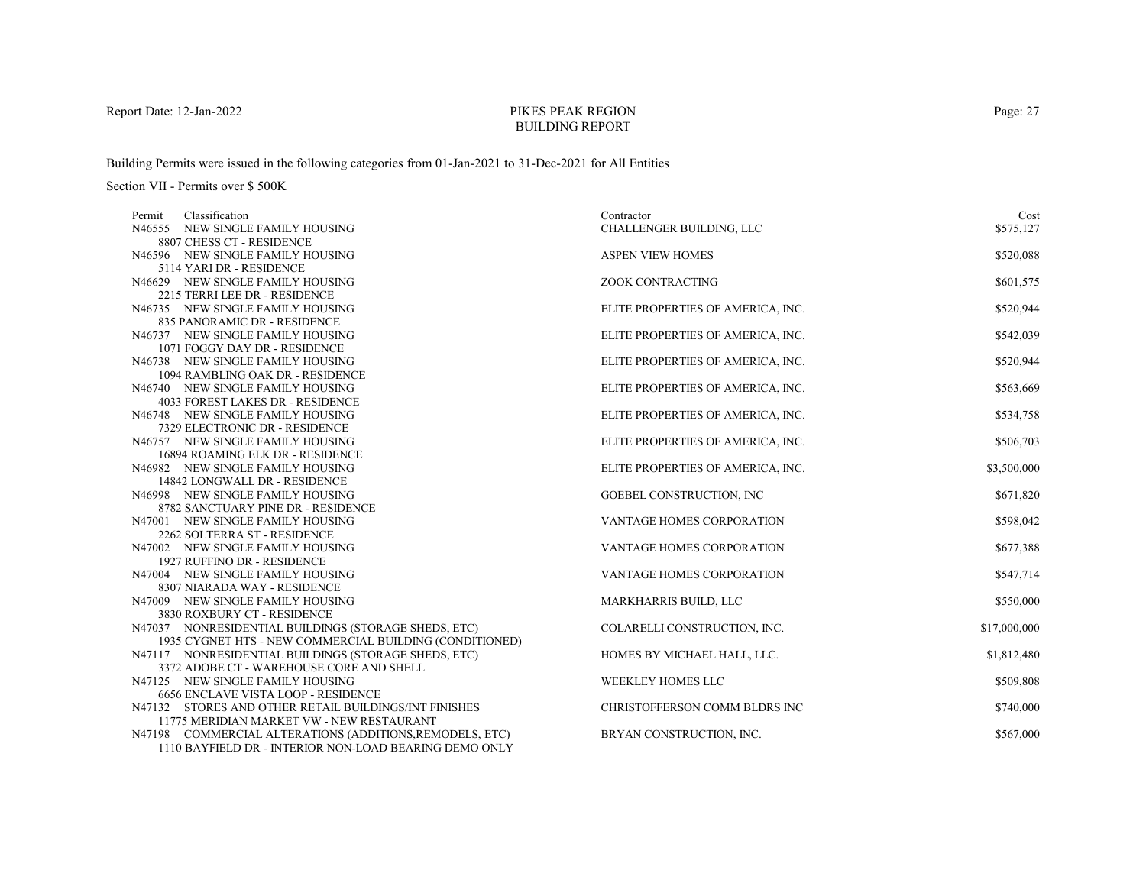# PIKES PEAK REGIONBUILDING REPORT

Building Permits were issued in the following categories from 01-Jan-2021 to 31-Dec-2021 for All Entities

| Classification<br>Permit                                        | Contractor                        | Cost         |
|-----------------------------------------------------------------|-----------------------------------|--------------|
| N46555 NEW SINGLE FAMILY HOUSING                                | CHALLENGER BUILDING, LLC          | \$575,127    |
| 8807 CHESS CT - RESIDENCE                                       |                                   |              |
| N46596 NEW SINGLE FAMILY HOUSING                                | <b>ASPEN VIEW HOMES</b>           | \$520,088    |
| 5114 YARI DR - RESIDENCE                                        |                                   |              |
| N46629 NEW SINGLE FAMILY HOUSING                                | ZOOK CONTRACTING                  | \$601,575    |
| 2215 TERRI LEE DR - RESIDENCE                                   |                                   |              |
| N46735 NEW SINGLE FAMILY HOUSING                                | ELITE PROPERTIES OF AMERICA, INC. | \$520,944    |
| 835 PANORAMIC DR - RESIDENCE                                    |                                   |              |
| N46737 NEW SINGLE FAMILY HOUSING                                | ELITE PROPERTIES OF AMERICA, INC. | \$542,039    |
| 1071 FOGGY DAY DR - RESIDENCE                                   |                                   |              |
| N46738 NEW SINGLE FAMILY HOUSING                                | ELITE PROPERTIES OF AMERICA, INC. | \$520,944    |
| 1094 RAMBLING OAK DR - RESIDENCE                                |                                   |              |
| N46740 NEW SINGLE FAMILY HOUSING                                | ELITE PROPERTIES OF AMERICA, INC. | \$563,669    |
| 4033 FOREST LAKES DR - RESIDENCE                                |                                   |              |
| N46748 NEW SINGLE FAMILY HOUSING                                | ELITE PROPERTIES OF AMERICA, INC. | \$534,758    |
| 7329 ELECTRONIC DR - RESIDENCE                                  |                                   |              |
| N46757 NEW SINGLE FAMILY HOUSING                                | ELITE PROPERTIES OF AMERICA, INC. | \$506,703    |
| 16894 ROAMING ELK DR - RESIDENCE                                |                                   |              |
| N46982 NEW SINGLE FAMILY HOUSING                                | ELITE PROPERTIES OF AMERICA, INC. | \$3,500,000  |
| 14842 LONGWALL DR - RESIDENCE                                   |                                   |              |
| N46998 NEW SINGLE FAMILY HOUSING                                | <b>GOEBEL CONSTRUCTION, INC</b>   | \$671,820    |
| 8782 SANCTUARY PINE DR - RESIDENCE                              |                                   |              |
| N47001 NEW SINGLE FAMILY HOUSING                                | <b>VANTAGE HOMES CORPORATION</b>  | \$598,042    |
| 2262 SOLTERRA ST - RESIDENCE                                    |                                   |              |
| N47002 NEW SINGLE FAMILY HOUSING<br>1927 RUFFINO DR - RESIDENCE | <b>VANTAGE HOMES CORPORATION</b>  | \$677,388    |
| N47004 NEW SINGLE FAMILY HOUSING                                | VANTAGE HOMES CORPORATION         |              |
| 8307 NIARADA WAY - RESIDENCE                                    |                                   | \$547,714    |
| N47009 NEW SINGLE FAMILY HOUSING                                | MARKHARRIS BUILD, LLC             | \$550,000    |
| 3830 ROXBURY CT - RESIDENCE                                     |                                   |              |
| N47037 NONRESIDENTIAL BUILDINGS (STORAGE SHEDS, ETC)            | COLARELLI CONSTRUCTION, INC.      | \$17,000,000 |
| 1935 CYGNET HTS - NEW COMMERCIAL BUILDING (CONDITIONED)         |                                   |              |
| N47117 NONRESIDENTIAL BUILDINGS (STORAGE SHEDS, ETC)            | HOMES BY MICHAEL HALL, LLC.       | \$1,812,480  |
| 3372 ADOBE CT - WAREHOUSE CORE AND SHELL                        |                                   |              |
| N47125 NEW SINGLE FAMILY HOUSING                                | WEEKLEY HOMES LLC                 | \$509,808    |
| <b>6656 ENCLAVE VISTA LOOP - RESIDENCE</b>                      |                                   |              |
| N47132 STORES AND OTHER RETAIL BUILDINGS/INT FINISHES           | CHRISTOFFERSON COMM BLDRS INC     | \$740,000    |
| 11775 MERIDIAN MARKET VW - NEW RESTAURANT                       |                                   |              |
| N47198 COMMERCIAL ALTERATIONS (ADDITIONS, REMODELS, ETC)        | BRYAN CONSTRUCTION, INC.          | \$567,000    |
| 1110 BAYFIELD DR - INTERIOR NON-LOAD BEARING DEMO ONLY          |                                   |              |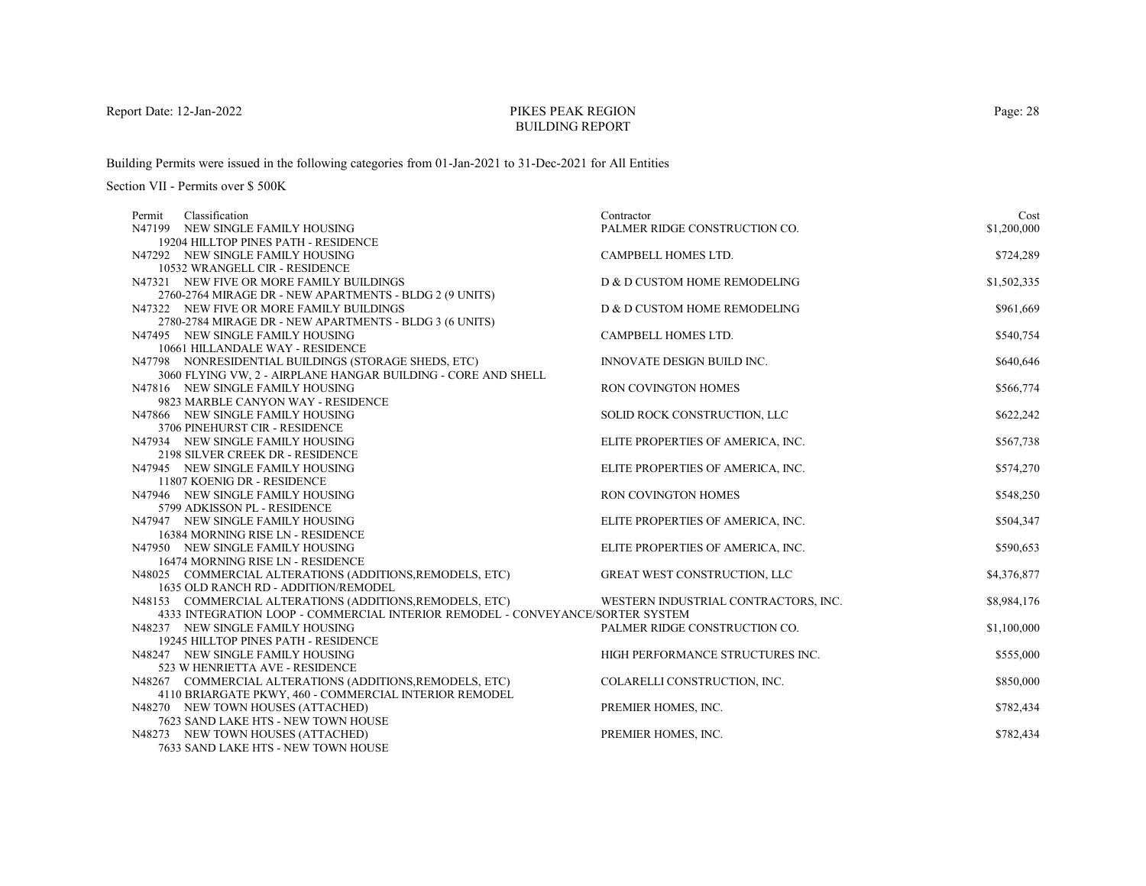# PIKES PEAK REGIONBUILDING REPORT

Building Permits were issued in the following categories from 01-Jan-2021 to 31-Dec-2021 for All Entities

| Classification<br>Permit                                                       | Contractor                           | Cost        |
|--------------------------------------------------------------------------------|--------------------------------------|-------------|
| N47199 NEW SINGLE FAMILY HOUSING                                               | PALMER RIDGE CONSTRUCTION CO.        | \$1,200,000 |
| 19204 HILLTOP PINES PATH - RESIDENCE                                           |                                      |             |
| N47292 NEW SINGLE FAMILY HOUSING                                               | CAMPBELL HOMES LTD.                  | \$724,289   |
| 10532 WRANGELL CIR - RESIDENCE                                                 |                                      |             |
| N47321 NEW FIVE OR MORE FAMILY BUILDINGS                                       | D & D CUSTOM HOME REMODELING         | \$1,502,335 |
| 2760-2764 MIRAGE DR - NEW APARTMENTS - BLDG 2 (9 UNITS)                        |                                      |             |
| N47322 NEW FIVE OR MORE FAMILY BUILDINGS                                       | D & D CUSTOM HOME REMODELING         | \$961,669   |
| 2780-2784 MIRAGE DR - NEW APARTMENTS - BLDG 3 (6 UNITS)                        |                                      |             |
| N47495 NEW SINGLE FAMILY HOUSING                                               | CAMPBELL HOMES LTD.                  | \$540,754   |
| 10661 HILLANDALE WAY - RESIDENCE                                               |                                      |             |
| N47798 NONRESIDENTIAL BUILDINGS (STORAGE SHEDS, ETC)                           | <b>INNOVATE DESIGN BUILD INC.</b>    | \$640,646   |
| 3060 FLYING VW, 2 - AIRPLANE HANGAR BUILDING - CORE AND SHELL                  |                                      |             |
| N47816 NEW SINGLE FAMILY HOUSING                                               | RON COVINGTON HOMES                  | \$566,774   |
| 9823 MARBLE CANYON WAY - RESIDENCE                                             |                                      |             |
| N47866 NEW SINGLE FAMILY HOUSING                                               | SOLID ROCK CONSTRUCTION, LLC         | \$622,242   |
| 3706 PINEHURST CIR - RESIDENCE                                                 |                                      |             |
| N47934 NEW SINGLE FAMILY HOUSING                                               | ELITE PROPERTIES OF AMERICA, INC.    | \$567,738   |
| 2198 SILVER CREEK DR - RESIDENCE                                               |                                      |             |
| N47945 NEW SINGLE FAMILY HOUSING                                               | ELITE PROPERTIES OF AMERICA, INC.    | \$574,270   |
| 11807 KOENIG DR - RESIDENCE                                                    |                                      |             |
| N47946 NEW SINGLE FAMILY HOUSING<br>5799 ADKISSON PL - RESIDENCE               | <b>RON COVINGTON HOMES</b>           | \$548,250   |
|                                                                                |                                      |             |
| N47947 NEW SINGLE FAMILY HOUSING<br>16384 MORNING RISE LN - RESIDENCE          | ELITE PROPERTIES OF AMERICA, INC.    | \$504,347   |
| N47950 NEW SINGLE FAMILY HOUSING                                               | ELITE PROPERTIES OF AMERICA, INC.    | \$590,653   |
| 16474 MORNING RISE LN - RESIDENCE                                              |                                      |             |
| N48025 COMMERCIAL ALTERATIONS (ADDITIONS, REMODELS, ETC)                       | GREAT WEST CONSTRUCTION, LLC         | \$4,376,877 |
| 1635 OLD RANCH RD - ADDITION/REMODEL                                           |                                      |             |
| N48153 COMMERCIAL ALTERATIONS (ADDITIONS, REMODELS, ETC)                       | WESTERN INDUSTRIAL CONTRACTORS, INC. | \$8,984,176 |
| 4333 INTEGRATION LOOP - COMMERCIAL INTERIOR REMODEL - CONVEYANCE/SORTER SYSTEM |                                      |             |
| N48237 NEW SINGLE FAMILY HOUSING                                               | PALMER RIDGE CONSTRUCTION CO.        | \$1,100,000 |
| 19245 HILLTOP PINES PATH - RESIDENCE                                           |                                      |             |
| N48247 NEW SINGLE FAMILY HOUSING                                               | HIGH PERFORMANCE STRUCTURES INC.     | \$555,000   |
| 523 W HENRIETTA AVE - RESIDENCE                                                |                                      |             |
| N48267 COMMERCIAL ALTERATIONS (ADDITIONS, REMODELS, ETC)                       | COLARELLI CONSTRUCTION, INC.         | \$850,000   |
| 4110 BRIARGATE PKWY, 460 - COMMERCIAL INTERIOR REMODEL                         |                                      |             |
| N48270 NEW TOWN HOUSES (ATTACHED)                                              | PREMIER HOMES, INC.                  | \$782,434   |
| 7623 SAND LAKE HTS - NEW TOWN HOUSE                                            |                                      |             |
| N48273 NEW TOWN HOUSES (ATTACHED)                                              | PREMIER HOMES, INC.                  | \$782,434   |
| 7633 SAND LAKE HTS - NEW TOWN HOUSE                                            |                                      |             |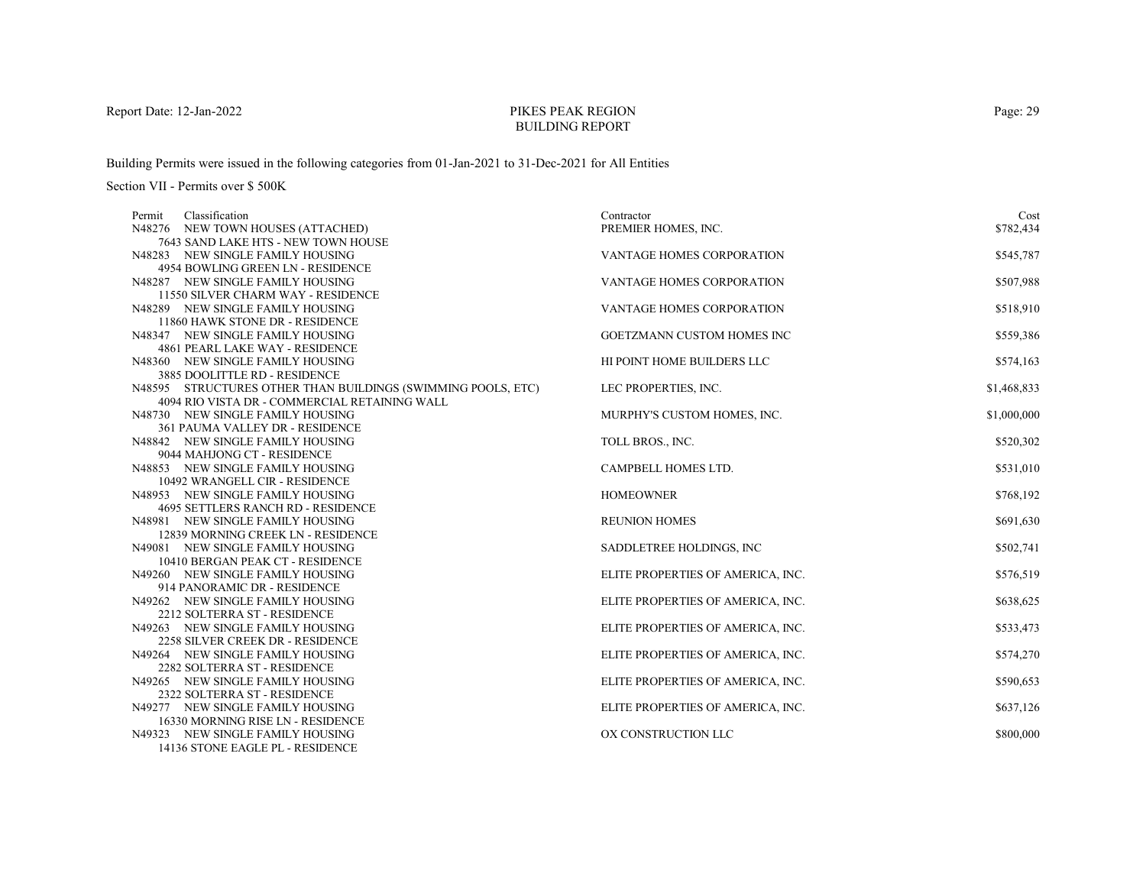# PIKES PEAK REGIONBUILDING REPORT

Building Permits were issued in the following categories from 01-Jan-2021 to 31-Dec-2021 for All Entities

| Classification<br>Permit                                         | Contractor                        | Cost        |
|------------------------------------------------------------------|-----------------------------------|-------------|
| N48276 NEW TOWN HOUSES (ATTACHED)                                | PREMIER HOMES, INC.               | \$782,434   |
| 7643 SAND LAKE HTS - NEW TOWN HOUSE                              |                                   |             |
| N48283 NEW SINGLE FAMILY HOUSING                                 | <b>VANTAGE HOMES CORPORATION</b>  | \$545,787   |
| 4954 BOWLING GREEN LN - RESIDENCE                                |                                   |             |
| N48287 NEW SINGLE FAMILY HOUSING                                 | <b>VANTAGE HOMES CORPORATION</b>  | \$507,988   |
| 11550 SILVER CHARM WAY - RESIDENCE                               |                                   |             |
| N48289 NEW SINGLE FAMILY HOUSING                                 | VANTAGE HOMES CORPORATION         | \$518,910   |
| 11860 HAWK STONE DR - RESIDENCE                                  |                                   |             |
| N48347 NEW SINGLE FAMILY HOUSING                                 | <b>GOETZMANN CUSTOM HOMES INC</b> | \$559,386   |
| 4861 PEARL LAKE WAY - RESIDENCE                                  |                                   |             |
| N48360 NEW SINGLE FAMILY HOUSING                                 | HI POINT HOME BUILDERS LLC        | \$574,163   |
| 3885 DOOLITTLE RD - RESIDENCE                                    |                                   |             |
| N48595 STRUCTURES OTHER THAN BUILDINGS (SWIMMING POOLS, ETC)     | LEC PROPERTIES, INC.              | \$1,468,833 |
| 4094 RIO VISTA DR - COMMERCIAL RETAINING WALL                    |                                   |             |
| N48730 NEW SINGLE FAMILY HOUSING                                 | MURPHY'S CUSTOM HOMES, INC.       | \$1,000,000 |
| 361 PAUMA VALLEY DR - RESIDENCE                                  |                                   |             |
| N48842 NEW SINGLE FAMILY HOUSING                                 | TOLL BROS., INC.                  | \$520,302   |
| 9044 MAHJONG CT - RESIDENCE                                      |                                   |             |
| N48853 NEW SINGLE FAMILY HOUSING                                 | CAMPBELL HOMES LTD.               | \$531,010   |
| 10492 WRANGELL CIR - RESIDENCE                                   |                                   |             |
| N48953 NEW SINGLE FAMILY HOUSING                                 | <b>HOMEOWNER</b>                  | \$768,192   |
| 4695 SETTLERS RANCH RD - RESIDENCE                               |                                   |             |
| N48981 NEW SINGLE FAMILY HOUSING                                 | <b>REUNION HOMES</b>              | \$691,630   |
| 12839 MORNING CREEK LN - RESIDENCE                               |                                   |             |
| N49081 NEW SINGLE FAMILY HOUSING                                 | SADDLETREE HOLDINGS, INC          | \$502,741   |
| 10410 BERGAN PEAK CT - RESIDENCE                                 |                                   |             |
| N49260 NEW SINGLE FAMILY HOUSING                                 | ELITE PROPERTIES OF AMERICA, INC. | \$576,519   |
| 914 PANORAMIC DR - RESIDENCE<br>N49262 NEW SINGLE FAMILY HOUSING | ELITE PROPERTIES OF AMERICA, INC. | \$638,625   |
| 2212 SOLTERRA ST - RESIDENCE                                     |                                   |             |
| N49263 NEW SINGLE FAMILY HOUSING                                 | ELITE PROPERTIES OF AMERICA, INC. | \$533,473   |
| 2258 SILVER CREEK DR - RESIDENCE                                 |                                   |             |
| N49264 NEW SINGLE FAMILY HOUSING                                 | ELITE PROPERTIES OF AMERICA, INC. | \$574,270   |
| 2282 SOLTERRA ST - RESIDENCE                                     |                                   |             |
| N49265 NEW SINGLE FAMILY HOUSING                                 | ELITE PROPERTIES OF AMERICA, INC. | \$590,653   |
| 2322 SOLTERRA ST - RESIDENCE                                     |                                   |             |
| N49277 NEW SINGLE FAMILY HOUSING                                 | ELITE PROPERTIES OF AMERICA, INC. | \$637,126   |
| 16330 MORNING RISE LN - RESIDENCE                                |                                   |             |
| N49323 NEW SINGLE FAMILY HOUSING                                 | OX CONSTRUCTION LLC               | \$800,000   |
| 14136 STONE EAGLE PL - RESIDENCE                                 |                                   |             |
|                                                                  |                                   |             |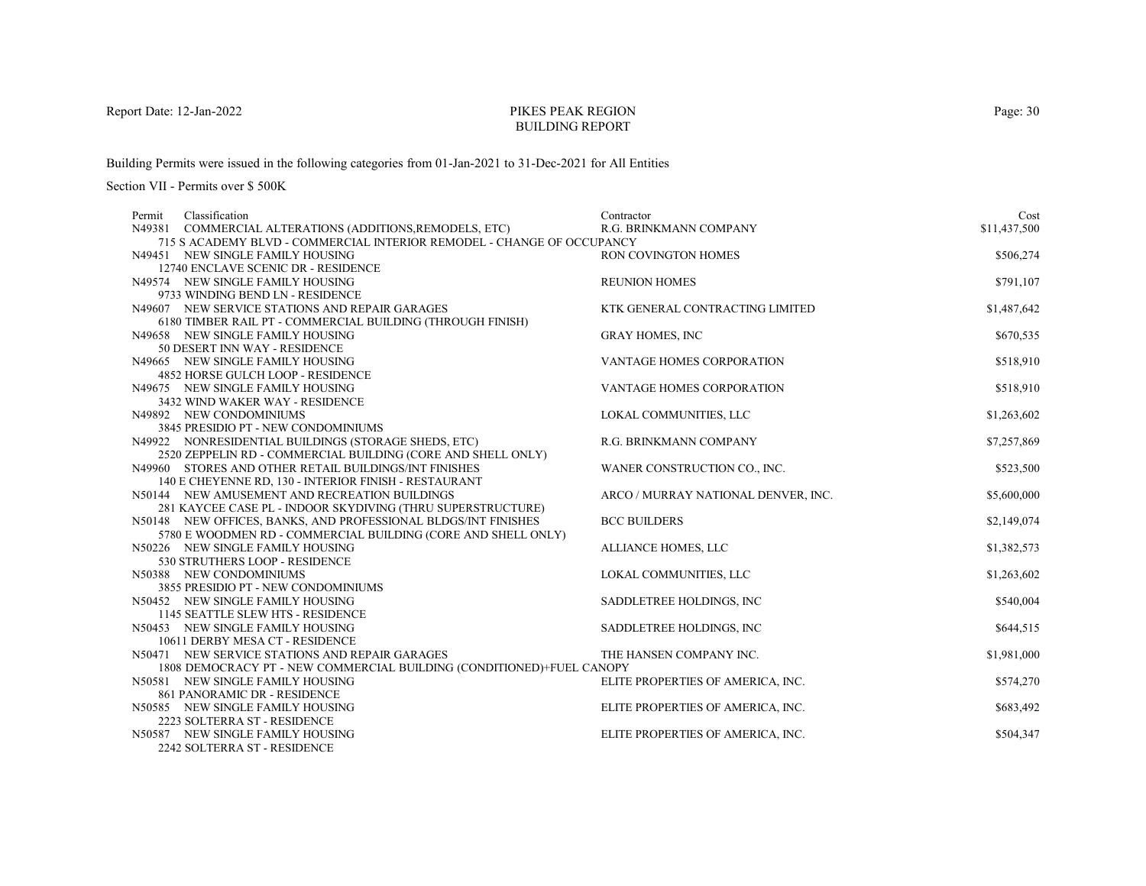# PIKES PEAK REGIONBUILDING REPORT

Building Permits were issued in the following categories from 01-Jan-2021 to 31-Dec-2021 for All Entities

Section VII - Permits over \$ 500K

| Classification<br>Permit                                               | Contractor                          | Cost         |
|------------------------------------------------------------------------|-------------------------------------|--------------|
| N49381 COMMERCIAL ALTERATIONS (ADDITIONS, REMODELS, ETC)               | R.G. BRINKMANN COMPANY              | \$11,437,500 |
| 715 S ACADEMY BLVD - COMMERCIAL INTERIOR REMODEL - CHANGE OF OCCUPANCY |                                     |              |
| N49451 NEW SINGLE FAMILY HOUSING                                       | <b>RON COVINGTON HOMES</b>          | \$506,274    |
| 12740 ENCLAVE SCENIC DR - RESIDENCE                                    |                                     |              |
| N49574 NEW SINGLE FAMILY HOUSING                                       | <b>REUNION HOMES</b>                | \$791,107    |
| 9733 WINDING BEND LN - RESIDENCE                                       |                                     |              |
| N49607 NEW SERVICE STATIONS AND REPAIR GARAGES                         | KTK GENERAL CONTRACTING LIMITED     | \$1,487,642  |
| 6180 TIMBER RAIL PT - COMMERCIAL BUILDING (THROUGH FINISH)             |                                     |              |
| N49658 NEW SINGLE FAMILY HOUSING                                       | <b>GRAY HOMES, INC</b>              | \$670,535    |
| 50 DESERT INN WAY - RESIDENCE                                          |                                     |              |
| N49665 NEW SINGLE FAMILY HOUSING                                       | VANTAGE HOMES CORPORATION           | \$518,910    |
| 4852 HORSE GULCH LOOP - RESIDENCE                                      |                                     |              |
| N49675 NEW SINGLE FAMILY HOUSING                                       | VANTAGE HOMES CORPORATION           | \$518,910    |
| 3432 WIND WAKER WAY - RESIDENCE                                        |                                     |              |
| N49892 NEW CONDOMINIUMS                                                | LOKAL COMMUNITIES, LLC              | \$1,263,602  |
| 3845 PRESIDIO PT - NEW CONDOMINIUMS                                    |                                     |              |
| N49922 NONRESIDENTIAL BUILDINGS (STORAGE SHEDS, ETC)                   | R.G. BRINKMANN COMPANY              | \$7,257,869  |
| 2520 ZEPPELIN RD - COMMERCIAL BUILDING (CORE AND SHELL ONLY)           |                                     |              |
| N49960 STORES AND OTHER RETAIL BUILDINGS/INT FINISHES                  | WANER CONSTRUCTION CO., INC.        | \$523,500    |
| 140 E CHEYENNE RD, 130 - INTERIOR FINISH - RESTAURANT                  |                                     |              |
| N50144 NEW AMUSEMENT AND RECREATION BUILDINGS                          | ARCO / MURRAY NATIONAL DENVER, INC. | \$5,600,000  |
| 281 KAYCEE CASE PL - INDOOR SKYDIVING (THRU SUPERSTRUCTURE)            |                                     |              |
| N50148 NEW OFFICES, BANKS, AND PROFESSIONAL BLDGS/INT FINISHES         | <b>BCC BUILDERS</b>                 | \$2,149,074  |
| 5780 E WOODMEN RD - COMMERCIAL BUILDING (CORE AND SHELL ONLY)          |                                     |              |
| N50226 NEW SINGLE FAMILY HOUSING                                       | ALLIANCE HOMES, LLC                 | \$1,382,573  |
| 530 STRUTHERS LOOP - RESIDENCE                                         |                                     |              |
| N50388 NEW CONDOMINIUMS<br>3855 PRESIDIO PT - NEW CONDOMINIUMS         | LOKAL COMMUNITIES, LLC              | \$1,263,602  |
| N50452 NEW SINGLE FAMILY HOUSING                                       | SADDLETREE HOLDINGS, INC            | \$540,004    |
| 1145 SEATTLE SLEW HTS - RESIDENCE                                      |                                     |              |
| N50453 NEW SINGLE FAMILY HOUSING                                       | SADDLETREE HOLDINGS, INC            | \$644,515    |
| 10611 DERBY MESA CT - RESIDENCE                                        |                                     |              |
| N50471 NEW SERVICE STATIONS AND REPAIR GARAGES                         | THE HANSEN COMPANY INC.             | \$1,981,000  |
| 1808 DEMOCRACY PT - NEW COMMERCIAL BUILDING (CONDITIONED)+FUEL CANOPY  |                                     |              |
| N50581 NEW SINGLE FAMILY HOUSING                                       | ELITE PROPERTIES OF AMERICA, INC.   | \$574,270    |
| 861 PANORAMIC DR - RESIDENCE                                           |                                     |              |
| N50585 NEW SINGLE FAMILY HOUSING                                       | ELITE PROPERTIES OF AMERICA, INC.   | \$683,492    |
| 2223 SOLTERRA ST - RESIDENCE                                           |                                     |              |
| N50587 NEW SINGLE FAMILY HOUSING                                       | ELITE PROPERTIES OF AMERICA, INC.   | \$504,347    |
| 2242 SOLTERRA ST - RESIDENCE                                           |                                     |              |

Page: 30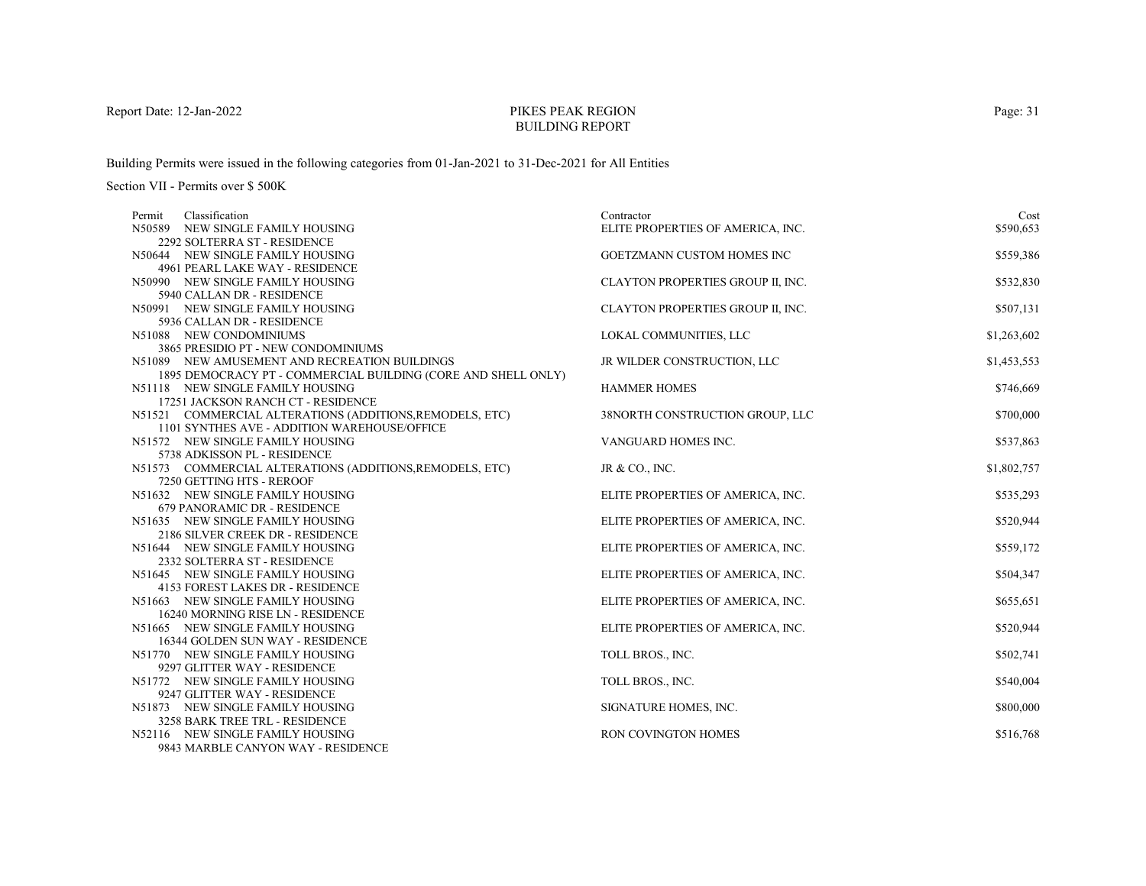# PIKES PEAK REGIONBUILDING REPORT

Building Permits were issued in the following categories from 01-Jan-2021 to 31-Dec-2021 for All Entities

| Classification<br>Permit                                             | Contractor                        | Cost        |
|----------------------------------------------------------------------|-----------------------------------|-------------|
| N50589 NEW SINGLE FAMILY HOUSING                                     | ELITE PROPERTIES OF AMERICA, INC. | \$590,653   |
| 2292 SOLTERRA ST - RESIDENCE                                         |                                   |             |
| N50644 NEW SINGLE FAMILY HOUSING                                     | <b>GOETZMANN CUSTOM HOMES INC</b> | \$559,386   |
| 4961 PEARL LAKE WAY - RESIDENCE                                      |                                   |             |
| N50990 NEW SINGLE FAMILY HOUSING<br>5940 CALLAN DR - RESIDENCE       | CLAYTON PROPERTIES GROUP II, INC. | \$532,830   |
| N50991 NEW SINGLE FAMILY HOUSING                                     | CLAYTON PROPERTIES GROUP II, INC. | \$507,131   |
| 5936 CALLAN DR - RESIDENCE                                           |                                   |             |
| N51088 NEW CONDOMINIUMS                                              | LOKAL COMMUNITIES, LLC            | \$1,263,602 |
| 3865 PRESIDIO PT - NEW CONDOMINIUMS                                  |                                   |             |
| N51089 NEW AMUSEMENT AND RECREATION BUILDINGS                        | JR WILDER CONSTRUCTION, LLC       | \$1,453,553 |
| 1895 DEMOCRACY PT - COMMERCIAL BUILDING (CORE AND SHELL ONLY)        |                                   |             |
| N51118 NEW SINGLE FAMILY HOUSING                                     | <b>HAMMER HOMES</b>               | \$746,669   |
| 17251 JACKSON RANCH CT - RESIDENCE                                   |                                   |             |
| N51521 COMMERCIAL ALTERATIONS (ADDITIONS, REMODELS, ETC)             | 38NORTH CONSTRUCTION GROUP, LLC   | \$700,000   |
| 1101 SYNTHES AVE - ADDITION WAREHOUSE/OFFICE                         |                                   |             |
| N51572 NEW SINGLE FAMILY HOUSING                                     | VANGUARD HOMES INC.               | \$537,863   |
| 5738 ADKISSON PL - RESIDENCE                                         |                                   |             |
| N51573 COMMERCIAL ALTERATIONS (ADDITIONS, REMODELS, ETC)             | JR & CO., INC.                    | \$1,802,757 |
| 7250 GETTING HTS - REROOF                                            |                                   |             |
| N51632 NEW SINGLE FAMILY HOUSING                                     | ELITE PROPERTIES OF AMERICA, INC. | \$535,293   |
| 679 PANORAMIC DR - RESIDENCE                                         |                                   |             |
| N51635 NEW SINGLE FAMILY HOUSING<br>2186 SILVER CREEK DR - RESIDENCE | ELITE PROPERTIES OF AMERICA, INC. | \$520,944   |
| N51644 NEW SINGLE FAMILY HOUSING                                     | ELITE PROPERTIES OF AMERICA, INC. | \$559,172   |
| 2332 SOLTERRA ST - RESIDENCE                                         |                                   |             |
| N51645 NEW SINGLE FAMILY HOUSING                                     | ELITE PROPERTIES OF AMERICA, INC. | \$504,347   |
| 4153 FOREST LAKES DR - RESIDENCE                                     |                                   |             |
| N51663 NEW SINGLE FAMILY HOUSING                                     | ELITE PROPERTIES OF AMERICA, INC. | \$655,651   |
| 16240 MORNING RISE LN - RESIDENCE                                    |                                   |             |
| N51665 NEW SINGLE FAMILY HOUSING                                     | ELITE PROPERTIES OF AMERICA, INC. | \$520,944   |
| 16344 GOLDEN SUN WAY - RESIDENCE                                     |                                   |             |
| N51770 NEW SINGLE FAMILY HOUSING                                     | TOLL BROS., INC.                  | \$502,741   |
| 9297 GLITTER WAY - RESIDENCE                                         |                                   |             |
| N51772 NEW SINGLE FAMILY HOUSING                                     | TOLL BROS., INC.                  | \$540,004   |
| 9247 GLITTER WAY - RESIDENCE                                         |                                   |             |
| N51873 NEW SINGLE FAMILY HOUSING                                     | SIGNATURE HOMES, INC.             | \$800,000   |
| 3258 BARK TREE TRL - RESIDENCE                                       |                                   |             |
| N52116 NEW SINGLE FAMILY HOUSING                                     | <b>RON COVINGTON HOMES</b>        | \$516,768   |
| 9843 MARBLE CANYON WAY - RESIDENCE                                   |                                   |             |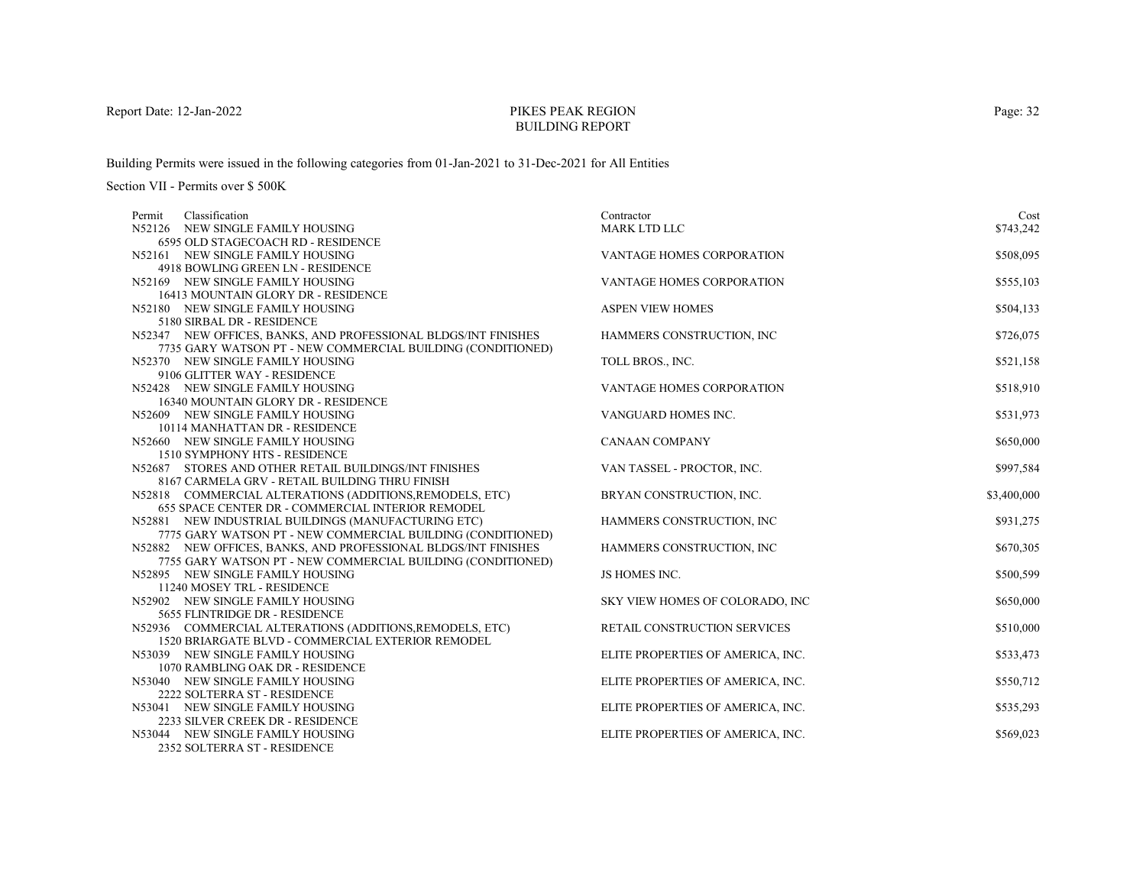# PIKES PEAK REGIONBUILDING REPORT

Building Permits were issued in the following categories from 01-Jan-2021 to 31-Dec-2021 for All Entities

| Classification<br>Permit                                                                                      | Contractor                        | Cost        |
|---------------------------------------------------------------------------------------------------------------|-----------------------------------|-------------|
| N52126 NEW SINGLE FAMILY HOUSING                                                                              | MARK LTD LLC                      | \$743,242   |
| 6595 OLD STAGECOACH RD - RESIDENCE                                                                            |                                   |             |
| N52161 NEW SINGLE FAMILY HOUSING                                                                              | VANTAGE HOMES CORPORATION         | \$508,095   |
| 4918 BOWLING GREEN LN - RESIDENCE                                                                             |                                   |             |
| N52169 NEW SINGLE FAMILY HOUSING                                                                              | VANTAGE HOMES CORPORATION         | \$555,103   |
| 16413 MOUNTAIN GLORY DR - RESIDENCE                                                                           |                                   |             |
| N52180 NEW SINGLE FAMILY HOUSING                                                                              | <b>ASPEN VIEW HOMES</b>           | \$504,133   |
| 5180 SIRBAL DR - RESIDENCE                                                                                    |                                   |             |
| N52347 NEW OFFICES, BANKS, AND PROFESSIONAL BLDGS/INT FINISHES                                                | HAMMERS CONSTRUCTION, INC         | \$726,075   |
| 7735 GARY WATSON PT - NEW COMMERCIAL BUILDING (CONDITIONED)                                                   |                                   |             |
| N52370 NEW SINGLE FAMILY HOUSING                                                                              | TOLL BROS., INC.                  | \$521,158   |
| 9106 GLITTER WAY - RESIDENCE                                                                                  |                                   |             |
| N52428 NEW SINGLE FAMILY HOUSING                                                                              | <b>VANTAGE HOMES CORPORATION</b>  | \$518,910   |
| 16340 MOUNTAIN GLORY DR - RESIDENCE                                                                           |                                   |             |
| N52609 NEW SINGLE FAMILY HOUSING                                                                              | VANGUARD HOMES INC.               | \$531,973   |
| 10114 MANHATTAN DR - RESIDENCE                                                                                |                                   |             |
| N52660 NEW SINGLE FAMILY HOUSING                                                                              | <b>CANAAN COMPANY</b>             | \$650,000   |
| 1510 SYMPHONY HTS - RESIDENCE                                                                                 |                                   |             |
| N52687 STORES AND OTHER RETAIL BUILDINGS/INT FINISHES                                                         | VAN TASSEL - PROCTOR, INC.        | \$997,584   |
| 8167 CARMELA GRV - RETAIL BUILDING THRU FINISH                                                                |                                   |             |
| N52818 COMMERCIAL ALTERATIONS (ADDITIONS, REMODELS, ETC)<br>655 SPACE CENTER DR - COMMERCIAL INTERIOR REMODEL | BRYAN CONSTRUCTION, INC.          | \$3,400,000 |
| N52881 NEW INDUSTRIAL BUILDINGS (MANUFACTURING ETC)                                                           | HAMMERS CONSTRUCTION, INC         | \$931,275   |
| 7775 GARY WATSON PT - NEW COMMERCIAL BUILDING (CONDITIONED)                                                   |                                   |             |
| N52882 NEW OFFICES, BANKS, AND PROFESSIONAL BLDGS/INT FINISHES                                                | HAMMERS CONSTRUCTION, INC         | \$670,305   |
| 7755 GARY WATSON PT - NEW COMMERCIAL BUILDING (CONDITIONED)                                                   |                                   |             |
| N52895 NEW SINGLE FAMILY HOUSING                                                                              | JS HOMES INC.                     | \$500,599   |
| 11240 MOSEY TRL - RESIDENCE                                                                                   |                                   |             |
| N52902 NEW SINGLE FAMILY HOUSING                                                                              | SKY VIEW HOMES OF COLORADO, INC   | \$650,000   |
| 5655 FLINTRIDGE DR - RESIDENCE                                                                                |                                   |             |
| N52936 COMMERCIAL ALTERATIONS (ADDITIONS, REMODELS, ETC)                                                      | RETAIL CONSTRUCTION SERVICES      | \$510,000   |
| 1520 BRIARGATE BLVD - COMMERCIAL EXTERIOR REMODEL                                                             |                                   |             |
| N53039 NEW SINGLE FAMILY HOUSING                                                                              | ELITE PROPERTIES OF AMERICA, INC. | \$533,473   |
| 1070 RAMBLING OAK DR - RESIDENCE                                                                              |                                   |             |
| N53040 NEW SINGLE FAMILY HOUSING                                                                              | ELITE PROPERTIES OF AMERICA, INC. | \$550,712   |
| 2222 SOLTERRA ST - RESIDENCE                                                                                  |                                   |             |
| N53041 NEW SINGLE FAMILY HOUSING                                                                              | ELITE PROPERTIES OF AMERICA, INC. | \$535,293   |
| 2233 SILVER CREEK DR - RESIDENCE                                                                              |                                   |             |
| N53044 NEW SINGLE FAMILY HOUSING                                                                              | ELITE PROPERTIES OF AMERICA, INC. | \$569,023   |
| 2352 SOLTERRA ST - RESIDENCE                                                                                  |                                   |             |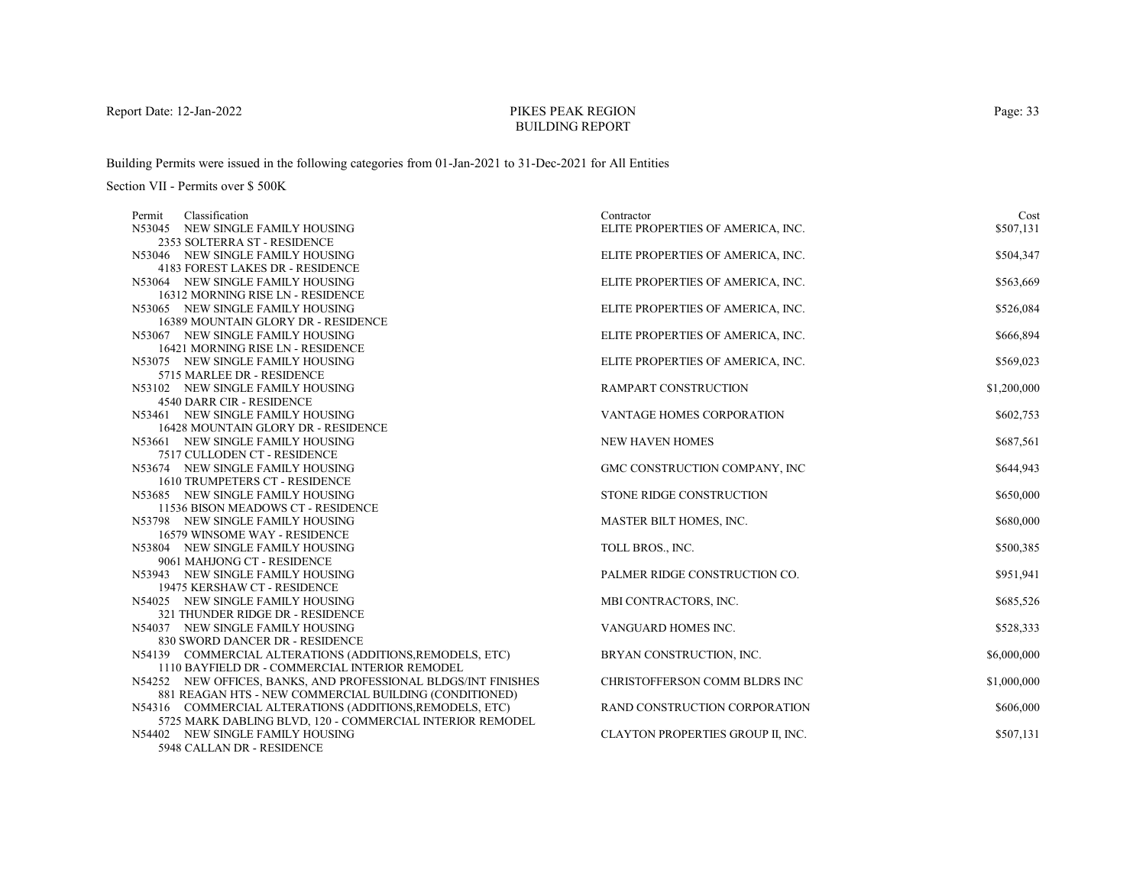# PIKES PEAK REGIONBUILDING REPORT

Building Permits were issued in the following categories from 01-Jan-2021 to 31-Dec-2021 for All Entities

Section VII - Permits over \$ 500K

| Classification<br>Permit                                         | Contractor                        | Cost        |
|------------------------------------------------------------------|-----------------------------------|-------------|
| N53045 NEW SINGLE FAMILY HOUSING                                 | ELITE PROPERTIES OF AMERICA, INC. | \$507,131   |
| 2353 SOLTERRA ST - RESIDENCE                                     |                                   |             |
| N53046 NEW SINGLE FAMILY HOUSING                                 | ELITE PROPERTIES OF AMERICA, INC. | \$504,347   |
| 4183 FOREST LAKES DR - RESIDENCE                                 |                                   |             |
| N53064 NEW SINGLE FAMILY HOUSING                                 | ELITE PROPERTIES OF AMERICA, INC. | \$563,669   |
| 16312 MORNING RISE LN - RESIDENCE                                |                                   |             |
| N53065 NEW SINGLE FAMILY HOUSING                                 | ELITE PROPERTIES OF AMERICA, INC. | \$526,084   |
| 16389 MOUNTAIN GLORY DR - RESIDENCE                              |                                   |             |
| N53067 NEW SINGLE FAMILY HOUSING                                 | ELITE PROPERTIES OF AMERICA, INC. | \$666,894   |
| 16421 MORNING RISE LN - RESIDENCE                                |                                   |             |
| N53075 NEW SINGLE FAMILY HOUSING                                 | ELITE PROPERTIES OF AMERICA, INC. | \$569,023   |
| 5715 MARLEE DR - RESIDENCE                                       |                                   |             |
| N53102 NEW SINGLE FAMILY HOUSING                                 | <b>RAMPART CONSTRUCTION</b>       | \$1,200,000 |
| 4540 DARR CIR - RESIDENCE                                        |                                   |             |
| N53461 NEW SINGLE FAMILY HOUSING                                 | VANTAGE HOMES CORPORATION         | \$602,753   |
| 16428 MOUNTAIN GLORY DR - RESIDENCE                              |                                   |             |
| N53661 NEW SINGLE FAMILY HOUSING                                 | <b>NEW HAVEN HOMES</b>            | \$687,561   |
| 7517 CULLODEN CT - RESIDENCE                                     |                                   |             |
| N53674 NEW SINGLE FAMILY HOUSING                                 | GMC CONSTRUCTION COMPANY, INC     | \$644,943   |
| 1610 TRUMPETERS CT - RESIDENCE                                   |                                   |             |
| N53685 NEW SINGLE FAMILY HOUSING                                 | STONE RIDGE CONSTRUCTION          | \$650,000   |
| 11536 BISON MEADOWS CT - RESIDENCE                               |                                   |             |
| N53798 NEW SINGLE FAMILY HOUSING                                 | MASTER BILT HOMES, INC.           | \$680,000   |
| 16579 WINSOME WAY - RESIDENCE                                    |                                   |             |
| N53804 NEW SINGLE FAMILY HOUSING                                 | TOLL BROS., INC.                  | \$500,385   |
| 9061 MAHJONG CT - RESIDENCE                                      |                                   |             |
| N53943 NEW SINGLE FAMILY HOUSING                                 | PALMER RIDGE CONSTRUCTION CO.     | \$951,941   |
| 19475 KERSHAW CT - RESIDENCE                                     |                                   |             |
| N54025 NEW SINGLE FAMILY HOUSING                                 | MBI CONTRACTORS, INC.             | \$685,526   |
| 321 THUNDER RIDGE DR - RESIDENCE                                 |                                   |             |
| N54037 NEW SINGLE FAMILY HOUSING                                 | VANGUARD HOMES INC.               | \$528,333   |
| 830 SWORD DANCER DR - RESIDENCE                                  |                                   |             |
| N54139 COMMERCIAL ALTERATIONS (ADDITIONS, REMODELS, ETC)         | BRYAN CONSTRUCTION, INC.          | \$6,000,000 |
| 1110 BAYFIELD DR - COMMERCIAL INTERIOR REMODEL                   |                                   |             |
| N54252 NEW OFFICES, BANKS, AND PROFESSIONAL BLDGS/INT FINISHES   | CHRISTOFFERSON COMM BLDRS INC     | \$1,000,000 |
| 881 REAGAN HTS - NEW COMMERCIAL BUILDING (CONDITIONED)           |                                   |             |
| N54316 COMMERCIAL ALTERATIONS (ADDITIONS, REMODELS, ETC)         | RAND CONSTRUCTION CORPORATION     | \$606,000   |
| 5725 MARK DABLING BLVD, 120 - COMMERCIAL INTERIOR REMODEL        |                                   |             |
| N54402 NEW SINGLE FAMILY HOUSING<br>$1040$ CALLAN DD. DECIDEMATE | CLAYTON PROPERTIES GROUP II, INC. | \$507,131   |
|                                                                  |                                   |             |

5948 CALLAN DR - RESIDENCE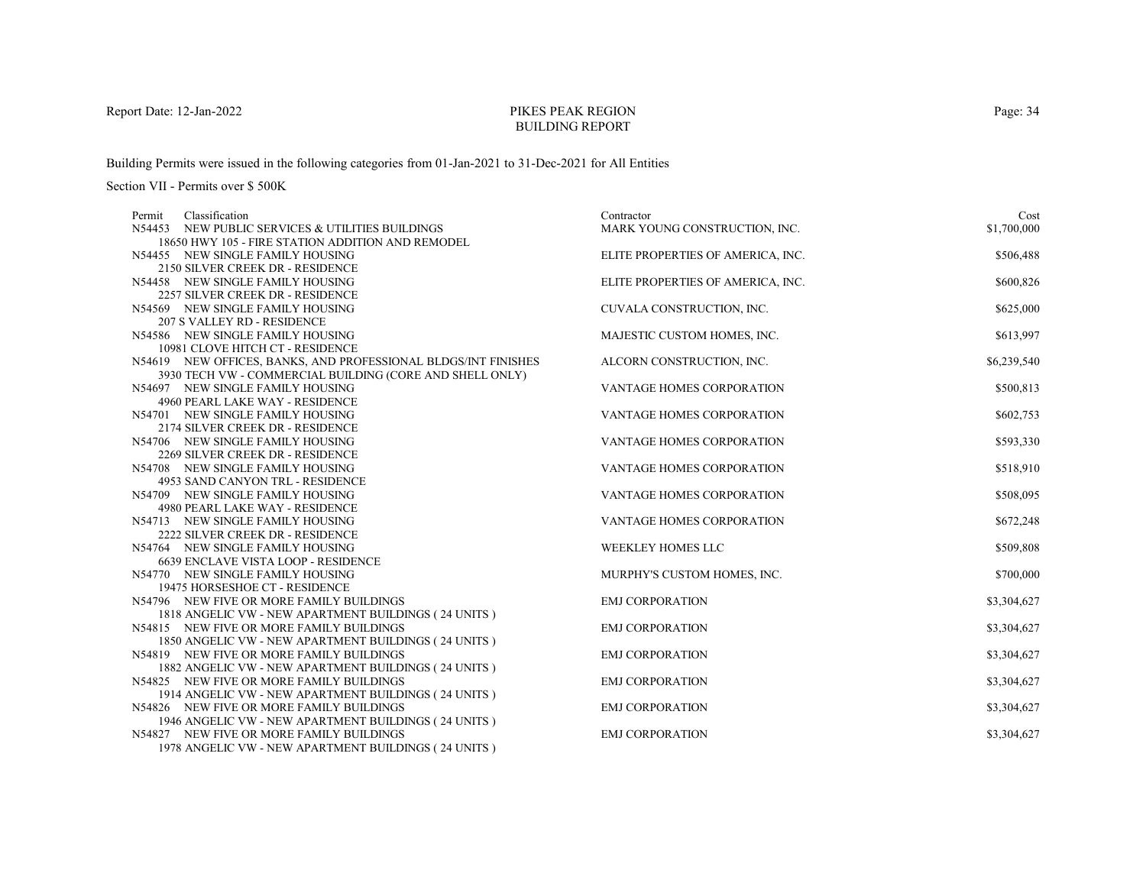# PIKES PEAK REGIONBUILDING REPORT

Building Permits were issued in the following categories from 01-Jan-2021 to 31-Dec-2021 for All Entities

| Classification<br>Permit                                                | Contractor                        | Cost        |
|-------------------------------------------------------------------------|-----------------------------------|-------------|
| N54453 NEW PUBLIC SERVICES & UTILITIES BUILDINGS                        | MARK YOUNG CONSTRUCTION, INC.     | \$1,700,000 |
| 18650 HWY 105 - FIRE STATION ADDITION AND REMODEL                       |                                   |             |
| N54455 NEW SINGLE FAMILY HOUSING                                        | ELITE PROPERTIES OF AMERICA, INC. | \$506,488   |
| 2150 SILVER CREEK DR - RESIDENCE                                        |                                   |             |
| N54458 NEW SINGLE FAMILY HOUSING                                        | ELITE PROPERTIES OF AMERICA, INC. | \$600,826   |
| 2257 SILVER CREEK DR - RESIDENCE                                        |                                   |             |
| N54569 NEW SINGLE FAMILY HOUSING                                        | CUVALA CONSTRUCTION, INC.         | \$625,000   |
| 207 S VALLEY RD - RESIDENCE                                             |                                   |             |
| N54586 NEW SINGLE FAMILY HOUSING                                        | MAJESTIC CUSTOM HOMES, INC.       | \$613,997   |
| 10981 CLOVE HITCH CT - RESIDENCE                                        |                                   |             |
| N54619 NEW OFFICES, BANKS, AND PROFESSIONAL BLDGS/INT FINISHES          | ALCORN CONSTRUCTION, INC.         | \$6,239,540 |
| 3930 TECH VW - COMMERCIAL BUILDING (CORE AND SHELL ONLY)                |                                   |             |
| N54697 NEW SINGLE FAMILY HOUSING                                        | VANTAGE HOMES CORPORATION         | \$500,813   |
| 4960 PEARL LAKE WAY - RESIDENCE                                         |                                   |             |
| N54701 NEW SINGLE FAMILY HOUSING                                        | VANTAGE HOMES CORPORATION         | \$602,753   |
| 2174 SILVER CREEK DR - RESIDENCE                                        |                                   |             |
| N54706 NEW SINGLE FAMILY HOUSING                                        | <b>VANTAGE HOMES CORPORATION</b>  | \$593,330   |
| 2269 SILVER CREEK DR - RESIDENCE                                        |                                   |             |
| N54708 NEW SINGLE FAMILY HOUSING                                        | VANTAGE HOMES CORPORATION         | \$518,910   |
| 4953 SAND CANYON TRL - RESIDENCE                                        |                                   |             |
| N54709 NEW SINGLE FAMILY HOUSING                                        | <b>VANTAGE HOMES CORPORATION</b>  | \$508,095   |
| 4980 PEARL LAKE WAY - RESIDENCE                                         |                                   |             |
| N54713 NEW SINGLE FAMILY HOUSING                                        | <b>VANTAGE HOMES CORPORATION</b>  | \$672,248   |
| 2222 SILVER CREEK DR - RESIDENCE                                        |                                   | \$509,808   |
| N54764 NEW SINGLE FAMILY HOUSING<br>6639 ENCLAVE VISTA LOOP - RESIDENCE | WEEKLEY HOMES LLC                 |             |
| N54770 NEW SINGLE FAMILY HOUSING                                        | MURPHY'S CUSTOM HOMES, INC.       | \$700,000   |
| 19475 HORSESHOE CT - RESIDENCE                                          |                                   |             |
| N54796 NEW FIVE OR MORE FAMILY BUILDINGS                                | <b>EMJ CORPORATION</b>            | \$3,304,627 |
| 1818 ANGELIC VW - NEW APARTMENT BUILDINGS (24 UNITS)                    |                                   |             |
| N54815 NEW FIVE OR MORE FAMILY BUILDINGS                                | <b>EMJ CORPORATION</b>            | \$3,304,627 |
| 1850 ANGELIC VW - NEW APARTMENT BUILDINGS (24 UNITS)                    |                                   |             |
| N54819 NEW FIVE OR MORE FAMILY BUILDINGS                                | <b>EMJ CORPORATION</b>            | \$3,304,627 |
| 1882 ANGELIC VW - NEW APARTMENT BUILDINGS (24 UNITS)                    |                                   |             |
| N54825 NEW FIVE OR MORE FAMILY BUILDINGS                                | <b>EMJ CORPORATION</b>            | \$3,304,627 |
| 1914 ANGELIC VW - NEW APARTMENT BUILDINGS (24 UNITS)                    |                                   |             |
| N54826 NEW FIVE OR MORE FAMILY BUILDINGS                                | <b>EMJ CORPORATION</b>            | \$3,304,627 |
| 1946 ANGELIC VW - NEW APARTMENT BUILDINGS (24 UNITS)                    |                                   |             |
| N54827 NEW FIVE OR MORE FAMILY BUILDINGS                                | <b>EMJ CORPORATION</b>            | \$3,304,627 |
| 1978 ANGELIC VW - NEW APARTMENT BUILDINGS (24 UNITS)                    |                                   |             |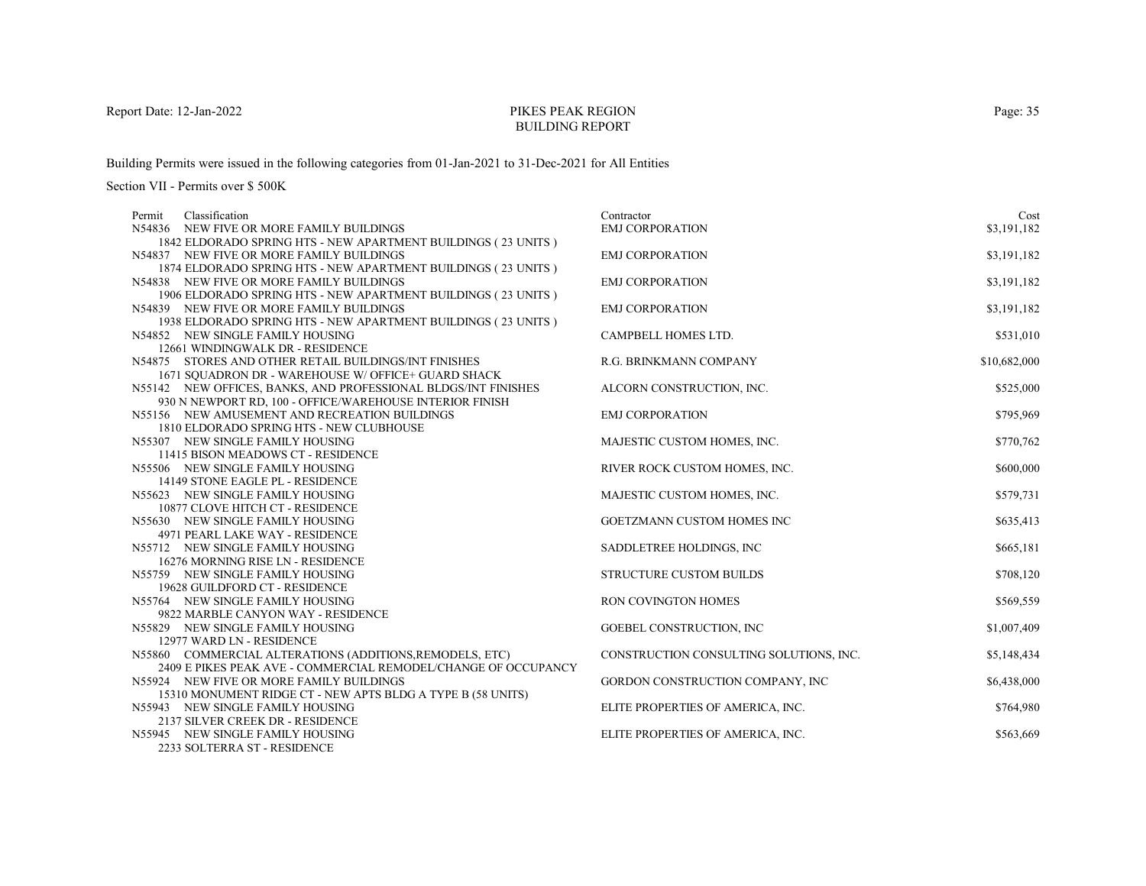# PIKES PEAK REGIONBUILDING REPORT

Building Permits were issued in the following categories from 01-Jan-2021 to 31-Dec-2021 for All Entities

Section VII - Permits over \$ 500K

| Classification<br>Permit                                             | Contractor                              | Cost         |
|----------------------------------------------------------------------|-----------------------------------------|--------------|
| N54836 NEW FIVE OR MORE FAMILY BUILDINGS                             | <b>EMJ CORPORATION</b>                  | \$3,191,182  |
| 1842 ELDORADO SPRING HTS - NEW APARTMENT BUILDINGS (23 UNITS)        |                                         |              |
| N54837 NEW FIVE OR MORE FAMILY BUILDINGS                             | <b>EMJ CORPORATION</b>                  | \$3,191,182  |
| 1874 ELDORADO SPRING HTS - NEW APARTMENT BUILDINGS (23 UNITS)        |                                         |              |
| N54838 NEW FIVE OR MORE FAMILY BUILDINGS                             | <b>EMJ CORPORATION</b>                  | \$3,191,182  |
| 1906 ELDORADO SPRING HTS - NEW APARTMENT BUILDINGS (23 UNITS)        |                                         |              |
| N54839 NEW FIVE OR MORE FAMILY BUILDINGS                             | <b>EMJ CORPORATION</b>                  | \$3,191,182  |
| 1938 ELDORADO SPRING HTS - NEW APARTMENT BUILDINGS (23 UNITS)        |                                         |              |
| N54852 NEW SINGLE FAMILY HOUSING                                     | CAMPBELL HOMES LTD.                     | \$531,010    |
| 12661 WINDINGWALK DR - RESIDENCE                                     |                                         |              |
| N54875 STORES AND OTHER RETAIL BUILDINGS/INT FINISHES                | R.G. BRINKMANN COMPANY                  | \$10,682,000 |
| 1671 SQUADRON DR - WAREHOUSE W/ OFFICE+ GUARD SHACK                  |                                         |              |
| N55142 NEW OFFICES, BANKS, AND PROFESSIONAL BLDGS/INT FINISHES       | ALCORN CONSTRUCTION, INC.               | \$525,000    |
| 930 N NEWPORT RD, 100 - OFFICE/WAREHOUSE INTERIOR FINISH             |                                         |              |
| N55156 NEW AMUSEMENT AND RECREATION BUILDINGS                        | <b>EMJ CORPORATION</b>                  | \$795,969    |
| 1810 ELDORADO SPRING HTS - NEW CLUBHOUSE                             |                                         |              |
| N55307 NEW SINGLE FAMILY HOUSING                                     | MAJESTIC CUSTOM HOMES, INC.             | \$770,762    |
| 11415 BISON MEADOWS CT - RESIDENCE                                   |                                         |              |
| N55506 NEW SINGLE FAMILY HOUSING                                     | RIVER ROCK CUSTOM HOMES, INC.           | \$600,000    |
| 14149 STONE EAGLE PL - RESIDENCE                                     |                                         |              |
| N55623 NEW SINGLE FAMILY HOUSING                                     | MAJESTIC CUSTOM HOMES, INC.             | \$579,731    |
| 10877 CLOVE HITCH CT - RESIDENCE                                     |                                         |              |
| N55630 NEW SINGLE FAMILY HOUSING                                     | GOETZMANN CUSTOM HOMES INC              | \$635,413    |
| 4971 PEARL LAKE WAY - RESIDENCE                                      |                                         |              |
| N55712 NEW SINGLE FAMILY HOUSING                                     | SADDLETREE HOLDINGS, INC.               | \$665,181    |
| 16276 MORNING RISE LN - RESIDENCE                                    |                                         |              |
| N55759 NEW SINGLE FAMILY HOUSING                                     | <b>STRUCTURE CUSTOM BUILDS</b>          | \$708,120    |
| 19628 GUILDFORD CT - RESIDENCE                                       |                                         |              |
| N55764 NEW SINGLE FAMILY HOUSING                                     | RON COVINGTON HOMES                     | \$569,559    |
| 9822 MARBLE CANYON WAY - RESIDENCE                                   |                                         |              |
| N55829 NEW SINGLE FAMILY HOUSING                                     | GOEBEL CONSTRUCTION, INC.               | \$1,007,409  |
| 12977 WARD LN - RESIDENCE                                            |                                         |              |
| N55860 COMMERCIAL ALTERATIONS (ADDITIONS, REMODELS, ETC)             | CONSTRUCTION CONSULTING SOLUTIONS, INC. | \$5,148,434  |
| 2409 E PIKES PEAK AVE - COMMERCIAL REMODEL/CHANGE OF OCCUPANCY       |                                         |              |
| N55924 NEW FIVE OR MORE FAMILY BUILDINGS                             | GORDON CONSTRUCTION COMPANY, INC        | \$6,438,000  |
| 15310 MONUMENT RIDGE CT - NEW APTS BLDG A TYPE B (58 UNITS)          |                                         |              |
| N55943 NEW SINGLE FAMILY HOUSING                                     | ELITE PROPERTIES OF AMERICA, INC.       | \$764,980    |
| 2137 SILVER CREEK DR - RESIDENCE<br>N55945 NEW SINGLE FAMILY HOUSING |                                         |              |
| 2222 COLTERNA CT. BECIDEMOE                                          | ELITE PROPERTIES OF AMERICA, INC.       | \$563,669    |

2233 SOLTERRA ST - RESIDENCE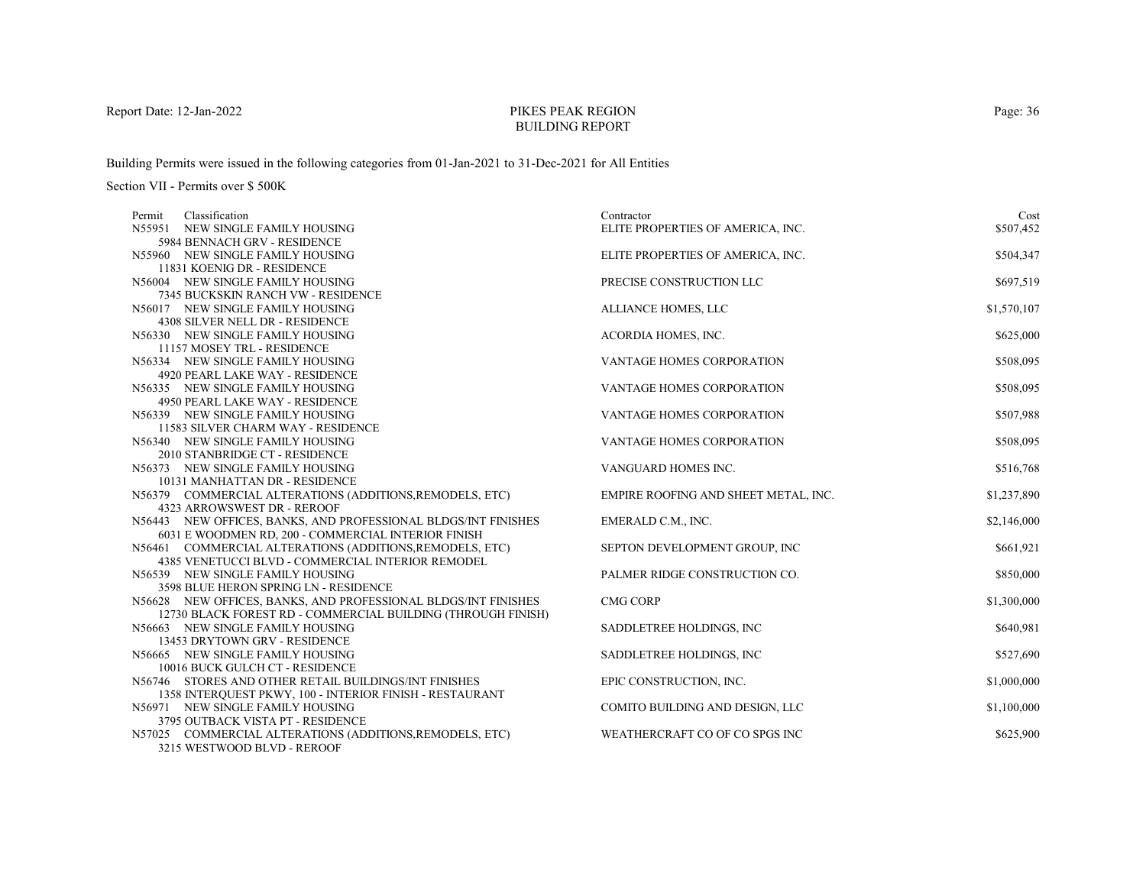# PIKES PEAK REGIONBUILDING REPORT

Building Permits were issued in the following categories from 01-Jan-2021 to 31-Dec-2021 for All Entities

Section VII - Permits over \$ 500K

| Classification<br>Permit                                                               | Contractor                           | Cost        |
|----------------------------------------------------------------------------------------|--------------------------------------|-------------|
| N55951 NEW SINGLE FAMILY HOUSING                                                       | ELITE PROPERTIES OF AMERICA, INC.    | \$507,452   |
| 5984 BENNACH GRV - RESIDENCE                                                           |                                      |             |
| N55960 NEW SINGLE FAMILY HOUSING                                                       | ELITE PROPERTIES OF AMERICA, INC.    | \$504,347   |
| 11831 KOENIG DR - RESIDENCE                                                            |                                      |             |
| N56004 NEW SINGLE FAMILY HOUSING                                                       | PRECISE CONSTRUCTION LLC             | \$697,519   |
| 7345 BUCKSKIN RANCH VW - RESIDENCE                                                     |                                      |             |
| N56017 NEW SINGLE FAMILY HOUSING                                                       | ALLIANCE HOMES, LLC                  | \$1,570,107 |
| 4308 SILVER NELL DR - RESIDENCE                                                        |                                      |             |
| N56330 NEW SINGLE FAMILY HOUSING                                                       | ACORDIA HOMES, INC.                  | \$625,000   |
| 11157 MOSEY TRL - RESIDENCE                                                            |                                      |             |
| N56334 NEW SINGLE FAMILY HOUSING                                                       | VANTAGE HOMES CORPORATION            | \$508,095   |
| 4920 PEARL LAKE WAY - RESIDENCE                                                        |                                      |             |
| N56335 NEW SINGLE FAMILY HOUSING                                                       | <b>VANTAGE HOMES CORPORATION</b>     | \$508,095   |
| 4950 PEARL LAKE WAY - RESIDENCE                                                        |                                      |             |
| N56339 NEW SINGLE FAMILY HOUSING                                                       | VANTAGE HOMES CORPORATION            | \$507,988   |
| 11583 SILVER CHARM WAY - RESIDENCE                                                     |                                      |             |
| N56340 NEW SINGLE FAMILY HOUSING                                                       | <b>VANTAGE HOMES CORPORATION</b>     | \$508,095   |
| 2010 STANBRIDGE CT - RESIDENCE                                                         |                                      |             |
| N56373 NEW SINGLE FAMILY HOUSING                                                       | VANGUARD HOMES INC.                  | \$516,768   |
| 10131 MANHATTAN DR - RESIDENCE                                                         |                                      |             |
| N56379 COMMERCIAL ALTERATIONS (ADDITIONS, REMODELS, ETC)                               | EMPIRE ROOFING AND SHEET METAL, INC. | \$1,237,890 |
| 4323 ARROWSWEST DR - REROOF                                                            |                                      |             |
| N56443 NEW OFFICES, BANKS, AND PROFESSIONAL BLDGS/INT FINISHES                         | EMERALD C.M., INC.                   | \$2,146,000 |
| 6031 E WOODMEN RD, 200 - COMMERCIAL INTERIOR FINISH                                    |                                      |             |
| N56461 COMMERCIAL ALTERATIONS (ADDITIONS, REMODELS, ETC)                               | SEPTON DEVELOPMENT GROUP, INC        | \$661,921   |
| 4385 VENETUCCI BLVD - COMMERCIAL INTERIOR REMODEL                                      |                                      |             |
| N56539 NEW SINGLE FAMILY HOUSING                                                       | PALMER RIDGE CONSTRUCTION CO.        | \$850,000   |
| 3598 BLUE HERON SPRING LN - RESIDENCE                                                  |                                      |             |
| N56628 NEW OFFICES, BANKS, AND PROFESSIONAL BLDGS/INT FINISHES                         | <b>CMG CORP</b>                      | \$1,300,000 |
| 12730 BLACK FOREST RD - COMMERCIAL BUILDING (THROUGH FINISH)                           |                                      |             |
| N56663 NEW SINGLE FAMILY HOUSING                                                       | SADDLETREE HOLDINGS, INC.            | \$640,981   |
| 13453 DRYTOWN GRV - RESIDENCE                                                          |                                      |             |
| N56665 NEW SINGLE FAMILY HOUSING                                                       | SADDLETREE HOLDINGS, INC.            | \$527,690   |
| 10016 BUCK GULCH CT - RESIDENCE                                                        |                                      |             |
| N56746 STORES AND OTHER RETAIL BUILDINGS/INT FINISHES                                  | EPIC CONSTRUCTION, INC.              | \$1,000,000 |
| 1358 INTERQUEST PKWY, 100 - INTERIOR FINISH - RESTAURANT                               |                                      |             |
| N56971 NEW SINGLE FAMILY HOUSING                                                       | COMITO BUILDING AND DESIGN, LLC      | \$1,100,000 |
| 3795 OUTBACK VISTA PT - RESIDENCE                                                      | WEATHERCRAFT CO OF CO SPGS INC       | \$625,900   |
| N57025 COMMERCIAL ALTERATIONS (ADDITIONS, REMODELS, ETC)<br>2215 WESTWOOD DLVD. BEBOOT |                                      |             |

3215 WESTWOOD BLVD - REROOF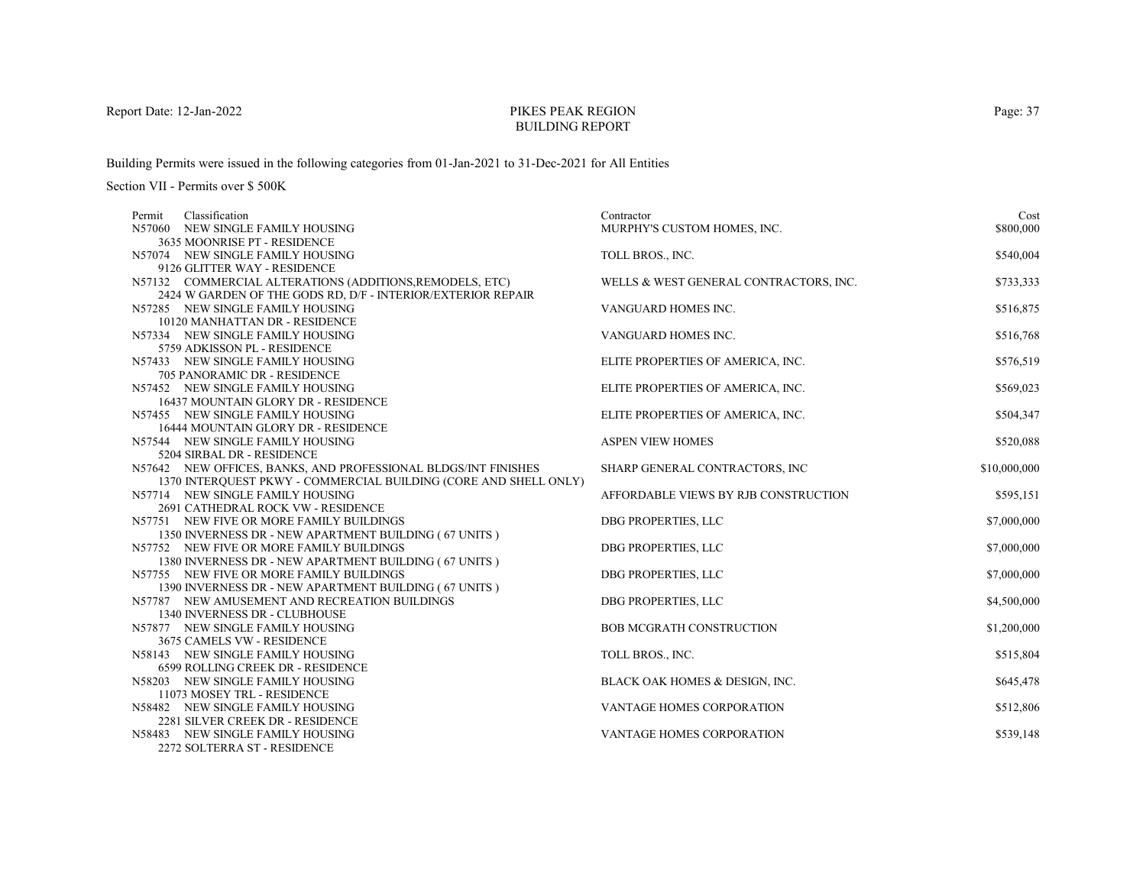# PIKES PEAK REGIONBUILDING REPORT

Building Permits were issued in the following categories from 01-Jan-2021 to 31-Dec-2021 for All Entities

| Classification<br>Permit                                                                               | Contractor                             | Cost         |
|--------------------------------------------------------------------------------------------------------|----------------------------------------|--------------|
| N57060 NEW SINGLE FAMILY HOUSING                                                                       | MURPHY'S CUSTOM HOMES, INC.            | \$800,000    |
| 3635 MOONRISE PT - RESIDENCE                                                                           |                                        |              |
| N57074 NEW SINGLE FAMILY HOUSING                                                                       | TOLL BROS., INC.                       | \$540,004    |
| 9126 GLITTER WAY - RESIDENCE                                                                           |                                        |              |
| N57132 COMMERCIAL ALTERATIONS (ADDITIONS, REMODELS, ETC)                                               | WELLS & WEST GENERAL CONTRACTORS, INC. | \$733,333    |
| 2424 W GARDEN OF THE GODS RD, D/F - INTERIOR/EXTERIOR REPAIR<br>N57285 NEW SINGLE FAMILY HOUSING       | VANGUARD HOMES INC.                    | \$516,875    |
| 10120 MANHATTAN DR - RESIDENCE                                                                         |                                        |              |
| N57334 NEW SINGLE FAMILY HOUSING                                                                       | VANGUARD HOMES INC.                    | \$516,768    |
| 5759 ADKISSON PL - RESIDENCE                                                                           |                                        |              |
| N57433 NEW SINGLE FAMILY HOUSING                                                                       | ELITE PROPERTIES OF AMERICA, INC.      | \$576,519    |
| 705 PANORAMIC DR - RESIDENCE                                                                           |                                        |              |
| N57452 NEW SINGLE FAMILY HOUSING                                                                       | ELITE PROPERTIES OF AMERICA, INC.      | \$569,023    |
| 16437 MOUNTAIN GLORY DR - RESIDENCE                                                                    |                                        |              |
| N57455 NEW SINGLE FAMILY HOUSING                                                                       | ELITE PROPERTIES OF AMERICA, INC.      | \$504,347    |
| 16444 MOUNTAIN GLORY DR - RESIDENCE                                                                    |                                        |              |
| N57544 NEW SINGLE FAMILY HOUSING                                                                       | <b>ASPEN VIEW HOMES</b>                | \$520,088    |
| 5204 SIRBAL DR - RESIDENCE                                                                             |                                        |              |
| N57642 NEW OFFICES, BANKS, AND PROFESSIONAL BLDGS/INT FINISHES                                         | SHARP GENERAL CONTRACTORS, INC         | \$10,000,000 |
| 1370 INTERQUEST PKWY - COMMERCIAL BUILDING (CORE AND SHELL ONLY)                                       |                                        |              |
| N57714 NEW SINGLE FAMILY HOUSING                                                                       | AFFORDABLE VIEWS BY RJB CONSTRUCTION   | \$595,151    |
| 2691 CATHEDRAL ROCK VW - RESIDENCE                                                                     |                                        |              |
| N57751 NEW FIVE OR MORE FAMILY BUILDINGS                                                               | DBG PROPERTIES, LLC                    | \$7,000,000  |
| 1350 INVERNESS DR - NEW APARTMENT BUILDING (67 UNITS)                                                  |                                        |              |
| N57752 NEW FIVE OR MORE FAMILY BUILDINGS                                                               | DBG PROPERTIES, LLC                    | \$7,000,000  |
| 1380 INVERNESS DR - NEW APARTMENT BUILDING (67 UNITS)                                                  |                                        |              |
| N57755 NEW FIVE OR MORE FAMILY BUILDINGS                                                               | DBG PROPERTIES, LLC                    | \$7,000,000  |
| 1390 INVERNESS DR - NEW APARTMENT BUILDING (67 UNITS)<br>N57787 NEW AMUSEMENT AND RECREATION BUILDINGS | DBG PROPERTIES, LLC                    | \$4,500,000  |
| 1340 INVERNESS DR - CLUBHOUSE                                                                          |                                        |              |
| N57877 NEW SINGLE FAMILY HOUSING                                                                       | <b>BOB MCGRATH CONSTRUCTION</b>        | \$1,200,000  |
| 3675 CAMELS VW - RESIDENCE                                                                             |                                        |              |
| N58143 NEW SINGLE FAMILY HOUSING                                                                       | TOLL BROS., INC.                       | \$515,804    |
| 6599 ROLLING CREEK DR - RESIDENCE                                                                      |                                        |              |
| N58203 NEW SINGLE FAMILY HOUSING                                                                       | BLACK OAK HOMES & DESIGN, INC.         | \$645,478    |
| 11073 MOSEY TRL - RESIDENCE                                                                            |                                        |              |
| N58482 NEW SINGLE FAMILY HOUSING                                                                       | <b>VANTAGE HOMES CORPORATION</b>       | \$512,806    |
| 2281 SILVER CREEK DR - RESIDENCE                                                                       |                                        |              |
| N58483 NEW SINGLE FAMILY HOUSING                                                                       | VANTAGE HOMES CORPORATION              | \$539,148    |
| 2272 SOLTERRA ST - RESIDENCE                                                                           |                                        |              |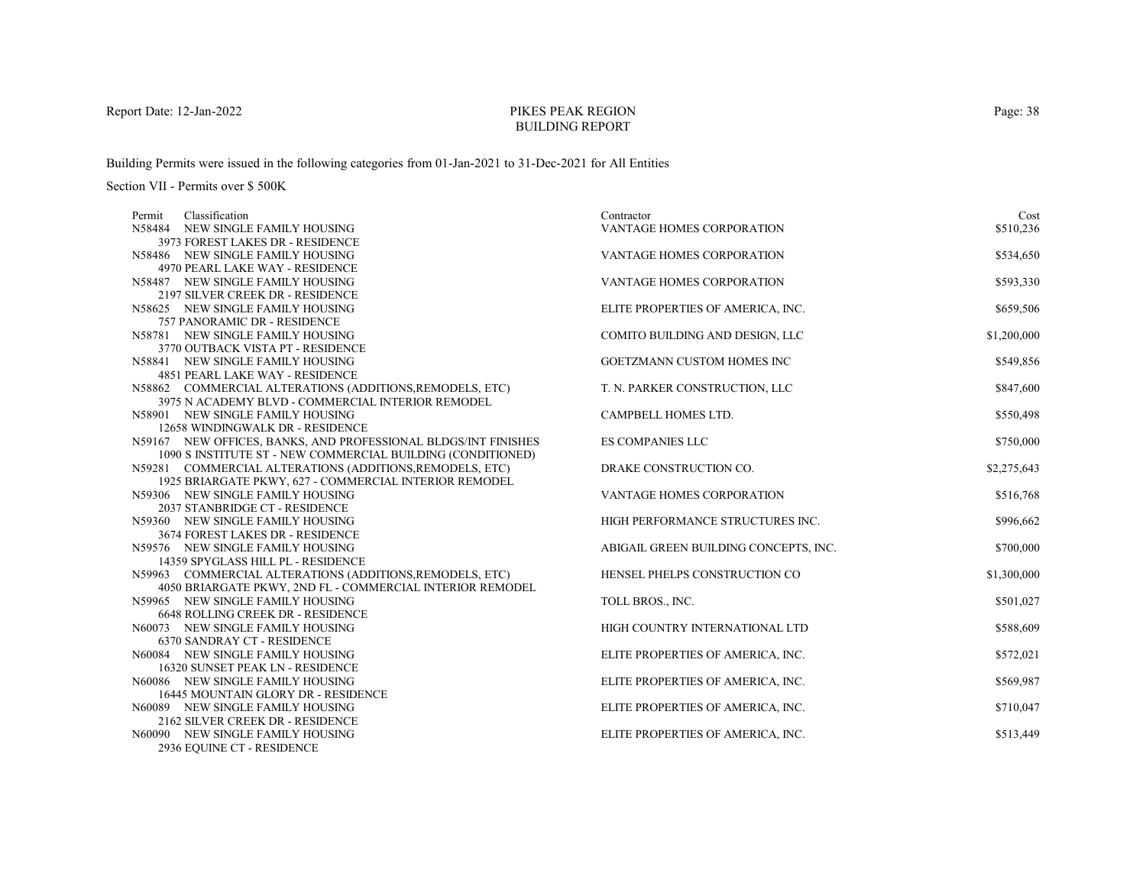# PIKES PEAK REGIONBUILDING REPORT

Building Permits were issued in the following categories from 01-Jan-2021 to 31-Dec-2021 for All Entities

| Classification<br>Permit                                                                                           | Contractor                            | Cost        |
|--------------------------------------------------------------------------------------------------------------------|---------------------------------------|-------------|
| N58484 NEW SINGLE FAMILY HOUSING                                                                                   | VANTAGE HOMES CORPORATION             | \$510,236   |
| 3973 FOREST LAKES DR - RESIDENCE                                                                                   |                                       |             |
| N58486 NEW SINGLE FAMILY HOUSING                                                                                   | VANTAGE HOMES CORPORATION             | \$534,650   |
| 4970 PEARL LAKE WAY - RESIDENCE                                                                                    |                                       |             |
| N58487 NEW SINGLE FAMILY HOUSING                                                                                   | VANTAGE HOMES CORPORATION             | \$593,330   |
| 2197 SILVER CREEK DR - RESIDENCE                                                                                   |                                       |             |
| N58625 NEW SINGLE FAMILY HOUSING                                                                                   | ELITE PROPERTIES OF AMERICA, INC.     | \$659,506   |
| 757 PANORAMIC DR - RESIDENCE                                                                                       |                                       |             |
| N58781 NEW SINGLE FAMILY HOUSING                                                                                   | COMITO BUILDING AND DESIGN, LLC       | \$1,200,000 |
| 3770 OUTBACK VISTA PT - RESIDENCE                                                                                  |                                       |             |
| N58841 NEW SINGLE FAMILY HOUSING                                                                                   | GOETZMANN CUSTOM HOMES INC            | \$549,856   |
| 4851 PEARL LAKE WAY - RESIDENCE                                                                                    |                                       |             |
| N58862 COMMERCIAL ALTERATIONS (ADDITIONS, REMODELS, ETC)                                                           | T. N. PARKER CONSTRUCTION, LLC        | \$847,600   |
| 3975 N ACADEMY BLVD - COMMERCIAL INTERIOR REMODEL                                                                  |                                       |             |
| N58901 NEW SINGLE FAMILY HOUSING                                                                                   | CAMPBELL HOMES LTD.                   | \$550,498   |
| 12658 WINDINGWALK DR - RESIDENCE                                                                                   |                                       |             |
| N59167 NEW OFFICES, BANKS, AND PROFESSIONAL BLDGS/INT FINISHES                                                     | <b>ES COMPANIES LLC</b>               | \$750,000   |
| 1090 S INSTITUTE ST - NEW COMMERCIAL BUILDING (CONDITIONED)                                                        | DRAKE CONSTRUCTION CO.                | \$2,275,643 |
| N59281 COMMERCIAL ALTERATIONS (ADDITIONS, REMODELS, ETC)<br>1925 BRIARGATE PKWY, 627 - COMMERCIAL INTERIOR REMODEL |                                       |             |
| N59306 NEW SINGLE FAMILY HOUSING                                                                                   | <b>VANTAGE HOMES CORPORATION</b>      | \$516,768   |
| 2037 STANBRIDGE CT - RESIDENCE                                                                                     |                                       |             |
| N59360 NEW SINGLE FAMILY HOUSING                                                                                   | HIGH PERFORMANCE STRUCTURES INC.      | \$996,662   |
| 3674 FOREST LAKES DR - RESIDENCE                                                                                   |                                       |             |
| N59576 NEW SINGLE FAMILY HOUSING                                                                                   | ABIGAIL GREEN BUILDING CONCEPTS, INC. | \$700,000   |
| 14359 SPYGLASS HILL PL - RESIDENCE                                                                                 |                                       |             |
| N59963 COMMERCIAL ALTERATIONS (ADDITIONS, REMODELS, ETC)                                                           | HENSEL PHELPS CONSTRUCTION CO         | \$1,300,000 |
| 4050 BRIARGATE PKWY, 2ND FL - COMMERCIAL INTERIOR REMODEL                                                          |                                       |             |
| N59965 NEW SINGLE FAMILY HOUSING                                                                                   | TOLL BROS., INC.                      | \$501,027   |
| 6648 ROLLING CREEK DR - RESIDENCE                                                                                  |                                       |             |
| N60073 NEW SINGLE FAMILY HOUSING                                                                                   | HIGH COUNTRY INTERNATIONAL LTD        | \$588,609   |
| 6370 SANDRAY CT - RESIDENCE                                                                                        |                                       |             |
| N60084 NEW SINGLE FAMILY HOUSING                                                                                   | ELITE PROPERTIES OF AMERICA, INC.     | \$572,021   |
| 16320 SUNSET PEAK LN - RESIDENCE                                                                                   |                                       |             |
| N60086 NEW SINGLE FAMILY HOUSING                                                                                   | ELITE PROPERTIES OF AMERICA, INC.     | \$569,987   |
| 16445 MOUNTAIN GLORY DR - RESIDENCE                                                                                |                                       |             |
| N60089 NEW SINGLE FAMILY HOUSING                                                                                   | ELITE PROPERTIES OF AMERICA, INC.     | \$710,047   |
| 2162 SILVER CREEK DR - RESIDENCE                                                                                   |                                       |             |
| N60090 NEW SINGLE FAMILY HOUSING                                                                                   | ELITE PROPERTIES OF AMERICA, INC.     | \$513,449   |
| 2936 EOUINE CT - RESIDENCE                                                                                         |                                       |             |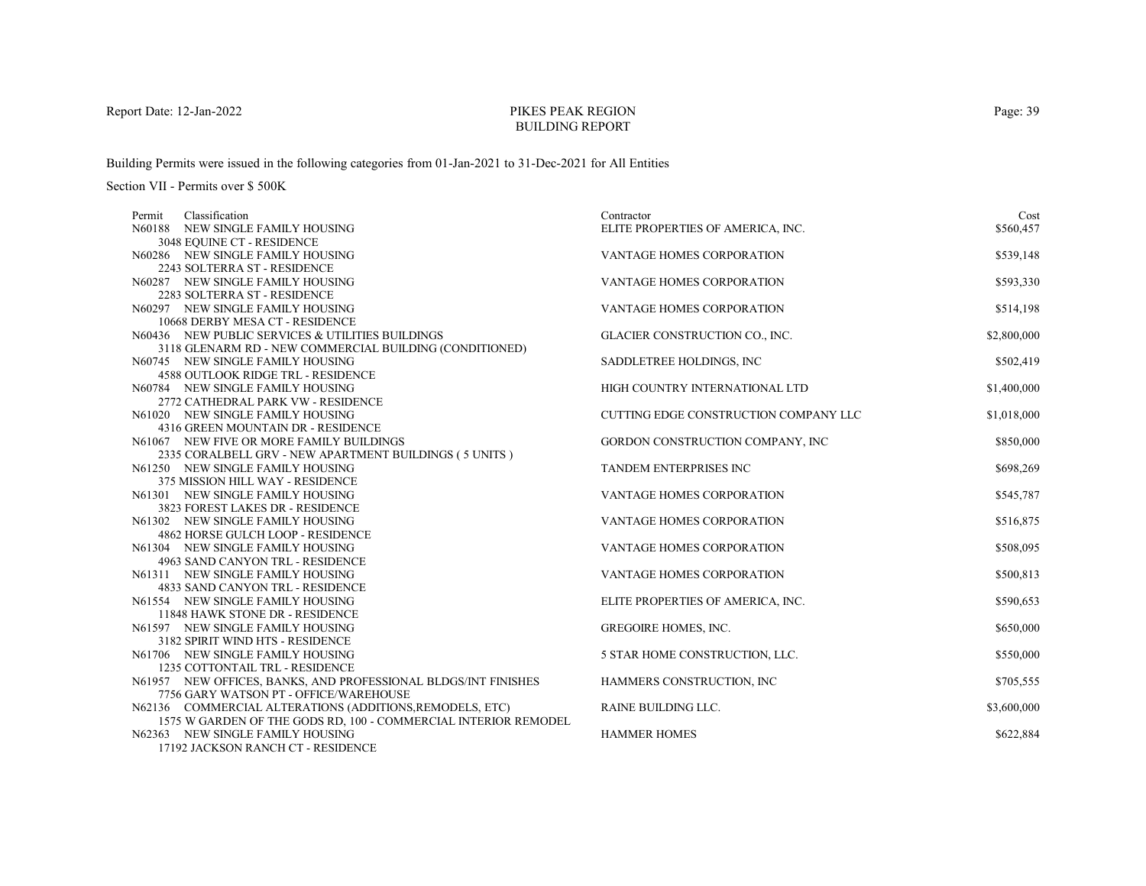# PIKES PEAK REGIONBUILDING REPORT

Building Permits were issued in the following categories from 01-Jan-2021 to 31-Dec-2021 for All Entities

| Classification<br>Permit                                             | Contractor                            | Cost        |
|----------------------------------------------------------------------|---------------------------------------|-------------|
| N60188 NEW SINGLE FAMILY HOUSING                                     | ELITE PROPERTIES OF AMERICA, INC.     | \$560,457   |
| 3048 EQUINE CT - RESIDENCE                                           |                                       |             |
| N60286 NEW SINGLE FAMILY HOUSING                                     | VANTAGE HOMES CORPORATION             | \$539,148   |
| 2243 SOLTERRA ST - RESIDENCE                                         |                                       |             |
| N60287 NEW SINGLE FAMILY HOUSING                                     | VANTAGE HOMES CORPORATION             | \$593,330   |
| 2283 SOLTERRA ST - RESIDENCE                                         |                                       |             |
| N60297 NEW SINGLE FAMILY HOUSING                                     | <b>VANTAGE HOMES CORPORATION</b>      | \$514,198   |
| 10668 DERBY MESA CT - RESIDENCE                                      |                                       |             |
| N60436 NEW PUBLIC SERVICES & UTILITIES BUILDINGS                     | GLACIER CONSTRUCTION CO., INC.        | \$2,800,000 |
| 3118 GLENARM RD - NEW COMMERCIAL BUILDING (CONDITIONED)              |                                       |             |
| N60745 NEW SINGLE FAMILY HOUSING                                     | SADDLETREE HOLDINGS, INC              | \$502,419   |
| <b>4588 OUTLOOK RIDGE TRL - RESIDENCE</b>                            |                                       |             |
| N60784 NEW SINGLE FAMILY HOUSING                                     | HIGH COUNTRY INTERNATIONAL LTD        | \$1,400,000 |
| 2772 CATHEDRAL PARK VW - RESIDENCE                                   |                                       |             |
| N61020 NEW SINGLE FAMILY HOUSING                                     | CUTTING EDGE CONSTRUCTION COMPANY LLC | \$1,018,000 |
| 4316 GREEN MOUNTAIN DR - RESIDENCE                                   |                                       |             |
| N61067 NEW FIVE OR MORE FAMILY BUILDINGS                             | GORDON CONSTRUCTION COMPANY, INC      | \$850,000   |
| 2335 CORALBELL GRV - NEW APARTMENT BUILDINGS (5 UNITS)               |                                       |             |
| N61250 NEW SINGLE FAMILY HOUSING                                     | TANDEM ENTERPRISES INC                | \$698,269   |
| 375 MISSION HILL WAY - RESIDENCE                                     |                                       |             |
| N61301 NEW SINGLE FAMILY HOUSING                                     | <b>VANTAGE HOMES CORPORATION</b>      | \$545,787   |
| 3823 FOREST LAKES DR - RESIDENCE                                     |                                       |             |
| N61302 NEW SINGLE FAMILY HOUSING                                     | VANTAGE HOMES CORPORATION             | \$516,875   |
| 4862 HORSE GULCH LOOP - RESIDENCE                                    |                                       |             |
| N61304 NEW SINGLE FAMILY HOUSING<br>4963 SAND CANYON TRL - RESIDENCE | VANTAGE HOMES CORPORATION             | \$508,095   |
| N61311 NEW SINGLE FAMILY HOUSING                                     | VANTAGE HOMES CORPORATION             | \$500,813   |
| 4833 SAND CANYON TRL - RESIDENCE                                     |                                       |             |
| N61554 NEW SINGLE FAMILY HOUSING                                     | ELITE PROPERTIES OF AMERICA, INC.     | \$590,653   |
| 11848 HAWK STONE DR - RESIDENCE                                      |                                       |             |
| N61597 NEW SINGLE FAMILY HOUSING                                     | <b>GREGOIRE HOMES, INC.</b>           | \$650,000   |
| 3182 SPIRIT WIND HTS - RESIDENCE                                     |                                       |             |
| N61706 NEW SINGLE FAMILY HOUSING                                     | 5 STAR HOME CONSTRUCTION, LLC.        | \$550,000   |
| 1235 COTTONTAIL TRL - RESIDENCE                                      |                                       |             |
| N61957 NEW OFFICES, BANKS, AND PROFESSIONAL BLDGS/INT FINISHES       | HAMMERS CONSTRUCTION, INC             | \$705,555   |
| 7756 GARY WATSON PT - OFFICE/WAREHOUSE                               |                                       |             |
| N62136 COMMERCIAL ALTERATIONS (ADDITIONS, REMODELS, ETC)             | RAINE BUILDING LLC.                   | \$3,600,000 |
| 1575 W GARDEN OF THE GODS RD, 100 - COMMERCIAL INTERIOR REMODEL      |                                       |             |
| N62363 NEW SINGLE FAMILY HOUSING                                     | <b>HAMMER HOMES</b>                   | \$622,884   |
| 17192 JACKSON RANCH CT - RESIDENCE                                   |                                       |             |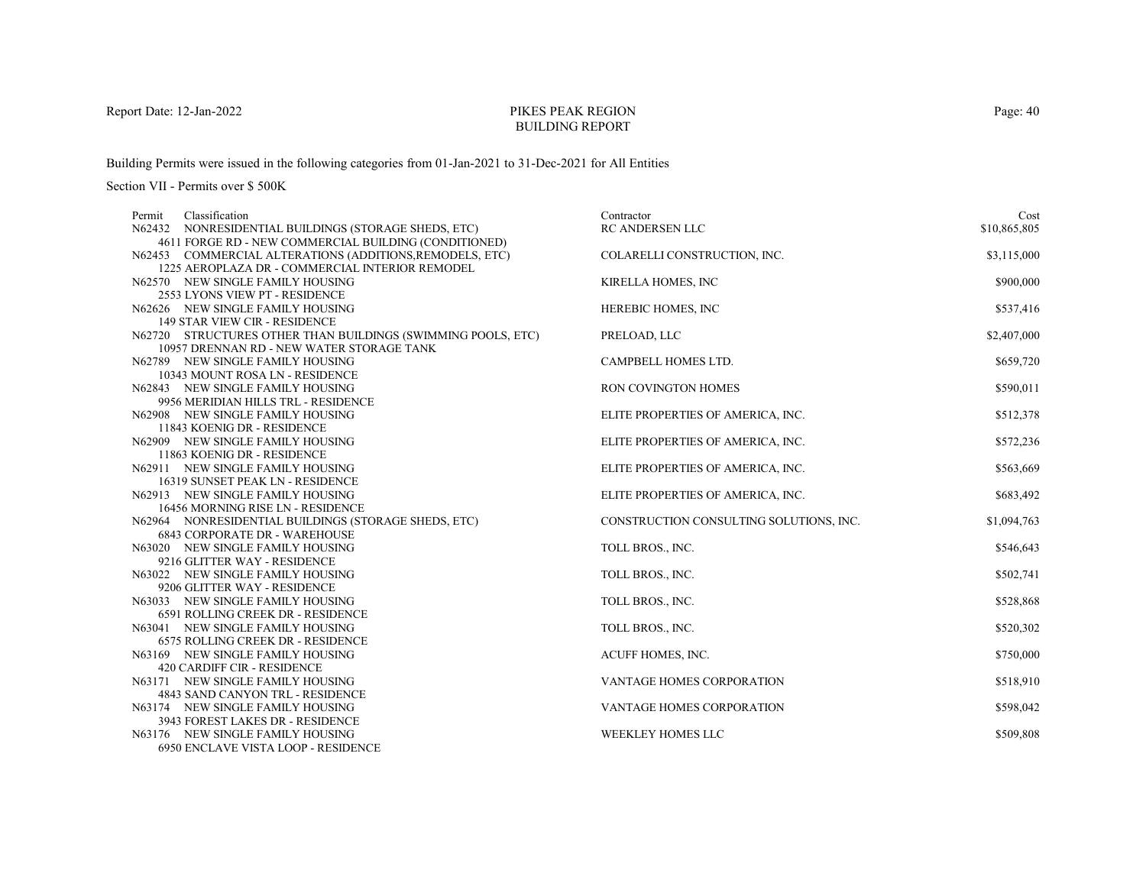# PIKES PEAK REGIONBUILDING REPORT

Building Permits were issued in the following categories from 01-Jan-2021 to 31-Dec-2021 for All Entities

Section VII - Permits over \$ 500K

| Classification<br>Permit                                                | Contractor                              | Cost         |
|-------------------------------------------------------------------------|-----------------------------------------|--------------|
| N62432 NONRESIDENTIAL BUILDINGS (STORAGE SHEDS, ETC)                    | RC ANDERSEN LLC                         | \$10,865,805 |
| 4611 FORGE RD - NEW COMMERCIAL BUILDING (CONDITIONED)                   |                                         |              |
| N62453 COMMERCIAL ALTERATIONS (ADDITIONS, REMODELS, ETC)                | COLARELLI CONSTRUCTION, INC.            | \$3,115,000  |
| 1225 AEROPLAZA DR - COMMERCIAL INTERIOR REMODEL                         |                                         |              |
| N62570 NEW SINGLE FAMILY HOUSING                                        | KIRELLA HOMES, INC                      | \$900,000    |
| 2553 LYONS VIEW PT - RESIDENCE                                          |                                         |              |
| N62626 NEW SINGLE FAMILY HOUSING                                        | HEREBIC HOMES, INC                      | \$537,416    |
| <b>149 STAR VIEW CIR - RESIDENCE</b>                                    |                                         |              |
| N62720 STRUCTURES OTHER THAN BUILDINGS (SWIMMING POOLS, ETC)            | PRELOAD, LLC                            | \$2,407,000  |
| 10957 DRENNAN RD - NEW WATER STORAGE TANK                               |                                         |              |
| N62789 NEW SINGLE FAMILY HOUSING                                        | CAMPBELL HOMES LTD.                     | \$659,720    |
| 10343 MOUNT ROSA LN - RESIDENCE<br>N62843 NEW SINGLE FAMILY HOUSING     | RON COVINGTON HOMES                     |              |
| 9956 MERIDIAN HILLS TRL - RESIDENCE                                     |                                         | \$590,011    |
| N62908 NEW SINGLE FAMILY HOUSING                                        | ELITE PROPERTIES OF AMERICA, INC.       | \$512,378    |
| 11843 KOENIG DR - RESIDENCE                                             |                                         |              |
| N62909 NEW SINGLE FAMILY HOUSING                                        | ELITE PROPERTIES OF AMERICA, INC.       | \$572,236    |
| 11863 KOENIG DR - RESIDENCE                                             |                                         |              |
| N62911 NEW SINGLE FAMILY HOUSING                                        | ELITE PROPERTIES OF AMERICA, INC.       | \$563,669    |
| 16319 SUNSET PEAK LN - RESIDENCE                                        |                                         |              |
| N62913 NEW SINGLE FAMILY HOUSING                                        | ELITE PROPERTIES OF AMERICA, INC.       | \$683,492    |
| 16456 MORNING RISE LN - RESIDENCE                                       |                                         |              |
| N62964 NONRESIDENTIAL BUILDINGS (STORAGE SHEDS, ETC)                    | CONSTRUCTION CONSULTING SOLUTIONS, INC. | \$1,094,763  |
| <b>6843 CORPORATE DR - WAREHOUSE</b>                                    |                                         |              |
| N63020 NEW SINGLE FAMILY HOUSING                                        | TOLL BROS., INC.                        | \$546,643    |
| 9216 GLITTER WAY - RESIDENCE                                            |                                         |              |
| N63022 NEW SINGLE FAMILY HOUSING                                        | TOLL BROS., INC.                        | \$502,741    |
| 9206 GLITTER WAY - RESIDENCE                                            |                                         |              |
| N63033 NEW SINGLE FAMILY HOUSING                                        | TOLL BROS., INC.                        | \$528,868    |
| 6591 ROLLING CREEK DR - RESIDENCE                                       |                                         |              |
| N63041 NEW SINGLE FAMILY HOUSING                                        | TOLL BROS., INC.                        | \$520,302    |
| <b>6575 ROLLING CREEK DR - RESIDENCE</b>                                |                                         |              |
| N63169 NEW SINGLE FAMILY HOUSING                                        | ACUFF HOMES, INC.                       | \$750,000    |
| 420 CARDIFF CIR - RESIDENCE                                             |                                         |              |
| N63171 NEW SINGLE FAMILY HOUSING                                        | <b>VANTAGE HOMES CORPORATION</b>        | \$518,910    |
| 4843 SAND CANYON TRL - RESIDENCE                                        |                                         |              |
| N63174 NEW SINGLE FAMILY HOUSING                                        | <b>VANTAGE HOMES CORPORATION</b>        | \$598,042    |
| 3943 FOREST LAKES DR - RESIDENCE                                        | <b>WEEKLEY HOMES LLC</b>                |              |
| N63176 NEW SINGLE FAMILY HOUSING<br>6950 ENCLAVE VISTA LOOP - RESIDENCE |                                         | \$509,808    |
|                                                                         |                                         |              |

Page: 40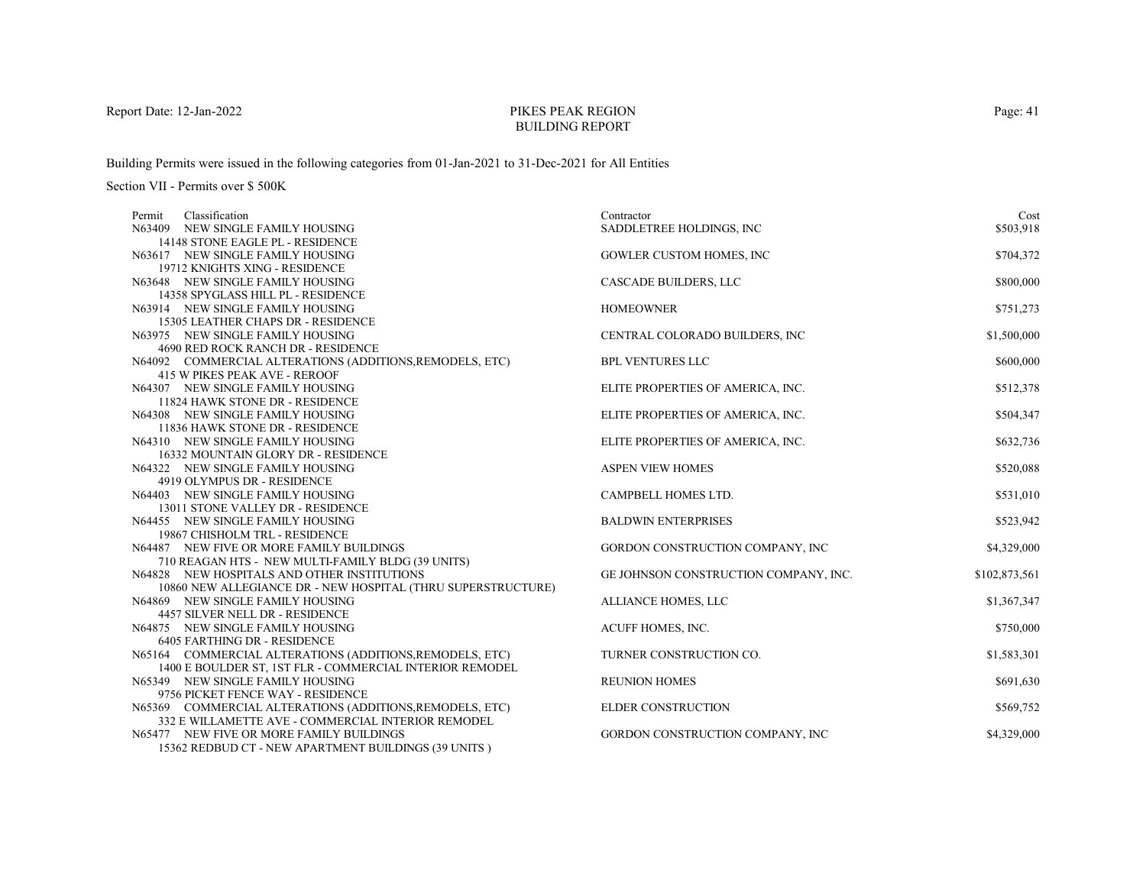# PIKES PEAK REGIONBUILDING REPORT

Building Permits were issued in the following categories from 01-Jan-2021 to 31-Dec-2021 for All Entities

| Classification<br>Permit                                                | Contractor                            | Cost          |
|-------------------------------------------------------------------------|---------------------------------------|---------------|
| N63409 NEW SINGLE FAMILY HOUSING                                        | SADDLETREE HOLDINGS, INC              | \$503,918     |
| 14148 STONE EAGLE PL - RESIDENCE                                        |                                       |               |
| N63617 NEW SINGLE FAMILY HOUSING                                        | <b>GOWLER CUSTOM HOMES, INC</b>       | \$704,372     |
| 19712 KNIGHTS XING - RESIDENCE                                          |                                       |               |
| N63648 NEW SINGLE FAMILY HOUSING                                        | CASCADE BUILDERS, LLC                 | \$800,000     |
| 14358 SPYGLASS HILL PL - RESIDENCE                                      |                                       |               |
| N63914 NEW SINGLE FAMILY HOUSING                                        | <b>HOMEOWNER</b>                      | \$751,273     |
| 15305 LEATHER CHAPS DR - RESIDENCE                                      |                                       |               |
| N63975 NEW SINGLE FAMILY HOUSING                                        | CENTRAL COLORADO BUILDERS, INC        | \$1,500,000   |
| 4690 RED ROCK RANCH DR - RESIDENCE                                      |                                       |               |
| N64092 COMMERCIAL ALTERATIONS (ADDITIONS, REMODELS, ETC)                | <b>BPL VENTURES LLC</b>               | \$600,000     |
| <b>415 W PIKES PEAK AVE - REROOF</b>                                    |                                       |               |
| N64307 NEW SINGLE FAMILY HOUSING                                        | ELITE PROPERTIES OF AMERICA, INC.     | \$512,378     |
| 11824 HAWK STONE DR - RESIDENCE                                         |                                       |               |
| N64308 NEW SINGLE FAMILY HOUSING                                        | ELITE PROPERTIES OF AMERICA, INC.     | \$504,347     |
| 11836 HAWK STONE DR - RESIDENCE                                         |                                       |               |
| N64310 NEW SINGLE FAMILY HOUSING<br>16332 MOUNTAIN GLORY DR - RESIDENCE | ELITE PROPERTIES OF AMERICA, INC.     | \$632,736     |
| N64322 NEW SINGLE FAMILY HOUSING                                        | <b>ASPEN VIEW HOMES</b>               | \$520,088     |
| 4919 OLYMPUS DR - RESIDENCE                                             |                                       |               |
| N64403 NEW SINGLE FAMILY HOUSING                                        | CAMPBELL HOMES LTD.                   | \$531,010     |
| 13011 STONE VALLEY DR - RESIDENCE                                       |                                       |               |
| N64455 NEW SINGLE FAMILY HOUSING                                        | <b>BALDWIN ENTERPRISES</b>            | \$523,942     |
| 19867 CHISHOLM TRL - RESIDENCE                                          |                                       |               |
| N64487 NEW FIVE OR MORE FAMILY BUILDINGS                                | GORDON CONSTRUCTION COMPANY, INC      | \$4,329,000   |
| 710 REAGAN HTS - NEW MULTI-FAMILY BLDG (39 UNITS)                       |                                       |               |
| N64828 NEW HOSPITALS AND OTHER INSTITUTIONS                             | GE JOHNSON CONSTRUCTION COMPANY, INC. | \$102,873,561 |
| 10860 NEW ALLEGIANCE DR - NEW HOSPITAL (THRU SUPERSTRUCTURE)            |                                       |               |
| N64869 NEW SINGLE FAMILY HOUSING                                        | ALLIANCE HOMES, LLC                   | \$1,367,347   |
| 4457 SILVER NELL DR - RESIDENCE                                         |                                       |               |
| N64875 NEW SINGLE FAMILY HOUSING                                        | ACUFF HOMES, INC.                     | \$750,000     |
| <b>6405 FARTHING DR - RESIDENCE</b>                                     |                                       |               |
| N65164 COMMERCIAL ALTERATIONS (ADDITIONS, REMODELS, ETC)                | TURNER CONSTRUCTION CO.               | \$1,583,301   |
| 1400 E BOULDER ST, 1ST FLR - COMMERCIAL INTERIOR REMODEL                |                                       |               |
| N65349 NEW SINGLE FAMILY HOUSING                                        | <b>REUNION HOMES</b>                  | \$691,630     |
| 9756 PICKET FENCE WAY - RESIDENCE                                       |                                       |               |
| N65369 COMMERCIAL ALTERATIONS (ADDITIONS, REMODELS, ETC)                | <b>ELDER CONSTRUCTION</b>             | \$569,752     |
| 332 E WILLAMETTE AVE - COMMERCIAL INTERIOR REMODEL                      |                                       |               |
| N65477 NEW FIVE OR MORE FAMILY BUILDINGS                                | GORDON CONSTRUCTION COMPANY, INC      | \$4,329,000   |
| 15362 REDBUD CT - NEW APARTMENT BUILDINGS (39 UNITS)                    |                                       |               |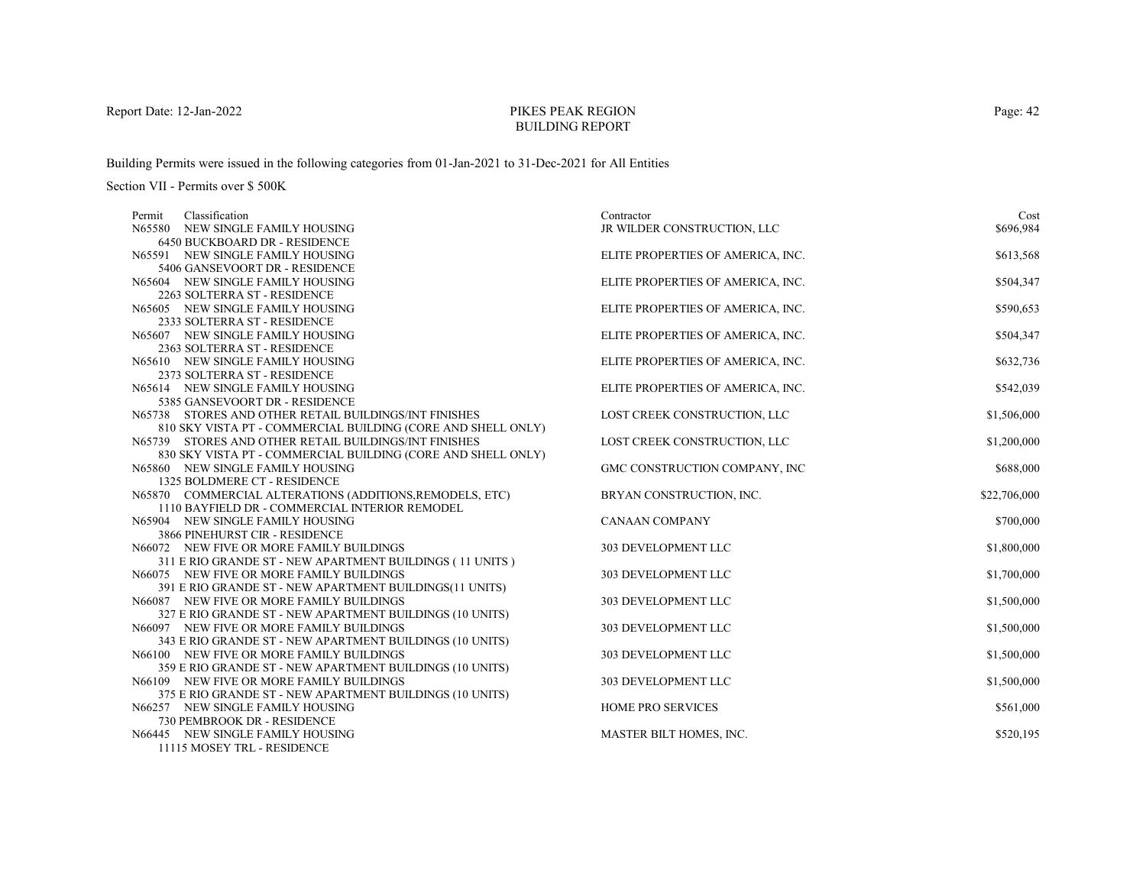# PIKES PEAK REGIONBUILDING REPORT

Building Permits were issued in the following categories from 01-Jan-2021 to 31-Dec-2021 for All Entities

Section VII - Permits over \$ 500K

| Classification<br>Permit                                                                             | Contractor                        | Cost         |
|------------------------------------------------------------------------------------------------------|-----------------------------------|--------------|
| N65580 NEW SINGLE FAMILY HOUSING                                                                     | JR WILDER CONSTRUCTION, LLC       | \$696,984    |
| 6450 BUCKBOARD DR - RESIDENCE                                                                        |                                   |              |
| N65591 NEW SINGLE FAMILY HOUSING                                                                     | ELITE PROPERTIES OF AMERICA, INC. | \$613,568    |
| 5406 GANSEVOORT DR - RESIDENCE                                                                       |                                   |              |
| N65604 NEW SINGLE FAMILY HOUSING                                                                     | ELITE PROPERTIES OF AMERICA, INC. | \$504,347    |
| 2263 SOLTERRA ST - RESIDENCE                                                                         |                                   |              |
| N65605 NEW SINGLE FAMILY HOUSING                                                                     | ELITE PROPERTIES OF AMERICA, INC. | \$590,653    |
| 2333 SOLTERRA ST - RESIDENCE                                                                         |                                   |              |
| N65607 NEW SINGLE FAMILY HOUSING                                                                     | ELITE PROPERTIES OF AMERICA, INC. | \$504,347    |
| 2363 SOLTERRA ST - RESIDENCE                                                                         |                                   |              |
| N65610 NEW SINGLE FAMILY HOUSING                                                                     | ELITE PROPERTIES OF AMERICA, INC. | \$632,736    |
| 2373 SOLTERRA ST - RESIDENCE                                                                         |                                   |              |
| N65614 NEW SINGLE FAMILY HOUSING                                                                     | ELITE PROPERTIES OF AMERICA, INC. | \$542,039    |
| 5385 GANSEVOORT DR - RESIDENCE                                                                       |                                   |              |
| N65738 STORES AND OTHER RETAIL BUILDINGS/INT FINISHES                                                | LOST CREEK CONSTRUCTION, LLC      | \$1,506,000  |
| 810 SKY VISTA PT - COMMERCIAL BUILDING (CORE AND SHELL ONLY)                                         |                                   |              |
| N65739 STORES AND OTHER RETAIL BUILDINGS/INT FINISHES                                                | LOST CREEK CONSTRUCTION, LLC      | \$1,200,000  |
| 830 SKY VISTA PT - COMMERCIAL BUILDING (CORE AND SHELL ONLY)                                         |                                   |              |
| N65860 NEW SINGLE FAMILY HOUSING                                                                     | GMC CONSTRUCTION COMPANY, INC     | \$688,000    |
| 1325 BOLDMERE CT - RESIDENCE                                                                         |                                   |              |
| N65870 COMMERCIAL ALTERATIONS (ADDITIONS, REMODELS, ETC)                                             | BRYAN CONSTRUCTION, INC.          | \$22,706,000 |
| 1110 BAYFIELD DR - COMMERCIAL INTERIOR REMODEL                                                       |                                   |              |
| N65904 NEW SINGLE FAMILY HOUSING                                                                     | <b>CANAAN COMPANY</b>             | \$700,000    |
| 3866 PINEHURST CIR - RESIDENCE                                                                       |                                   |              |
| N66072 NEW FIVE OR MORE FAMILY BUILDINGS                                                             | 303 DEVELOPMENT LLC               | \$1,800,000  |
| 311 E RIO GRANDE ST - NEW APARTMENT BUILDINGS (11 UNITS)                                             |                                   |              |
| N66075 NEW FIVE OR MORE FAMILY BUILDINGS                                                             | 303 DEVELOPMENT LLC               | \$1,700,000  |
| 391 E RIO GRANDE ST - NEW APARTMENT BUILDINGS(11 UNITS)                                              |                                   |              |
| N66087 NEW FIVE OR MORE FAMILY BUILDINGS                                                             | 303 DEVELOPMENT LLC               | \$1,500,000  |
| 327 E RIO GRANDE ST - NEW APARTMENT BUILDINGS (10 UNITS)                                             | 303 DEVELOPMENT LLC               |              |
| N66097 NEW FIVE OR MORE FAMILY BUILDINGS<br>343 E RIO GRANDE ST - NEW APARTMENT BUILDINGS (10 UNITS) |                                   | \$1,500,000  |
| N66100 NEW FIVE OR MORE FAMILY BUILDINGS                                                             | 303 DEVELOPMENT LLC               | \$1,500,000  |
| 359 E RIO GRANDE ST - NEW APARTMENT BUILDINGS (10 UNITS)                                             |                                   |              |
| N66109 NEW FIVE OR MORE FAMILY BUILDINGS                                                             | 303 DEVELOPMENT LLC               | \$1,500,000  |
| 375 E RIO GRANDE ST - NEW APARTMENT BUILDINGS (10 UNITS)                                             |                                   |              |
| N66257 NEW SINGLE FAMILY HOUSING                                                                     | HOME PRO SERVICES                 | \$561,000    |
| 730 PEMBROOK DR - RESIDENCE                                                                          |                                   |              |
| N66445 NEW SINGLE FAMILY HOUSING                                                                     | MASTER BILT HOMES, INC.           | \$520,195    |
| <b>11115 MOREY TDI DESIDEMOR</b>                                                                     |                                   |              |

11115 MOSEY TRL - RESIDENCE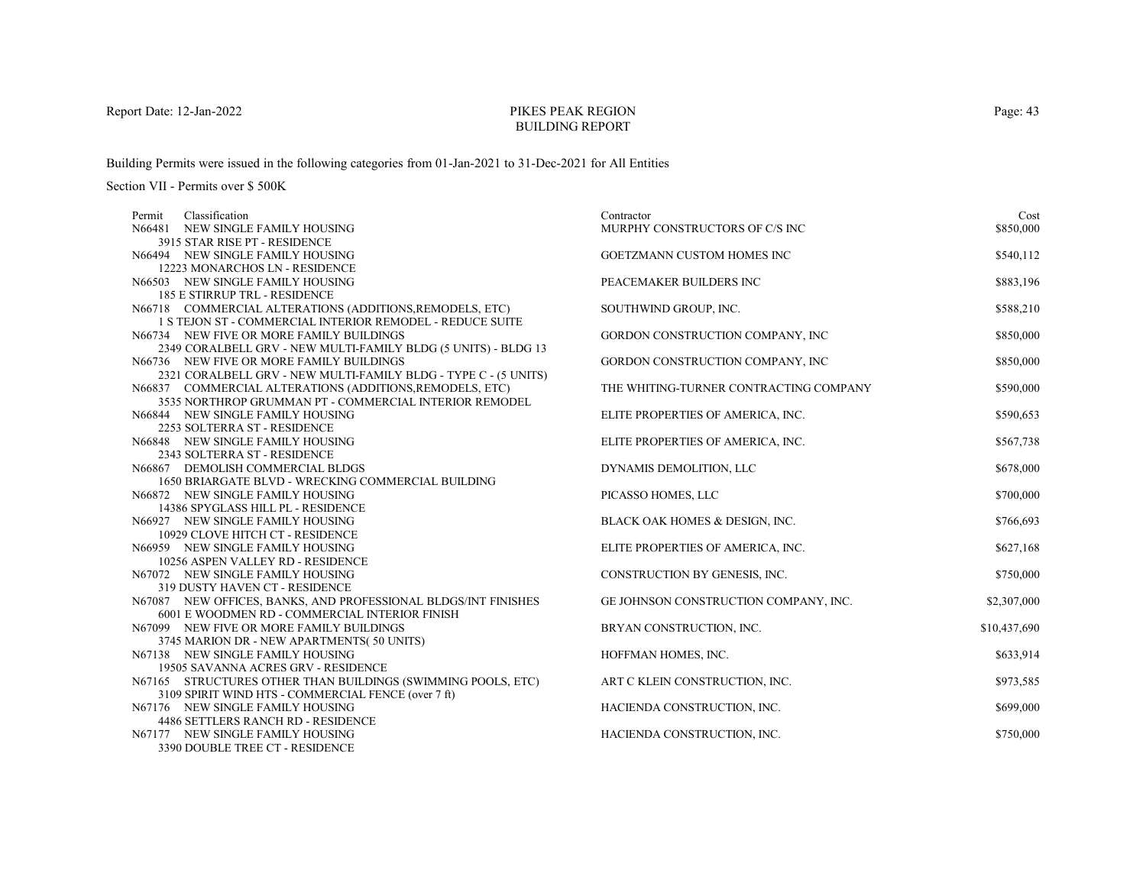# PIKES PEAK REGIONBUILDING REPORT

Building Permits were issued in the following categories from 01-Jan-2021 to 31-Dec-2021 for All Entities

| Contractor                     | Cost                                                                                                                                                                                                                                                                                                                                                                                                                                                                                                                                          |
|--------------------------------|-----------------------------------------------------------------------------------------------------------------------------------------------------------------------------------------------------------------------------------------------------------------------------------------------------------------------------------------------------------------------------------------------------------------------------------------------------------------------------------------------------------------------------------------------|
| MURPHY CONSTRUCTORS OF C/S INC | \$850,000                                                                                                                                                                                                                                                                                                                                                                                                                                                                                                                                     |
|                                |                                                                                                                                                                                                                                                                                                                                                                                                                                                                                                                                               |
| GOETZMANN CUSTOM HOMES INC     | \$540,112                                                                                                                                                                                                                                                                                                                                                                                                                                                                                                                                     |
|                                |                                                                                                                                                                                                                                                                                                                                                                                                                                                                                                                                               |
| PEACEMAKER BUILDERS INC        | \$883,196                                                                                                                                                                                                                                                                                                                                                                                                                                                                                                                                     |
|                                |                                                                                                                                                                                                                                                                                                                                                                                                                                                                                                                                               |
| SOUTHWIND GROUP, INC.          | \$588,210                                                                                                                                                                                                                                                                                                                                                                                                                                                                                                                                     |
|                                |                                                                                                                                                                                                                                                                                                                                                                                                                                                                                                                                               |
|                                | \$850,000                                                                                                                                                                                                                                                                                                                                                                                                                                                                                                                                     |
|                                |                                                                                                                                                                                                                                                                                                                                                                                                                                                                                                                                               |
|                                | \$850,000                                                                                                                                                                                                                                                                                                                                                                                                                                                                                                                                     |
|                                |                                                                                                                                                                                                                                                                                                                                                                                                                                                                                                                                               |
|                                | \$590,000                                                                                                                                                                                                                                                                                                                                                                                                                                                                                                                                     |
|                                |                                                                                                                                                                                                                                                                                                                                                                                                                                                                                                                                               |
|                                | \$590,653                                                                                                                                                                                                                                                                                                                                                                                                                                                                                                                                     |
|                                |                                                                                                                                                                                                                                                                                                                                                                                                                                                                                                                                               |
|                                | \$567,738                                                                                                                                                                                                                                                                                                                                                                                                                                                                                                                                     |
|                                |                                                                                                                                                                                                                                                                                                                                                                                                                                                                                                                                               |
|                                | \$678,000                                                                                                                                                                                                                                                                                                                                                                                                                                                                                                                                     |
|                                |                                                                                                                                                                                                                                                                                                                                                                                                                                                                                                                                               |
|                                | \$700,000                                                                                                                                                                                                                                                                                                                                                                                                                                                                                                                                     |
|                                |                                                                                                                                                                                                                                                                                                                                                                                                                                                                                                                                               |
|                                | \$766,693                                                                                                                                                                                                                                                                                                                                                                                                                                                                                                                                     |
|                                |                                                                                                                                                                                                                                                                                                                                                                                                                                                                                                                                               |
|                                | \$627,168                                                                                                                                                                                                                                                                                                                                                                                                                                                                                                                                     |
|                                |                                                                                                                                                                                                                                                                                                                                                                                                                                                                                                                                               |
|                                | \$750,000                                                                                                                                                                                                                                                                                                                                                                                                                                                                                                                                     |
|                                |                                                                                                                                                                                                                                                                                                                                                                                                                                                                                                                                               |
|                                | \$2,307,000                                                                                                                                                                                                                                                                                                                                                                                                                                                                                                                                   |
|                                | \$10,437,690                                                                                                                                                                                                                                                                                                                                                                                                                                                                                                                                  |
|                                |                                                                                                                                                                                                                                                                                                                                                                                                                                                                                                                                               |
|                                | \$633,914                                                                                                                                                                                                                                                                                                                                                                                                                                                                                                                                     |
|                                |                                                                                                                                                                                                                                                                                                                                                                                                                                                                                                                                               |
|                                | \$973,585                                                                                                                                                                                                                                                                                                                                                                                                                                                                                                                                     |
|                                |                                                                                                                                                                                                                                                                                                                                                                                                                                                                                                                                               |
|                                | \$699,000                                                                                                                                                                                                                                                                                                                                                                                                                                                                                                                                     |
|                                |                                                                                                                                                                                                                                                                                                                                                                                                                                                                                                                                               |
|                                | \$750,000                                                                                                                                                                                                                                                                                                                                                                                                                                                                                                                                     |
|                                |                                                                                                                                                                                                                                                                                                                                                                                                                                                                                                                                               |
|                                | GORDON CONSTRUCTION COMPANY, INC<br>GORDON CONSTRUCTION COMPANY, INC<br>THE WHITING-TURNER CONTRACTING COMPANY<br>ELITE PROPERTIES OF AMERICA, INC.<br>ELITE PROPERTIES OF AMERICA, INC.<br>DYNAMIS DEMOLITION, LLC<br>PICASSO HOMES, LLC<br>BLACK OAK HOMES & DESIGN, INC.<br>ELITE PROPERTIES OF AMERICA, INC.<br>CONSTRUCTION BY GENESIS, INC.<br>GE JOHNSON CONSTRUCTION COMPANY, INC.<br>BRYAN CONSTRUCTION, INC.<br>HOFFMAN HOMES, INC.<br>ART C KLEIN CONSTRUCTION, INC.<br>HACIENDA CONSTRUCTION, INC.<br>HACIENDA CONSTRUCTION, INC. |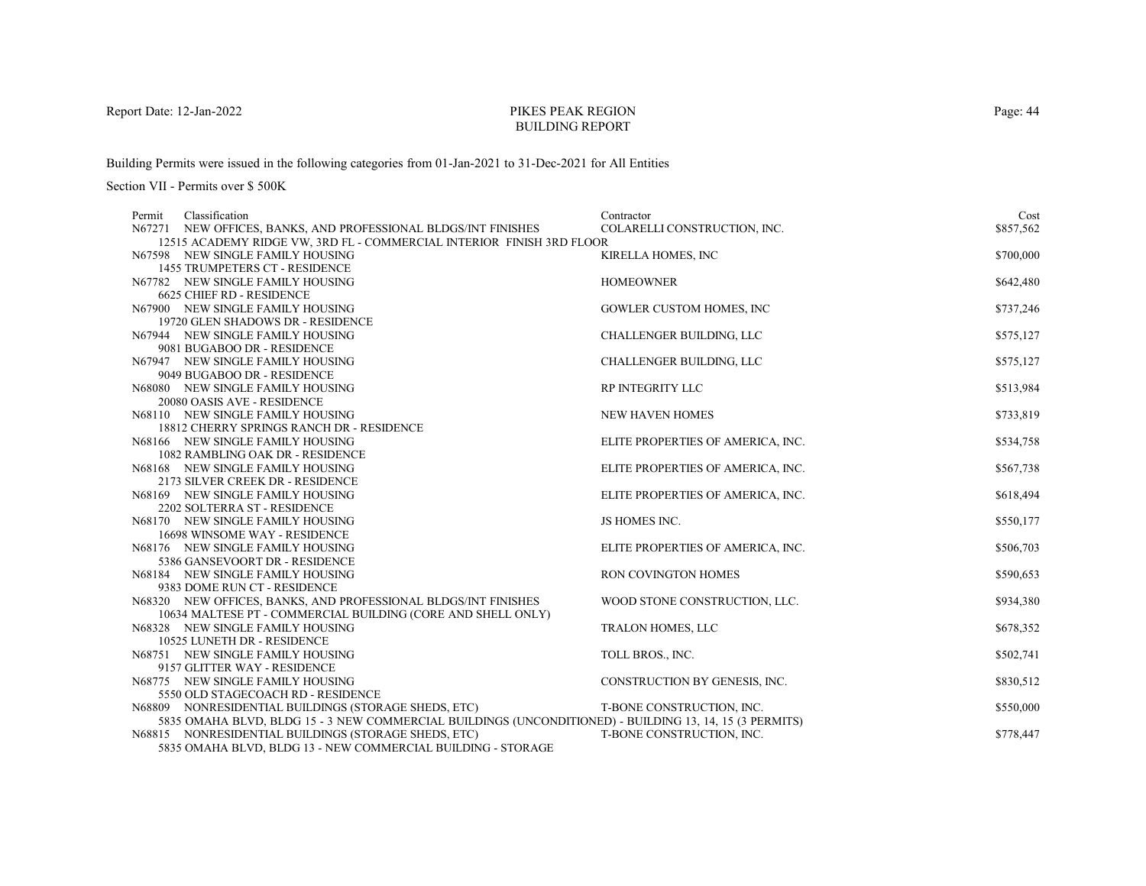# PIKES PEAK REGIONBUILDING REPORT

Building Permits were issued in the following categories from 01-Jan-2021 to 31-Dec-2021 for All Entities

| Classification<br>Permit                                                                                | Contractor                        | Cost      |
|---------------------------------------------------------------------------------------------------------|-----------------------------------|-----------|
| N67271 NEW OFFICES, BANKS, AND PROFESSIONAL BLDGS/INT FINISHES                                          | COLARELLI CONSTRUCTION, INC.      | \$857,562 |
| 12515 ACADEMY RIDGE VW, 3RD FL - COMMERCIAL INTERIOR FINISH 3RD FLOOR                                   |                                   |           |
| N67598 NEW SINGLE FAMILY HOUSING                                                                        | KIRELLA HOMES, INC                | \$700,000 |
| <b>1455 TRUMPETERS CT - RESIDENCE</b>                                                                   |                                   |           |
| N67782 NEW SINGLE FAMILY HOUSING                                                                        | <b>HOMEOWNER</b>                  | \$642,480 |
| <b>6625 CHIEF RD - RESIDENCE</b>                                                                        |                                   |           |
| N67900 NEW SINGLE FAMILY HOUSING                                                                        | <b>GOWLER CUSTOM HOMES, INC</b>   | \$737,246 |
| 19720 GLEN SHADOWS DR - RESIDENCE                                                                       |                                   |           |
| N67944 NEW SINGLE FAMILY HOUSING                                                                        | <b>CHALLENGER BUILDING, LLC</b>   | \$575,127 |
| 9081 BUGABOO DR - RESIDENCE                                                                             |                                   |           |
| N67947 NEW SINGLE FAMILY HOUSING                                                                        | CHALLENGER BUILDING, LLC          | \$575,127 |
| 9049 BUGABOO DR - RESIDENCE                                                                             |                                   |           |
| N68080 NEW SINGLE FAMILY HOUSING                                                                        | RP INTEGRITY LLC                  | \$513,984 |
| 20080 OASIS AVE - RESIDENCE                                                                             |                                   |           |
| N68110 NEW SINGLE FAMILY HOUSING                                                                        | <b>NEW HAVEN HOMES</b>            | \$733,819 |
| 18812 CHERRY SPRINGS RANCH DR - RESIDENCE                                                               |                                   |           |
| N68166 NEW SINGLE FAMILY HOUSING                                                                        | ELITE PROPERTIES OF AMERICA, INC. | \$534,758 |
| 1082 RAMBLING OAK DR - RESIDENCE                                                                        |                                   |           |
| N68168 NEW SINGLE FAMILY HOUSING                                                                        | ELITE PROPERTIES OF AMERICA, INC. | \$567,738 |
| 2173 SILVER CREEK DR - RESIDENCE                                                                        |                                   |           |
| N68169 NEW SINGLE FAMILY HOUSING<br>2202 SOLTERRA ST - RESIDENCE                                        | ELITE PROPERTIES OF AMERICA, INC. | \$618,494 |
| N68170 NEW SINGLE FAMILY HOUSING                                                                        | <b>JS HOMES INC.</b>              |           |
| 16698 WINSOME WAY - RESIDENCE                                                                           |                                   | \$550,177 |
| N68176 NEW SINGLE FAMILY HOUSING                                                                        | ELITE PROPERTIES OF AMERICA, INC. | \$506,703 |
| 5386 GANSEVOORT DR - RESIDENCE                                                                          |                                   |           |
| N68184 NEW SINGLE FAMILY HOUSING                                                                        | <b>RON COVINGTON HOMES</b>        | \$590,653 |
| 9383 DOME RUN CT - RESIDENCE                                                                            |                                   |           |
| N68320 NEW OFFICES, BANKS, AND PROFESSIONAL BLDGS/INT FINISHES                                          | WOOD STONE CONSTRUCTION, LLC.     | \$934,380 |
| 10634 MALTESE PT - COMMERCIAL BUILDING (CORE AND SHELL ONLY)                                            |                                   |           |
| N68328 NEW SINGLE FAMILY HOUSING                                                                        | TRALON HOMES, LLC                 | \$678,352 |
| 10525 LUNETH DR - RESIDENCE                                                                             |                                   |           |
| N68751 NEW SINGLE FAMILY HOUSING                                                                        | TOLL BROS., INC.                  | \$502,741 |
| 9157 GLITTER WAY - RESIDENCE                                                                            |                                   |           |
| N68775 NEW SINGLE FAMILY HOUSING                                                                        | CONSTRUCTION BY GENESIS, INC.     | \$830,512 |
| 5550 OLD STAGECOACH RD - RESIDENCE                                                                      |                                   |           |
| N68809 NONRESIDENTIAL BUILDINGS (STORAGE SHEDS, ETC)                                                    | T-BONE CONSTRUCTION, INC.         | \$550,000 |
| 5835 OMAHA BLVD, BLDG 15 - 3 NEW COMMERCIAL BUILDINGS (UNCONDITIONED) - BUILDING 13, 14, 15 (3 PERMITS) |                                   |           |
| N68815 NONRESIDENTIAL BUILDINGS (STORAGE SHEDS, ETC)                                                    | T-BONE CONSTRUCTION, INC.         | \$778,447 |
| 5835 OMAHA BLVD, BLDG 13 - NEW COMMERCIAL BUILDING - STORAGE                                            |                                   |           |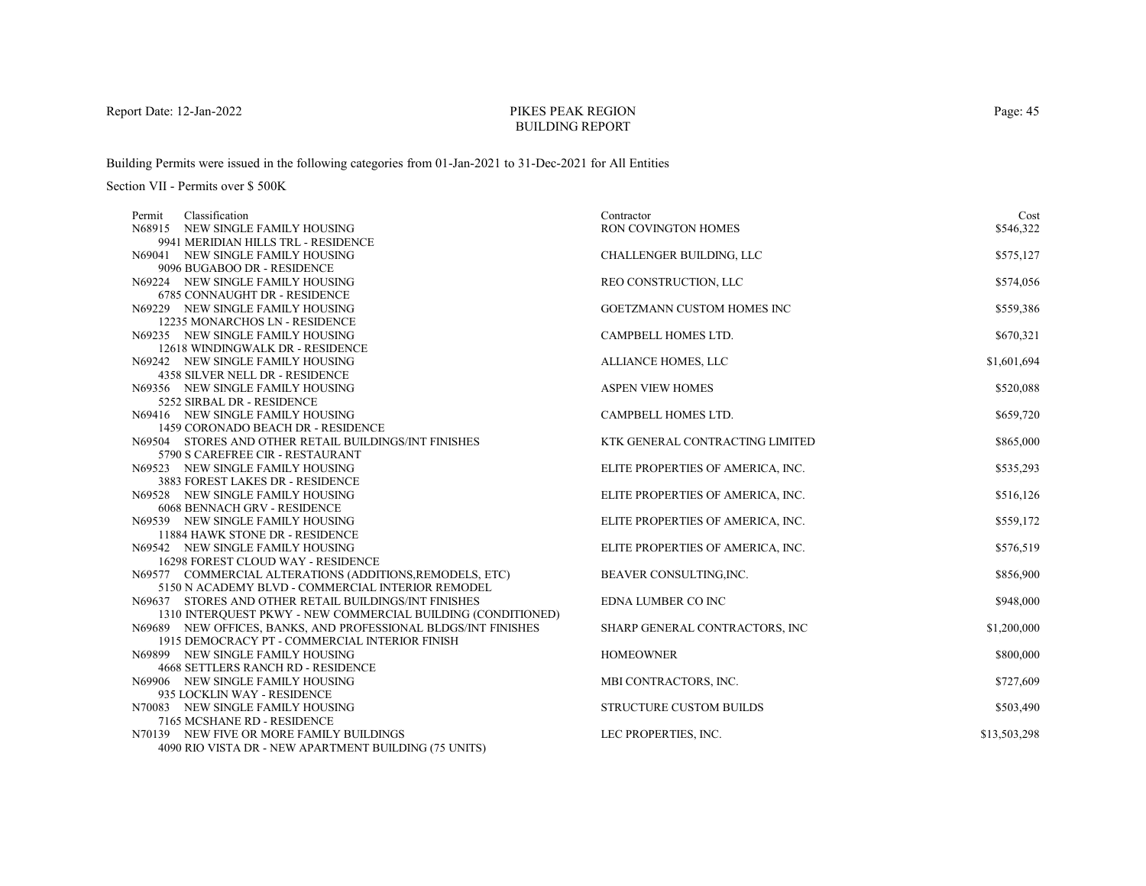# PIKES PEAK REGIONBUILDING REPORT

Building Permits were issued in the following categories from 01-Jan-2021 to 31-Dec-2021 for All Entities

| Classification<br>Permit                                         | Contractor                        | Cost         |
|------------------------------------------------------------------|-----------------------------------|--------------|
| N68915 NEW SINGLE FAMILY HOUSING                                 | <b>RON COVINGTON HOMES</b>        | \$546,322    |
| 9941 MERIDIAN HILLS TRL - RESIDENCE                              |                                   |              |
| N69041 NEW SINGLE FAMILY HOUSING                                 | CHALLENGER BUILDING, LLC          | \$575,127    |
| 9096 BUGABOO DR - RESIDENCE                                      |                                   |              |
| N69224 NEW SINGLE FAMILY HOUSING                                 | REO CONSTRUCTION, LLC             | \$574,056    |
| 6785 CONNAUGHT DR - RESIDENCE                                    |                                   |              |
| N69229 NEW SINGLE FAMILY HOUSING                                 | GOETZMANN CUSTOM HOMES INC        | \$559,386    |
| 12235 MONARCHOS LN - RESIDENCE                                   |                                   |              |
| N69235 NEW SINGLE FAMILY HOUSING                                 | CAMPBELL HOMES LTD.               | \$670,321    |
| 12618 WINDINGWALK DR - RESIDENCE                                 |                                   |              |
| N69242 NEW SINGLE FAMILY HOUSING                                 | ALLIANCE HOMES, LLC               | \$1,601,694  |
| 4358 SILVER NELL DR - RESIDENCE                                  |                                   |              |
| N69356 NEW SINGLE FAMILY HOUSING                                 | <b>ASPEN VIEW HOMES</b>           | \$520,088    |
| 5252 SIRBAL DR - RESIDENCE                                       |                                   |              |
| N69416 NEW SINGLE FAMILY HOUSING                                 | <b>CAMPBELL HOMES LTD.</b>        | \$659,720    |
| 1459 CORONADO BEACH DR - RESIDENCE                               |                                   |              |
| N69504 STORES AND OTHER RETAIL BUILDINGS/INT FINISHES            | KTK GENERAL CONTRACTING LIMITED   | \$865,000    |
| 5790 S CAREFREE CIR - RESTAURANT                                 |                                   |              |
| N69523 NEW SINGLE FAMILY HOUSING                                 | ELITE PROPERTIES OF AMERICA, INC. | \$535,293    |
| 3883 FOREST LAKES DR - RESIDENCE                                 |                                   |              |
| N69528 NEW SINGLE FAMILY HOUSING                                 | ELITE PROPERTIES OF AMERICA, INC. | \$516,126    |
| 6068 BENNACH GRV - RESIDENCE<br>N69539 NEW SINGLE FAMILY HOUSING |                                   |              |
| 11884 HAWK STONE DR - RESIDENCE                                  | ELITE PROPERTIES OF AMERICA, INC. | \$559,172    |
| N69542 NEW SINGLE FAMILY HOUSING                                 | ELITE PROPERTIES OF AMERICA, INC. | \$576,519    |
| 16298 FOREST CLOUD WAY - RESIDENCE                               |                                   |              |
| N69577 COMMERCIAL ALTERATIONS (ADDITIONS, REMODELS, ETC)         | BEAVER CONSULTING, INC.           | \$856,900    |
| 5150 N ACADEMY BLVD - COMMERCIAL INTERIOR REMODEL                |                                   |              |
| N69637 STORES AND OTHER RETAIL BUILDINGS/INT FINISHES            | <b>EDNA LUMBER CO INC</b>         | \$948,000    |
| 1310 INTERQUEST PKWY - NEW COMMERCIAL BUILDING (CONDITIONED)     |                                   |              |
| N69689 NEW OFFICES, BANKS, AND PROFESSIONAL BLDGS/INT FINISHES   | SHARP GENERAL CONTRACTORS, INC    | \$1,200,000  |
| 1915 DEMOCRACY PT - COMMERCIAL INTERIOR FINISH                   |                                   |              |
| N69899 NEW SINGLE FAMILY HOUSING                                 | <b>HOMEOWNER</b>                  | \$800,000    |
| <b>4668 SETTLERS RANCH RD - RESIDENCE</b>                        |                                   |              |
| N69906 NEW SINGLE FAMILY HOUSING                                 | MBI CONTRACTORS, INC.             | \$727,609    |
| 935 LOCKLIN WAY - RESIDENCE                                      |                                   |              |
| N70083 NEW SINGLE FAMILY HOUSING                                 | <b>STRUCTURE CUSTOM BUILDS</b>    | \$503,490    |
| 7165 MCSHANE RD - RESIDENCE                                      |                                   |              |
| N70139 NEW FIVE OR MORE FAMILY BUILDINGS                         | LEC PROPERTIES, INC.              | \$13,503,298 |
| 4090 RIO VISTA DR - NEW APARTMENT BUILDING (75 UNITS)            |                                   |              |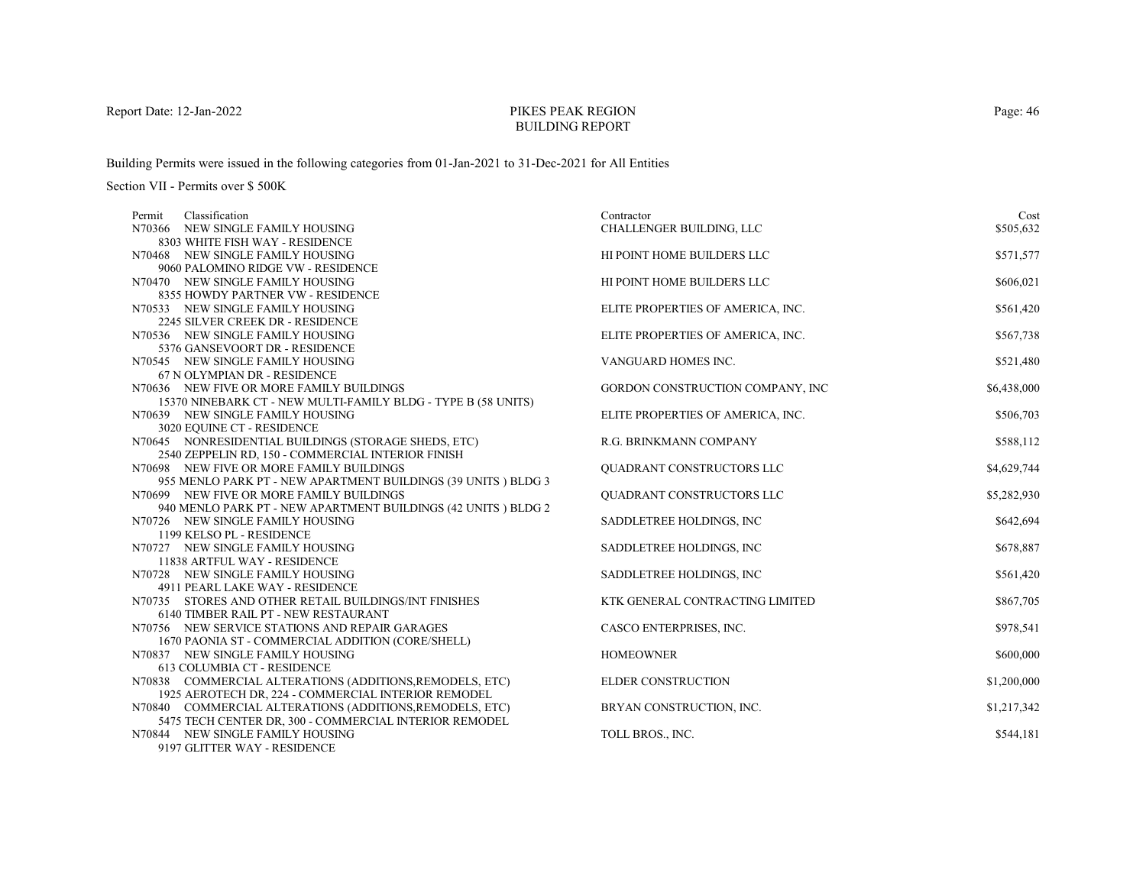# PIKES PEAK REGIONBUILDING REPORT

Building Permits were issued in the following categories from 01-Jan-2021 to 31-Dec-2021 for All Entities

Section VII - Permits over \$ 500K

| Classification<br>Permit                                                                                           | Contractor                        | Cost        |
|--------------------------------------------------------------------------------------------------------------------|-----------------------------------|-------------|
| N70366 NEW SINGLE FAMILY HOUSING                                                                                   | CHALLENGER BUILDING, LLC          | \$505,632   |
| 8303 WHITE FISH WAY - RESIDENCE                                                                                    |                                   |             |
| N70468 NEW SINGLE FAMILY HOUSING                                                                                   | HI POINT HOME BUILDERS LLC        | \$571,577   |
| 9060 PALOMINO RIDGE VW - RESIDENCE                                                                                 |                                   |             |
| N70470 NEW SINGLE FAMILY HOUSING                                                                                   | HI POINT HOME BUILDERS LLC        | \$606,021   |
| 8355 HOWDY PARTNER VW - RESIDENCE                                                                                  |                                   |             |
| N70533 NEW SINGLE FAMILY HOUSING                                                                                   | ELITE PROPERTIES OF AMERICA, INC. | \$561,420   |
| 2245 SILVER CREEK DR - RESIDENCE                                                                                   |                                   |             |
| N70536 NEW SINGLE FAMILY HOUSING                                                                                   | ELITE PROPERTIES OF AMERICA, INC. | \$567,738   |
| 5376 GANSEVOORT DR - RESIDENCE                                                                                     |                                   |             |
| N70545 NEW SINGLE FAMILY HOUSING                                                                                   | VANGUARD HOMES INC.               | \$521,480   |
| 67 N OLYMPIAN DR - RESIDENCE                                                                                       |                                   |             |
| N70636 NEW FIVE OR MORE FAMILY BUILDINGS                                                                           | GORDON CONSTRUCTION COMPANY, INC  | \$6,438,000 |
| 15370 NINEBARK CT - NEW MULTI-FAMILY BLDG - TYPE B (58 UNITS)                                                      |                                   |             |
| N70639 NEW SINGLE FAMILY HOUSING                                                                                   | ELITE PROPERTIES OF AMERICA, INC. | \$506,703   |
| 3020 EQUINE CT - RESIDENCE                                                                                         |                                   |             |
| N70645 NONRESIDENTIAL BUILDINGS (STORAGE SHEDS, ETC)                                                               | R.G. BRINKMANN COMPANY            | \$588,112   |
| 2540 ZEPPELIN RD, 150 - COMMERCIAL INTERIOR FINISH                                                                 |                                   |             |
| N70698 NEW FIVE OR MORE FAMILY BUILDINGS                                                                           | QUADRANT CONSTRUCTORS LLC         | \$4,629,744 |
| 955 MENLO PARK PT - NEW APARTMENT BUILDINGS (39 UNITS) BLDG 3                                                      |                                   |             |
| N70699 NEW FIVE OR MORE FAMILY BUILDINGS                                                                           | QUADRANT CONSTRUCTORS LLC         | \$5,282,930 |
| 940 MENLO PARK PT - NEW APARTMENT BUILDINGS (42 UNITS) BLDG 2                                                      |                                   |             |
| N70726 NEW SINGLE FAMILY HOUSING                                                                                   | SADDLETREE HOLDINGS, INC.         | \$642,694   |
| 1199 KELSO PL - RESIDENCE                                                                                          |                                   |             |
| N70727 NEW SINGLE FAMILY HOUSING                                                                                   | SADDLETREE HOLDINGS, INC          | \$678,887   |
| 11838 ARTFUL WAY - RESIDENCE                                                                                       |                                   |             |
| N70728 NEW SINGLE FAMILY HOUSING                                                                                   | SADDLETREE HOLDINGS, INC.         | \$561,420   |
| 4911 PEARL LAKE WAY - RESIDENCE                                                                                    |                                   |             |
| N70735 STORES AND OTHER RETAIL BUILDINGS/INT FINISHES                                                              | KTK GENERAL CONTRACTING LIMITED   | \$867,705   |
| 6140 TIMBER RAIL PT - NEW RESTAURANT                                                                               |                                   |             |
| N70756 NEW SERVICE STATIONS AND REPAIR GARAGES                                                                     | CASCO ENTERPRISES, INC.           | \$978,541   |
| 1670 PAONIA ST - COMMERCIAL ADDITION (CORE/SHELL)                                                                  |                                   |             |
| N70837 NEW SINGLE FAMILY HOUSING                                                                                   | <b>HOMEOWNER</b>                  | \$600,000   |
| 613 COLUMBIA CT - RESIDENCE                                                                                        | <b>ELDER CONSTRUCTION</b>         |             |
| N70838 COMMERCIAL ALTERATIONS (ADDITIONS, REMODELS, ETC)                                                           |                                   | \$1,200,000 |
| 1925 AEROTECH DR, 224 - COMMERCIAL INTERIOR REMODEL                                                                |                                   |             |
| N70840 COMMERCIAL ALTERATIONS (ADDITIONS, REMODELS, ETC)<br>5475 TECH CENTER DR, 300 - COMMERCIAL INTERIOR REMODEL | BRYAN CONSTRUCTION, INC.          | \$1,217,342 |
| N70844 NEW SINGLE FAMILY HOUSING                                                                                   | TOLL BROS., INC.                  | \$544,181   |
| 0107 CLITTED WAY DECIDEMON                                                                                         |                                   |             |

9197 GLITTER WAY - RESIDENCE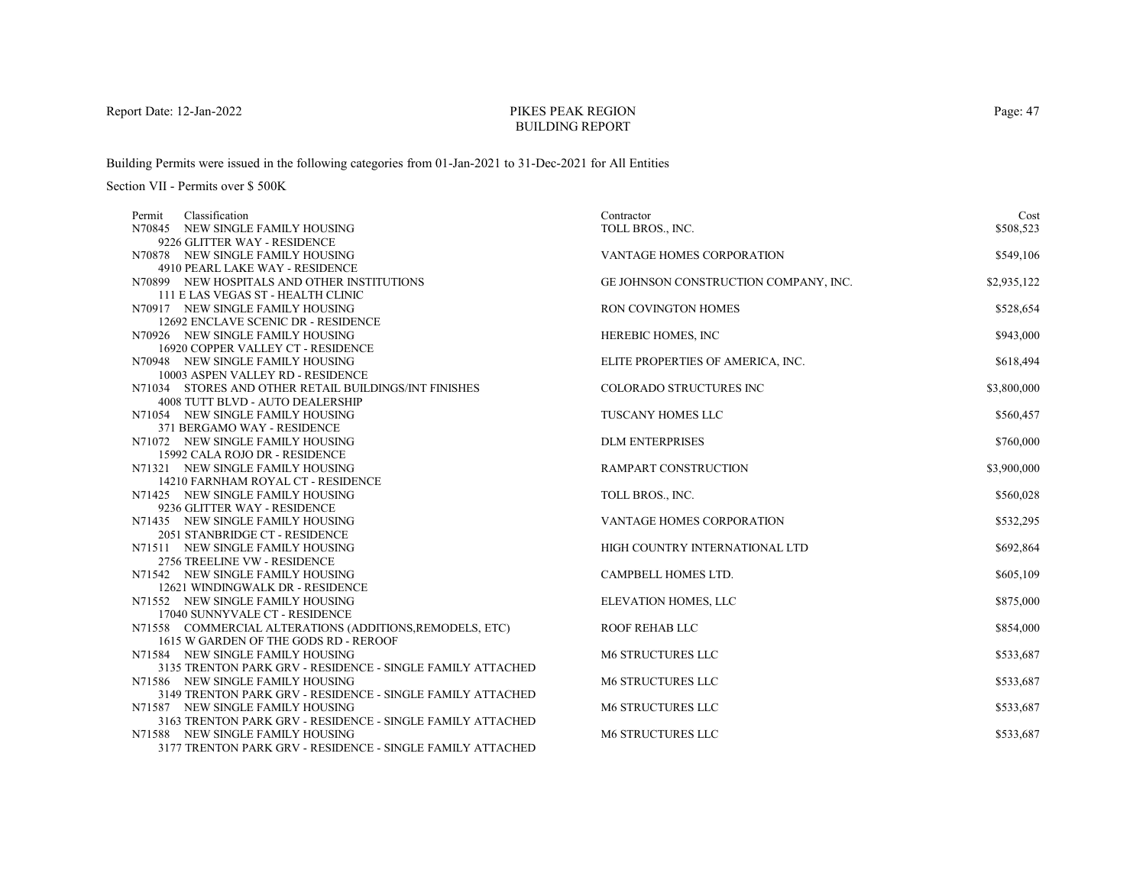# PIKES PEAK REGIONBUILDING REPORT

Building Permits were issued in the following categories from 01-Jan-2021 to 31-Dec-2021 for All Entities

| Classification<br>Permit                                             | Contractor                            | Cost        |
|----------------------------------------------------------------------|---------------------------------------|-------------|
| N70845 NEW SINGLE FAMILY HOUSING                                     | TOLL BROS., INC.                      | \$508,523   |
| 9226 GLITTER WAY - RESIDENCE                                         |                                       |             |
| N70878 NEW SINGLE FAMILY HOUSING                                     | VANTAGE HOMES CORPORATION             | \$549,106   |
| 4910 PEARL LAKE WAY - RESIDENCE                                      |                                       |             |
| N70899 NEW HOSPITALS AND OTHER INSTITUTIONS                          | GE JOHNSON CONSTRUCTION COMPANY, INC. | \$2,935,122 |
| 111 E LAS VEGAS ST - HEALTH CLINIC                                   |                                       |             |
| N70917 NEW SINGLE FAMILY HOUSING                                     | <b>RON COVINGTON HOMES</b>            | \$528,654   |
| 12692 ENCLAVE SCENIC DR - RESIDENCE                                  |                                       |             |
| N70926 NEW SINGLE FAMILY HOUSING                                     | <b>HEREBIC HOMES, INC</b>             | \$943,000   |
| 16920 COPPER VALLEY CT - RESIDENCE                                   |                                       |             |
| N70948 NEW SINGLE FAMILY HOUSING                                     | ELITE PROPERTIES OF AMERICA, INC.     | \$618,494   |
| 10003 ASPEN VALLEY RD - RESIDENCE                                    |                                       |             |
| N71034 STORES AND OTHER RETAIL BUILDINGS/INT FINISHES                | COLORADO STRUCTURES INC               | \$3,800,000 |
| 4008 TUTT BLVD - AUTO DEALERSHIP                                     |                                       |             |
| N71054 NEW SINGLE FAMILY HOUSING                                     | <b>TUSCANY HOMES LLC</b>              | \$560,457   |
| 371 BERGAMO WAY - RESIDENCE                                          |                                       |             |
| N71072 NEW SINGLE FAMILY HOUSING                                     | <b>DLM ENTERPRISES</b>                | \$760,000   |
| 15992 CALA ROJO DR - RESIDENCE                                       |                                       |             |
| N71321 NEW SINGLE FAMILY HOUSING                                     | <b>RAMPART CONSTRUCTION</b>           | \$3,900,000 |
| 14210 FARNHAM ROYAL CT - RESIDENCE                                   |                                       |             |
| N71425 NEW SINGLE FAMILY HOUSING                                     | TOLL BROS., INC.                      | \$560,028   |
| 9236 GLITTER WAY - RESIDENCE                                         |                                       |             |
| N71435 NEW SINGLE FAMILY HOUSING                                     | <b>VANTAGE HOMES CORPORATION</b>      | \$532,295   |
| 2051 STANBRIDGE CT - RESIDENCE                                       |                                       |             |
| N71511 NEW SINGLE FAMILY HOUSING                                     | HIGH COUNTRY INTERNATIONAL LTD        | \$692,864   |
| 2756 TREELINE VW - RESIDENCE                                         |                                       |             |
| N71542 NEW SINGLE FAMILY HOUSING<br>12621 WINDINGWALK DR - RESIDENCE | CAMPBELL HOMES LTD.                   | \$605,109   |
| N71552 NEW SINGLE FAMILY HOUSING                                     | ELEVATION HOMES, LLC                  | \$875,000   |
| 17040 SUNNYVALE CT - RESIDENCE                                       |                                       |             |
| N71558 COMMERCIAL ALTERATIONS (ADDITIONS, REMODELS, ETC)             | <b>ROOF REHAB LLC</b>                 | \$854,000   |
| 1615 W GARDEN OF THE GODS RD - REROOF                                |                                       |             |
| N71584 NEW SINGLE FAMILY HOUSING                                     | <b>M6 STRUCTURES LLC</b>              | \$533,687   |
| 3135 TRENTON PARK GRV - RESIDENCE - SINGLE FAMILY ATTACHED           |                                       |             |
| N71586 NEW SINGLE FAMILY HOUSING                                     | <b>M6 STRUCTURES LLC</b>              | \$533,687   |
| 3149 TRENTON PARK GRV - RESIDENCE - SINGLE FAMILY ATTACHED           |                                       |             |
| N71587 NEW SINGLE FAMILY HOUSING                                     | <b>M6 STRUCTURES LLC</b>              | \$533,687   |
| 3163 TRENTON PARK GRV - RESIDENCE - SINGLE FAMILY ATTACHED           |                                       |             |
| N71588 NEW SINGLE FAMILY HOUSING                                     | <b>M6 STRUCTURES LLC</b>              | \$533,687   |
| 3177 TRENTON PARK GRV - RESIDENCE - SINGLE FAMILY ATTACHED           |                                       |             |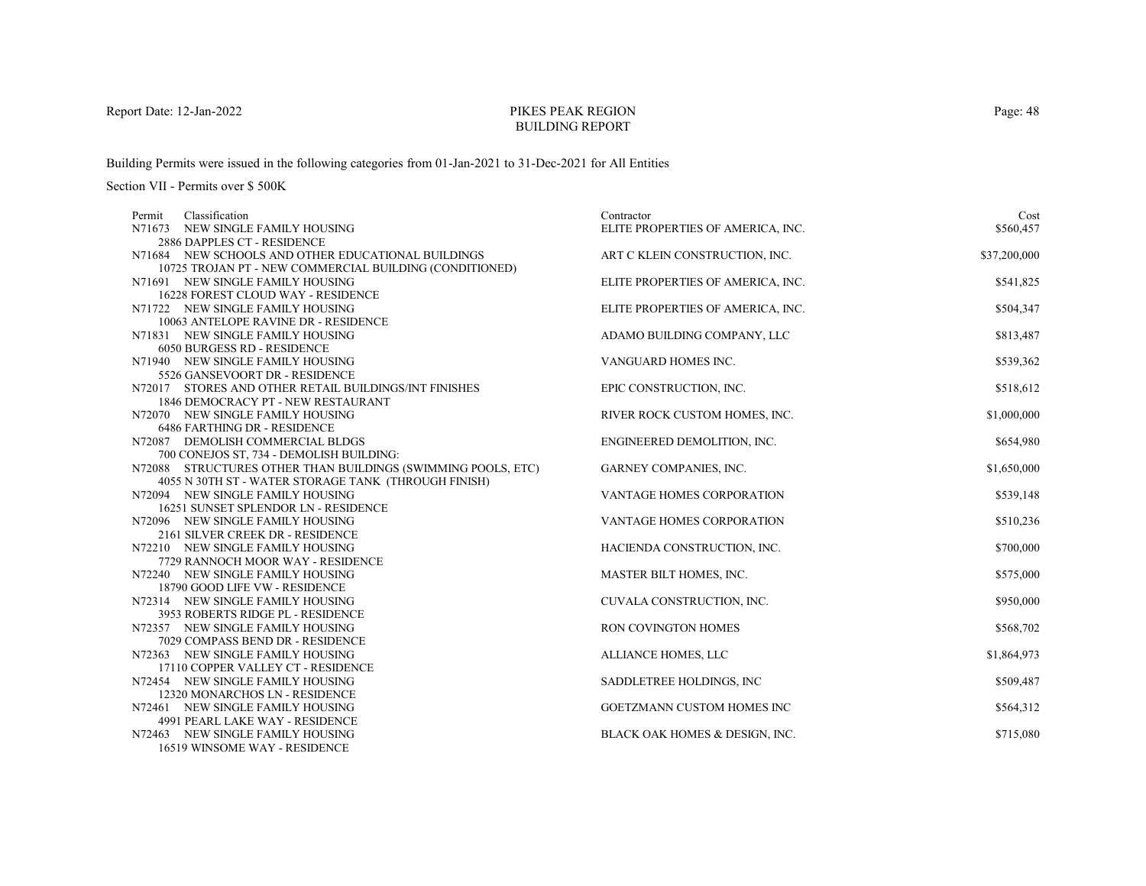# PIKES PEAK REGIONBUILDING REPORT

Building Permits were issued in the following categories from 01-Jan-2021 to 31-Dec-2021 for All Entities

| Classification<br>Permit                                             | Contractor                        | Cost         |
|----------------------------------------------------------------------|-----------------------------------|--------------|
| N71673 NEW SINGLE FAMILY HOUSING                                     | ELITE PROPERTIES OF AMERICA, INC. | \$560,457    |
| 2886 DAPPLES CT - RESIDENCE                                          |                                   |              |
| N71684 NEW SCHOOLS AND OTHER EDUCATIONAL BUILDINGS                   | ART C KLEIN CONSTRUCTION, INC.    | \$37,200,000 |
| 10725 TROJAN PT - NEW COMMERCIAL BUILDING (CONDITIONED)              |                                   |              |
| N71691 NEW SINGLE FAMILY HOUSING                                     | ELITE PROPERTIES OF AMERICA, INC. | \$541,825    |
| 16228 FOREST CLOUD WAY - RESIDENCE                                   |                                   |              |
| N71722 NEW SINGLE FAMILY HOUSING                                     | ELITE PROPERTIES OF AMERICA, INC. | \$504,347    |
| 10063 ANTELOPE RAVINE DR - RESIDENCE                                 |                                   |              |
| N71831 NEW SINGLE FAMILY HOUSING                                     | ADAMO BUILDING COMPANY, LLC       | \$813,487    |
| 6050 BURGESS RD - RESIDENCE                                          |                                   |              |
| N71940 NEW SINGLE FAMILY HOUSING                                     | VANGUARD HOMES INC.               | \$539,362    |
| 5526 GANSEVOORT DR - RESIDENCE                                       |                                   |              |
| N72017 STORES AND OTHER RETAIL BUILDINGS/INT FINISHES                | EPIC CONSTRUCTION, INC.           | \$518,612    |
| 1846 DEMOCRACY PT - NEW RESTAURANT                                   |                                   |              |
| N72070 NEW SINGLE FAMILY HOUSING                                     | RIVER ROCK CUSTOM HOMES, INC.     | \$1,000,000  |
| <b>6486 FARTHING DR - RESIDENCE</b>                                  |                                   |              |
| N72087 DEMOLISH COMMERCIAL BLDGS                                     | ENGINEERED DEMOLITION, INC.       | \$654,980    |
| 700 CONEJOS ST, 734 - DEMOLISH BUILDING:                             |                                   |              |
| N72088 STRUCTURES OTHER THAN BUILDINGS (SWIMMING POOLS, ETC)         | GARNEY COMPANIES, INC.            | \$1,650,000  |
| 4055 N 30TH ST - WATER STORAGE TANK (THROUGH FINISH)                 |                                   |              |
| N72094 NEW SINGLE FAMILY HOUSING                                     | <b>VANTAGE HOMES CORPORATION</b>  | \$539,148    |
| 16251 SUNSET SPLENDOR LN - RESIDENCE                                 |                                   |              |
| N72096 NEW SINGLE FAMILY HOUSING<br>2161 SILVER CREEK DR - RESIDENCE | VANTAGE HOMES CORPORATION         | \$510,236    |
| N72210 NEW SINGLE FAMILY HOUSING                                     | HACIENDA CONSTRUCTION, INC.       | \$700,000    |
| 7729 RANNOCH MOOR WAY - RESIDENCE                                    |                                   |              |
| N72240 NEW SINGLE FAMILY HOUSING                                     | MASTER BILT HOMES, INC.           | \$575,000    |
| 18790 GOOD LIFE VW - RESIDENCE                                       |                                   |              |
| N72314 NEW SINGLE FAMILY HOUSING                                     | CUVALA CONSTRUCTION, INC.         | \$950,000    |
| 3953 ROBERTS RIDGE PL - RESIDENCE                                    |                                   |              |
| N72357 NEW SINGLE FAMILY HOUSING                                     | <b>RON COVINGTON HOMES</b>        | \$568,702    |
| 7029 COMPASS BEND DR - RESIDENCE                                     |                                   |              |
| N72363 NEW SINGLE FAMILY HOUSING                                     | ALLIANCE HOMES, LLC               | \$1,864,973  |
| 17110 COPPER VALLEY CT - RESIDENCE                                   |                                   |              |
| N72454 NEW SINGLE FAMILY HOUSING                                     | SADDLETREE HOLDINGS, INC          | \$509,487    |
| 12320 MONARCHOS LN - RESIDENCE                                       |                                   |              |
| N72461 NEW SINGLE FAMILY HOUSING                                     | GOETZMANN CUSTOM HOMES INC        | \$564,312    |
| 4991 PEARL LAKE WAY - RESIDENCE                                      |                                   |              |
| N72463 NEW SINGLE FAMILY HOUSING                                     | BLACK OAK HOMES & DESIGN, INC.    | \$715,080    |
| 16519 WINSOME WAY - RESIDENCE                                        |                                   |              |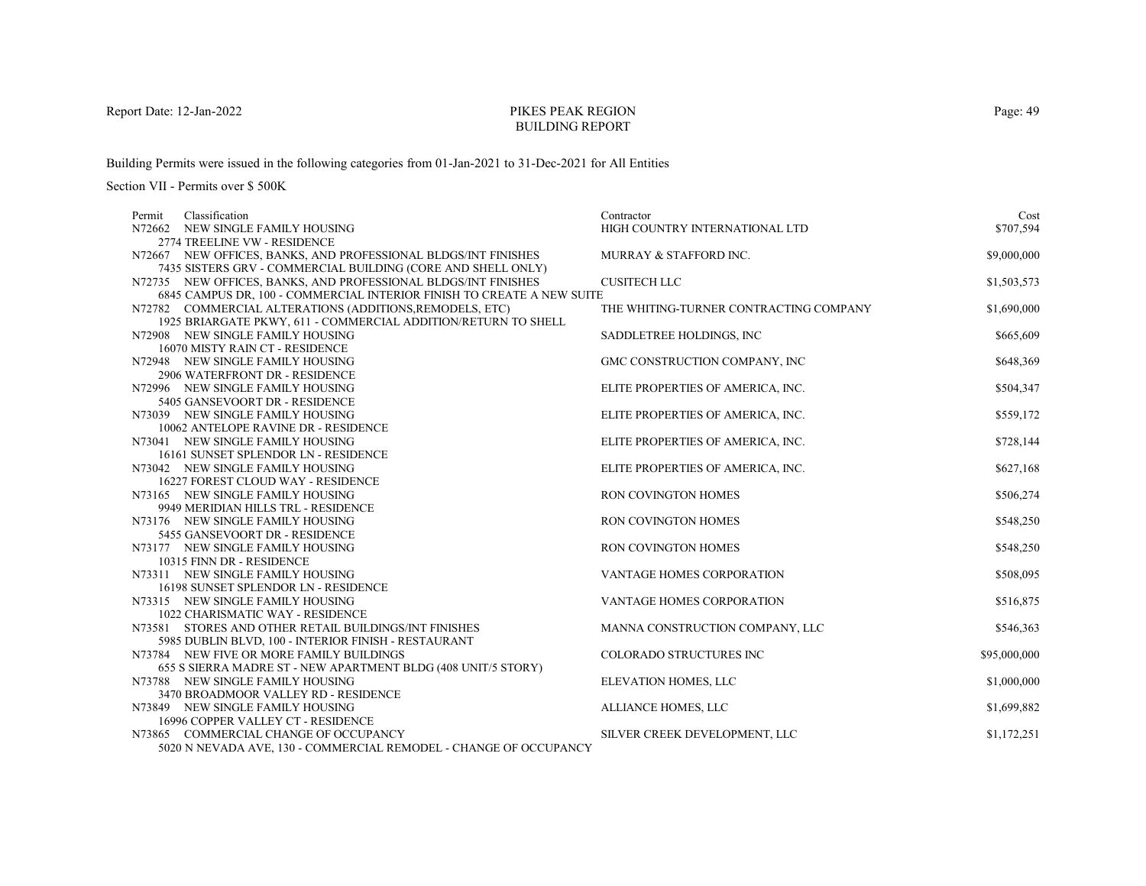# PIKES PEAK REGIONBUILDING REPORT

Building Permits were issued in the following categories from 01-Jan-2021 to 31-Dec-2021 for All Entities

| Permit | Classification                                                           | Contractor                             | Cost         |
|--------|--------------------------------------------------------------------------|----------------------------------------|--------------|
|        | N72662 NEW SINGLE FAMILY HOUSING                                         | HIGH COUNTRY INTERNATIONAL LTD         | \$707,594    |
|        | 2774 TREELINE VW - RESIDENCE                                             |                                        |              |
|        | N72667 NEW OFFICES, BANKS, AND PROFESSIONAL BLDGS/INT FINISHES           | MURRAY & STAFFORD INC.                 | \$9,000,000  |
|        | 7435 SISTERS GRV - COMMERCIAL BUILDING (CORE AND SHELL ONLY)             |                                        |              |
|        | N72735 NEW OFFICES, BANKS, AND PROFESSIONAL BLDGS/INT FINISHES           | <b>CUSITECH LLC</b>                    | \$1,503,573  |
|        | 6845 CAMPUS DR, 100 - COMMERCIAL INTERIOR FINISH TO CREATE A NEW SUITE   |                                        |              |
|        | N72782 COMMERCIAL ALTERATIONS (ADDITIONS, REMODELS, ETC)                 | THE WHITING-TURNER CONTRACTING COMPANY | \$1,690,000  |
|        | 1925 BRIARGATE PKWY, 611 - COMMERCIAL ADDITION/RETURN TO SHELL           |                                        |              |
|        | N72908 NEW SINGLE FAMILY HOUSING                                         | SADDLETREE HOLDINGS, INC               | \$665,609    |
|        | 16070 MISTY RAIN CT - RESIDENCE                                          |                                        |              |
|        | N72948 NEW SINGLE FAMILY HOUSING                                         | GMC CONSTRUCTION COMPANY, INC          | \$648,369    |
|        | 2906 WATERFRONT DR - RESIDENCE                                           |                                        |              |
|        | N72996 NEW SINGLE FAMILY HOUSING                                         | ELITE PROPERTIES OF AMERICA, INC.      | \$504,347    |
|        | 5405 GANSEVOORT DR - RESIDENCE                                           |                                        |              |
|        | N73039 NEW SINGLE FAMILY HOUSING                                         | ELITE PROPERTIES OF AMERICA, INC.      | \$559,172    |
|        | 10062 ANTELOPE RAVINE DR - RESIDENCE                                     |                                        |              |
|        | N73041 NEW SINGLE FAMILY HOUSING                                         | ELITE PROPERTIES OF AMERICA, INC.      | \$728,144    |
|        | 16161 SUNSET SPLENDOR LN - RESIDENCE                                     |                                        |              |
|        | N73042 NEW SINGLE FAMILY HOUSING                                         | ELITE PROPERTIES OF AMERICA, INC.      | \$627,168    |
|        | 16227 FOREST CLOUD WAY - RESIDENCE                                       |                                        |              |
|        | N73165 NEW SINGLE FAMILY HOUSING                                         | <b>RON COVINGTON HOMES</b>             | \$506,274    |
|        | 9949 MERIDIAN HILLS TRL - RESIDENCE                                      |                                        |              |
|        | N73176 NEW SINGLE FAMILY HOUSING                                         | <b>RON COVINGTON HOMES</b>             | \$548,250    |
|        | 5455 GANSEVOORT DR - RESIDENCE                                           |                                        |              |
|        | N73177 NEW SINGLE FAMILY HOUSING<br>10315 FINN DR - RESIDENCE            | RON COVINGTON HOMES                    | \$548,250    |
|        |                                                                          | VANTAGE HOMES CORPORATION              | \$508,095    |
|        | N73311 NEW SINGLE FAMILY HOUSING<br>16198 SUNSET SPLENDOR LN - RESIDENCE |                                        |              |
|        | N73315 NEW SINGLE FAMILY HOUSING                                         | VANTAGE HOMES CORPORATION              | \$516,875    |
|        | 1022 CHARISMATIC WAY - RESIDENCE                                         |                                        |              |
|        | N73581 STORES AND OTHER RETAIL BUILDINGS/INT FINISHES                    | MANNA CONSTRUCTION COMPANY, LLC        | \$546,363    |
|        | 5985 DUBLIN BLVD, 100 - INTERIOR FINISH - RESTAURANT                     |                                        |              |
|        | N73784 NEW FIVE OR MORE FAMILY BUILDINGS                                 | <b>COLORADO STRUCTURES INC</b>         | \$95,000,000 |
|        | 655 S SIERRA MADRE ST - NEW APARTMENT BLDG (408 UNIT/5 STORY)            |                                        |              |
|        | N73788 NEW SINGLE FAMILY HOUSING                                         | ELEVATION HOMES, LLC                   | \$1,000,000  |
|        | 3470 BROADMOOR VALLEY RD - RESIDENCE                                     |                                        |              |
|        | N73849 NEW SINGLE FAMILY HOUSING                                         | ALLIANCE HOMES, LLC                    | \$1,699,882  |
|        | 16996 COPPER VALLEY CT - RESIDENCE                                       |                                        |              |
|        | N73865 COMMERCIAL CHANGE OF OCCUPANCY                                    | SILVER CREEK DEVELOPMENT, LLC          | \$1,172,251  |
|        | 5020 N NEVADA AVE, 130 - COMMERCIAL REMODEL - CHANGE OF OCCUPANCY        |                                        |              |
|        |                                                                          |                                        |              |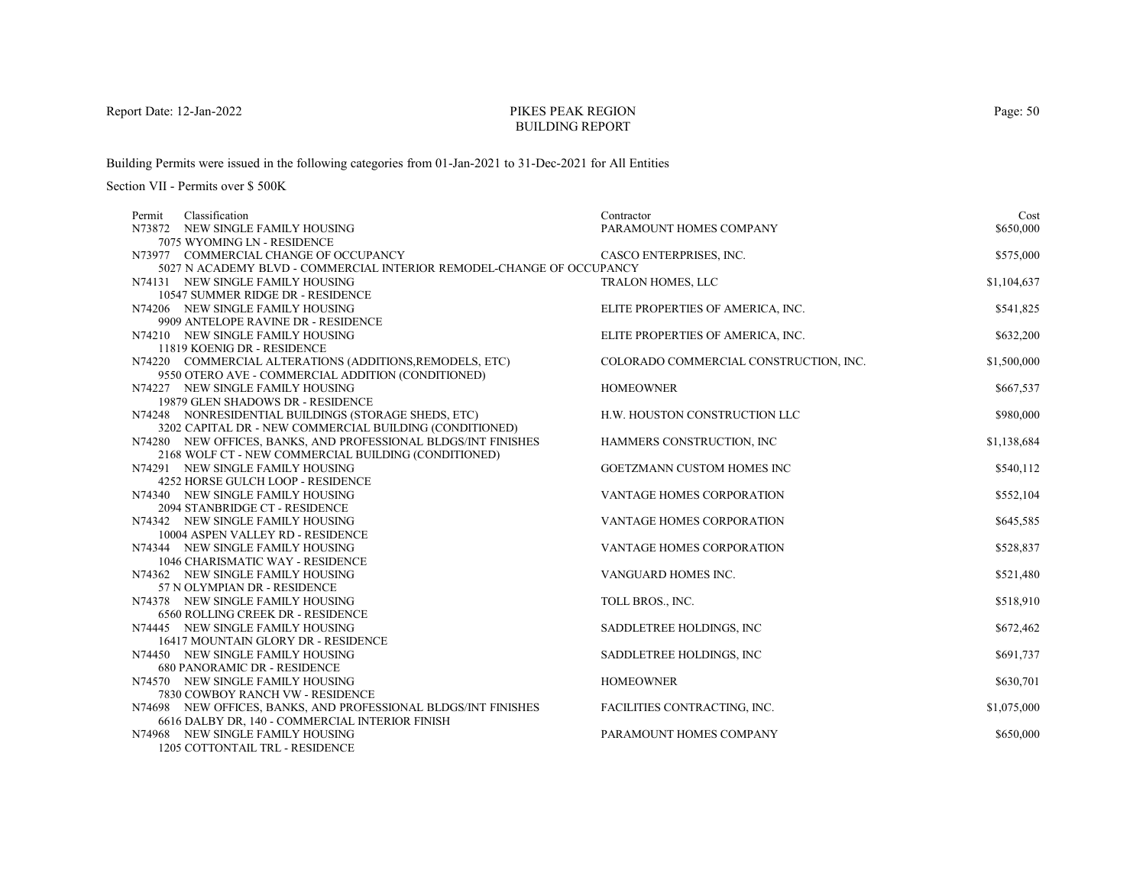# PIKES PEAK REGIONBUILDING REPORT

Building Permits were issued in the following categories from 01-Jan-2021 to 31-Dec-2021 for All Entities

Section VII - Permits over \$ 500K

| Classification<br>Permit                                              | Contractor                             | Cost        |
|-----------------------------------------------------------------------|----------------------------------------|-------------|
| N73872 NEW SINGLE FAMILY HOUSING                                      | PARAMOUNT HOMES COMPANY                | \$650,000   |
| 7075 WYOMING LN - RESIDENCE                                           |                                        |             |
| N73977 COMMERCIAL CHANGE OF OCCUPANCY                                 | CASCO ENTERPRISES, INC.                | \$575,000   |
| 5027 N ACADEMY BLVD - COMMERCIAL INTERIOR REMODEL-CHANGE OF OCCUPANCY |                                        |             |
| N74131 NEW SINGLE FAMILY HOUSING                                      | <b>TRALON HOMES, LLC</b>               | \$1,104,637 |
| 10547 SUMMER RIDGE DR - RESIDENCE                                     |                                        |             |
| N74206 NEW SINGLE FAMILY HOUSING                                      | ELITE PROPERTIES OF AMERICA, INC.      | \$541,825   |
| 9909 ANTELOPE RAVINE DR - RESIDENCE                                   |                                        |             |
| N74210 NEW SINGLE FAMILY HOUSING                                      | ELITE PROPERTIES OF AMERICA, INC.      | \$632,200   |
| 11819 KOENIG DR - RESIDENCE                                           |                                        |             |
| N74220 COMMERCIAL ALTERATIONS (ADDITIONS, REMODELS, ETC)              | COLORADO COMMERCIAL CONSTRUCTION, INC. | \$1,500,000 |
| 9550 OTERO AVE - COMMERCIAL ADDITION (CONDITIONED)                    |                                        |             |
| N74227 NEW SINGLE FAMILY HOUSING                                      | <b>HOMEOWNER</b>                       | \$667,537   |
| 19879 GLEN SHADOWS DR - RESIDENCE                                     |                                        |             |
| N74248 NONRESIDENTIAL BUILDINGS (STORAGE SHEDS, ETC)                  | H.W. HOUSTON CONSTRUCTION LLC          | \$980,000   |
| 3202 CAPITAL DR - NEW COMMERCIAL BUILDING (CONDITIONED)               |                                        |             |
| N74280 NEW OFFICES, BANKS, AND PROFESSIONAL BLDGS/INT FINISHES        | HAMMERS CONSTRUCTION, INC              | \$1,138,684 |
| 2168 WOLF CT - NEW COMMERCIAL BUILDING (CONDITIONED)                  |                                        |             |
| N74291 NEW SINGLE FAMILY HOUSING                                      | GOETZMANN CUSTOM HOMES INC             | \$540,112   |
| 4252 HORSE GULCH LOOP - RESIDENCE                                     |                                        | \$552,104   |
| N74340 NEW SINGLE FAMILY HOUSING<br>2094 STANBRIDGE CT - RESIDENCE    | VANTAGE HOMES CORPORATION              |             |
| N74342 NEW SINGLE FAMILY HOUSING                                      | <b>VANTAGE HOMES CORPORATION</b>       | \$645,585   |
| 10004 ASPEN VALLEY RD - RESIDENCE                                     |                                        |             |
| N74344 NEW SINGLE FAMILY HOUSING                                      | VANTAGE HOMES CORPORATION              | \$528,837   |
| 1046 CHARISMATIC WAY - RESIDENCE                                      |                                        |             |
| N74362 NEW SINGLE FAMILY HOUSING                                      | VANGUARD HOMES INC.                    | \$521,480   |
| 57 N OLYMPIAN DR - RESIDENCE                                          |                                        |             |
| N74378 NEW SINGLE FAMILY HOUSING                                      | TOLL BROS., INC.                       | \$518,910   |
| 6560 ROLLING CREEK DR - RESIDENCE                                     |                                        |             |
| N74445 NEW SINGLE FAMILY HOUSING                                      | SADDLETREE HOLDINGS, INC               | \$672,462   |
| 16417 MOUNTAIN GLORY DR - RESIDENCE                                   |                                        |             |
| N74450 NEW SINGLE FAMILY HOUSING                                      | SADDLETREE HOLDINGS, INC.              | \$691,737   |
| <b>680 PANORAMIC DR - RESIDENCE</b>                                   |                                        |             |
| N74570 NEW SINGLE FAMILY HOUSING                                      | <b>HOMEOWNER</b>                       | \$630,701   |
| 7830 COWBOY RANCH VW - RESIDENCE                                      |                                        |             |
| N74698 NEW OFFICES, BANKS, AND PROFESSIONAL BLDGS/INT FINISHES        | FACILITIES CONTRACTING, INC.           | \$1,075,000 |
| 6616 DALBY DR, 140 - COMMERCIAL INTERIOR FINISH                       |                                        |             |
| N74968 NEW SINGLE FAMILY HOUSING                                      | PARAMOUNT HOMES COMPANY                | \$650,000   |
| 1205 COTTONTAIL TRL - RESIDENCE                                       |                                        |             |

Page: 50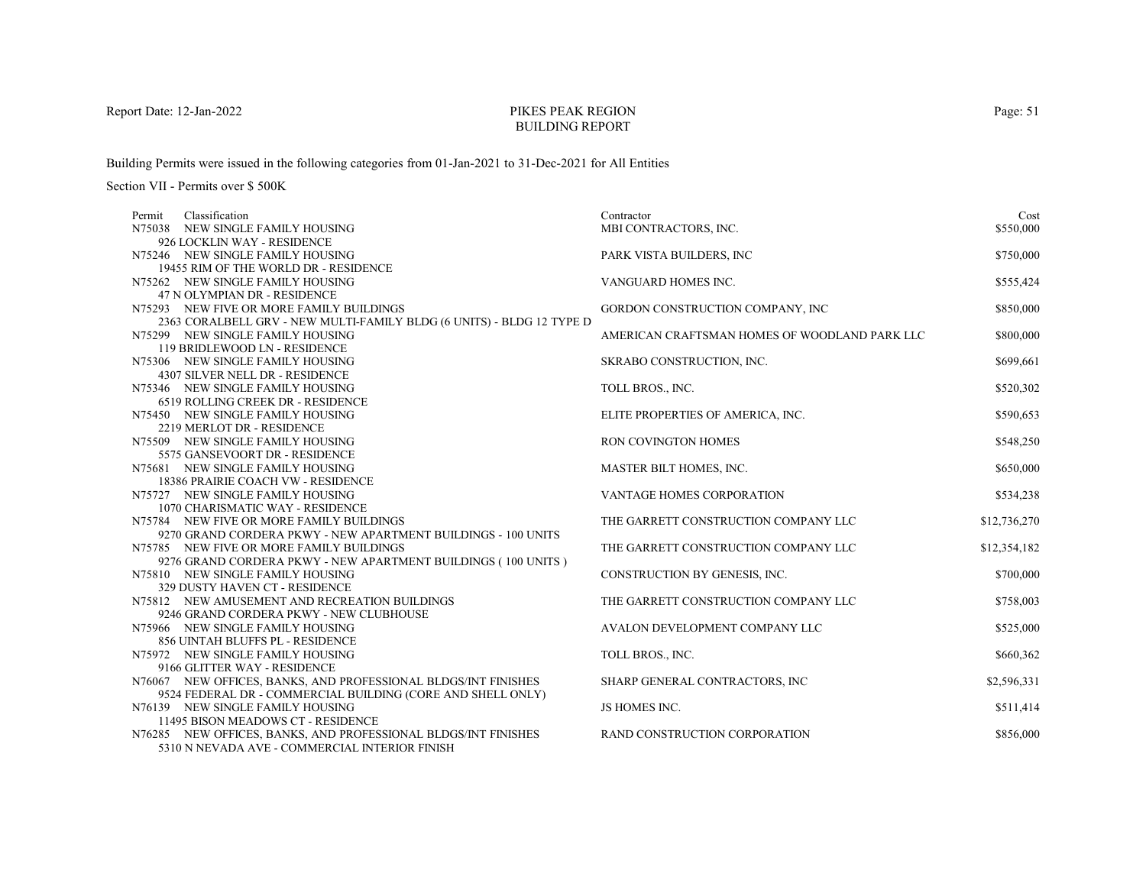# PIKES PEAK REGIONBUILDING REPORT

Building Permits were issued in the following categories from 01-Jan-2021 to 31-Dec-2021 for All Entities

| Classification<br>Permit                                              | Contractor                                    | Cost         |
|-----------------------------------------------------------------------|-----------------------------------------------|--------------|
| N75038 NEW SINGLE FAMILY HOUSING                                      | MBI CONTRACTORS, INC.                         | \$550,000    |
| 926 LOCKLIN WAY - RESIDENCE                                           |                                               |              |
| N75246 NEW SINGLE FAMILY HOUSING                                      | PARK VISTA BUILDERS, INC                      | \$750,000    |
| 19455 RIM OF THE WORLD DR - RESIDENCE                                 |                                               |              |
| N75262 NEW SINGLE FAMILY HOUSING                                      | VANGUARD HOMES INC.                           | \$555,424    |
| 47 N OLYMPIAN DR - RESIDENCE                                          |                                               |              |
| N75293 NEW FIVE OR MORE FAMILY BUILDINGS                              | GORDON CONSTRUCTION COMPANY, INC              | \$850,000    |
| 2363 CORALBELL GRV - NEW MULTI-FAMILY BLDG (6 UNITS) - BLDG 12 TYPE D |                                               |              |
| N75299 NEW SINGLE FAMILY HOUSING                                      | AMERICAN CRAFTSMAN HOMES OF WOODLAND PARK LLC | \$800,000    |
| 119 BRIDLEWOOD LN - RESIDENCE                                         |                                               |              |
| N75306 NEW SINGLE FAMILY HOUSING                                      | SKRABO CONSTRUCTION, INC.                     | \$699,661    |
| 4307 SILVER NELL DR - RESIDENCE                                       |                                               |              |
| N75346 NEW SINGLE FAMILY HOUSING                                      | TOLL BROS., INC.                              | \$520,302    |
| 6519 ROLLING CREEK DR - RESIDENCE                                     |                                               |              |
| N75450 NEW SINGLE FAMILY HOUSING                                      | ELITE PROPERTIES OF AMERICA, INC.             | \$590,653    |
| 2219 MERLOT DR - RESIDENCE                                            |                                               |              |
| N75509 NEW SINGLE FAMILY HOUSING                                      | <b>RON COVINGTON HOMES</b>                    | \$548,250    |
| 5575 GANSEVOORT DR - RESIDENCE                                        |                                               |              |
| N75681 NEW SINGLE FAMILY HOUSING                                      | MASTER BILT HOMES, INC.                       | \$650,000    |
| 18386 PRAIRIE COACH VW - RESIDENCE                                    |                                               |              |
| N75727 NEW SINGLE FAMILY HOUSING<br>1070 CHARISMATIC WAY - RESIDENCE  | VANTAGE HOMES CORPORATION                     | \$534,238    |
| N75784 NEW FIVE OR MORE FAMILY BUILDINGS                              | THE GARRETT CONSTRUCTION COMPANY LLC          |              |
| 9270 GRAND CORDERA PKWY - NEW APARTMENT BUILDINGS - 100 UNITS         |                                               | \$12,736,270 |
| N75785 NEW FIVE OR MORE FAMILY BUILDINGS                              | THE GARRETT CONSTRUCTION COMPANY LLC          | \$12,354,182 |
| 9276 GRAND CORDERA PKWY - NEW APARTMENT BUILDINGS (100 UNITS)         |                                               |              |
| N75810 NEW SINGLE FAMILY HOUSING                                      | CONSTRUCTION BY GENESIS, INC.                 | \$700,000    |
| 329 DUSTY HAVEN CT - RESIDENCE                                        |                                               |              |
| N75812 NEW AMUSEMENT AND RECREATION BUILDINGS                         | THE GARRETT CONSTRUCTION COMPANY LLC          | \$758,003    |
| 9246 GRAND CORDERA PKWY - NEW CLUBHOUSE                               |                                               |              |
| N75966 NEW SINGLE FAMILY HOUSING                                      | AVALON DEVELOPMENT COMPANY LLC                | \$525,000    |
| 856 UINTAH BLUFFS PL - RESIDENCE                                      |                                               |              |
| N75972 NEW SINGLE FAMILY HOUSING                                      | TOLL BROS., INC.                              | \$660,362    |
| 9166 GLITTER WAY - RESIDENCE                                          |                                               |              |
| N76067 NEW OFFICES, BANKS, AND PROFESSIONAL BLDGS/INT FINISHES        | SHARP GENERAL CONTRACTORS, INC                | \$2,596,331  |
| 9524 FEDERAL DR - COMMERCIAL BUILDING (CORE AND SHELL ONLY)           |                                               |              |
| N76139 NEW SINGLE FAMILY HOUSING                                      | JS HOMES INC.                                 | \$511,414    |
| 11495 BISON MEADOWS CT - RESIDENCE                                    |                                               |              |
| N76285 NEW OFFICES, BANKS, AND PROFESSIONAL BLDGS/INT FINISHES        | RAND CONSTRUCTION CORPORATION                 | \$856,000    |
| 5310 N NEVADA AVE - COMMERCIAL INTERIOR FINISH                        |                                               |              |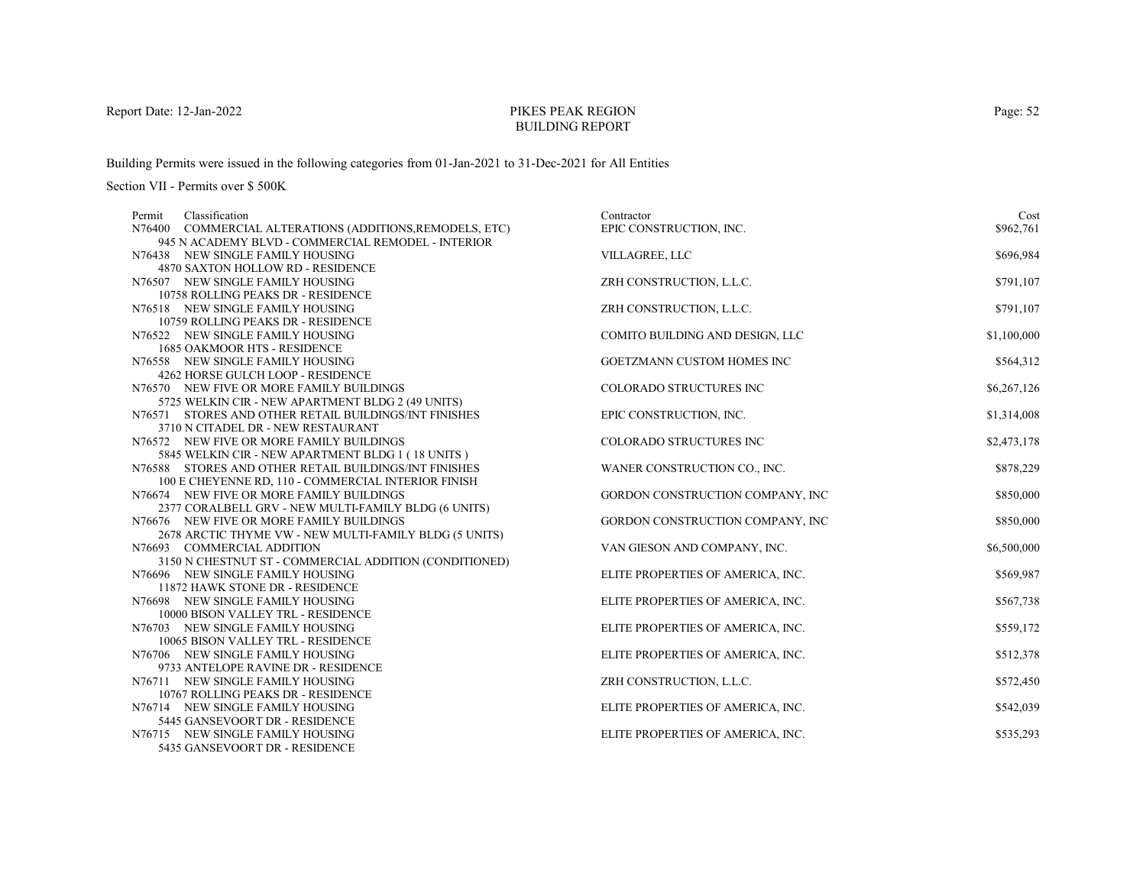# PIKES PEAK REGIONBUILDING REPORT

Building Permits were issued in the following categories from 01-Jan-2021 to 31-Dec-2021 for All Entities

| Classification<br>Permit                                 | Contractor                        | Cost        |
|----------------------------------------------------------|-----------------------------------|-------------|
| N76400 COMMERCIAL ALTERATIONS (ADDITIONS, REMODELS, ETC) | EPIC CONSTRUCTION, INC.           | \$962,761   |
| 945 N ACADEMY BLVD - COMMERCIAL REMODEL - INTERIOR       |                                   |             |
| N76438 NEW SINGLE FAMILY HOUSING                         | VILLAGREE, LLC                    | \$696,984   |
| 4870 SAXTON HOLLOW RD - RESIDENCE                        |                                   |             |
| N76507 NEW SINGLE FAMILY HOUSING                         | ZRH CONSTRUCTION, L.L.C.          | \$791,107   |
| 10758 ROLLING PEAKS DR - RESIDENCE                       |                                   |             |
| N76518 NEW SINGLE FAMILY HOUSING                         | ZRH CONSTRUCTION, L.L.C.          | \$791,107   |
| 10759 ROLLING PEAKS DR - RESIDENCE                       |                                   |             |
| N76522 NEW SINGLE FAMILY HOUSING                         | COMITO BUILDING AND DESIGN, LLC   | \$1,100,000 |
| 1685 OAKMOOR HTS - RESIDENCE                             |                                   |             |
| N76558 NEW SINGLE FAMILY HOUSING                         | GOETZMANN CUSTOM HOMES INC        | \$564,312   |
| 4262 HORSE GULCH LOOP - RESIDENCE                        |                                   |             |
| N76570 NEW FIVE OR MORE FAMILY BUILDINGS                 | COLORADO STRUCTURES INC           | \$6,267,126 |
| 5725 WELKIN CIR - NEW APARTMENT BLDG 2 (49 UNITS)        |                                   |             |
| N76571 STORES AND OTHER RETAIL BUILDINGS/INT FINISHES    | EPIC CONSTRUCTION, INC.           | \$1,314,008 |
| 3710 N CITADEL DR - NEW RESTAURANT                       |                                   |             |
| N76572 NEW FIVE OR MORE FAMILY BUILDINGS                 | COLORADO STRUCTURES INC           | \$2,473,178 |
| 5845 WELKIN CIR - NEW APARTMENT BLDG 1 (18 UNITS)        |                                   |             |
| N76588 STORES AND OTHER RETAIL BUILDINGS/INT FINISHES    | WANER CONSTRUCTION CO., INC.      | \$878,229   |
| 100 E CHEYENNE RD, 110 - COMMERCIAL INTERIOR FINISH      |                                   |             |
| N76674 NEW FIVE OR MORE FAMILY BUILDINGS                 | GORDON CONSTRUCTION COMPANY, INC  | \$850,000   |
| 2377 CORALBELL GRV - NEW MULTI-FAMILY BLDG (6 UNITS)     |                                   |             |
| N76676 NEW FIVE OR MORE FAMILY BUILDINGS                 | GORDON CONSTRUCTION COMPANY, INC  | \$850,000   |
| 2678 ARCTIC THYME VW - NEW MULTI-FAMILY BLDG (5 UNITS)   |                                   |             |
| N76693 COMMERCIAL ADDITION                               | VAN GIESON AND COMPANY, INC.      | \$6,500,000 |
| 3150 N CHESTNUT ST - COMMERCIAL ADDITION (CONDITIONED)   |                                   |             |
| N76696 NEW SINGLE FAMILY HOUSING                         | ELITE PROPERTIES OF AMERICA, INC. | \$569,987   |
| 11872 HAWK STONE DR - RESIDENCE                          |                                   |             |
| N76698 NEW SINGLE FAMILY HOUSING                         | ELITE PROPERTIES OF AMERICA, INC. | \$567,738   |
| 10000 BISON VALLEY TRL - RESIDENCE                       |                                   |             |
| N76703 NEW SINGLE FAMILY HOUSING                         | ELITE PROPERTIES OF AMERICA, INC. | \$559,172   |
| 10065 BISON VALLEY TRL - RESIDENCE                       |                                   |             |
| N76706 NEW SINGLE FAMILY HOUSING                         | ELITE PROPERTIES OF AMERICA, INC. | \$512,378   |
| 9733 ANTELOPE RAVINE DR - RESIDENCE                      |                                   |             |
| N76711 NEW SINGLE FAMILY HOUSING                         | ZRH CONSTRUCTION, L.L.C.          | \$572,450   |
| 10767 ROLLING PEAKS DR - RESIDENCE                       |                                   |             |
| N76714 NEW SINGLE FAMILY HOUSING                         | ELITE PROPERTIES OF AMERICA, INC. | \$542,039   |
| 5445 GANSEVOORT DR - RESIDENCE                           |                                   |             |
| N76715 NEW SINGLE FAMILY HOUSING                         | ELITE PROPERTIES OF AMERICA, INC. | \$535,293   |
| 5435 GANSEVOORT DR - RESIDENCE                           |                                   |             |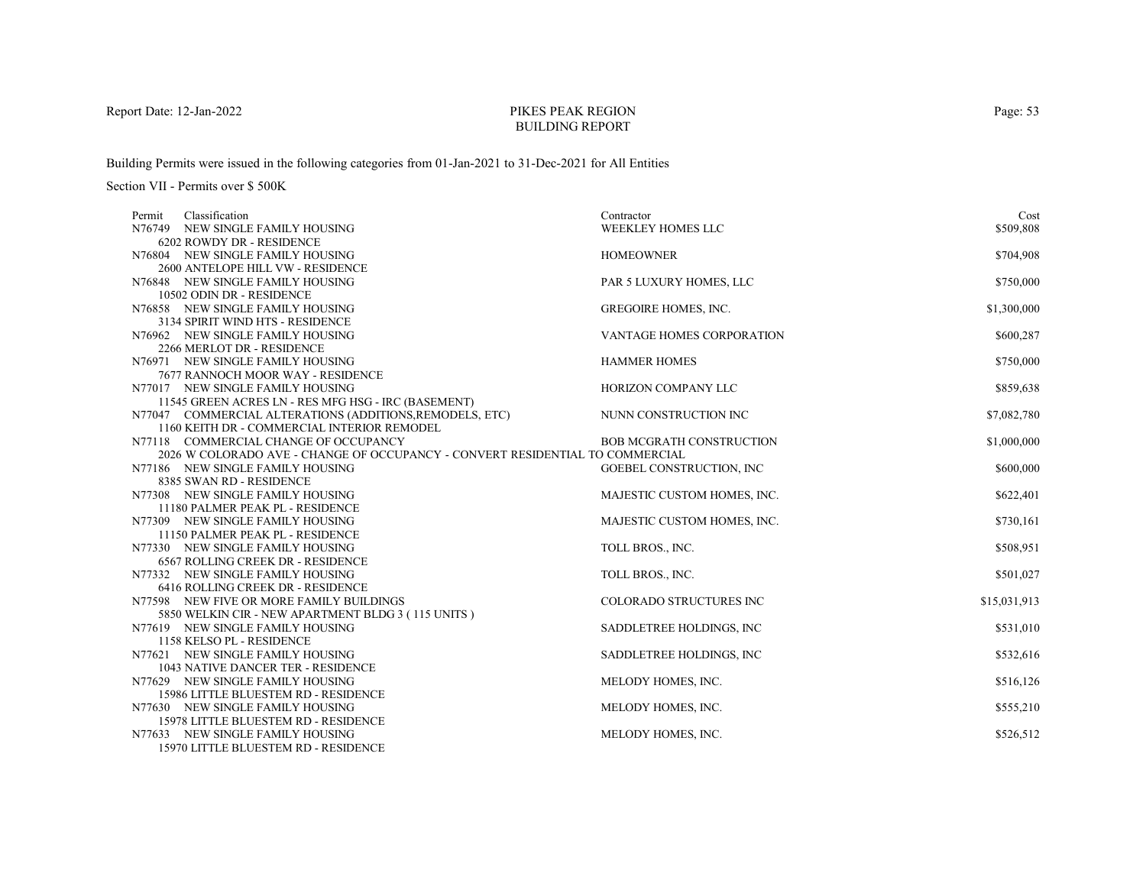# PIKES PEAK REGIONBUILDING REPORT

Building Permits were issued in the following categories from 01-Jan-2021 to 31-Dec-2021 for All Entities

| Classification<br>Permit                                                      | Contractor                       | Cost         |
|-------------------------------------------------------------------------------|----------------------------------|--------------|
| N76749 NEW SINGLE FAMILY HOUSING                                              | <b>WEEKLEY HOMES LLC</b>         | \$509,808    |
| 6202 ROWDY DR - RESIDENCE                                                     |                                  |              |
| N76804 NEW SINGLE FAMILY HOUSING                                              | <b>HOMEOWNER</b>                 | \$704,908    |
| 2600 ANTELOPE HILL VW - RESIDENCE                                             |                                  |              |
| N76848 NEW SINGLE FAMILY HOUSING                                              | PAR 5 LUXURY HOMES, LLC          | \$750,000    |
| 10502 ODIN DR - RESIDENCE                                                     |                                  |              |
| N76858 NEW SINGLE FAMILY HOUSING                                              | <b>GREGOIRE HOMES, INC.</b>      | \$1,300,000  |
| 3134 SPIRIT WIND HTS - RESIDENCE                                              |                                  |              |
| N76962 NEW SINGLE FAMILY HOUSING                                              | <b>VANTAGE HOMES CORPORATION</b> | \$600,287    |
| 2266 MERLOT DR - RESIDENCE                                                    |                                  |              |
| N76971 NEW SINGLE FAMILY HOUSING                                              | <b>HAMMER HOMES</b>              | \$750,000    |
| 7677 RANNOCH MOOR WAY - RESIDENCE                                             |                                  |              |
| N77017 NEW SINGLE FAMILY HOUSING                                              | HORIZON COMPANY LLC              | \$859,638    |
| 11545 GREEN ACRES LN - RES MFG HSG - IRC (BASEMENT)                           |                                  |              |
| N77047 COMMERCIAL ALTERATIONS (ADDITIONS, REMODELS, ETC)                      | NUNN CONSTRUCTION INC            | \$7,082,780  |
| 1160 KEITH DR - COMMERCIAL INTERIOR REMODEL                                   |                                  |              |
| N77118 COMMERCIAL CHANGE OF OCCUPANCY                                         | <b>BOB MCGRATH CONSTRUCTION</b>  | \$1,000,000  |
| 2026 W COLORADO AVE - CHANGE OF OCCUPANCY - CONVERT RESIDENTIAL TO COMMERCIAL |                                  |              |
| N77186 NEW SINGLE FAMILY HOUSING                                              | GOEBEL CONSTRUCTION, INC.        | \$600,000    |
| 8385 SWAN RD - RESIDENCE                                                      |                                  |              |
| N77308 NEW SINGLE FAMILY HOUSING                                              | MAJESTIC CUSTOM HOMES, INC.      | \$622,401    |
| 11180 PALMER PEAK PL - RESIDENCE                                              |                                  |              |
| N77309 NEW SINGLE FAMILY HOUSING<br>11150 PALMER PEAK PL - RESIDENCE          | MAJESTIC CUSTOM HOMES, INC.      | \$730,161    |
|                                                                               |                                  |              |
| N77330 NEW SINGLE FAMILY HOUSING<br>6567 ROLLING CREEK DR - RESIDENCE         | TOLL BROS., INC.                 | \$508,951    |
| N77332 NEW SINGLE FAMILY HOUSING                                              | TOLL BROS., INC.                 | \$501,027    |
| 6416 ROLLING CREEK DR - RESIDENCE                                             |                                  |              |
| N77598 NEW FIVE OR MORE FAMILY BUILDINGS                                      | COLORADO STRUCTURES INC          | \$15,031,913 |
| 5850 WELKIN CIR - NEW APARTMENT BLDG 3 (115 UNITS)                            |                                  |              |
| N77619 NEW SINGLE FAMILY HOUSING                                              | SADDLETREE HOLDINGS, INC         | \$531,010    |
| 1158 KELSO PL - RESIDENCE                                                     |                                  |              |
| N77621 NEW SINGLE FAMILY HOUSING                                              | SADDLETREE HOLDINGS, INC         | \$532,616    |
| 1043 NATIVE DANCER TER - RESIDENCE                                            |                                  |              |
| N77629 NEW SINGLE FAMILY HOUSING                                              | MELODY HOMES, INC.               | \$516,126    |
| 15986 LITTLE BLUESTEM RD - RESIDENCE                                          |                                  |              |
| N77630 NEW SINGLE FAMILY HOUSING                                              | MELODY HOMES, INC.               | \$555,210    |
| 15978 LITTLE BLUESTEM RD - RESIDENCE                                          |                                  |              |
| N77633 NEW SINGLE FAMILY HOUSING                                              | MELODY HOMES, INC.               | \$526,512    |
| 15970 LITTLE BLUESTEM RD - RESIDENCE                                          |                                  |              |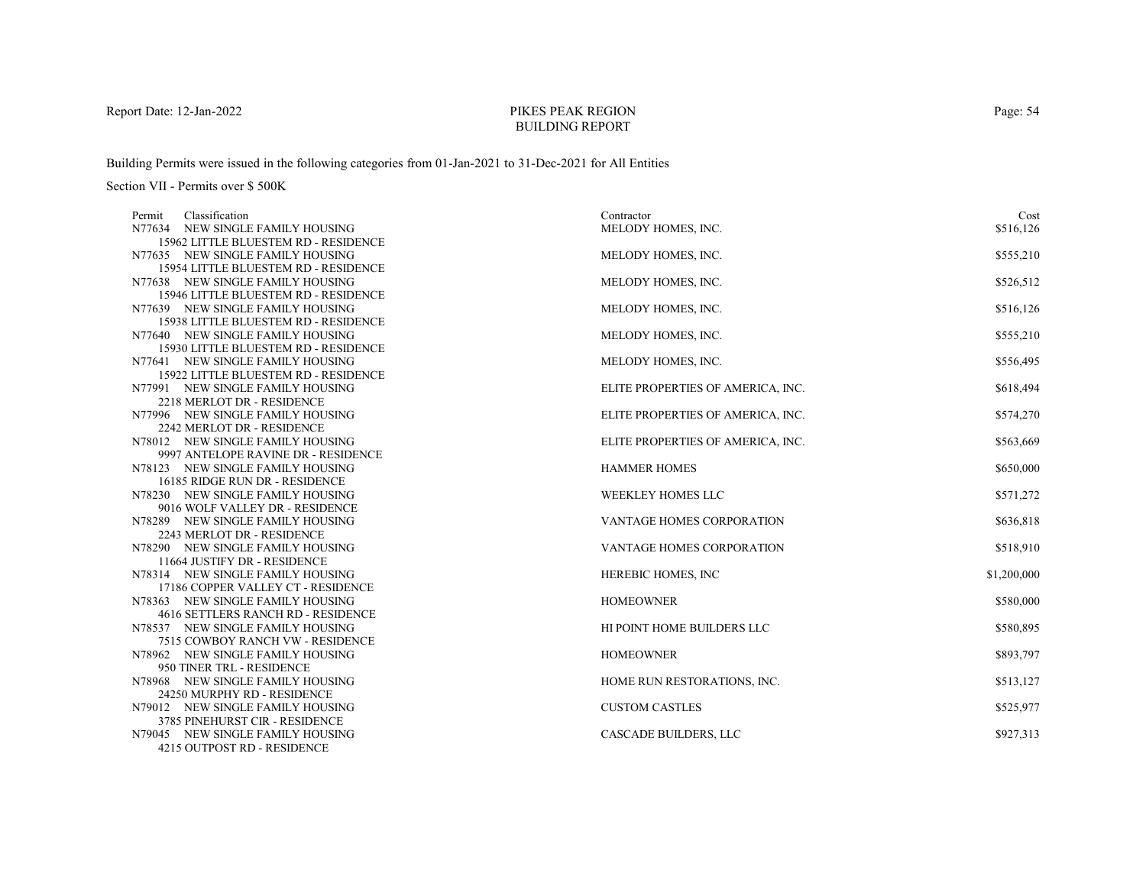# PIKES PEAK REGIONBUILDING REPORT

Building Permits were issued in the following categories from 01-Jan-2021 to 31-Dec-2021 for All Entities

| Classification<br>Permit                                       | Contractor                        | Cost        |
|----------------------------------------------------------------|-----------------------------------|-------------|
| N77634 NEW SINGLE FAMILY HOUSING                               | MELODY HOMES, INC.                | \$516,126   |
| 15962 LITTLE BLUESTEM RD - RESIDENCE                           |                                   |             |
| N77635 NEW SINGLE FAMILY HOUSING                               | MELODY HOMES, INC.                | \$555,210   |
| 15954 LITTLE BLUESTEM RD - RESIDENCE                           |                                   |             |
| N77638 NEW SINGLE FAMILY HOUSING                               | MELODY HOMES, INC.                | \$526,512   |
| 15946 LITTLE BLUESTEM RD - RESIDENCE                           |                                   |             |
| N77639 NEW SINGLE FAMILY HOUSING                               | MELODY HOMES, INC.                | \$516,126   |
| 15938 LITTLE BLUESTEM RD - RESIDENCE                           |                                   |             |
| N77640 NEW SINGLE FAMILY HOUSING                               | MELODY HOMES, INC.                | \$555,210   |
| 15930 LITTLE BLUESTEM RD - RESIDENCE                           |                                   |             |
| N77641 NEW SINGLE FAMILY HOUSING                               | MELODY HOMES, INC.                | \$556,495   |
| 15922 LITTLE BLUESTEM RD - RESIDENCE                           |                                   |             |
| N77991 NEW SINGLE FAMILY HOUSING                               | ELITE PROPERTIES OF AMERICA, INC. | \$618,494   |
| 2218 MERLOT DR - RESIDENCE<br>N77996 NEW SINGLE FAMILY HOUSING | ELITE PROPERTIES OF AMERICA, INC. | \$574,270   |
| 2242 MERLOT DR - RESIDENCE                                     |                                   |             |
| N78012 NEW SINGLE FAMILY HOUSING                               | ELITE PROPERTIES OF AMERICA, INC. | \$563,669   |
| 9997 ANTELOPE RAVINE DR - RESIDENCE                            |                                   |             |
| N78123 NEW SINGLE FAMILY HOUSING                               | <b>HAMMER HOMES</b>               | \$650,000   |
| 16185 RIDGE RUN DR - RESIDENCE                                 |                                   |             |
| N78230 NEW SINGLE FAMILY HOUSING                               | <b>WEEKLEY HOMES LLC</b>          | \$571,272   |
| 9016 WOLF VALLEY DR - RESIDENCE                                |                                   |             |
| N78289 NEW SINGLE FAMILY HOUSING                               | VANTAGE HOMES CORPORATION         | \$636,818   |
| 2243 MERLOT DR - RESIDENCE                                     |                                   |             |
| N78290 NEW SINGLE FAMILY HOUSING                               | VANTAGE HOMES CORPORATION         | \$518,910   |
| 11664 JUSTIFY DR - RESIDENCE                                   |                                   |             |
| N78314 NEW SINGLE FAMILY HOUSING                               | HEREBIC HOMES, INC                | \$1,200,000 |
| 17186 COPPER VALLEY CT - RESIDENCE                             |                                   |             |
| N78363 NEW SINGLE FAMILY HOUSING                               | <b>HOMEOWNER</b>                  | \$580,000   |
| 4616 SETTLERS RANCH RD - RESIDENCE                             |                                   |             |
| N78537 NEW SINGLE FAMILY HOUSING                               | HI POINT HOME BUILDERS LLC        | \$580,895   |
| 7515 COWBOY RANCH VW - RESIDENCE                               |                                   |             |
| N78962 NEW SINGLE FAMILY HOUSING                               | <b>HOMEOWNER</b>                  | \$893,797   |
| 950 TINER TRL - RESIDENCE                                      |                                   |             |
| N78968 NEW SINGLE FAMILY HOUSING                               | HOME RUN RESTORATIONS, INC.       | \$513,127   |
| 24250 MURPHY RD - RESIDENCE                                    |                                   |             |
| N79012 NEW SINGLE FAMILY HOUSING                               | <b>CUSTOM CASTLES</b>             | \$525,977   |
| 3785 PINEHURST CIR - RESIDENCE                                 |                                   |             |
| N79045 NEW SINGLE FAMILY HOUSING                               | <b>CASCADE BUILDERS, LLC</b>      | \$927,313   |
| 4215 OUTPOST RD - RESIDENCE                                    |                                   |             |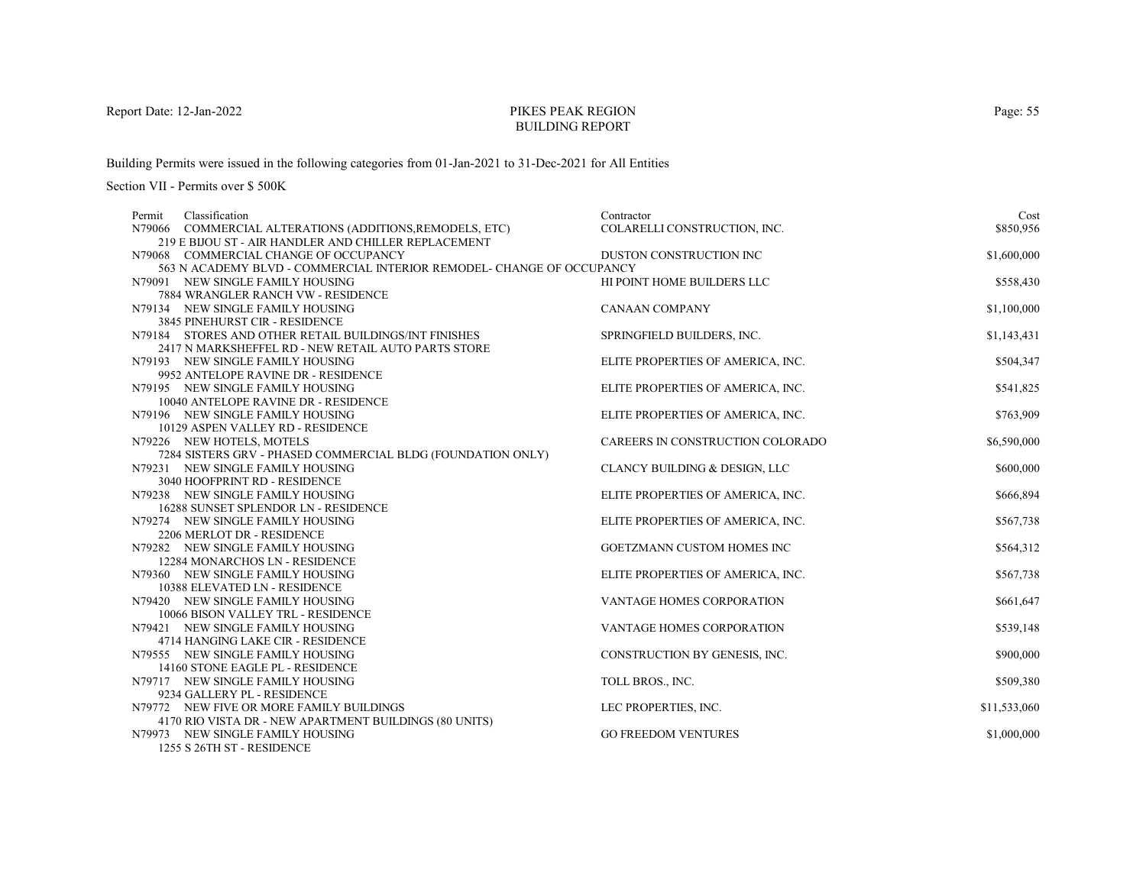# PIKES PEAK REGIONBUILDING REPORT

Building Permits were issued in the following categories from 01-Jan-2021 to 31-Dec-2021 for All Entities

Section VII - Permits over \$ 500K

| Classification<br>Permit                                               | Contractor                        | Cost         |
|------------------------------------------------------------------------|-----------------------------------|--------------|
| N79066 COMMERCIAL ALTERATIONS (ADDITIONS, REMODELS, ETC)               | COLARELLI CONSTRUCTION, INC.      | \$850,956    |
| 219 E BIJOU ST - AIR HANDLER AND CHILLER REPLACEMENT                   |                                   |              |
| N79068 COMMERCIAL CHANGE OF OCCUPANCY                                  | DUSTON CONSTRUCTION INC           | \$1,600,000  |
| 563 N ACADEMY BLVD - COMMERCIAL INTERIOR REMODEL- CHANGE OF OCCUPANCY  |                                   |              |
| N79091 NEW SINGLE FAMILY HOUSING                                       | HI POINT HOME BUILDERS LLC        | \$558,430    |
| 7884 WRANGLER RANCH VW - RESIDENCE                                     |                                   |              |
| N79134 NEW SINGLE FAMILY HOUSING                                       | <b>CANAAN COMPANY</b>             | \$1,100,000  |
| 3845 PINEHURST CIR - RESIDENCE                                         |                                   |              |
| N79184 STORES AND OTHER RETAIL BUILDINGS/INT FINISHES                  | SPRINGFIELD BUILDERS, INC.        | \$1,143,431  |
| 2417 N MARKSHEFFEL RD - NEW RETAIL AUTO PARTS STORE                    |                                   |              |
| N79193 NEW SINGLE FAMILY HOUSING                                       | ELITE PROPERTIES OF AMERICA, INC. | \$504,347    |
| 9952 ANTELOPE RAVINE DR - RESIDENCE                                    |                                   |              |
| N79195 NEW SINGLE FAMILY HOUSING                                       | ELITE PROPERTIES OF AMERICA, INC. | \$541,825    |
| 10040 ANTELOPE RAVINE DR - RESIDENCE                                   |                                   |              |
| N79196 NEW SINGLE FAMILY HOUSING                                       | ELITE PROPERTIES OF AMERICA, INC. | \$763,909    |
| 10129 ASPEN VALLEY RD - RESIDENCE                                      |                                   |              |
| N79226 NEW HOTELS, MOTELS                                              | CAREERS IN CONSTRUCTION COLORADO  | \$6,590,000  |
| 7284 SISTERS GRV - PHASED COMMERCIAL BLDG (FOUNDATION ONLY)            |                                   |              |
| N79231 NEW SINGLE FAMILY HOUSING                                       | CLANCY BUILDING & DESIGN, LLC     | \$600,000    |
| 3040 HOOFPRINT RD - RESIDENCE                                          |                                   |              |
| N79238 NEW SINGLE FAMILY HOUSING                                       | ELITE PROPERTIES OF AMERICA, INC. | \$666,894    |
| 16288 SUNSET SPLENDOR LN - RESIDENCE                                   |                                   |              |
| N79274 NEW SINGLE FAMILY HOUSING                                       | ELITE PROPERTIES OF AMERICA, INC. | \$567,738    |
| 2206 MERLOT DR - RESIDENCE                                             |                                   |              |
| N79282 NEW SINGLE FAMILY HOUSING                                       | GOETZMANN CUSTOM HOMES INC        | \$564,312    |
| 12284 MONARCHOS LN - RESIDENCE                                         |                                   |              |
| N79360 NEW SINGLE FAMILY HOUSING                                       | ELITE PROPERTIES OF AMERICA, INC. | \$567,738    |
| 10388 ELEVATED LN - RESIDENCE                                          |                                   |              |
| N79420 NEW SINGLE FAMILY HOUSING                                       | VANTAGE HOMES CORPORATION         | \$661,647    |
| 10066 BISON VALLEY TRL - RESIDENCE<br>N79421 NEW SINGLE FAMILY HOUSING | <b>VANTAGE HOMES CORPORATION</b>  | \$539,148    |
| 4714 HANGING LAKE CIR - RESIDENCE                                      |                                   |              |
| N79555 NEW SINGLE FAMILY HOUSING                                       | CONSTRUCTION BY GENESIS, INC.     | \$900,000    |
| 14160 STONE EAGLE PL - RESIDENCE                                       |                                   |              |
| N79717 NEW SINGLE FAMILY HOUSING                                       | TOLL BROS., INC.                  | \$509,380    |
| 9234 GALLERY PL - RESIDENCE                                            |                                   |              |
| N79772 NEW FIVE OR MORE FAMILY BUILDINGS                               | LEC PROPERTIES, INC.              | \$11,533,060 |
| 4170 RIO VISTA DR - NEW APARTMENT BUILDINGS (80 UNITS)                 |                                   |              |
| N79973 NEW SINGLE FAMILY HOUSING                                       | <b>GO FREEDOM VENTURES</b>        | \$1,000,000  |
| 1955 CACTULOT DECIDEMATE                                               |                                   |              |

1255 S 26TH ST - RESIDENCE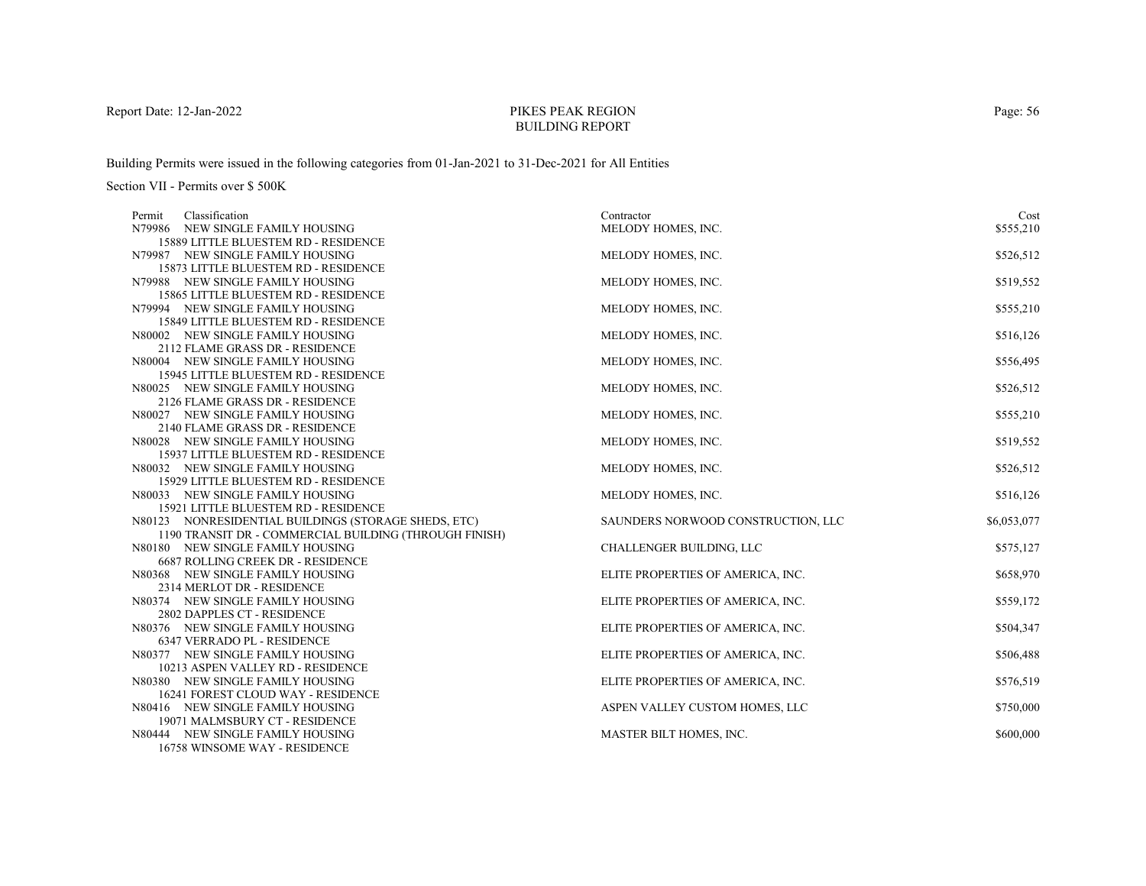# PIKES PEAK REGIONBUILDING REPORT

Building Permits were issued in the following categories from 01-Jan-2021 to 31-Dec-2021 for All Entities

| Classification<br>Permit                                                 | Contractor                         | Cost        |
|--------------------------------------------------------------------------|------------------------------------|-------------|
| N79986 NEW SINGLE FAMILY HOUSING                                         | MELODY HOMES, INC.                 | \$555,210   |
| 15889 LITTLE BLUESTEM RD - RESIDENCE                                     |                                    |             |
| N79987 NEW SINGLE FAMILY HOUSING                                         | MELODY HOMES, INC.                 | \$526,512   |
| 15873 LITTLE BLUESTEM RD - RESIDENCE                                     |                                    |             |
| N79988 NEW SINGLE FAMILY HOUSING                                         | MELODY HOMES, INC.                 | \$519,552   |
| 15865 LITTLE BLUESTEM RD - RESIDENCE                                     |                                    |             |
| N79994 NEW SINGLE FAMILY HOUSING                                         | MELODY HOMES, INC.                 | \$555,210   |
| 15849 LITTLE BLUESTEM RD - RESIDENCE                                     |                                    |             |
| N80002 NEW SINGLE FAMILY HOUSING                                         | MELODY HOMES, INC.                 | \$516,126   |
| 2112 FLAME GRASS DR - RESIDENCE                                          |                                    |             |
| N80004 NEW SINGLE FAMILY HOUSING                                         | MELODY HOMES, INC.                 | \$556,495   |
| 15945 LITTLE BLUESTEM RD - RESIDENCE                                     |                                    |             |
| N80025 NEW SINGLE FAMILY HOUSING                                         | MELODY HOMES, INC.                 | \$526,512   |
| 2126 FLAME GRASS DR - RESIDENCE                                          |                                    |             |
| N80027 NEW SINGLE FAMILY HOUSING                                         | MELODY HOMES, INC.                 | \$555,210   |
| 2140 FLAME GRASS DR - RESIDENCE                                          |                                    |             |
| N80028 NEW SINGLE FAMILY HOUSING                                         | MELODY HOMES, INC.                 | \$519,552   |
| 15937 LITTLE BLUESTEM RD - RESIDENCE                                     |                                    |             |
| N80032 NEW SINGLE FAMILY HOUSING<br>15929 LITTLE BLUESTEM RD - RESIDENCE | MELODY HOMES, INC.                 | \$526,512   |
| N80033 NEW SINGLE FAMILY HOUSING                                         | MELODY HOMES, INC.                 | \$516,126   |
| 15921 LITTLE BLUESTEM RD - RESIDENCE                                     |                                    |             |
| N80123 NONRESIDENTIAL BUILDINGS (STORAGE SHEDS, ETC)                     | SAUNDERS NORWOOD CONSTRUCTION, LLC | \$6,053,077 |
| 1190 TRANSIT DR - COMMERCIAL BUILDING (THROUGH FINISH)                   |                                    |             |
| N80180 NEW SINGLE FAMILY HOUSING                                         | CHALLENGER BUILDING, LLC           | \$575,127   |
| <b>6687 ROLLING CREEK DR - RESIDENCE</b>                                 |                                    |             |
| N80368 NEW SINGLE FAMILY HOUSING                                         | ELITE PROPERTIES OF AMERICA, INC.  | \$658,970   |
| 2314 MERLOT DR - RESIDENCE                                               |                                    |             |
| N80374 NEW SINGLE FAMILY HOUSING                                         | ELITE PROPERTIES OF AMERICA, INC.  | \$559,172   |
| 2802 DAPPLES CT - RESIDENCE                                              |                                    |             |
| N80376 NEW SINGLE FAMILY HOUSING                                         | ELITE PROPERTIES OF AMERICA, INC.  | \$504,347   |
| 6347 VERRADO PL - RESIDENCE                                              |                                    |             |
| N80377 NEW SINGLE FAMILY HOUSING                                         | ELITE PROPERTIES OF AMERICA, INC.  | \$506,488   |
| 10213 ASPEN VALLEY RD - RESIDENCE                                        |                                    |             |
| N80380 NEW SINGLE FAMILY HOUSING                                         | ELITE PROPERTIES OF AMERICA, INC.  | \$576,519   |
| 16241 FOREST CLOUD WAY - RESIDENCE                                       |                                    |             |
| N80416 NEW SINGLE FAMILY HOUSING                                         | ASPEN VALLEY CUSTOM HOMES, LLC     | \$750,000   |
| 19071 MALMSBURY CT - RESIDENCE                                           |                                    |             |
| N80444 NEW SINGLE FAMILY HOUSING                                         | MASTER BILT HOMES, INC.            | \$600,000   |
| 16758 WINSOME WAY - RESIDENCE                                            |                                    |             |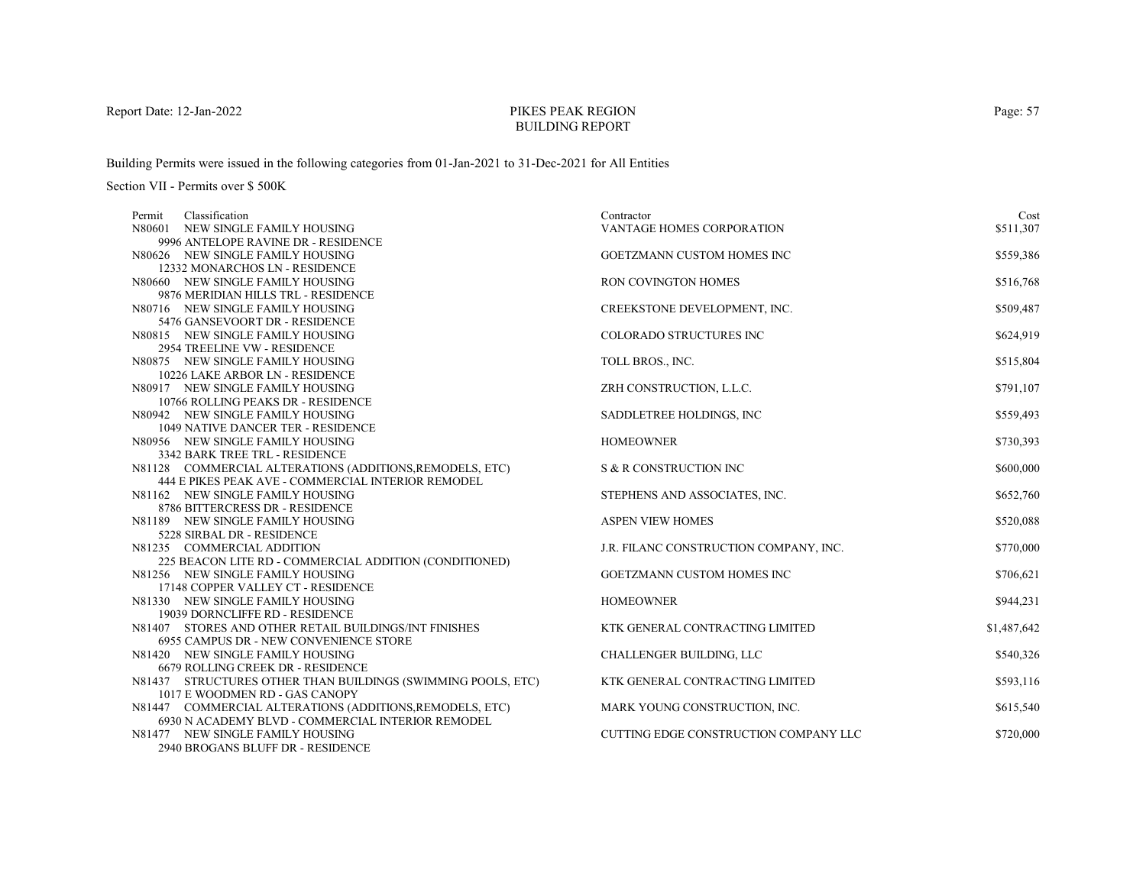# PIKES PEAK REGIONBUILDING REPORT

Building Permits were issued in the following categories from 01-Jan-2021 to 31-Dec-2021 for All Entities

| Classification<br>Permit                                               | Contractor                             | Cost        |
|------------------------------------------------------------------------|----------------------------------------|-------------|
| N80601 NEW SINGLE FAMILY HOUSING                                       | <b>VANTAGE HOMES CORPORATION</b>       | \$511,307   |
| 9996 ANTELOPE RAVINE DR - RESIDENCE                                    |                                        |             |
| N80626 NEW SINGLE FAMILY HOUSING                                       | GOETZMANN CUSTOM HOMES INC             | \$559,386   |
| 12332 MONARCHOS LN - RESIDENCE                                         |                                        |             |
| N80660 NEW SINGLE FAMILY HOUSING                                       | RON COVINGTON HOMES                    | \$516,768   |
| 9876 MERIDIAN HILLS TRL - RESIDENCE                                    |                                        |             |
| N80716 NEW SINGLE FAMILY HOUSING                                       | CREEKSTONE DEVELOPMENT, INC.           | \$509,487   |
| 5476 GANSEVOORT DR - RESIDENCE                                         |                                        |             |
| N80815 NEW SINGLE FAMILY HOUSING                                       | COLORADO STRUCTURES INC                | \$624,919   |
| 2954 TREELINE VW - RESIDENCE                                           |                                        |             |
| N80875 NEW SINGLE FAMILY HOUSING                                       | TOLL BROS., INC.                       | \$515,804   |
| 10226 LAKE ARBOR LN - RESIDENCE                                        |                                        |             |
| N80917 NEW SINGLE FAMILY HOUSING                                       | ZRH CONSTRUCTION, L.L.C.               | \$791,107   |
| 10766 ROLLING PEAKS DR - RESIDENCE                                     |                                        |             |
| N80942 NEW SINGLE FAMILY HOUSING                                       | SADDLETREE HOLDINGS, INC               | \$559,493   |
| 1049 NATIVE DANCER TER - RESIDENCE<br>N80956 NEW SINGLE FAMILY HOUSING | <b>HOMEOWNER</b>                       | \$730,393   |
| 3342 BARK TREE TRL - RESIDENCE                                         |                                        |             |
| N81128 COMMERCIAL ALTERATIONS (ADDITIONS, REMODELS, ETC)               | S & R CONSTRUCTION INC                 | \$600,000   |
| 444 E PIKES PEAK AVE - COMMERCIAL INTERIOR REMODEL                     |                                        |             |
| N81162 NEW SINGLE FAMILY HOUSING                                       | STEPHENS AND ASSOCIATES, INC.          | \$652,760   |
| 8786 BITTERCRESS DR - RESIDENCE                                        |                                        |             |
| N81189 NEW SINGLE FAMILY HOUSING                                       | <b>ASPEN VIEW HOMES</b>                | \$520,088   |
| 5228 SIRBAL DR - RESIDENCE                                             |                                        |             |
| N81235 COMMERCIAL ADDITION                                             | J.R. FILANC CONSTRUCTION COMPANY, INC. | \$770,000   |
| 225 BEACON LITE RD - COMMERCIAL ADDITION (CONDITIONED)                 |                                        |             |
| N81256 NEW SINGLE FAMILY HOUSING                                       | GOETZMANN CUSTOM HOMES INC             | \$706,621   |
| 17148 COPPER VALLEY CT - RESIDENCE                                     |                                        |             |
| N81330 NEW SINGLE FAMILY HOUSING                                       | <b>HOMEOWNER</b>                       | \$944,231   |
| 19039 DORNCLIFFE RD - RESIDENCE                                        |                                        |             |
| N81407 STORES AND OTHER RETAIL BUILDINGS/INT FINISHES                  | KTK GENERAL CONTRACTING LIMITED        | \$1,487,642 |
| 6955 CAMPUS DR - NEW CONVENIENCE STORE                                 |                                        |             |
| N81420 NEW SINGLE FAMILY HOUSING                                       | CHALLENGER BUILDING, LLC               | \$540,326   |
| 6679 ROLLING CREEK DR - RESIDENCE                                      |                                        |             |
| N81437 STRUCTURES OTHER THAN BUILDINGS (SWIMMING POOLS, ETC)           | KTK GENERAL CONTRACTING LIMITED        | \$593,116   |
| 1017 E WOODMEN RD - GAS CANOPY                                         |                                        |             |
| N81447 COMMERCIAL ALTERATIONS (ADDITIONS, REMODELS, ETC)               | MARK YOUNG CONSTRUCTION, INC.          | \$615,540   |
| 6930 N ACADEMY BLVD - COMMERCIAL INTERIOR REMODEL                      |                                        |             |
| N81477 NEW SINGLE FAMILY HOUSING                                       | CUTTING EDGE CONSTRUCTION COMPANY LLC  | \$720,000   |
| 2940 BROGANS BLUFF DR - RESIDENCE                                      |                                        |             |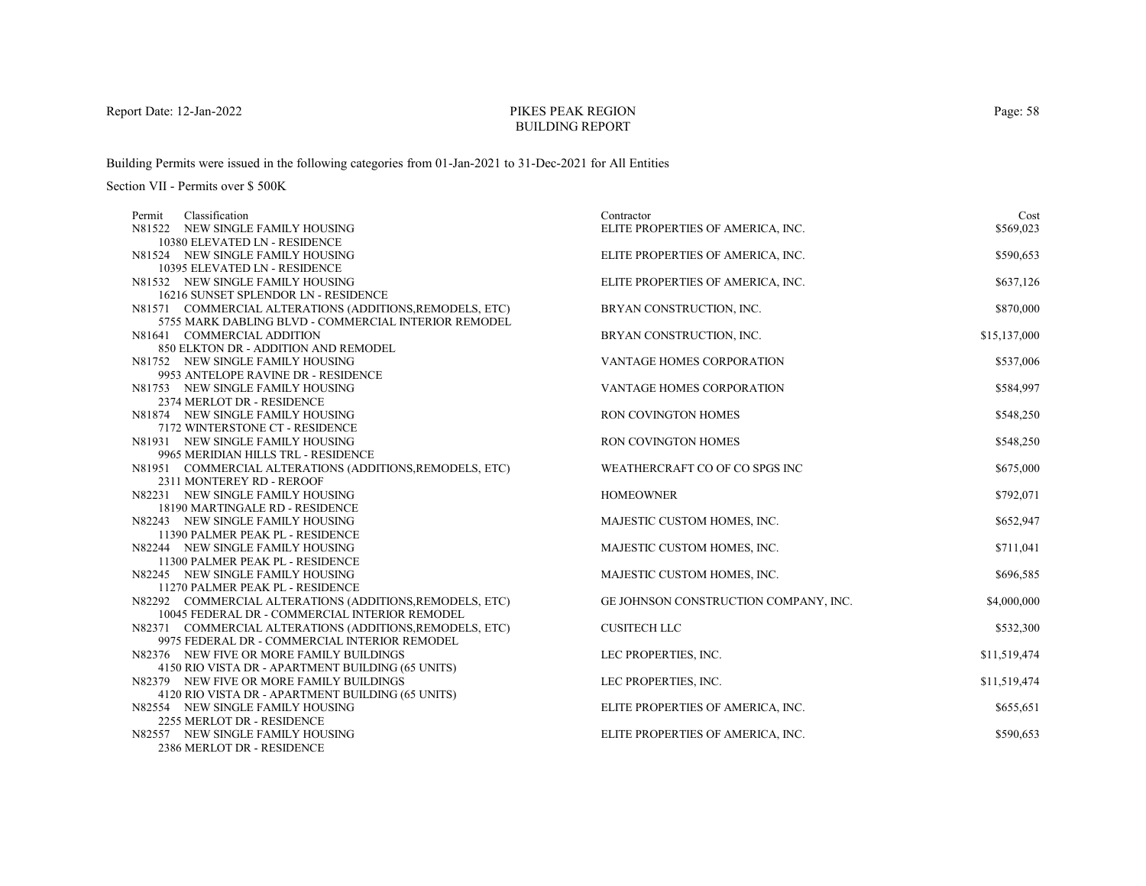# PIKES PEAK REGIONBUILDING REPORT

Building Permits were issued in the following categories from 01-Jan-2021 to 31-Dec-2021 for All Entities

| Classification<br>Permit                                             | Contractor                            | Cost         |
|----------------------------------------------------------------------|---------------------------------------|--------------|
| N81522 NEW SINGLE FAMILY HOUSING                                     | ELITE PROPERTIES OF AMERICA, INC.     | \$569,023    |
| 10380 ELEVATED LN - RESIDENCE                                        |                                       |              |
| N81524 NEW SINGLE FAMILY HOUSING                                     | ELITE PROPERTIES OF AMERICA, INC.     | \$590,653    |
| 10395 ELEVATED LN - RESIDENCE                                        |                                       |              |
| N81532 NEW SINGLE FAMILY HOUSING                                     | ELITE PROPERTIES OF AMERICA, INC.     | \$637,126    |
| 16216 SUNSET SPLENDOR LN - RESIDENCE                                 |                                       |              |
| N81571 COMMERCIAL ALTERATIONS (ADDITIONS, REMODELS, ETC)             | BRYAN CONSTRUCTION, INC.              | \$870,000    |
| 5755 MARK DABLING BLVD - COMMERCIAL INTERIOR REMODEL                 |                                       |              |
| N81641 COMMERCIAL ADDITION                                           | BRYAN CONSTRUCTION, INC.              | \$15,137,000 |
| 850 ELKTON DR - ADDITION AND REMODEL                                 |                                       |              |
| N81752 NEW SINGLE FAMILY HOUSING                                     | VANTAGE HOMES CORPORATION             | \$537,006    |
| 9953 ANTELOPE RAVINE DR - RESIDENCE                                  |                                       |              |
| N81753 NEW SINGLE FAMILY HOUSING                                     | VANTAGE HOMES CORPORATION             | \$584,997    |
| 2374 MERLOT DR - RESIDENCE                                           |                                       |              |
| N81874 NEW SINGLE FAMILY HOUSING                                     | RON COVINGTON HOMES                   | \$548,250    |
| 7172 WINTERSTONE CT - RESIDENCE                                      |                                       |              |
| N81931 NEW SINGLE FAMILY HOUSING                                     | RON COVINGTON HOMES                   | \$548,250    |
| 9965 MERIDIAN HILLS TRL - RESIDENCE                                  |                                       |              |
| N81951 COMMERCIAL ALTERATIONS (ADDITIONS, REMODELS, ETC)             | WEATHERCRAFT CO OF CO SPGS INC        | \$675,000    |
| 2311 MONTEREY RD - REROOF                                            |                                       |              |
| N82231 NEW SINGLE FAMILY HOUSING                                     | <b>HOMEOWNER</b>                      | \$792,071    |
| 18190 MARTINGALE RD - RESIDENCE                                      |                                       |              |
| N82243 NEW SINGLE FAMILY HOUSING<br>11390 PALMER PEAK PL - RESIDENCE | MAJESTIC CUSTOM HOMES, INC.           | \$652,947    |
| N82244 NEW SINGLE FAMILY HOUSING                                     |                                       | \$711,041    |
| 11300 PALMER PEAK PL - RESIDENCE                                     | MAJESTIC CUSTOM HOMES, INC.           |              |
| N82245 NEW SINGLE FAMILY HOUSING                                     | MAJESTIC CUSTOM HOMES, INC.           | \$696,585    |
| 11270 PALMER PEAK PL - RESIDENCE                                     |                                       |              |
| N82292 COMMERCIAL ALTERATIONS (ADDITIONS, REMODELS, ETC)             | GE JOHNSON CONSTRUCTION COMPANY, INC. | \$4,000,000  |
| 10045 FEDERAL DR - COMMERCIAL INTERIOR REMODEL                       |                                       |              |
| N82371 COMMERCIAL ALTERATIONS (ADDITIONS, REMODELS, ETC)             | <b>CUSITECH LLC</b>                   | \$532,300    |
| 9975 FEDERAL DR - COMMERCIAL INTERIOR REMODEL                        |                                       |              |
| N82376 NEW FIVE OR MORE FAMILY BUILDINGS                             | LEC PROPERTIES, INC.                  | \$11,519,474 |
| 4150 RIO VISTA DR - APARTMENT BUILDING (65 UNITS)                    |                                       |              |
| N82379 NEW FIVE OR MORE FAMILY BUILDINGS                             | LEC PROPERTIES, INC.                  | \$11,519,474 |
| 4120 RIO VISTA DR - APARTMENT BUILDING (65 UNITS)                    |                                       |              |
| N82554 NEW SINGLE FAMILY HOUSING                                     | ELITE PROPERTIES OF AMERICA, INC.     | \$655,651    |
| 2255 MERLOT DR - RESIDENCE                                           |                                       |              |
| N82557 NEW SINGLE FAMILY HOUSING                                     | ELITE PROPERTIES OF AMERICA, INC.     | \$590,653    |
| 2386 MERLOT DR - RESIDENCE                                           |                                       |              |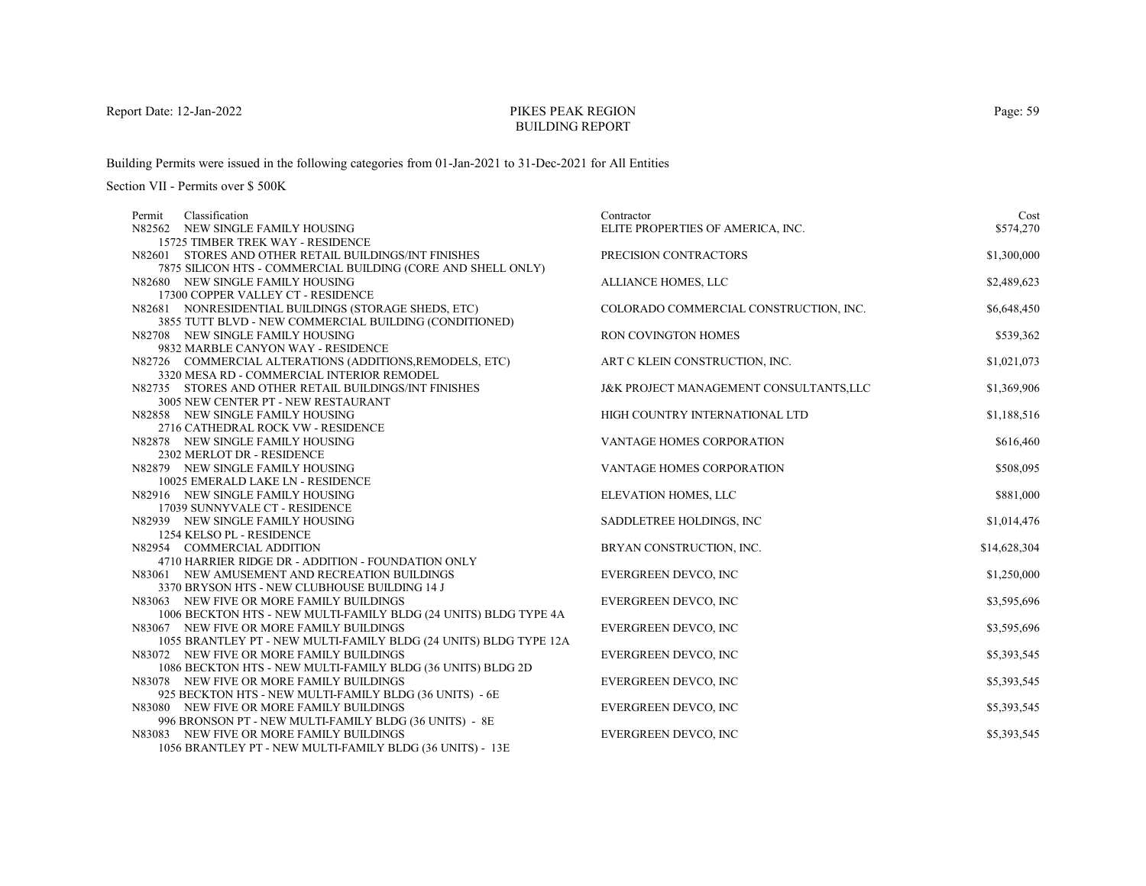# PIKES PEAK REGIONBUILDING REPORT

Building Permits were issued in the following categories from 01-Jan-2021 to 31-Dec-2021 for All Entities

| Classification<br>Permit                                          | Contractor                             | Cost         |
|-------------------------------------------------------------------|----------------------------------------|--------------|
| N82562 NEW SINGLE FAMILY HOUSING                                  | ELITE PROPERTIES OF AMERICA, INC.      | \$574,270    |
| 15725 TIMBER TREK WAY - RESIDENCE                                 |                                        |              |
| N82601 STORES AND OTHER RETAIL BUILDINGS/INT FINISHES             | PRECISION CONTRACTORS                  | \$1,300,000  |
| 7875 SILICON HTS - COMMERCIAL BUILDING (CORE AND SHELL ONLY)      |                                        |              |
| N82680 NEW SINGLE FAMILY HOUSING                                  | ALLIANCE HOMES, LLC                    | \$2,489,623  |
| 17300 COPPER VALLEY CT - RESIDENCE                                |                                        |              |
| N82681 NONRESIDENTIAL BUILDINGS (STORAGE SHEDS, ETC)              | COLORADO COMMERCIAL CONSTRUCTION, INC. | \$6,648,450  |
| 3855 TUTT BLVD - NEW COMMERCIAL BUILDING (CONDITIONED)            |                                        |              |
| N82708 NEW SINGLE FAMILY HOUSING                                  | RON COVINGTON HOMES                    | \$539,362    |
| 9832 MARBLE CANYON WAY - RESIDENCE                                |                                        |              |
| N82726 COMMERCIAL ALTERATIONS (ADDITIONS, REMODELS, ETC)          | ART C KLEIN CONSTRUCTION, INC.         | \$1,021,073  |
| 3320 MESA RD - COMMERCIAL INTERIOR REMODEL                        |                                        |              |
| N82735 STORES AND OTHER RETAIL BUILDINGS/INT FINISHES             | J&K PROJECT MANAGEMENT CONSULTANTS,LLC | \$1,369,906  |
| 3005 NEW CENTER PT - NEW RESTAURANT                               |                                        |              |
| N82858 NEW SINGLE FAMILY HOUSING                                  | HIGH COUNTRY INTERNATIONAL LTD         | \$1,188,516  |
| 2716 CATHEDRAL ROCK VW - RESIDENCE                                |                                        |              |
| N82878 NEW SINGLE FAMILY HOUSING                                  | VANTAGE HOMES CORPORATION              | \$616,460    |
| 2302 MERLOT DR - RESIDENCE                                        |                                        |              |
| N82879 NEW SINGLE FAMILY HOUSING                                  | VANTAGE HOMES CORPORATION              | \$508,095    |
| 10025 EMERALD LAKE LN - RESIDENCE                                 |                                        |              |
| N82916 NEW SINGLE FAMILY HOUSING                                  | ELEVATION HOMES, LLC                   | \$881,000    |
| 17039 SUNNYVALE CT - RESIDENCE                                    |                                        |              |
| N82939 NEW SINGLE FAMILY HOUSING                                  | SADDLETREE HOLDINGS, INC.              | \$1,014,476  |
| 1254 KELSO PL - RESIDENCE                                         |                                        |              |
| N82954 COMMERCIAL ADDITION                                        | BRYAN CONSTRUCTION, INC.               | \$14,628,304 |
| 4710 HARRIER RIDGE DR - ADDITION - FOUNDATION ONLY                |                                        |              |
| N83061 NEW AMUSEMENT AND RECREATION BUILDINGS                     | <b>EVERGREEN DEVCO, INC</b>            | \$1,250,000  |
| 3370 BRYSON HTS - NEW CLUBHOUSE BUILDING 14 J                     |                                        |              |
| N83063 NEW FIVE OR MORE FAMILY BUILDINGS                          | EVERGREEN DEVCO, INC                   | \$3,595,696  |
| 1006 BECKTON HTS - NEW MULTI-FAMILY BLDG (24 UNITS) BLDG TYPE 4A  |                                        |              |
| N83067 NEW FIVE OR MORE FAMILY BUILDINGS                          | EVERGREEN DEVCO, INC                   | \$3,595,696  |
| 1055 BRANTLEY PT - NEW MULTI-FAMILY BLDG (24 UNITS) BLDG TYPE 12A |                                        |              |
| N83072 NEW FIVE OR MORE FAMILY BUILDINGS                          | <b>EVERGREEN DEVCO, INC</b>            | \$5,393,545  |
| 1086 BECKTON HTS - NEW MULTI-FAMILY BLDG (36 UNITS) BLDG 2D       |                                        |              |
| N83078 NEW FIVE OR MORE FAMILY BUILDINGS                          | EVERGREEN DEVCO, INC                   | \$5,393,545  |
| 925 BECKTON HTS - NEW MULTI-FAMILY BLDG (36 UNITS) - 6E           |                                        |              |
| N83080 NEW FIVE OR MORE FAMILY BUILDINGS                          | <b>EVERGREEN DEVCO, INC</b>            | \$5,393,545  |
| 996 BRONSON PT - NEW MULTI-FAMILY BLDG (36 UNITS) - 8E            |                                        |              |
| N83083 NEW FIVE OR MORE FAMILY BUILDINGS                          | <b>EVERGREEN DEVCO, INC</b>            | \$5,393,545  |
| 1056 BRANTLEY PT - NEW MULTI-FAMILY BLDG (36 UNITS) - 13E         |                                        |              |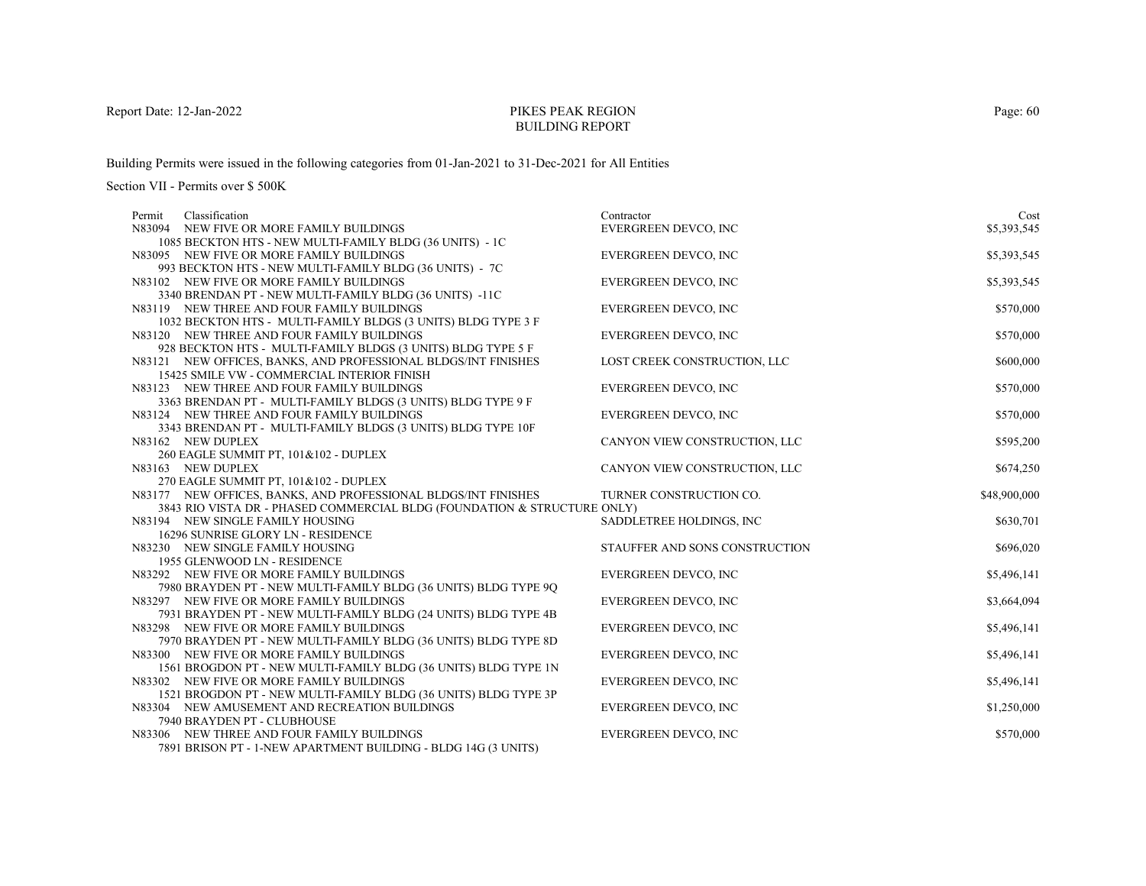# PIKES PEAK REGIONBUILDING REPORT

Building Permits were issued in the following categories from 01-Jan-2021 to 31-Dec-2021 for All Entities

| Classification<br>Permit                                                 | Contractor                     | Cost         |
|--------------------------------------------------------------------------|--------------------------------|--------------|
| N83094 NEW FIVE OR MORE FAMILY BUILDINGS                                 | EVERGREEN DEVCO, INC           | \$5,393,545  |
| 1085 BECKTON HTS - NEW MULTI-FAMILY BLDG (36 UNITS) - 1C                 |                                |              |
| N83095 NEW FIVE OR MORE FAMILY BUILDINGS                                 | <b>EVERGREEN DEVCO, INC</b>    | \$5,393,545  |
| 993 BECKTON HTS - NEW MULTI-FAMILY BLDG (36 UNITS) - 7C                  |                                |              |
| N83102 NEW FIVE OR MORE FAMILY BUILDINGS                                 | EVERGREEN DEVCO, INC           | \$5,393,545  |
| 3340 BRENDAN PT - NEW MULTI-FAMILY BLDG (36 UNITS) -11C                  |                                |              |
| N83119 NEW THREE AND FOUR FAMILY BUILDINGS                               | <b>EVERGREEN DEVCO, INC</b>    | \$570,000    |
| 1032 BECKTON HTS - MULTI-FAMILY BLDGS (3 UNITS) BLDG TYPE 3 F            |                                |              |
| N83120 NEW THREE AND FOUR FAMILY BUILDINGS                               | EVERGREEN DEVCO, INC           | \$570,000    |
| 928 BECKTON HTS - MULTI-FAMILY BLDGS (3 UNITS) BLDG TYPE 5 F             |                                |              |
| N83121 NEW OFFICES, BANKS, AND PROFESSIONAL BLDGS/INT FINISHES           | LOST CREEK CONSTRUCTION, LLC   | \$600,000    |
| 15425 SMILE VW - COMMERCIAL INTERIOR FINISH                              |                                |              |
| N83123 NEW THREE AND FOUR FAMILY BUILDINGS                               | <b>EVERGREEN DEVCO, INC</b>    | \$570,000    |
| 3363 BRENDAN PT - MULTI-FAMILY BLDGS (3 UNITS) BLDG TYPE 9 F             |                                |              |
| N83124 NEW THREE AND FOUR FAMILY BUILDINGS                               | EVERGREEN DEVCO, INC           | \$570,000    |
| 3343 BRENDAN PT - MULTI-FAMILY BLDGS (3 UNITS) BLDG TYPE 10F             |                                |              |
| N83162 NEW DUPLEX                                                        | CANYON VIEW CONSTRUCTION, LLC  | \$595,200    |
| 260 EAGLE SUMMIT PT, 101&102 - DUPLEX                                    |                                |              |
| N83163 NEW DUPLEX                                                        | CANYON VIEW CONSTRUCTION, LLC  | \$674,250    |
| 270 EAGLE SUMMIT PT, 101&102 - DUPLEX                                    |                                |              |
| N83177 NEW OFFICES, BANKS, AND PROFESSIONAL BLDGS/INT FINISHES           | TURNER CONSTRUCTION CO.        | \$48,900,000 |
| 3843 RIO VISTA DR - PHASED COMMERCIAL BLDG (FOUNDATION & STRUCTURE ONLY) |                                |              |
| N83194 NEW SINGLE FAMILY HOUSING<br>16296 SUNRISE GLORY LN - RESIDENCE   | SADDLETREE HOLDINGS, INC       | \$630,701    |
| N83230 NEW SINGLE FAMILY HOUSING                                         | STAUFFER AND SONS CONSTRUCTION | \$696,020    |
| 1955 GLENWOOD LN - RESIDENCE                                             |                                |              |
| N83292 NEW FIVE OR MORE FAMILY BUILDINGS                                 | <b>EVERGREEN DEVCO, INC</b>    | \$5,496,141  |
| 7980 BRAYDEN PT - NEW MULTI-FAMILY BLDG (36 UNITS) BLDG TYPE 9O          |                                |              |
| N83297 NEW FIVE OR MORE FAMILY BUILDINGS                                 | EVERGREEN DEVCO, INC           | \$3,664,094  |
| 7931 BRAYDEN PT - NEW MULTI-FAMILY BLDG (24 UNITS) BLDG TYPE 4B          |                                |              |
| N83298 NEW FIVE OR MORE FAMILY BUILDINGS                                 | <b>EVERGREEN DEVCO, INC</b>    | \$5,496,141  |
| 7970 BRAYDEN PT - NEW MULTI-FAMILY BLDG (36 UNITS) BLDG TYPE 8D          |                                |              |
| N83300 NEW FIVE OR MORE FAMILY BUILDINGS                                 | <b>EVERGREEN DEVCO, INC</b>    | \$5,496,141  |
| 1561 BROGDON PT - NEW MULTI-FAMILY BLDG (36 UNITS) BLDG TYPE 1N          |                                |              |
| N83302 NEW FIVE OR MORE FAMILY BUILDINGS                                 | <b>EVERGREEN DEVCO, INC</b>    | \$5,496,141  |
| 1521 BROGDON PT - NEW MULTI-FAMILY BLDG (36 UNITS) BLDG TYPE 3P          |                                |              |
| N83304 NEW AMUSEMENT AND RECREATION BUILDINGS                            | <b>EVERGREEN DEVCO, INC</b>    | \$1,250,000  |
| 7940 BRAYDEN PT - CLUBHOUSE                                              |                                |              |
| N83306 NEW THREE AND FOUR FAMILY BUILDINGS                               |                                |              |
|                                                                          | <b>EVERGREEN DEVCO, INC</b>    | \$570,000    |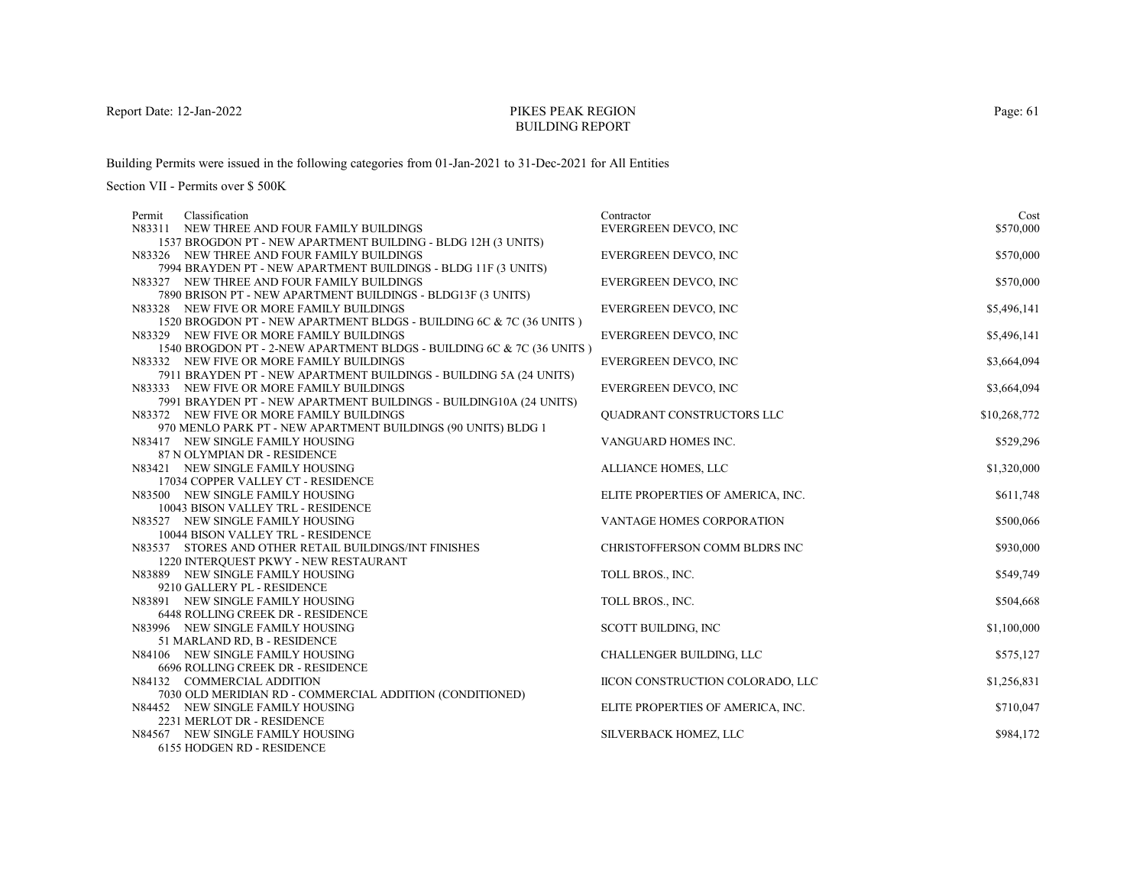# PIKES PEAK REGIONBUILDING REPORT

Building Permits were issued in the following categories from 01-Jan-2021 to 31-Dec-2021 for All Entities

Section VII - Permits over \$ 500K

| Permit | Classification                                                                                    | Contractor                        | Cost         |
|--------|---------------------------------------------------------------------------------------------------|-----------------------------------|--------------|
|        | N83311 NEW THREE AND FOUR FAMILY BUILDINGS                                                        | <b>EVERGREEN DEVCO, INC</b>       | \$570,000    |
|        | 1537 BROGDON PT - NEW APARTMENT BUILDING - BLDG 12H (3 UNITS)                                     |                                   |              |
|        | N83326 NEW THREE AND FOUR FAMILY BUILDINGS                                                        | <b>EVERGREEN DEVCO, INC</b>       | \$570,000    |
|        | 7994 BRAYDEN PT - NEW APARTMENT BUILDINGS - BLDG 11F (3 UNITS)                                    |                                   |              |
|        | N83327 NEW THREE AND FOUR FAMILY BUILDINGS                                                        | <b>EVERGREEN DEVCO, INC</b>       | \$570,000    |
|        | 7890 BRISON PT - NEW APARTMENT BUILDINGS - BLDG13F (3 UNITS)                                      |                                   |              |
|        | N83328 NEW FIVE OR MORE FAMILY BUILDINGS                                                          | EVERGREEN DEVCO, INC              | \$5,496,141  |
|        | 1520 BROGDON PT - NEW APARTMENT BLDGS - BUILDING 6C & 7C (36 UNITS)                               |                                   |              |
|        | N83329 NEW FIVE OR MORE FAMILY BUILDINGS                                                          | EVERGREEN DEVCO, INC              | \$5,496,141  |
|        | 1540 BROGDON PT - 2-NEW APARTMENT BLDGS - BUILDING 6C & 7C (36 UNITS )                            |                                   |              |
|        | N83332 NEW FIVE OR MORE FAMILY BUILDINGS                                                          | EVERGREEN DEVCO, INC              | \$3,664,094  |
|        | 7911 BRAYDEN PT - NEW APARTMENT BUILDINGS - BUILDING 5A (24 UNITS)                                |                                   |              |
|        | N83333 NEW FIVE OR MORE FAMILY BUILDINGS                                                          | <b>EVERGREEN DEVCO, INC</b>       | \$3,664,094  |
|        | 7991 BRAYDEN PT - NEW APARTMENT BUILDINGS - BUILDING10A (24 UNITS)                                |                                   |              |
|        | N83372 NEW FIVE OR MORE FAMILY BUILDINGS                                                          | QUADRANT CONSTRUCTORS LLC         | \$10,268,772 |
|        | 970 MENLO PARK PT - NEW APARTMENT BUILDINGS (90 UNITS) BLDG 1<br>N83417 NEW SINGLE FAMILY HOUSING | VANGUARD HOMES INC.               | \$529,296    |
|        | 87 N OLYMPIAN DR - RESIDENCE                                                                      |                                   |              |
|        | N83421 NEW SINGLE FAMILY HOUSING                                                                  | ALLIANCE HOMES, LLC               | \$1,320,000  |
|        | 17034 COPPER VALLEY CT - RESIDENCE                                                                |                                   |              |
|        | N83500 NEW SINGLE FAMILY HOUSING                                                                  | ELITE PROPERTIES OF AMERICA, INC. | \$611,748    |
|        | 10043 BISON VALLEY TRL - RESIDENCE                                                                |                                   |              |
|        | N83527 NEW SINGLE FAMILY HOUSING                                                                  | VANTAGE HOMES CORPORATION         | \$500,066    |
|        | 10044 BISON VALLEY TRL - RESIDENCE                                                                |                                   |              |
|        | N83537 STORES AND OTHER RETAIL BUILDINGS/INT FINISHES                                             | CHRISTOFFERSON COMM BLDRS INC     | \$930,000    |
|        | 1220 INTERQUEST PKWY - NEW RESTAURANT                                                             |                                   |              |
|        | N83889 NEW SINGLE FAMILY HOUSING                                                                  | TOLL BROS., INC.                  | \$549,749    |
|        | 9210 GALLERY PL - RESIDENCE                                                                       |                                   |              |
|        | N83891 NEW SINGLE FAMILY HOUSING                                                                  | TOLL BROS., INC.                  | \$504,668    |
|        | <b>6448 ROLLING CREEK DR - RESIDENCE</b>                                                          |                                   |              |
|        | N83996 NEW SINGLE FAMILY HOUSING                                                                  | SCOTT BUILDING, INC               | \$1,100,000  |
|        | 51 MARLAND RD, B - RESIDENCE                                                                      |                                   |              |
|        | N84106 NEW SINGLE FAMILY HOUSING                                                                  | CHALLENGER BUILDING, LLC          | \$575,127    |
|        | 6696 ROLLING CREEK DR - RESIDENCE                                                                 |                                   |              |
|        | N84132 COMMERCIAL ADDITION                                                                        | IICON CONSTRUCTION COLORADO, LLC  | \$1,256,831  |
|        | 7030 OLD MERIDIAN RD - COMMERCIAL ADDITION (CONDITIONED)                                          |                                   |              |
|        | N84452 NEW SINGLE FAMILY HOUSING                                                                  | ELITE PROPERTIES OF AMERICA, INC. | \$710,047    |
|        | 2231 MERLOT DR - RESIDENCE                                                                        |                                   |              |
|        | N84567 NEW SINGLE FAMILY HOUSING                                                                  | <b>SILVERBACK HOMEZ, LLC</b>      | \$984,172    |
|        | 6155 HODGEN RD - RESIDENCE                                                                        |                                   |              |

Page: 61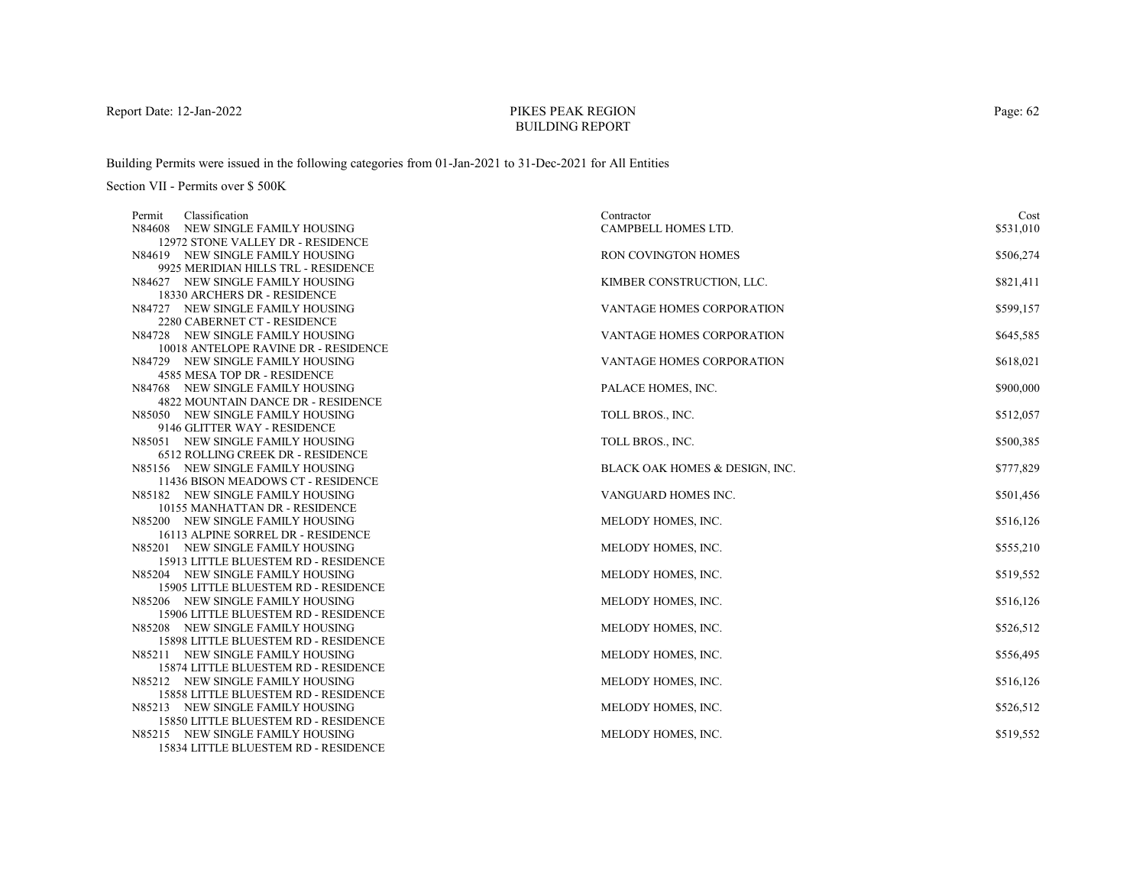# PIKES PEAK REGIONBUILDING REPORT

Building Permits were issued in the following categories from 01-Jan-2021 to 31-Dec-2021 for All Entities

|                                      | Contractor                                                                                                                                                                                                                                                                                                                                                                                                                                                                                                                                                                                                                                                                                                                                                                                                                                                                                                                                                                                                                                                                                                                                                                                                                                                                                                                                                                                                                                                                   | Cost                                                                                                                                                                                                                                                                                                                                                                                                                                                         |
|--------------------------------------|------------------------------------------------------------------------------------------------------------------------------------------------------------------------------------------------------------------------------------------------------------------------------------------------------------------------------------------------------------------------------------------------------------------------------------------------------------------------------------------------------------------------------------------------------------------------------------------------------------------------------------------------------------------------------------------------------------------------------------------------------------------------------------------------------------------------------------------------------------------------------------------------------------------------------------------------------------------------------------------------------------------------------------------------------------------------------------------------------------------------------------------------------------------------------------------------------------------------------------------------------------------------------------------------------------------------------------------------------------------------------------------------------------------------------------------------------------------------------|--------------------------------------------------------------------------------------------------------------------------------------------------------------------------------------------------------------------------------------------------------------------------------------------------------------------------------------------------------------------------------------------------------------------------------------------------------------|
|                                      | CAMPBELL HOMES LTD.                                                                                                                                                                                                                                                                                                                                                                                                                                                                                                                                                                                                                                                                                                                                                                                                                                                                                                                                                                                                                                                                                                                                                                                                                                                                                                                                                                                                                                                          | \$531,010                                                                                                                                                                                                                                                                                                                                                                                                                                                    |
|                                      |                                                                                                                                                                                                                                                                                                                                                                                                                                                                                                                                                                                                                                                                                                                                                                                                                                                                                                                                                                                                                                                                                                                                                                                                                                                                                                                                                                                                                                                                              |                                                                                                                                                                                                                                                                                                                                                                                                                                                              |
|                                      |                                                                                                                                                                                                                                                                                                                                                                                                                                                                                                                                                                                                                                                                                                                                                                                                                                                                                                                                                                                                                                                                                                                                                                                                                                                                                                                                                                                                                                                                              | \$506,274                                                                                                                                                                                                                                                                                                                                                                                                                                                    |
|                                      |                                                                                                                                                                                                                                                                                                                                                                                                                                                                                                                                                                                                                                                                                                                                                                                                                                                                                                                                                                                                                                                                                                                                                                                                                                                                                                                                                                                                                                                                              |                                                                                                                                                                                                                                                                                                                                                                                                                                                              |
|                                      |                                                                                                                                                                                                                                                                                                                                                                                                                                                                                                                                                                                                                                                                                                                                                                                                                                                                                                                                                                                                                                                                                                                                                                                                                                                                                                                                                                                                                                                                              | \$821,411                                                                                                                                                                                                                                                                                                                                                                                                                                                    |
|                                      |                                                                                                                                                                                                                                                                                                                                                                                                                                                                                                                                                                                                                                                                                                                                                                                                                                                                                                                                                                                                                                                                                                                                                                                                                                                                                                                                                                                                                                                                              |                                                                                                                                                                                                                                                                                                                                                                                                                                                              |
|                                      |                                                                                                                                                                                                                                                                                                                                                                                                                                                                                                                                                                                                                                                                                                                                                                                                                                                                                                                                                                                                                                                                                                                                                                                                                                                                                                                                                                                                                                                                              | \$599,157                                                                                                                                                                                                                                                                                                                                                                                                                                                    |
|                                      |                                                                                                                                                                                                                                                                                                                                                                                                                                                                                                                                                                                                                                                                                                                                                                                                                                                                                                                                                                                                                                                                                                                                                                                                                                                                                                                                                                                                                                                                              |                                                                                                                                                                                                                                                                                                                                                                                                                                                              |
|                                      |                                                                                                                                                                                                                                                                                                                                                                                                                                                                                                                                                                                                                                                                                                                                                                                                                                                                                                                                                                                                                                                                                                                                                                                                                                                                                                                                                                                                                                                                              | \$645,585                                                                                                                                                                                                                                                                                                                                                                                                                                                    |
|                                      |                                                                                                                                                                                                                                                                                                                                                                                                                                                                                                                                                                                                                                                                                                                                                                                                                                                                                                                                                                                                                                                                                                                                                                                                                                                                                                                                                                                                                                                                              |                                                                                                                                                                                                                                                                                                                                                                                                                                                              |
|                                      |                                                                                                                                                                                                                                                                                                                                                                                                                                                                                                                                                                                                                                                                                                                                                                                                                                                                                                                                                                                                                                                                                                                                                                                                                                                                                                                                                                                                                                                                              | \$618,021                                                                                                                                                                                                                                                                                                                                                                                                                                                    |
|                                      |                                                                                                                                                                                                                                                                                                                                                                                                                                                                                                                                                                                                                                                                                                                                                                                                                                                                                                                                                                                                                                                                                                                                                                                                                                                                                                                                                                                                                                                                              |                                                                                                                                                                                                                                                                                                                                                                                                                                                              |
|                                      |                                                                                                                                                                                                                                                                                                                                                                                                                                                                                                                                                                                                                                                                                                                                                                                                                                                                                                                                                                                                                                                                                                                                                                                                                                                                                                                                                                                                                                                                              | \$900,000                                                                                                                                                                                                                                                                                                                                                                                                                                                    |
|                                      |                                                                                                                                                                                                                                                                                                                                                                                                                                                                                                                                                                                                                                                                                                                                                                                                                                                                                                                                                                                                                                                                                                                                                                                                                                                                                                                                                                                                                                                                              |                                                                                                                                                                                                                                                                                                                                                                                                                                                              |
|                                      |                                                                                                                                                                                                                                                                                                                                                                                                                                                                                                                                                                                                                                                                                                                                                                                                                                                                                                                                                                                                                                                                                                                                                                                                                                                                                                                                                                                                                                                                              | \$512,057                                                                                                                                                                                                                                                                                                                                                                                                                                                    |
|                                      |                                                                                                                                                                                                                                                                                                                                                                                                                                                                                                                                                                                                                                                                                                                                                                                                                                                                                                                                                                                                                                                                                                                                                                                                                                                                                                                                                                                                                                                                              |                                                                                                                                                                                                                                                                                                                                                                                                                                                              |
|                                      |                                                                                                                                                                                                                                                                                                                                                                                                                                                                                                                                                                                                                                                                                                                                                                                                                                                                                                                                                                                                                                                                                                                                                                                                                                                                                                                                                                                                                                                                              | \$500,385                                                                                                                                                                                                                                                                                                                                                                                                                                                    |
|                                      |                                                                                                                                                                                                                                                                                                                                                                                                                                                                                                                                                                                                                                                                                                                                                                                                                                                                                                                                                                                                                                                                                                                                                                                                                                                                                                                                                                                                                                                                              |                                                                                                                                                                                                                                                                                                                                                                                                                                                              |
|                                      |                                                                                                                                                                                                                                                                                                                                                                                                                                                                                                                                                                                                                                                                                                                                                                                                                                                                                                                                                                                                                                                                                                                                                                                                                                                                                                                                                                                                                                                                              | \$777,829                                                                                                                                                                                                                                                                                                                                                                                                                                                    |
|                                      |                                                                                                                                                                                                                                                                                                                                                                                                                                                                                                                                                                                                                                                                                                                                                                                                                                                                                                                                                                                                                                                                                                                                                                                                                                                                                                                                                                                                                                                                              |                                                                                                                                                                                                                                                                                                                                                                                                                                                              |
|                                      |                                                                                                                                                                                                                                                                                                                                                                                                                                                                                                                                                                                                                                                                                                                                                                                                                                                                                                                                                                                                                                                                                                                                                                                                                                                                                                                                                                                                                                                                              | \$501,456                                                                                                                                                                                                                                                                                                                                                                                                                                                    |
|                                      |                                                                                                                                                                                                                                                                                                                                                                                                                                                                                                                                                                                                                                                                                                                                                                                                                                                                                                                                                                                                                                                                                                                                                                                                                                                                                                                                                                                                                                                                              |                                                                                                                                                                                                                                                                                                                                                                                                                                                              |
|                                      |                                                                                                                                                                                                                                                                                                                                                                                                                                                                                                                                                                                                                                                                                                                                                                                                                                                                                                                                                                                                                                                                                                                                                                                                                                                                                                                                                                                                                                                                              | \$516,126                                                                                                                                                                                                                                                                                                                                                                                                                                                    |
|                                      |                                                                                                                                                                                                                                                                                                                                                                                                                                                                                                                                                                                                                                                                                                                                                                                                                                                                                                                                                                                                                                                                                                                                                                                                                                                                                                                                                                                                                                                                              |                                                                                                                                                                                                                                                                                                                                                                                                                                                              |
|                                      |                                                                                                                                                                                                                                                                                                                                                                                                                                                                                                                                                                                                                                                                                                                                                                                                                                                                                                                                                                                                                                                                                                                                                                                                                                                                                                                                                                                                                                                                              | \$555,210                                                                                                                                                                                                                                                                                                                                                                                                                                                    |
|                                      |                                                                                                                                                                                                                                                                                                                                                                                                                                                                                                                                                                                                                                                                                                                                                                                                                                                                                                                                                                                                                                                                                                                                                                                                                                                                                                                                                                                                                                                                              | \$519,552                                                                                                                                                                                                                                                                                                                                                                                                                                                    |
|                                      |                                                                                                                                                                                                                                                                                                                                                                                                                                                                                                                                                                                                                                                                                                                                                                                                                                                                                                                                                                                                                                                                                                                                                                                                                                                                                                                                                                                                                                                                              |                                                                                                                                                                                                                                                                                                                                                                                                                                                              |
|                                      |                                                                                                                                                                                                                                                                                                                                                                                                                                                                                                                                                                                                                                                                                                                                                                                                                                                                                                                                                                                                                                                                                                                                                                                                                                                                                                                                                                                                                                                                              | \$516,126                                                                                                                                                                                                                                                                                                                                                                                                                                                    |
|                                      |                                                                                                                                                                                                                                                                                                                                                                                                                                                                                                                                                                                                                                                                                                                                                                                                                                                                                                                                                                                                                                                                                                                                                                                                                                                                                                                                                                                                                                                                              |                                                                                                                                                                                                                                                                                                                                                                                                                                                              |
|                                      |                                                                                                                                                                                                                                                                                                                                                                                                                                                                                                                                                                                                                                                                                                                                                                                                                                                                                                                                                                                                                                                                                                                                                                                                                                                                                                                                                                                                                                                                              | \$526,512                                                                                                                                                                                                                                                                                                                                                                                                                                                    |
|                                      |                                                                                                                                                                                                                                                                                                                                                                                                                                                                                                                                                                                                                                                                                                                                                                                                                                                                                                                                                                                                                                                                                                                                                                                                                                                                                                                                                                                                                                                                              |                                                                                                                                                                                                                                                                                                                                                                                                                                                              |
|                                      |                                                                                                                                                                                                                                                                                                                                                                                                                                                                                                                                                                                                                                                                                                                                                                                                                                                                                                                                                                                                                                                                                                                                                                                                                                                                                                                                                                                                                                                                              | \$556,495                                                                                                                                                                                                                                                                                                                                                                                                                                                    |
|                                      |                                                                                                                                                                                                                                                                                                                                                                                                                                                                                                                                                                                                                                                                                                                                                                                                                                                                                                                                                                                                                                                                                                                                                                                                                                                                                                                                                                                                                                                                              |                                                                                                                                                                                                                                                                                                                                                                                                                                                              |
|                                      |                                                                                                                                                                                                                                                                                                                                                                                                                                                                                                                                                                                                                                                                                                                                                                                                                                                                                                                                                                                                                                                                                                                                                                                                                                                                                                                                                                                                                                                                              | \$516,126                                                                                                                                                                                                                                                                                                                                                                                                                                                    |
|                                      |                                                                                                                                                                                                                                                                                                                                                                                                                                                                                                                                                                                                                                                                                                                                                                                                                                                                                                                                                                                                                                                                                                                                                                                                                                                                                                                                                                                                                                                                              |                                                                                                                                                                                                                                                                                                                                                                                                                                                              |
|                                      |                                                                                                                                                                                                                                                                                                                                                                                                                                                                                                                                                                                                                                                                                                                                                                                                                                                                                                                                                                                                                                                                                                                                                                                                                                                                                                                                                                                                                                                                              | \$526,512                                                                                                                                                                                                                                                                                                                                                                                                                                                    |
| 15850 LITTLE BLUESTEM RD - RESIDENCE |                                                                                                                                                                                                                                                                                                                                                                                                                                                                                                                                                                                                                                                                                                                                                                                                                                                                                                                                                                                                                                                                                                                                                                                                                                                                                                                                                                                                                                                                              |                                                                                                                                                                                                                                                                                                                                                                                                                                                              |
|                                      | MELODY HOMES, INC.                                                                                                                                                                                                                                                                                                                                                                                                                                                                                                                                                                                                                                                                                                                                                                                                                                                                                                                                                                                                                                                                                                                                                                                                                                                                                                                                                                                                                                                           | \$519,552                                                                                                                                                                                                                                                                                                                                                                                                                                                    |
| 15834 LITTLE BLUESTEM RD - RESIDENCE |                                                                                                                                                                                                                                                                                                                                                                                                                                                                                                                                                                                                                                                                                                                                                                                                                                                                                                                                                                                                                                                                                                                                                                                                                                                                                                                                                                                                                                                                              |                                                                                                                                                                                                                                                                                                                                                                                                                                                              |
|                                      | Classification<br>Permit<br>N84608 NEW SINGLE FAMILY HOUSING<br>12972 STONE VALLEY DR - RESIDENCE<br>N84619 NEW SINGLE FAMILY HOUSING<br>9925 MERIDIAN HILLS TRL - RESIDENCE<br>N84627 NEW SINGLE FAMILY HOUSING<br>18330 ARCHERS DR - RESIDENCE<br>N84727 NEW SINGLE FAMILY HOUSING<br>2280 CABERNET CT - RESIDENCE<br>N84728 NEW SINGLE FAMILY HOUSING<br>10018 ANTELOPE RAVINE DR - RESIDENCE<br>N84729 NEW SINGLE FAMILY HOUSING<br>4585 MESA TOP DR - RESIDENCE<br>N84768 NEW SINGLE FAMILY HOUSING<br><b>4822 MOUNTAIN DANCE DR - RESIDENCE</b><br>N85050 NEW SINGLE FAMILY HOUSING<br>9146 GLITTER WAY - RESIDENCE<br>N85051 NEW SINGLE FAMILY HOUSING<br>6512 ROLLING CREEK DR - RESIDENCE<br>N85156 NEW SINGLE FAMILY HOUSING<br>11436 BISON MEADOWS CT - RESIDENCE<br>N85182 NEW SINGLE FAMILY HOUSING<br>10155 MANHATTAN DR - RESIDENCE<br>N85200 NEW SINGLE FAMILY HOUSING<br>16113 ALPINE SORREL DR - RESIDENCE<br>N85201 NEW SINGLE FAMILY HOUSING<br>15913 LITTLE BLUESTEM RD - RESIDENCE<br>N85204 NEW SINGLE FAMILY HOUSING<br>15905 LITTLE BLUESTEM RD - RESIDENCE<br>N85206 NEW SINGLE FAMILY HOUSING<br>15906 LITTLE BLUESTEM RD - RESIDENCE<br>N85208 NEW SINGLE FAMILY HOUSING<br>15898 LITTLE BLUESTEM RD - RESIDENCE<br>N85211 NEW SINGLE FAMILY HOUSING<br>15874 LITTLE BLUESTEM RD - RESIDENCE<br>N85212 NEW SINGLE FAMILY HOUSING<br>15858 LITTLE BLUESTEM RD - RESIDENCE<br>N85213 NEW SINGLE FAMILY HOUSING<br>N85215 NEW SINGLE FAMILY HOUSING | RON COVINGTON HOMES<br>KIMBER CONSTRUCTION, LLC.<br><b>VANTAGE HOMES CORPORATION</b><br><b>VANTAGE HOMES CORPORATION</b><br>VANTAGE HOMES CORPORATION<br>PALACE HOMES, INC.<br>TOLL BROS., INC.<br>TOLL BROS., INC.<br>BLACK OAK HOMES & DESIGN, INC.<br>VANGUARD HOMES INC.<br>MELODY HOMES, INC.<br>MELODY HOMES, INC.<br>MELODY HOMES, INC.<br>MELODY HOMES, INC.<br>MELODY HOMES, INC.<br>MELODY HOMES, INC.<br>MELODY HOMES, INC.<br>MELODY HOMES, INC. |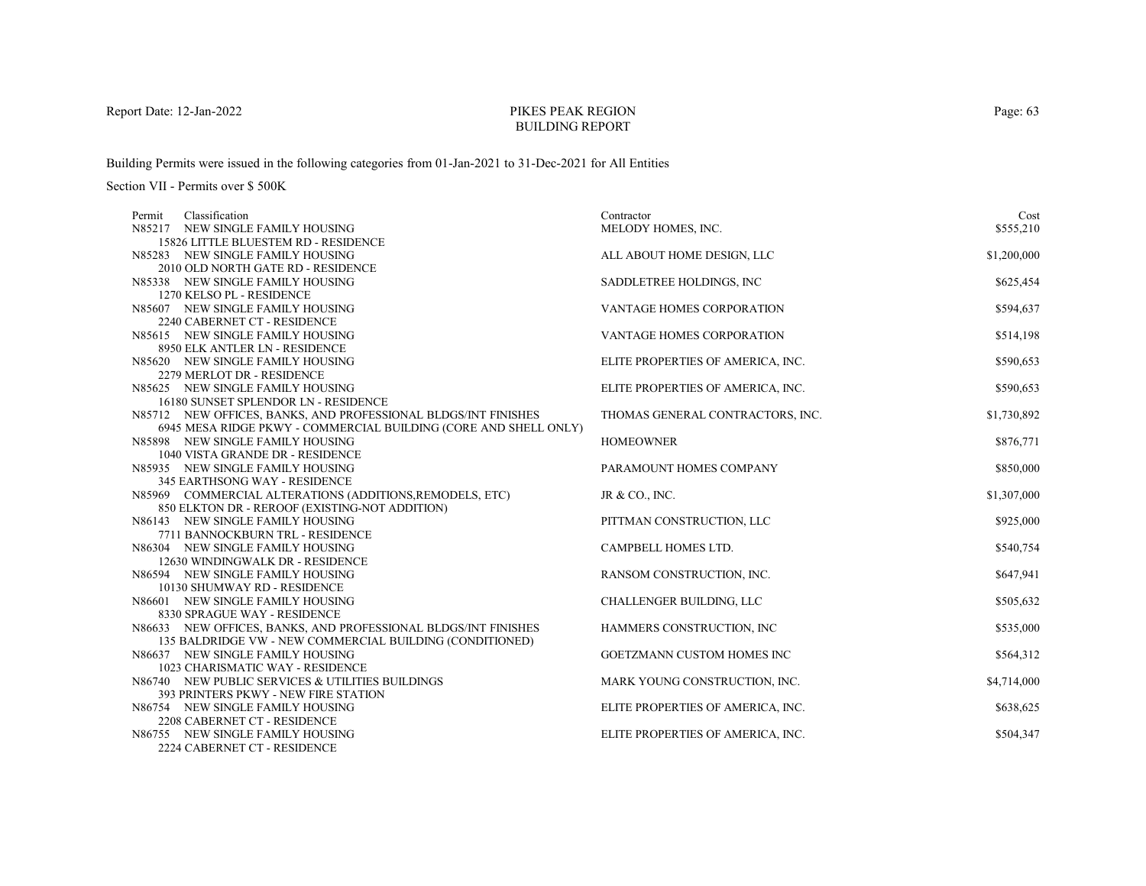# PIKES PEAK REGIONBUILDING REPORT

Building Permits were issued in the following categories from 01-Jan-2021 to 31-Dec-2021 for All Entities

Section VII - Permits over \$ 500K

| Classification<br>Permit                                             | Contractor                        | Cost        |
|----------------------------------------------------------------------|-----------------------------------|-------------|
| N85217 NEW SINGLE FAMILY HOUSING                                     | MELODY HOMES, INC.                | \$555,210   |
| 15826 LITTLE BLUESTEM RD - RESIDENCE                                 |                                   |             |
| N85283 NEW SINGLE FAMILY HOUSING                                     | ALL ABOUT HOME DESIGN, LLC        | \$1,200,000 |
| 2010 OLD NORTH GATE RD - RESIDENCE                                   |                                   |             |
| N85338 NEW SINGLE FAMILY HOUSING                                     | SADDLETREE HOLDINGS, INC          | \$625,454   |
| 1270 KELSO PL - RESIDENCE                                            |                                   |             |
| N85607 NEW SINGLE FAMILY HOUSING                                     | VANTAGE HOMES CORPORATION         | \$594,637   |
| 2240 CABERNET CT - RESIDENCE                                         |                                   |             |
| N85615 NEW SINGLE FAMILY HOUSING                                     | VANTAGE HOMES CORPORATION         | \$514,198   |
| 8950 ELK ANTLER LN - RESIDENCE                                       |                                   |             |
| N85620 NEW SINGLE FAMILY HOUSING                                     | ELITE PROPERTIES OF AMERICA, INC. | \$590,653   |
| 2279 MERLOT DR - RESIDENCE                                           |                                   |             |
| N85625 NEW SINGLE FAMILY HOUSING                                     | ELITE PROPERTIES OF AMERICA, INC. | \$590,653   |
| 16180 SUNSET SPLENDOR LN - RESIDENCE                                 |                                   |             |
| N85712 NEW OFFICES, BANKS, AND PROFESSIONAL BLDGS/INT FINISHES       | THOMAS GENERAL CONTRACTORS, INC.  | \$1,730,892 |
| 6945 MESA RIDGE PKWY - COMMERCIAL BUILDING (CORE AND SHELL ONLY)     |                                   |             |
| N85898 NEW SINGLE FAMILY HOUSING                                     | <b>HOMEOWNER</b>                  | \$876,771   |
| 1040 VISTA GRANDE DR - RESIDENCE                                     |                                   |             |
| N85935 NEW SINGLE FAMILY HOUSING                                     | PARAMOUNT HOMES COMPANY           | \$850,000   |
| 345 EARTHSONG WAY - RESIDENCE                                        |                                   |             |
| N85969 COMMERCIAL ALTERATIONS (ADDITIONS, REMODELS, ETC)             | JR & CO., INC.                    | \$1,307,000 |
| 850 ELKTON DR - REROOF (EXISTING-NOT ADDITION)                       |                                   |             |
| N86143 NEW SINGLE FAMILY HOUSING<br>7711 BANNOCKBURN TRL - RESIDENCE | PITTMAN CONSTRUCTION, LLC         | \$925,000   |
| N86304 NEW SINGLE FAMILY HOUSING                                     | CAMPBELL HOMES LTD.               | \$540,754   |
| 12630 WINDINGWALK DR - RESIDENCE                                     |                                   |             |
| N86594 NEW SINGLE FAMILY HOUSING                                     | RANSOM CONSTRUCTION, INC.         | \$647,941   |
| 10130 SHUMWAY RD - RESIDENCE                                         |                                   |             |
| N86601 NEW SINGLE FAMILY HOUSING                                     | CHALLENGER BUILDING, LLC          | \$505,632   |
| 8330 SPRAGUE WAY - RESIDENCE                                         |                                   |             |
| N86633 NEW OFFICES, BANKS, AND PROFESSIONAL BLDGS/INT FINISHES       | HAMMERS CONSTRUCTION, INC         | \$535,000   |
| 135 BALDRIDGE VW - NEW COMMERCIAL BUILDING (CONDITIONED)             |                                   |             |
| N86637 NEW SINGLE FAMILY HOUSING                                     | GOETZMANN CUSTOM HOMES INC        | \$564,312   |
| 1023 CHARISMATIC WAY - RESIDENCE                                     |                                   |             |
| N86740 NEW PUBLIC SERVICES & UTILITIES BUILDINGS                     | MARK YOUNG CONSTRUCTION, INC.     | \$4,714,000 |
| 393 PRINTERS PKWY - NEW FIRE STATION                                 |                                   |             |
| N86754 NEW SINGLE FAMILY HOUSING                                     | ELITE PROPERTIES OF AMERICA, INC. | \$638,625   |
| 2208 CABERNET CT - RESIDENCE                                         |                                   |             |
| N86755 NEW SINGLE FAMILY HOUSING                                     | ELITE PROPERTIES OF AMERICA, INC. | \$504,347   |
| 2224 CABERNET CT - RESIDENCE                                         |                                   |             |

Page: 63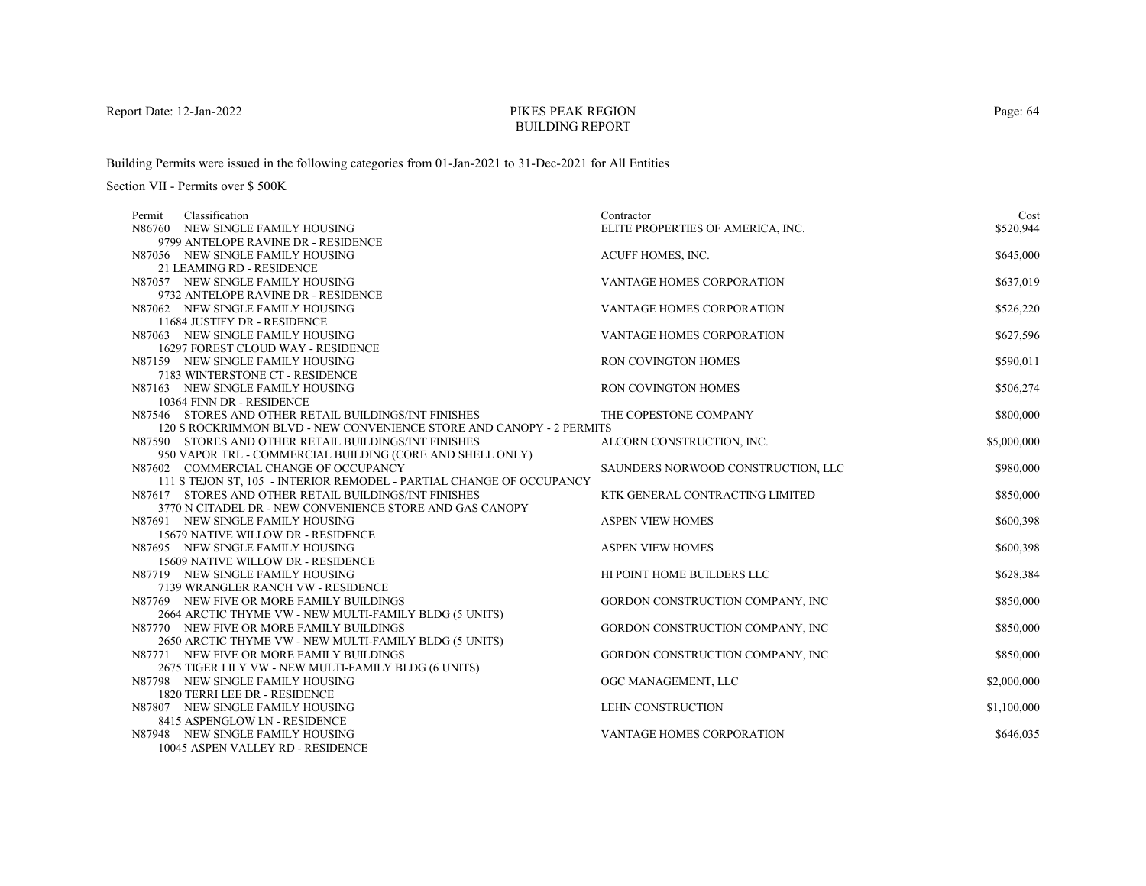# PIKES PEAK REGIONBUILDING REPORT

Building Permits were issued in the following categories from 01-Jan-2021 to 31-Dec-2021 for All Entities

| Classification<br>Permit                                               | Contractor                         | Cost        |
|------------------------------------------------------------------------|------------------------------------|-------------|
| N86760 NEW SINGLE FAMILY HOUSING                                       | ELITE PROPERTIES OF AMERICA, INC.  | \$520,944   |
| 9799 ANTELOPE RAVINE DR - RESIDENCE                                    |                                    |             |
| N87056 NEW SINGLE FAMILY HOUSING                                       | ACUFF HOMES, INC.                  | \$645,000   |
| 21 LEAMING RD - RESIDENCE                                              |                                    |             |
| N87057 NEW SINGLE FAMILY HOUSING                                       | <b>VANTAGE HOMES CORPORATION</b>   | \$637,019   |
| 9732 ANTELOPE RAVINE DR - RESIDENCE                                    |                                    |             |
| N87062 NEW SINGLE FAMILY HOUSING                                       | VANTAGE HOMES CORPORATION          | \$526,220   |
| 11684 JUSTIFY DR - RESIDENCE                                           |                                    |             |
| N87063 NEW SINGLE FAMILY HOUSING                                       | <b>VANTAGE HOMES CORPORATION</b>   | \$627,596   |
| 16297 FOREST CLOUD WAY - RESIDENCE                                     |                                    |             |
| N87159 NEW SINGLE FAMILY HOUSING                                       | RON COVINGTON HOMES                | \$590,011   |
| 7183 WINTERSTONE CT - RESIDENCE                                        |                                    |             |
| N87163 NEW SINGLE FAMILY HOUSING                                       | <b>RON COVINGTON HOMES</b>         | \$506,274   |
| 10364 FINN DR - RESIDENCE                                              |                                    |             |
| N87546 STORES AND OTHER RETAIL BUILDINGS/INT FINISHES                  | THE COPESTONE COMPANY              | \$800,000   |
| 120 S ROCKRIMMON BLVD - NEW CONVENIENCE STORE AND CANOPY - 2 PERMITS   |                                    |             |
| N87590 STORES AND OTHER RETAIL BUILDINGS/INT FINISHES                  | ALCORN CONSTRUCTION, INC.          | \$5,000,000 |
| 950 VAPOR TRL - COMMERCIAL BUILDING (CORE AND SHELL ONLY)              |                                    |             |
| N87602 COMMERCIAL CHANGE OF OCCUPANCY                                  | SAUNDERS NORWOOD CONSTRUCTION, LLC | \$980,000   |
| 111 S TEJON ST, 105 - INTERIOR REMODEL - PARTIAL CHANGE OF OCCUPANCY   |                                    |             |
| N87617 STORES AND OTHER RETAIL BUILDINGS/INT FINISHES                  | KTK GENERAL CONTRACTING LIMITED    | \$850,000   |
| 3770 N CITADEL DR - NEW CONVENIENCE STORE AND GAS CANOPY               |                                    |             |
| N87691 NEW SINGLE FAMILY HOUSING                                       | <b>ASPEN VIEW HOMES</b>            | \$600,398   |
| 15679 NATIVE WILLOW DR - RESIDENCE                                     |                                    |             |
| N87695 NEW SINGLE FAMILY HOUSING                                       | <b>ASPEN VIEW HOMES</b>            | \$600,398   |
| 15609 NATIVE WILLOW DR - RESIDENCE                                     |                                    |             |
| N87719 NEW SINGLE FAMILY HOUSING<br>7139 WRANGLER RANCH VW - RESIDENCE | HI POINT HOME BUILDERS LLC         | \$628,384   |
| N87769 NEW FIVE OR MORE FAMILY BUILDINGS                               | GORDON CONSTRUCTION COMPANY, INC   | \$850,000   |
| 2664 ARCTIC THYME VW - NEW MULTI-FAMILY BLDG (5 UNITS)                 |                                    |             |
| N87770 NEW FIVE OR MORE FAMILY BUILDINGS                               | GORDON CONSTRUCTION COMPANY, INC   | \$850,000   |
| 2650 ARCTIC THYME VW - NEW MULTI-FAMILY BLDG (5 UNITS)                 |                                    |             |
| N87771 NEW FIVE OR MORE FAMILY BUILDINGS                               | GORDON CONSTRUCTION COMPANY, INC   | \$850,000   |
| 2675 TIGER LILY VW - NEW MULTI-FAMILY BLDG (6 UNITS)                   |                                    |             |
| N87798 NEW SINGLE FAMILY HOUSING                                       | OGC MANAGEMENT, LLC                | \$2,000,000 |
| 1820 TERRI LEE DR - RESIDENCE                                          |                                    |             |
| N87807 NEW SINGLE FAMILY HOUSING                                       | LEHN CONSTRUCTION                  | \$1,100,000 |
| 8415 ASPENGLOW LN - RESIDENCE                                          |                                    |             |
| N87948 NEW SINGLE FAMILY HOUSING                                       | <b>VANTAGE HOMES CORPORATION</b>   | \$646,035   |
| 10045 ASPEN VALLEY RD - RESIDENCE                                      |                                    |             |